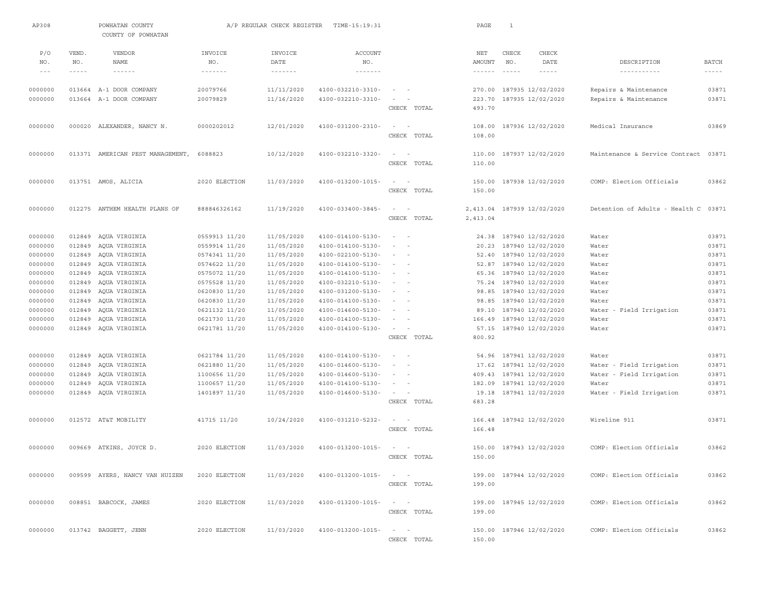| AP308                                                                                                                 |                                                                                        | POWHATAN COUNTY<br>COUNTY OF POWHATAN                                                                                                                                                                 |                                                                                                                                                                                         | A/P REGULAR CHECK REGISTER                                                                                                                             | TIME-15:19:31                                                                                                                                                                                                                       |                                                                                                                                                                                                                                                        |                            | PAGE                                                                                                       | $\mathbf{1}$             |                                                                                                                                                                                                                                     |                                                                                                                    |                                                                                                 |
|-----------------------------------------------------------------------------------------------------------------------|----------------------------------------------------------------------------------------|-------------------------------------------------------------------------------------------------------------------------------------------------------------------------------------------------------|-----------------------------------------------------------------------------------------------------------------------------------------------------------------------------------------|--------------------------------------------------------------------------------------------------------------------------------------------------------|-------------------------------------------------------------------------------------------------------------------------------------------------------------------------------------------------------------------------------------|--------------------------------------------------------------------------------------------------------------------------------------------------------------------------------------------------------------------------------------------------------|----------------------------|------------------------------------------------------------------------------------------------------------|--------------------------|-------------------------------------------------------------------------------------------------------------------------------------------------------------------------------------------------------------------------------------|--------------------------------------------------------------------------------------------------------------------|-------------------------------------------------------------------------------------------------|
| P/O<br>NO.<br>$- - -$                                                                                                 | VEND.<br>NO.<br>$- - - - -$                                                            | <b>VENDOR</b><br>NAME<br>$\cdots\cdots\cdots\cdots$                                                                                                                                                   | INVOICE<br>NO.<br>$- - - - - - - -$                                                                                                                                                     | INVOICE<br>DATE<br>$\cdots\cdots\cdots\cdots$                                                                                                          | <b>ACCOUNT</b><br>NO.<br>$\cdots\cdots\cdots\cdots\cdots$                                                                                                                                                                           |                                                                                                                                                                                                                                                        |                            | NET<br>AMOUNT<br>$- - - - - - -$                                                                           | CHECK<br>NO.<br>$\cdots$ | CHECK<br>DATE<br>$- - - - - -$                                                                                                                                                                                                      | DESCRIPTION<br>-----------                                                                                         | <b>BATCH</b><br>$- - - - - -$                                                                   |
| 0000000<br>0000000                                                                                                    |                                                                                        | 013664 A-1 DOOR COMPANY<br>013664 A-1 DOOR COMPANY                                                                                                                                                    | 20079766<br>20079829                                                                                                                                                                    | 11/11/2020<br>11/16/2020                                                                                                                               | 4100-032210-3310-<br>4100-032210-3310-                                                                                                                                                                                              | $\sim$<br>$\sim$<br>$\sim$<br>$\overline{\phantom{a}}$                                                                                                                                                                                                 | CHECK TOTAL                | 270.00<br>223.70<br>493.70                                                                                 |                          | 187935 12/02/2020<br>187935 12/02/2020                                                                                                                                                                                              | Repairs & Maintenance<br>Repairs & Maintenance                                                                     | 03871<br>03871                                                                                  |
| 0000000                                                                                                               |                                                                                        | 000020 ALEXANDER, NANCY N.                                                                                                                                                                            | 0000202012                                                                                                                                                                              | 12/01/2020                                                                                                                                             | 4100-031200-2310-                                                                                                                                                                                                                   | $\sim$ 100 $\sim$ 100                                                                                                                                                                                                                                  | CHECK TOTAL                | 108.00<br>108.00                                                                                           |                          | 187936 12/02/2020                                                                                                                                                                                                                   | Medical Insurance                                                                                                  | 03869                                                                                           |
| 0000000                                                                                                               |                                                                                        | 013371 AMERICAN PEST MANAGEMENT,                                                                                                                                                                      | 6088823                                                                                                                                                                                 | 10/12/2020                                                                                                                                             | 4100-032210-3320-                                                                                                                                                                                                                   | $\sim$<br>$\sim$                                                                                                                                                                                                                                       | CHECK TOTAL                | 110.00<br>110.00                                                                                           |                          | 187937 12/02/2020                                                                                                                                                                                                                   | Maintenance & Service Contract                                                                                     | 03871                                                                                           |
| 0000000                                                                                                               |                                                                                        | 013751 AMOS, ALICIA                                                                                                                                                                                   | 2020 ELECTION                                                                                                                                                                           | 11/03/2020                                                                                                                                             | 4100-013200-1015-                                                                                                                                                                                                                   | $\sim$<br>$\sim$                                                                                                                                                                                                                                       | CHECK TOTAL                | 150.00<br>150.00                                                                                           |                          | 187938 12/02/2020                                                                                                                                                                                                                   | COMP: Election Officials                                                                                           | 03862                                                                                           |
| 0000000                                                                                                               |                                                                                        | 012275 ANTHEM HEALTH PLANS OF                                                                                                                                                                         | 888846326162                                                                                                                                                                            | 11/19/2020                                                                                                                                             | 4100-033400-3845-                                                                                                                                                                                                                   | $\sim$<br>$\overline{\phantom{a}}$                                                                                                                                                                                                                     | CHECK TOTAL                | 2.413.04<br>2,413.04                                                                                       |                          | 187939 12/02/2020                                                                                                                                                                                                                   | Detention of Adults - Health C 03871                                                                               |                                                                                                 |
| 0000000<br>0000000<br>0000000<br>0000000<br>0000000<br>0000000<br>0000000<br>0000000<br>0000000<br>0000000<br>0000000 | 012849<br>012849<br>012849<br>012849<br>012849<br>012849<br>012849<br>012849<br>012849 | 012849 AQUA VIRGINIA<br>AQUA VIRGINIA<br>AQUA VIRGINIA<br>AQUA VIRGINIA<br>AQUA VIRGINIA<br>AQUA VIRGINIA<br>AQUA VIRGINIA<br>AQUA VIRGINIA<br>AQUA VIRGINIA<br>AQUA VIRGINIA<br>012849 AQUA VIRGINIA | 0559913 11/20<br>0559914 11/20<br>0574341 11/20<br>0574622 11/20<br>0575072 11/20<br>0575528 11/20<br>0620830 11/20<br>0620830 11/20<br>0621132 11/20<br>0621730 11/20<br>0621781 11/20 | 11/05/2020<br>11/05/2020<br>11/05/2020<br>11/05/2020<br>11/05/2020<br>11/05/2020<br>11/05/2020<br>11/05/2020<br>11/05/2020<br>11/05/2020<br>11/05/2020 | 4100-014100-5130-<br>4100-014100-5130-<br>4100-022100-5130-<br>4100-014100-5130-<br>4100-014100-5130-<br>4100-032210-5130-<br>4100-031200-5130-<br>4100-014100-5130-<br>4100-014600-5130-<br>4100-014100-5130-<br>4100-014100-5130- | $\sim$<br>$\sim$<br>$\sim$<br>$\sim$<br>$\sim$<br>$\sim$<br>$\sim$ $-$<br>$\sim$ 100 $\sim$ 100 $\sim$<br>$\sim$ 100 $\sim$ 100 $\sim$<br>$\sim$ $-$<br>$\sim$<br>$\sim$<br>$\sim$<br>$\sim$<br>$\sim$<br>$\overline{\phantom{a}}$<br>$\sim$<br>$\sim$ | CHECK TOTAL                | 24.38<br>20.23<br>52.40<br>52.87<br>65.36<br>75.24<br>98.85<br>98.85<br>89.10<br>166.49<br>57.15<br>800.92 |                          | 187940 12/02/2020<br>187940 12/02/2020<br>187940 12/02/2020<br>187940 12/02/2020<br>187940 12/02/2020<br>187940 12/02/2020<br>187940 12/02/2020<br>187940 12/02/2020<br>187940 12/02/2020<br>187940 12/02/2020<br>187940 12/02/2020 | Water<br>Water<br>Water<br>Water<br>Water<br>Water<br>Water<br>Water<br>Water - Field Irrigation<br>Water<br>Water | 03871<br>03871<br>03871<br>03871<br>03871<br>03871<br>03871<br>03871<br>03871<br>03871<br>03871 |
| 0000000<br>0000000<br>0000000<br>0000000<br>0000000                                                                   | 012849<br>012849<br>012849<br>012849                                                   | AQUA VIRGINIA<br>AQUA VIRGINIA<br>AQUA VIRGINIA<br>AQUA VIRGINIA<br>012849 AQUA VIRGINIA                                                                                                              | 0621784 11/20<br>0621880 11/20<br>1100656 11/20<br>1100657 11/20<br>1401897 11/20                                                                                                       | 11/05/2020<br>11/05/2020<br>11/05/2020<br>11/05/2020<br>11/05/2020                                                                                     | 4100-014100-5130-<br>4100-014600-5130-<br>4100-014600-5130-<br>4100-014100-5130-<br>4100-014600-5130-                                                                                                                               | $\sim$<br>$\sim$<br>$\overline{\phantom{a}}$<br>$\sim$<br>$\sim$ $-$<br>$\sim$<br>$\sim$<br>$\sim$ $  -$                                                                                                                                               | CHECK TOTAL                | 54.96<br>17.62<br>409.43<br>182.09<br>19.18<br>683.28                                                      |                          | 187941 12/02/2020<br>187941 12/02/2020<br>187941 12/02/2020<br>187941 12/02/2020<br>187941 12/02/2020                                                                                                                               | Water<br>Water - Field Irrigation<br>Water - Field Irrigation<br>Water<br>Water - Field Irrigation                 | 03871<br>03871<br>03871<br>03871<br>03871                                                       |
| 0000000<br>0000000                                                                                                    |                                                                                        | 012572 AT&T MOBILITY<br>009669 ATKINS, JOYCE D.                                                                                                                                                       | 41715 11/20<br>2020 ELECTION                                                                                                                                                            | 10/24/2020<br>11/03/2020                                                                                                                               | 4100-031210-5232-<br>4100-013200-1015-                                                                                                                                                                                              | $\sim$ $  -$                                                                                                                                                                                                                                           | CHECK TOTAL                | 166.48<br>166.48                                                                                           |                          | 187942 12/02/2020<br>150.00 187943 12/02/2020                                                                                                                                                                                       | Wireline 911<br>COMP: Election Officials                                                                           | 03871<br>03862                                                                                  |
| 0000000                                                                                                               |                                                                                        | 009599 AYERS, NANCY VAN HUIZEN                                                                                                                                                                        | 2020 ELECTION                                                                                                                                                                           | 11/03/2020                                                                                                                                             | 4100-013200-1015-                                                                                                                                                                                                                   |                                                                                                                                                                                                                                                        | CHECK TOTAL<br>CHECK TOTAL | 150.00<br>199.00                                                                                           |                          | 199.00 187944 12/02/2020                                                                                                                                                                                                            | COMP: Election Officials                                                                                           | 03862                                                                                           |
| 0000000                                                                                                               |                                                                                        | 008851 BABCOCK, JAMES                                                                                                                                                                                 | 2020 ELECTION                                                                                                                                                                           | 11/03/2020                                                                                                                                             | 4100-013200-1015-                                                                                                                                                                                                                   | $\sim$ $ -$                                                                                                                                                                                                                                            | CHECK TOTAL                | 199.00                                                                                                     |                          | 199.00 187945 12/02/2020                                                                                                                                                                                                            | COMP: Election Officials                                                                                           | 03862                                                                                           |
| 0000000                                                                                                               |                                                                                        | 013742 BAGGETT, JENN                                                                                                                                                                                  | 2020 ELECTION                                                                                                                                                                           | 11/03/2020                                                                                                                                             | $4100 - 013200 - 1015 -$                                                                                                                                                                                                            | $\sim$ $  -$                                                                                                                                                                                                                                           | CHECK TOTAL                | 150.00                                                                                                     |                          | 150.00 187946 12/02/2020                                                                                                                                                                                                            | COMP: Election Officials                                                                                           | 03862                                                                                           |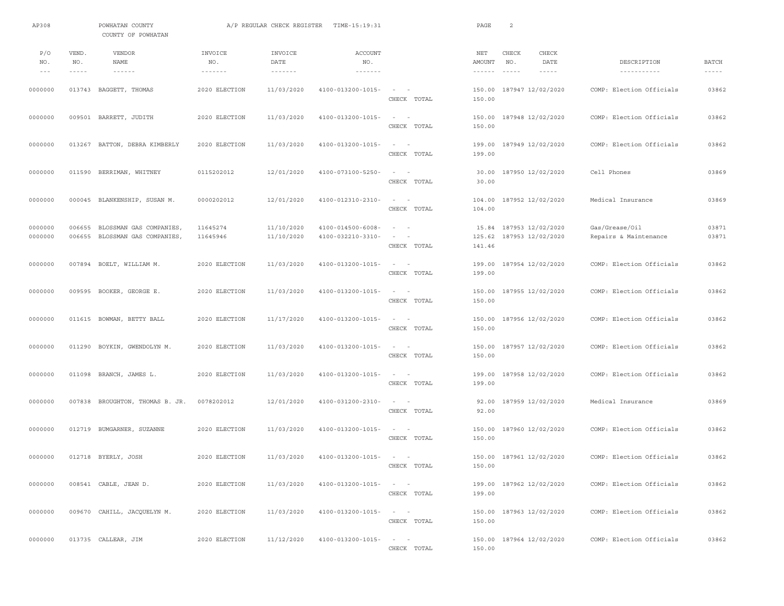| AP308                                                                                              |                             | POWHATAN COUNTY<br>COUNTY OF POWHATAN                            |                                     | A/P REGULAR CHECK REGISTER                    | TIME-15:19:31                                             |                                                                                | PAGE                             | $\overline{2}$         |                                              |                                         |                               |
|----------------------------------------------------------------------------------------------------|-----------------------------|------------------------------------------------------------------|-------------------------------------|-----------------------------------------------|-----------------------------------------------------------|--------------------------------------------------------------------------------|----------------------------------|------------------------|----------------------------------------------|-----------------------------------------|-------------------------------|
| P/O<br>NO.<br>$\hspace{0.1cm} - \hspace{0.1cm} - \hspace{0.1cm} - \hspace{0.1cm} - \hspace{0.1cm}$ | VEND.<br>NO.<br>$- - - - -$ | VENDOR<br><b>NAME</b><br>$\cdots\cdots\cdots\cdots$              | INVOICE<br>NO.<br>$- - - - - - - -$ | INVOICE<br>DATE<br>$\cdots\cdots\cdots\cdots$ | <b>ACCOUNT</b><br>NO.<br>$\cdots\cdots\cdots\cdots\cdots$ |                                                                                | NET<br>AMOUNT<br>$- - - - - - -$ | CHECK<br>NO.<br>------ | CHECK<br>DATE<br>$- - - - - -$               | DESCRIPTION<br>-----------              | <b>BATCH</b><br>$- - - - - -$ |
| 0000000                                                                                            |                             | 013743 BAGGETT, THOMAS                                           | 2020 ELECTION                       | 11/03/2020                                    | 4100-013200-1015-                                         | $\sim$<br>$\sim$<br>CHECK TOTAL                                                | 150.00<br>150.00                 |                        | 187947 12/02/2020                            | COMP: Election Officials                | 03862                         |
| 0000000                                                                                            |                             | 009501 BARRETT, JUDITH                                           | 2020 ELECTION                       | 11/03/2020                                    | 4100-013200-1015-                                         | $\sim$<br>$\overline{\phantom{a}}$<br>CHECK TOTAL                              | 150.00<br>150.00                 |                        | 187948 12/02/2020                            | COMP: Election Officials                | 03862                         |
| 0000000                                                                                            |                             | 013267 BATTON, DEBRA KIMBERLY                                    | 2020 ELECTION                       | 11/03/2020                                    | 4100-013200-1015-                                         | CHECK TOTAL                                                                    | 199.00                           |                        | 199.00 187949 12/02/2020                     | COMP: Election Officials                | 03862                         |
| 0000000                                                                                            |                             | 011590 BERRIMAN, WHITNEY                                         | 0115202012                          | 12/01/2020                                    | 4100-073100-5250-                                         | $\sim$<br>$\overline{\phantom{0}}$<br>CHECK TOTAL                              | 30.00<br>30.00                   |                        | 187950 12/02/2020                            | Cell Phones                             | 03869                         |
| 0000000                                                                                            |                             | 000045 BLANKENSHIP, SUSAN M.                                     | 0000202012                          | 12/01/2020                                    | 4100-012310-2310-                                         | $\sim$ $ -$<br>CHECK TOTAL                                                     | 104.00<br>104.00                 |                        | 187952 12/02/2020                            | Medical Insurance                       | 03869                         |
| 0000000<br>0000000                                                                                 |                             | 006655 BLOSSMAN GAS COMPANIES,<br>006655 BLOSSMAN GAS COMPANIES, | 11645274<br>11645946                | 11/10/2020<br>11/10/2020                      | 4100-014500-6008-<br>4100-032210-3310-                    | $\sim$ 100 $\sim$<br>$\sim$ 100 $\sim$ 100<br>CHECK TOTAL                      | 125.62<br>141.46                 |                        | 15.84 187953 12/02/2020<br>187953 12/02/2020 | Gas/Grease/Oil<br>Repairs & Maintenance | 03871<br>03871                |
| 0000000                                                                                            |                             | 007894 BOELT, WILLIAM M.                                         | 2020 ELECTION                       | 11/03/2020                                    | 4100-013200-1015-                                         | $\sim$<br>$\sim$ $-$<br>CHECK TOTAL                                            | 199.00<br>199.00                 |                        | 187954 12/02/2020                            | COMP: Election Officials                | 03862                         |
| 0000000                                                                                            |                             | 009595 BOOKER, GEORGE E.                                         | 2020 ELECTION                       | 11/03/2020                                    | 4100-013200-1015-                                         | $\sim$<br>$\sim$<br>CHECK TOTAL                                                | 150.00<br>150.00                 |                        | 187955 12/02/2020                            | COMP: Election Officials                | 03862                         |
| 0000000                                                                                            |                             | 011615 BOWMAN, BETTY BALL                                        | 2020 ELECTION                       | 11/17/2020                                    | 4100-013200-1015-                                         | $\sim$<br>$\overline{\phantom{0}}$<br>CHECK TOTAL                              | 150.00<br>150.00                 |                        | 187956 12/02/2020                            | COMP: Election Officials                | 03862                         |
| 0000000                                                                                            |                             | 011290 BOYKIN, GWENDOLYN M.                                      | 2020 ELECTION                       | 11/03/2020                                    | 4100-013200-1015-                                         | CHECK TOTAL                                                                    | 150.00                           |                        | 150.00 187957 12/02/2020                     | COMP: Election Officials                | 03862                         |
| 0000000                                                                                            |                             | 011098 BRANCH, JAMES L.                                          | 2020 ELECTION                       | 11/03/2020                                    | 4100-013200-1015-                                         | $\sim$<br>$\sim$ $-$<br>CHECK TOTAL                                            | 199.00<br>199.00                 |                        | 187958 12/02/2020                            | COMP: Election Officials                | 03862                         |
| 0000000                                                                                            |                             | 007838 BROUGHTON, THOMAS B. JR.                                  | 0078202012                          | 12/01/2020                                    | 4100-031200-2310-                                         | $\sim$ $  -$<br>CHECK TOTAL                                                    | 92.00<br>92.00                   |                        | 187959 12/02/2020                            | Medical Insurance                       | 03869                         |
| 0000000                                                                                            |                             | 012719 BUMGARNER, SUZANNE                                        | 2020 ELECTION                       | 11/03/2020                                    | 4100-013200-1015-                                         | $\sim$ 100 $\sim$ 100 $\sim$<br>CHECK TOTAL                                    | 150.00<br>150.00                 |                        | 187960 12/02/2020                            | COMP: Election Officials                | 03862                         |
| 0000000                                                                                            |                             | 012718 BYERLY, JOSH                                              | 2020 ELECTION                       | 11/03/2020                                    | 4100-013200-1015-                                         | $\sim$<br>$\sim$<br>CHECK TOTAL                                                | 150.00                           |                        | 150.00 187961 12/02/2020                     | COMP: Election Officials                | 03862                         |
| 0000000                                                                                            |                             | 008541 CABLE, JEAN D.                                            | 2020 ELECTION                       | 11/03/2020                                    | 4100-013200-1015-                                         | $\alpha$ - $\alpha$ - $\alpha$ - $\alpha$<br>CHECK TOTAL                       | 199.00                           |                        | 199.00 187962 12/02/2020                     | COMP: Election Officials                | 03862                         |
| 0000000                                                                                            |                             | 009670 CAHILL, JACQUELYN M.                                      | 2020 ELECTION                       | 11/03/2020                                    | 4100-013200-1015-                                         | $\alpha$ , $\alpha$ , $\alpha$ , $\alpha$ , $\alpha$ , $\alpha$<br>CHECK TOTAL | 150.00                           |                        | 150.00 187963 12/02/2020                     | COMP: Election Officials                | 03862                         |
| 0000000                                                                                            |                             | 013735 CALLEAR, JIM                                              | 2020 ELECTION                       | 11/12/2020                                    | $4100 - 013200 - 1015 - - -$                              | CHECK TOTAL                                                                    | 150.00                           |                        | 150.00 187964 12/02/2020                     | COMP: Election Officials                | 03862                         |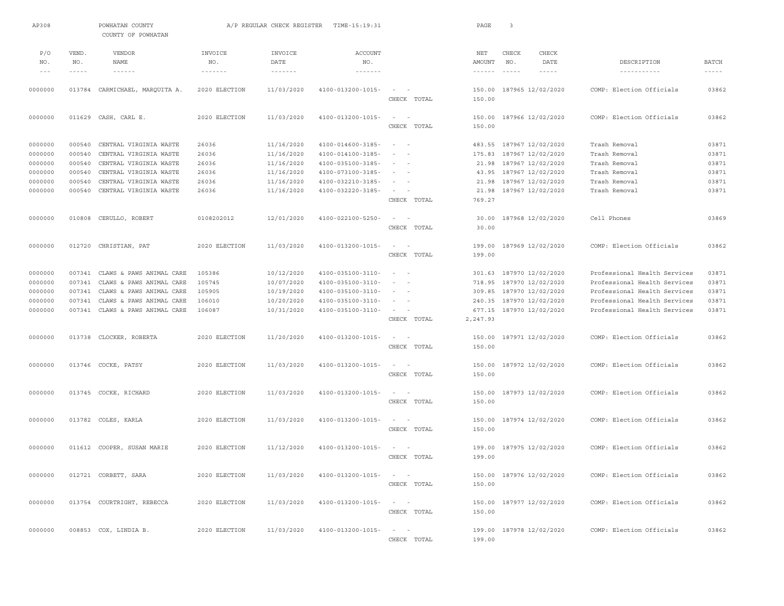| AP308          |                      | POWHATAN COUNTY<br>COUNTY OF POWHATAN |                          | A/P REGULAR CHECK REGISTER | TIME-15:19:31                           |                                                   |             | PAGE                                 | 3               |                          |                              |                               |
|----------------|----------------------|---------------------------------------|--------------------------|----------------------------|-----------------------------------------|---------------------------------------------------|-------------|--------------------------------------|-----------------|--------------------------|------------------------------|-------------------------------|
| P/O            | VEND.                | <b>VENDOR</b>                         | INVOICE                  | INVOICE                    | <b>ACCOUNT</b>                          |                                                   |             | NET                                  | CHECK           | CHECK                    |                              |                               |
| NO.<br>$- - -$ | NO.<br>$- - - - - -$ | NAME<br>$- - - - - -$                 | NO.<br>$- - - - - - - -$ | DATE<br>$- - - - - - - -$  | NO.<br>$\cdots\cdots\cdots\cdots\cdots$ |                                                   |             | AMOUNT<br>$\cdots\cdots\cdots\cdots$ | NO.<br>$\cdots$ | DATE<br>$- - - - -$      | DESCRIPTION<br>-----------   | <b>BATCH</b><br>$- - - - - -$ |
|                |                      |                                       |                          |                            |                                         |                                                   |             |                                      |                 |                          |                              |                               |
| 0000000        |                      | 013784 CARMICHAEL, MARQUITA A.        | 2020 ELECTION            | 11/03/2020                 | 4100-013200-1015-                       | $\sim$<br>$\sim$<br>CHECK TOTAL                   |             | 150.00<br>150.00                     |                 | 187965 12/02/2020        | COMP: Election Officials     | 03862                         |
| 0000000        |                      | 011629 CASH, CARL E.                  | 2020 ELECTION            | 11/03/2020                 | 4100-013200-1015-                       | $\sim$<br>$\overline{\phantom{0}}$<br>CHECK TOTAL |             | 150.00<br>150.00                     |                 | 187966 12/02/2020        | COMP: Election Officials     | 03862                         |
| 0000000        | 000540               | CENTRAL VIRGINIA WASTE                | 26036                    | 11/16/2020                 | 4100-014600-3185-                       | $\sim$<br>$\sim$                                  |             |                                      |                 | 483.55 187967 12/02/2020 | Trash Removal                | 03871                         |
| 0000000        | 000540               | CENTRAL VIRGINIA WASTE                | 26036                    | 11/16/2020                 | 4100-014100-3185-                       | $\sim$<br>$\sim$                                  |             | 175.83                               |                 | 187967 12/02/2020        | Trash Removal                | 03871                         |
| 0000000        | 000540               | CENTRAL VIRGINIA WASTE                | 26036                    | 11/16/2020                 | 4100-035100-3185-                       | $\sim$                                            |             | 21.98                                |                 | 187967 12/02/2020        | Trash Removal                | 03871                         |
| 0000000        | 000540               | CENTRAL VIRGINIA WASTE                | 26036                    | 11/16/2020                 | 4100-073100-3185-                       | $\sim$<br>$\sim$                                  |             | 43.95                                |                 | 187967 12/02/2020        | Trash Removal                | 03871                         |
| 0000000        | 000540               | CENTRAL VIRGINIA WASTE                | 26036                    | 11/16/2020                 | 4100-032210-3185-                       | $\sim$                                            |             | 21.98                                |                 | 187967 12/02/2020        | Trash Removal                | 03871                         |
| 0000000        | 000540               | CENTRAL VIRGINIA WASTE                | 26036                    | 11/16/2020                 | 4100-032220-3185-                       | $\sim$                                            |             | 21.98                                |                 | 187967 12/02/2020        | Trash Removal                | 03871                         |
|                |                      |                                       |                          |                            |                                         | CHECK TOTAL                                       |             | 769.27                               |                 |                          |                              |                               |
| 0000000        |                      | 010808 CERULLO, ROBERT                | 0108202012               | 12/01/2020                 | 4100-022100-5250-                       | $\sim$<br>$\sim$                                  | CHECK TOTAL | 30.00<br>30.00                       |                 | 187968 12/02/2020        | Cell Phones                  | 03869                         |
| 0000000        |                      | 012720 CHRISTIAN, PAT                 | 2020 ELECTION            | 11/03/2020                 | 4100-013200-1015-                       | $\sim$<br>$\sim$                                  | CHECK TOTAL | 199.00<br>199.00                     |                 | 187969 12/02/2020        | COMP: Election Officials     | 03862                         |
| 0000000        |                      | 007341 CLAWS & PAWS ANIMAL CARE       | 105386                   | 10/12/2020                 | 4100-035100-3110-                       | $\sim 10^{-1}$ and $\sim 10^{-1}$                 |             | 301.63                               |                 | 187970 12/02/2020        | Professional Health Services | 03871                         |
| 0000000        |                      | 007341 CLAWS & PAWS ANIMAL CARE       | 105745                   | 10/07/2020                 | 4100-035100-3110-                       | $\sim$                                            |             | 718.95                               |                 | 187970 12/02/2020        | Professional Health Services | 03871                         |
| 0000000        | 007341               | CLAWS & PAWS ANIMAL CARE              | 105905                   | 10/19/2020                 | 4100-035100-3110-                       | $\sim$<br>$\overline{\phantom{a}}$                |             | 309.85                               |                 | 187970 12/02/2020        | Professional Health Services | 03871                         |
| 0000000        | 007341               | CLAWS & PAWS ANIMAL CARE              | 106010                   | 10/20/2020                 | 4100-035100-3110-                       | $\sim$                                            |             | 240.35                               |                 | 187970 12/02/2020        | Professional Health Services | 03871                         |
| 0000000        |                      | 007341 CLAWS & PAWS ANIMAL CARE       | 106087                   | 10/31/2020                 | 4100-035100-3110-                       | $\sim$                                            |             | 677.15                               |                 | 187970 12/02/2020        | Professional Health Services | 03871                         |
|                |                      |                                       |                          |                            |                                         |                                                   | CHECK TOTAL | 2,247.93                             |                 |                          |                              |                               |
| 0000000        |                      | 013738 CLOCKER, ROBERTA               | 2020 ELECTION            | 11/20/2020                 | 4100-013200-1015-                       | $\sim$ $  -$                                      |             |                                      |                 | 150.00 187971 12/02/2020 | COMP: Election Officials     | 03862                         |
|                |                      |                                       |                          |                            |                                         |                                                   | CHECK TOTAL | 150.00                               |                 |                          |                              |                               |
| 0000000        |                      | 013746 COCKE, PATSY                   | 2020 ELECTION            | 11/03/2020                 | 4100-013200-1015-                       | $\overline{\phantom{a}}$<br>$\sim$                |             | 150.00                               |                 | 187972 12/02/2020        | COMP: Election Officials     | 03862                         |
|                |                      |                                       |                          |                            |                                         | CHECK TOTAL                                       |             | 150.00                               |                 |                          |                              |                               |
| 0000000        |                      | 013745 COCKE, RICHARD                 | 2020 ELECTION            | 11/03/2020                 | 4100-013200-1015-                       |                                                   |             | 150.00                               |                 | 187973 12/02/2020        | COMP: Election Officials     | 03862                         |
|                |                      |                                       |                          |                            |                                         |                                                   | CHECK TOTAL | 150.00                               |                 |                          |                              |                               |
| 0000000        |                      | 013782 COLES, KARLA                   | 2020 ELECTION            | 11/03/2020                 | 4100-013200-1015-                       | $\sim$<br>$\sim$                                  |             | 150.00                               |                 | 187974 12/02/2020        | COMP: Election Officials     | 03862                         |
|                |                      |                                       |                          |                            |                                         |                                                   | CHECK TOTAL | 150.00                               |                 |                          |                              |                               |
| 0000000        |                      | 011612 COOPER, SUSAN MARIE            | 2020 ELECTION            | 11/12/2020                 | 4100-013200-1015-                       |                                                   |             | 199.00                               |                 | 187975 12/02/2020        | COMP: Election Officials     | 03862                         |
|                |                      |                                       |                          |                            |                                         |                                                   | CHECK TOTAL | 199.00                               |                 |                          |                              |                               |
| 0000000        |                      | 012721 CORBETT, SARA                  | 2020 ELECTION            | 11/03/2020                 | 4100-013200-1015-                       | $\sim$ $ \sim$ $ -$                               |             |                                      |                 | 150.00 187976 12/02/2020 | COMP: Election Officials     | 03862                         |
|                |                      |                                       |                          |                            |                                         |                                                   | CHECK TOTAL | 150.00                               |                 |                          |                              |                               |
| 0000000        |                      | 013754 COURTRIGHT, REBECCA            | 2020 ELECTION            | 11/03/2020                 | 4100-013200-1015-                       | $\sim$ $ \sim$ $ -$                               |             |                                      |                 | 150.00 187977 12/02/2020 | COMP: Election Officials     | 03862                         |
|                |                      |                                       |                          |                            |                                         |                                                   | CHECK TOTAL | 150.00                               |                 |                          |                              |                               |
| 0000000        |                      | 008853 COX, LINDIA B.                 | 2020 ELECTION            | 11/03/2020                 | 4100-013200-1015-                       | $\alpha = 1, \ldots, n-1$                         |             |                                      |                 | 199.00 187978 12/02/2020 | COMP: Election Officials     | 03862                         |
|                |                      |                                       |                          |                            |                                         |                                                   | CHECK TOTAL | 199.00                               |                 |                          |                              |                               |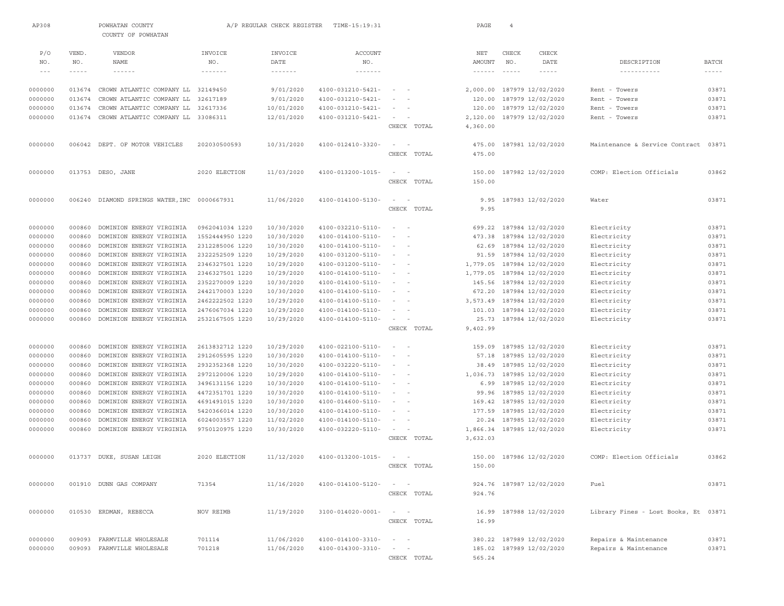| AP308              |                    | POWHATAN COUNTY<br>COUNTY OF POWHATAN                |                          | A/P REGULAR CHECK REGISTER         | TIME-15:19:31                          |                                    |             | PAGE                      | $\overline{4}$  |                          |                                      |                               |
|--------------------|--------------------|------------------------------------------------------|--------------------------|------------------------------------|----------------------------------------|------------------------------------|-------------|---------------------------|-----------------|--------------------------|--------------------------------------|-------------------------------|
| P/O                | VEND.              | <b>VENDOR</b>                                        | INVOICE                  | INVOICE                            | <b>ACCOUNT</b>                         |                                    |             | NET                       | CHECK           | CHECK                    |                                      |                               |
| NO.<br>$- - -$     | NO.<br>$- - - - -$ | NAME<br>$- - - - - -$                                | NO.<br>$- - - - - - - -$ | DATE<br>$\cdots\cdots\cdots\cdots$ | NO.<br>$- - - - - - - -$               |                                    |             | AMOUNT<br>$- - - - - - -$ | NO.<br>$\cdots$ | DATE<br>$- - - - -$      | DESCRIPTION                          | <b>BATCH</b><br>$- - - - - -$ |
|                    |                    |                                                      |                          |                                    |                                        |                                    |             |                           |                 |                          |                                      |                               |
| 0000000            | 013674             | CROWN ATLANTIC COMPANY LL                            | 32149450                 | 9/01/2020                          | 4100-031210-5421-                      | $\sim$<br>$\overline{\phantom{a}}$ |             | 2,000.00                  |                 | 187979 12/02/2020        | Rent - Towers                        | 03871                         |
| 0000000            | 013674             | CROWN ATLANTIC COMPANY LL                            | 32617189                 | 9/01/2020                          | 4100-031210-5421-                      | $\sim$                             |             | 120.00                    |                 | 187979 12/02/2020        | Rent - Towers                        | 03871                         |
| 0000000            | 013674             | CROWN ATLANTIC COMPANY LL                            | 32617336                 | 10/01/2020                         | 4100-031210-5421-                      |                                    |             | 120.00                    |                 | 187979 12/02/2020        | Rent - Towers                        | 03871                         |
| 0000000            | 013674             | CROWN ATLANTIC COMPANY LL 33086311                   |                          | 12/01/2020                         | 4100-031210-5421-                      | $\sim$                             |             | 2,120.00                  |                 | 187979 12/02/2020        | Rent - Towers                        | 03871                         |
|                    |                    |                                                      |                          |                                    |                                        | CHECK TOTAL                        |             | 4,360.00                  |                 |                          |                                      |                               |
|                    |                    |                                                      |                          |                                    |                                        |                                    |             |                           |                 |                          |                                      |                               |
| 0000000            |                    | 006042 DEPT. OF MOTOR VEHICLES                       | 202030500593             | 10/31/2020                         | 4100-012410-3320-                      | $\sim$                             |             | 475.00                    |                 | 187981 12/02/2020        | Maintenance & Service Contract       | 03871                         |
|                    |                    |                                                      |                          |                                    |                                        | CHECK TOTAL                        |             | 475.00                    |                 |                          |                                      |                               |
| 0000000            |                    | 013753 DESO, JANE                                    | 2020 ELECTION            | 11/03/2020                         | 4100-013200-1015-                      | $\sim$                             |             | 150.00                    |                 | 187982 12/02/2020        | COMP: Election Officials             | 03862                         |
|                    |                    |                                                      |                          |                                    |                                        | CHECK TOTAL                        |             | 150.00                    |                 |                          |                                      |                               |
|                    |                    |                                                      |                          |                                    |                                        |                                    |             |                           |                 |                          |                                      |                               |
| 0000000            | 006240             | DIAMOND SPRINGS WATER, INC 0000667931                |                          | 11/06/2020                         | 4100-014100-5130-                      | $\sim$<br>$\sim$                   |             | 9.95                      |                 | 187983 12/02/2020        | Water                                | 03871                         |
|                    |                    |                                                      |                          |                                    |                                        | CHECK TOTAL                        |             | 9.95                      |                 |                          |                                      |                               |
|                    |                    |                                                      |                          |                                    |                                        |                                    |             |                           |                 |                          |                                      |                               |
| 0000000            | 000860             | DOMINION ENERGY VIRGINIA                             | 0962041034 1220          | 10/30/2020                         | 4100-032210-5110-                      | $\sim$                             |             | 699.22                    |                 | 187984 12/02/2020        | Electricity                          | 03871                         |
| 0000000            | 000860             | DOMINION ENERGY VIRGINIA                             | 1552444950 1220          | 10/30/2020                         | 4100-014100-5110-                      | $\sim$<br>$\overline{\phantom{a}}$ |             | 473.38                    |                 | 187984 12/02/2020        | Electricity                          | 03871                         |
| 0000000            | 000860             | DOMINION ENERGY VIRGINIA                             | 2312285006 1220          | 10/30/2020                         | 4100-014100-5110-                      | $\sim$                             |             | 62.69                     |                 | 187984 12/02/2020        | Electricity                          | 03871                         |
| 0000000            | 000860             | DOMINION ENERGY VIRGINIA                             | 2322252509 1220          | 10/29/2020                         | 4100-031200-5110-                      | $\sim$<br>$\sim$                   |             | 91.59                     |                 | 187984 12/02/2020        | Electricity                          | 03871                         |
| 0000000            | 000860             | DOMINION ENERGY VIRGINIA                             | 2346327501 1220          | 10/29/2020                         | 4100-031200-5110-                      | $\sim$                             |             | 1,779.05                  |                 | 187984 12/02/2020        | Electricity                          | 03871                         |
| 0000000            | 000860             | DOMINION ENERGY VIRGINIA                             | 2346327501 1220          | 10/29/2020                         | 4100-014100-5110-                      | $\sim$<br>$\sim$                   |             | 1,779.05                  |                 | 187984 12/02/2020        | Electricity                          | 03871                         |
| 0000000            | 000860             | DOMINION ENERGY VIRGINIA                             | 2352270009 1220          | 10/30/2020                         | 4100-014100-5110-                      | $\sim$                             |             | 145.56                    |                 | 187984 12/02/2020        | Electricity                          | 03871                         |
| 0000000            | 000860             | DOMINION ENERGY VIRGINIA                             | 2442170003 1220          | 10/30/2020                         | 4100-014100-5110-                      | $\sim$                             |             | 672.20                    |                 | 187984 12/02/2020        | Electricity                          | 03871                         |
| 0000000            | 000860             | DOMINION ENERGY VIRGINIA                             | 2462222502 1220          | 10/29/2020                         | 4100-014100-5110-                      | $\sim$                             |             | 3,573.49                  |                 | 187984 12/02/2020        | Electricity                          | 03871                         |
| 0000000            | 000860             | DOMINION ENERGY VIRGINIA                             | 2476067034 1220          | 10/29/2020                         | 4100-014100-5110-                      |                                    |             | 101.03                    |                 | 187984 12/02/2020        | Electricity                          | 03871                         |
| 0000000            | 000860             | DOMINION ENERGY VIRGINIA                             | 2532167505 1220          | 10/29/2020                         | 4100-014100-5110-                      | $\sim$                             |             | 25.73                     |                 | 187984 12/02/2020        | Electricity                          | 03871                         |
|                    |                    |                                                      |                          |                                    |                                        | CHECK TOTAL                        |             | 9,402.99                  |                 |                          |                                      |                               |
|                    | 000860             |                                                      | 2613832712 1220          | 10/29/2020                         |                                        | $\sim$                             |             | 159.09                    |                 | 187985 12/02/2020        | Electricity                          | 03871                         |
| 0000000<br>0000000 | 000860             | DOMINION ENERGY VIRGINIA<br>DOMINION ENERGY VIRGINIA | 2912605595 1220          | 10/30/2020                         | 4100-022100-5110-<br>4100-014100-5110- | $\sim$<br>$\sim$                   |             | 57.18                     |                 | 187985 12/02/2020        | Electricity                          | 03871                         |
| 0000000            | 000860             | DOMINION ENERGY VIRGINIA                             | 2932352368 1220          | 10/30/2020                         | 4100-032220-5110-                      | $\sim$                             |             | 38.49                     |                 | 187985 12/02/2020        | Electricity                          | 03871                         |
| 0000000            | 000860             | DOMINION ENERGY VIRGINIA                             | 2972120006 1220          | 10/29/2020                         | 4100-014100-5110-                      | $\sim$<br>$\sim$                   |             | 1,036.73                  |                 | 187985 12/02/2020        | Electricity                          | 03871                         |
| 0000000            | 000860             | DOMINION ENERGY VIRGINIA                             | 3496131156 1220          | 10/30/2020                         | 4100-014100-5110-                      | $\sim$                             |             | 6.99                      |                 | 187985 12/02/2020        | Electricity                          | 03871                         |
| 0000000            | 000860             | DOMINION ENERGY VIRGINIA                             | 4472351701 1220          | 10/30/2020                         | 4100-014100-5110-                      | $\sim$                             |             | 99.96                     |                 | 187985 12/02/2020        | Electricity                          | 03871                         |
| 0000000            | 000860             | DOMINION ENERGY VIRGINIA                             | 4691491015 1220          | 10/30/2020                         | 4100-014600-5110-                      | $\sim$                             |             | 169.42                    |                 | 187985 12/02/2020        | Electricity                          | 03871                         |
| 0000000            | 000860             | DOMINION ENERGY VIRGINIA                             | 5420366014 1220          | 10/30/2020                         | 4100-014100-5110-                      |                                    |             | 177.59                    |                 | 187985 12/02/2020        | Electricity                          | 03871                         |
| 0000000            | 000860             | DOMINION ENERGY VIRGINIA                             | 6024003557 1220          | 11/02/2020                         | 4100-014100-5110-                      | $\sim$                             |             | 20.24                     |                 | 187985 12/02/2020        | Electricity                          | 03871                         |
| 0000000            | 000860             | DOMINION ENERGY VIRGINIA                             | 9750120975 1220          | 10/30/2020                         | 4100-032220-5110-                      | $\sim$<br>$\sim$                   |             | 1,866.34                  |                 | 187985 12/02/2020        | Electricity                          | 03871                         |
|                    |                    |                                                      |                          |                                    |                                        | CHECK TOTAL                        |             | 3,632.03                  |                 |                          |                                      |                               |
|                    |                    |                                                      |                          |                                    |                                        |                                    |             |                           |                 |                          |                                      |                               |
| 0000000            |                    | 013737 DUKE, SUSAN LEIGH                             | 2020 ELECTION            | 11/12/2020                         | 4100-013200-1015-                      | $\sim$ $  -$                       |             |                           |                 | 150.00 187986 12/02/2020 | COMP: Election Officials             | 03862                         |
|                    |                    |                                                      |                          |                                    |                                        |                                    | CHECK TOTAL | 150.00                    |                 |                          |                                      |                               |
|                    |                    |                                                      |                          |                                    |                                        |                                    |             |                           |                 |                          |                                      |                               |
| 0000000            |                    | 001910 DUNN GAS COMPANY                              | 71354                    | 11/16/2020                         | 4100-014100-5120-                      |                                    |             |                           |                 | 924.76 187987 12/02/2020 | Fuel                                 | 03871                         |
|                    |                    |                                                      |                          |                                    |                                        |                                    | CHECK TOTAL | 924.76                    |                 |                          |                                      |                               |
|                    |                    |                                                      |                          |                                    |                                        |                                    |             |                           |                 |                          |                                      |                               |
| 0000000            |                    | 010530 ERDMAN, REBECCA                               | NOV REIMB                | 11/19/2020                         | $3100 - 014020 - 0001 -$               | $\sim$                             |             | 16.99                     |                 | 187988 12/02/2020        | Library Fines - Lost Books, Et 03871 |                               |
|                    |                    |                                                      |                          |                                    |                                        |                                    | CHECK TOTAL | 16.99                     |                 |                          |                                      |                               |
|                    |                    |                                                      |                          |                                    |                                        |                                    |             |                           |                 |                          |                                      |                               |
| 0000000            | 009093             | FARMVILLE WHOLESALE                                  | 701114                   | 11/06/2020                         | 4100-014100-3310-                      | $\sim$ 100 $\sim$ 100 $\sim$       |             |                           |                 | 380.22 187989 12/02/2020 | Repairs & Maintenance                | 03871                         |
| 0000000            | 009093             | FARMVILLE WHOLESALE                                  | 701218                   | 11/06/2020                         | 4100-014300-3310-                      | $\sim$<br>$\sim$                   |             |                           |                 | 185.02 187989 12/02/2020 | Repairs & Maintenance                | 03871                         |
|                    |                    |                                                      |                          |                                    |                                        | CHECK TOTAL                        |             | 565.24                    |                 |                          |                                      |                               |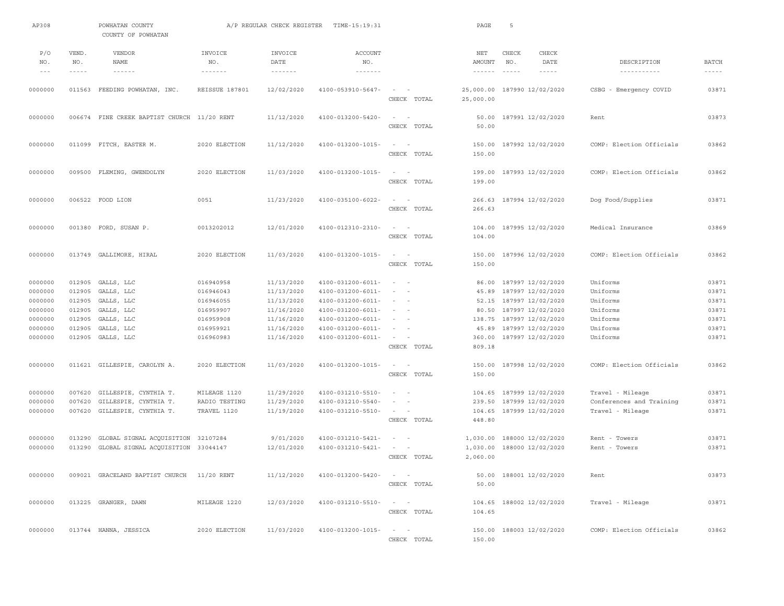| AP308      |              | POWHATAN COUNTY<br>COUNTY OF POWHATAN      |                               | A/P REGULAR CHECK REGISTER | TIME-15:19:31                    |                                                                                                              | PAGE                 | 5                             |                             |                           |                |
|------------|--------------|--------------------------------------------|-------------------------------|----------------------------|----------------------------------|--------------------------------------------------------------------------------------------------------------|----------------------|-------------------------------|-----------------------------|---------------------------|----------------|
| P/O<br>NO. | VEND.<br>NO. | VENDOR<br>NAME                             | INVOICE<br>NO.                | INVOICE<br>DATE            | <b>ACCOUNT</b><br>NO.            |                                                                                                              | NET<br>AMOUNT        | CHECK<br>NO.                  | CHECK<br><b>DATE</b>        | DESCRIPTION               | <b>BATCH</b>   |
| $- - -$    | $- - - - -$  | $- - - - - - -$                            | $\cdots \cdots \cdots \cdots$ | $\cdots\cdots\cdots\cdots$ | $\cdots\cdots\cdots\cdots\cdots$ |                                                                                                              | $- - - - - -$        | $\cdots \cdots \cdots \cdots$ | $- - - - -$                 | -----------               | $- - - - - -$  |
| 0000000    |              | 011563 FEEDING POWHATAN, INC.              | REISSUE 187801                | 12/02/2020                 | 4100-053910-5647-                | $\sim$<br>$\sim$<br>CHECK TOTAL                                                                              | 25,000.00            |                               | 25,000.00 187990 12/02/2020 | CSBG<br>- Emergency COVID | 03871          |
| 0000000    |              | 006674 FINE CREEK BAPTIST CHURCH           | $11/20$ RENT                  | 11/12/2020                 | 4100-013200-5420-                | $\sim$<br>$\overline{a}$<br>CHECK TOTAL                                                                      | 50.00<br>50.00       |                               | 187991 12/02/2020           | Rent                      | 03873          |
| 0000000    |              | 011099 FITCH, EASTER M.                    | 2020 ELECTION                 | 11/12/2020                 | 4100-013200-1015-                | $\sim$ 100 $\sim$ 100 $\sim$<br>CHECK TOTAL                                                                  | 150.00<br>150.00     |                               | 187992 12/02/2020           | COMP: Election Officials  | 03862          |
| 0000000    |              | 009500 FLEMING, GWENDOLYN                  | 2020 ELECTION                 | 11/03/2020                 | 4100-013200-1015-                | $\sim$<br>$\sim$<br>CHECK TOTAL                                                                              | 199.00<br>199.00     |                               | 187993 12/02/2020           | COMP: Election Officials  | 03862          |
| 0000000    |              | 006522 FOOD LION                           | 0051                          | 11/23/2020                 | 4100-035100-6022-                | $\sim$<br>$\sim$<br>CHECK TOTAL                                                                              | 266.63<br>266.63     |                               | 187994 12/02/2020           | Dog Food/Supplies         | 03871          |
| 0000000    |              | 001380 FORD, SUSAN P.                      | 0013202012                    | 12/01/2020                 | 4100-012310-2310-                | $\sim$ 100 $\sim$ 100 $\sim$<br>CHECK TOTAL                                                                  | 104.00<br>104.00     |                               | 187995 12/02/2020           | Medical Insurance         | 03869          |
| 0000000    |              | 013749 GALLIMORE, HIRAL                    | 2020 ELECTION                 | 11/03/2020                 | 4100-013200-1015-                | $\sim$<br>$\sim$<br>CHECK TOTAL                                                                              | 150.00<br>150.00     |                               | 187996 12/02/2020           | COMP: Election Officials  | 03862          |
| 0000000    | 012905       | GALLS, LLC                                 | 016940958                     | 11/13/2020                 | $4100 - 031200 - 6011 -$         | $\sim 10^{-1}$ and $\sim 10^{-1}$                                                                            | 86.00                |                               | 187997 12/02/2020           | Uniforms                  | 03871          |
| 0000000    | 012905       | GALLS, LLC                                 | 016946043                     | 11/13/2020                 | $4100 - 031200 - 6011 -$         | $\sim$<br>- -                                                                                                | 45.89                |                               | 187997 12/02/2020           | Uniforms                  | 03871          |
| 0000000    | 012905       | GALLS, LLC                                 | 016946055                     | 11/13/2020                 | $4100 - 031200 - 6011 -$         | $\sim$<br>$\sim$                                                                                             | 52.15                |                               | 187997 12/02/2020           | Uniforms                  | 03871          |
| 0000000    | 012905       | GALLS, LLC                                 | 016959907                     | 11/16/2020                 | $4100 - 031200 - 6011 -$         | $\sim$<br>$\sim$                                                                                             | 80.50                |                               | 187997 12/02/2020           | Uniforms                  | 03871          |
| 0000000    | 012905       | GALLS, LLC                                 | 016959908                     | 11/16/2020                 | $4100 - 031200 - 6011 -$         | $\sim$<br>$\overline{\phantom{a}}$                                                                           | 138.75               |                               | 187997 12/02/2020           | Uniforms                  | 03871          |
| 0000000    | 012905       | GALLS, LLC                                 | 016959921                     | 11/16/2020                 | $4100 - 031200 - 6011 -$         | $\frac{1}{2} \left( \frac{1}{2} \right) \left( \frac{1}{2} \right) = \frac{1}{2} \left( \frac{1}{2} \right)$ | 45.89                |                               | 187997 12/02/2020           | Uniforms                  | 03871<br>03871 |
| 0000000    | 012905       | GALLS, LLC                                 | 016960983                     | 11/16/2020                 | $4100 - 031200 - 6011 -$         | $\sim$<br>$\sim$<br>CHECK TOTAL                                                                              | 360.00<br>809.18     |                               | 187997 12/02/2020           | Uniforms                  |                |
| 0000000    |              | 011621 GILLESPIE, CAROLYN A.               | 2020 ELECTION                 | 11/03/2020                 | 4100-013200-1015-                | $\sim$ 100 $\sim$ 100 $\sim$                                                                                 | 150.00               |                               | 187998 12/02/2020           | COMP: Election Officials  | 03862          |
|            |              |                                            |                               |                            |                                  | CHECK TOTAL                                                                                                  | 150.00               |                               |                             |                           |                |
| 0000000    |              | 007620 GILLESPIE, CYNTHIA T.               | MILEAGE 1120                  | 11/29/2020                 | 4100-031210-5510-                | $\sim$<br>$\sim$                                                                                             |                      |                               | 104.65 187999 12/02/2020    | Travel - Mileage          | 03871          |
| 0000000    | 007620       | GILLESPIE, CYNTHIA T.                      | RADIO TESTING                 | 11/29/2020                 | 4100-031210-5540-                | $\overline{\phantom{a}}$<br>$\sim$                                                                           | 239.50               |                               | 187999 12/02/2020           | Conferences and Training  | 03871          |
| 0000000    |              | 007620 GILLESPIE, CYNTHIA T.               | TRAVEL 1120                   | 11/19/2020                 | 4100-031210-5510-                | $\sim$<br>$\sim$                                                                                             | 104.65               |                               | 187999 12/02/2020           | Travel - Mileage          | 03871          |
|            |              |                                            |                               |                            |                                  | CHECK TOTAL                                                                                                  | 448.80               |                               |                             |                           |                |
| 0000000    |              | 013290 GLOBAL SIGNAL ACOUISITION 32107284  |                               | 9/01/2020                  | 4100-031210-5421-                | $\sim$<br>$\sim$                                                                                             | 1,030.00             |                               | 188000 12/02/2020           | Rent - Towers             | 03871          |
| 0000000    |              | 013290 GLOBAL SIGNAL ACOUISITION 33044147  |                               | 12/01/2020                 | 4100-031210-5421-                | $\sim$<br>$\sim$<br>CHECK TOTAL                                                                              | 1,030.00<br>2,060.00 |                               | 188000 12/02/2020           | Rent - Towers             | 03871          |
|            |              |                                            |                               |                            |                                  |                                                                                                              |                      |                               |                             |                           |                |
| 0000000    |              | 009021 GRACELAND BAPTIST CHURCH 11/20 RENT |                               | 11/12/2020                 | 4100-013200-5420-                | $\alpha = 1, \ldots, n-1$<br>CHECK TOTAL                                                                     | 50.00                |                               | 50.00 188001 12/02/2020     | Rent                      | 03873          |
| 0000000    |              | 013225 GRANGER, DAWN                       | MILEAGE 1220                  | 12/03/2020                 | 4100-031210-5510-                | $\sim$ $ -$<br>CHECK TOTAL                                                                                   | 104.65               |                               | 104.65 188002 12/02/2020    | Travel - Mileage          | 03871          |
| 0000000    |              | 013744 HANNA, JESSICA                      | 2020 ELECTION                 | 11/03/2020                 | 4100-013200-1015-                | $\alpha = 1, \ldots, n-1$<br>CHECK TOTAL                                                                     | 150.00               |                               | 150.00 188003 12/02/2020    | COMP: Election Officials  | 03862          |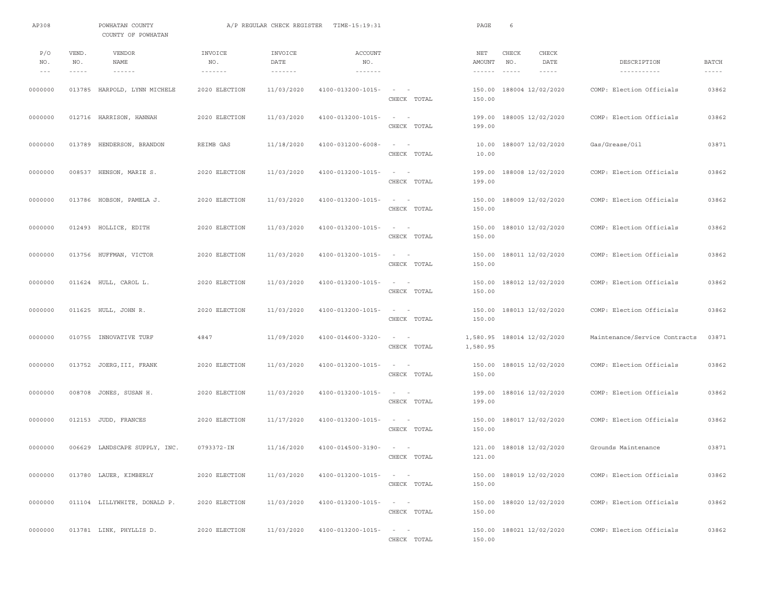| AP308                  |                               | POWHATAN COUNTY<br>COUNTY OF POWHATAN               |                                              | A/P REGULAR CHECK REGISTER                    | TIME-15:19:31                                             |                                                                                      | PAGE                                        | 6                        |                                |                               |                               |
|------------------------|-------------------------------|-----------------------------------------------------|----------------------------------------------|-----------------------------------------------|-----------------------------------------------------------|--------------------------------------------------------------------------------------|---------------------------------------------|--------------------------|--------------------------------|-------------------------------|-------------------------------|
| P/O<br>NO.<br>$\cdots$ | VEND.<br>NO.<br>$- - - - - -$ | <b>VENDOR</b><br>NAME<br>$\cdots\cdots\cdots\cdots$ | INVOICE<br>NO.<br>$\cdots\cdots\cdots\cdots$ | INVOICE<br>DATE<br>$\cdots\cdots\cdots\cdots$ | <b>ACCOUNT</b><br>NO.<br>$\cdots\cdots\cdots\cdots\cdots$ |                                                                                      | NET<br>AMOUNT<br>$\cdots\cdots\cdots\cdots$ | CHECK<br>NO.<br>------   | CHECK<br>DATE<br>$- - - - - -$ | DESCRIPTION                   | <b>BATCH</b><br>$- - - - - -$ |
| 0000000                |                               | 013785 HARPOLD, LYNN MICHELE                        | 2020 ELECTION                                | 11/03/2020                                    | 4100-013200-1015-                                         | CHECK TOTAL                                                                          | 150.00<br>150.00                            | 188004 12/02/2020        |                                | COMP: Election Officials      | 03862                         |
| 0000000                |                               | 012716 HARRISON, HANNAH                             | 2020 ELECTION                                | 11/03/2020                                    | 4100-013200-1015-                                         | $\sim$<br>$\sim$<br>CHECK TOTAL                                                      | 199.00<br>199.00                            | 188005 12/02/2020        |                                | COMP: Election Officials      | 03862                         |
| 0000000                |                               | 013789 HENDERSON, BRANDON                           | REIMB GAS                                    | 11/18/2020                                    | 4100-031200-6008-                                         | $\sim$ $ -$<br>CHECK TOTAL                                                           | 10.00<br>10.00                              | 188007 12/02/2020        |                                | Gas/Grease/Oil                | 03871                         |
| 0000000                |                               | 008537 HENSON, MARIE S.                             | 2020 ELECTION                                | 11/03/2020                                    | 4100-013200-1015-                                         | $\sim$ 100 $\sim$ 100 $\sim$<br>CHECK TOTAL                                          | 199.00<br>199.00                            | 188008 12/02/2020        |                                | COMP: Election Officials      | 03862                         |
| 0000000                |                               | 013786 HOBSON, PAMELA J.                            | 2020 ELECTION                                | 11/03/2020                                    | 4100-013200-1015-                                         | $\sim$ 100 $\sim$<br>CHECK TOTAL                                                     | 150.00<br>150.00                            | 188009 12/02/2020        |                                | COMP: Election Officials      | 03862                         |
| 0000000                |                               | 012493 HOLLICE, EDITH                               | 2020 ELECTION                                | 11/03/2020                                    | 4100-013200-1015-                                         | $\sim$ $  -$<br>CHECK TOTAL                                                          | 150.00                                      | 150.00 188010 12/02/2020 |                                | COMP: Election Officials      | 03862                         |
| 0000000                |                               | 013756 HUFFMAN, VICTOR                              | 2020 ELECTION                                | 11/03/2020                                    | 4100-013200-1015-                                         | $\sim$ $  -$<br>CHECK TOTAL                                                          | 150.00<br>150.00                            | 188011 12/02/2020        |                                | COMP: Election Officials      | 03862                         |
| 0000000                |                               | 011624 HULL, CAROL L.                               | 2020 ELECTION                                | 11/03/2020                                    | 4100-013200-1015-                                         | $\sim$ $  -$<br>CHECK TOTAL                                                          | 150.00<br>150.00                            | 188012 12/02/2020        |                                | COMP: Election Officials      | 03862                         |
| 0000000                |                               | 011625 HULL, JOHN R.                                | 2020 ELECTION                                | 11/03/2020                                    | 4100-013200-1015-                                         | $\sim$ 100 $\sim$<br>CHECK TOTAL                                                     | 150.00                                      | 150.00 188013 12/02/2020 |                                | COMP: Election Officials      | 03862                         |
| 0000000                |                               | 010755 INNOVATIVE TURF                              | 4847                                         | 11/09/2020                                    | 4100-014600-3320-                                         | $\qquad \qquad -$<br>CHECK TOTAL                                                     | 1,580.95<br>1,580.95                        | 188014 12/02/2020        |                                | Maintenance/Service Contracts | 03871                         |
| 0000000                |                               | 013752 JOERG, III, FRANK                            | 2020 ELECTION                                | 11/03/2020                                    | 4100-013200-1015-                                         | $\sim$ $  -$<br>CHECK TOTAL                                                          | 150.00<br>150.00                            | 188015 12/02/2020        |                                | COMP: Election Officials      | 03862                         |
| 0000000                |                               | 008708 JONES, SUSAN H.                              | 2020 ELECTION                                | 11/03/2020                                    | 4100-013200-1015-                                         | CHECK TOTAL                                                                          | 199.00<br>199.00                            | 188016 12/02/2020        |                                | COMP: Election Officials      | 03862                         |
| 0000000                |                               | 012153 JUDD, FRANCES                                | 2020 ELECTION                                | 11/17/2020                                    | 4100-013200-1015-                                         | $\sim$<br>$\overline{\phantom{0}}$<br>CHECK TOTAL                                    | 150.00<br>150.00                            | 188017 12/02/2020        |                                | COMP: Election Officials      | 03862                         |
| 0000000                |                               | 006629 LANDSCAPE SUPPLY, INC.                       | 0793372-IN                                   | 11/16/2020                                    | 4100-014500-3190-                                         | $\sim$ $  -$<br>CHECK TOTAL                                                          | 121.00<br>121.00                            | 188018 12/02/2020        |                                | Grounds Maintenance           | 03871                         |
| 0000000                |                               | 013780 LAUER, KIMBERLY                              | 2020 ELECTION                                | 11/03/2020                                    | 4100-013200-1015-                                         | $\alpha\rightarrow\alpha\gamma$ , and $\alpha\rightarrow\alpha\gamma$<br>CHECK TOTAL | 150.00                                      | 150.00 188019 12/02/2020 |                                | COMP: Election Officials      | 03862                         |
| 0000000                |                               | 011104 LILLYWHITE, DONALD P.                        | 2020 ELECTION                                | 11/03/2020                                    | 4100-013200-1015-                                         | $\sim 10^{-1}$ m $^{-1}$<br>CHECK TOTAL                                              | 150.00<br>150.00                            | 188020 12/02/2020        |                                | COMP: Election Officials      | 03862                         |
| 0000000                |                               | 013781 LINK, PHYLLIS D.                             | 2020 ELECTION                                | 11/03/2020                                    | 4100-013200-1015-                                         | $\alpha = 1, \ldots, n-1$<br>CHECK TOTAL                                             | 150.00                                      | 150.00 188021 12/02/2020 |                                | COMP: Election Officials      | 03862                         |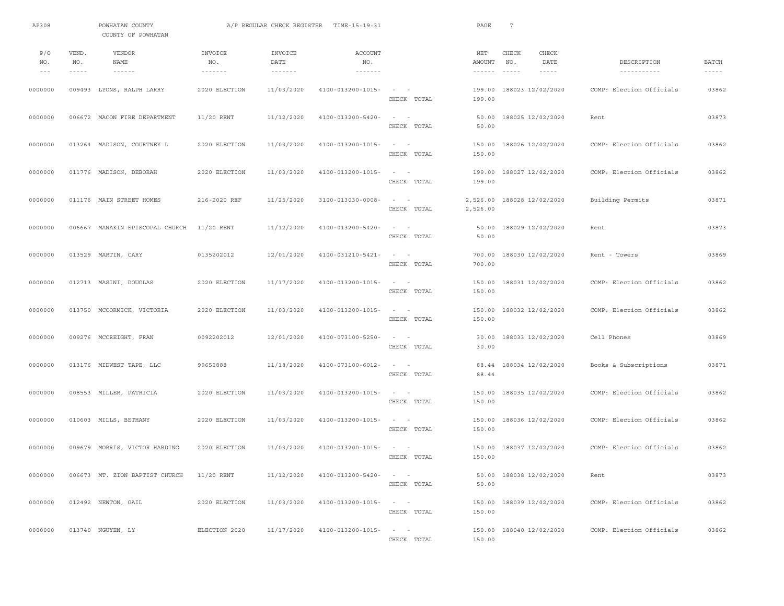| AP308                               |                               | POWHATAN COUNTY<br>COUNTY OF POWHATAN               |                                              | A/P REGULAR CHECK REGISTER                    | TIME-15:19:31                                             |                                                                      | PAGE                                        | 7                      |                                |                            |                               |
|-------------------------------------|-------------------------------|-----------------------------------------------------|----------------------------------------------|-----------------------------------------------|-----------------------------------------------------------|----------------------------------------------------------------------|---------------------------------------------|------------------------|--------------------------------|----------------------------|-------------------------------|
| P/O<br>NO.<br>$\qquad \qquad - \ -$ | VEND.<br>NO.<br>$- - - - - -$ | <b>VENDOR</b><br>NAME<br>$\cdots\cdots\cdots\cdots$ | INVOICE<br>NO.<br>$\cdots\cdots\cdots\cdots$ | INVOICE<br>DATE<br>$\cdots\cdots\cdots\cdots$ | <b>ACCOUNT</b><br>NO.<br>$\cdots\cdots\cdots\cdots\cdots$ |                                                                      | NET<br>AMOUNT<br>$\cdots\cdots\cdots\cdots$ | CHECK<br>NO.<br>------ | CHECK<br>DATE<br>$- - - - - -$ | DESCRIPTION<br>----------- | <b>BATCH</b><br>$- - - - - -$ |
| 0000000                             |                               | 009493 LYONS, RALPH LARRY                           | 2020 ELECTION                                | 11/03/2020                                    | 4100-013200-1015-                                         | $\sim$ $  -$<br>CHECK TOTAL                                          | 199.00<br>199.00                            |                        | 188023 12/02/2020              | COMP: Election Officials   | 03862                         |
| 0000000                             |                               | 006672 MACON FIRE DEPARTMENT                        | $11/20$ RENT                                 | 11/12/2020                                    | 4100-013200-5420-                                         | $\sim$<br>$\sim$<br>CHECK TOTAL                                      | 50.00<br>50.00                              |                        | 188025 12/02/2020              | Rent                       | 03873                         |
| 0000000                             |                               | 013264 MADISON, COURTNEY L                          | 2020 ELECTION                                | 11/03/2020                                    | 4100-013200-1015-                                         | $\sim$ $  -$<br>CHECK TOTAL                                          | 150.00                                      |                        | 150.00 188026 12/02/2020       | COMP: Election Officials   | 03862                         |
| 0000000                             |                               | 011776 MADISON, DEBORAH                             | 2020 ELECTION                                | 11/03/2020                                    | 4100-013200-1015-                                         | $\sim$ 100 $\sim$ 100 $\sim$<br>CHECK TOTAL                          | 199.00                                      |                        | 199.00 188027 12/02/2020       | COMP: Election Officials   | 03862                         |
| 0000000                             |                               | 011176 MAIN STREET HOMES                            | 216-2020 REF                                 | 11/25/2020                                    | 3100-013030-0008-                                         | $\sim$ 100 $\sim$<br>CHECK TOTAL                                     | 2,526.00<br>2,526.00                        |                        | 188028 12/02/2020              | Building Permits           | 03871                         |
| 0000000                             |                               | 006667 MANAKIN EPISCOPAL CHURCH                     | $11/20$ RENT                                 | 11/12/2020                                    | 4100-013200-5420-                                         | $\sim$ 100 $\sim$ 100 $\sim$<br>CHECK TOTAL                          | 50.00                                       |                        | 50.00 188029 12/02/2020        | Rent                       | 03873                         |
| 0000000                             |                               | 013529 MARTIN, CARY                                 | 0135202012                                   | 12/01/2020                                    | 4100-031210-5421-                                         | $\sim$ 100 $\sim$ 100 $\sim$<br>CHECK TOTAL                          | 700.00                                      |                        | 700.00 188030 12/02/2020       | Rent - Towers              | 03869                         |
| 0000000                             |                               | 012713 MASINI, DOUGLAS                              | 2020 ELECTION                                | 11/17/2020                                    | 4100-013200-1015-                                         | $\sim$ 100 $\sim$ 100 $\sim$<br>CHECK TOTAL                          | 150.00<br>150.00                            |                        | 188031 12/02/2020              | COMP: Election Officials   | 03862                         |
| 0000000                             |                               | 013750 MCCORMICK, VICTORIA                          | 2020 ELECTION                                | 11/03/2020                                    | 4100-013200-1015-                                         | $\sim$ 100 $\sim$<br>CHECK TOTAL                                     | 150.00<br>150.00                            |                        | 188032 12/02/2020              | COMP: Election Officials   | 03862                         |
| 0000000                             |                               | 009276 MCCREIGHT, FRAN                              | 0092202012                                   | 12/01/2020                                    | 4100-073100-5250-                                         | $\sim$ 100 $\sim$ 100 $\sim$<br>CHECK TOTAL                          | 30.00<br>30.00                              |                        | 188033 12/02/2020              | Cell Phones                | 03869                         |
| 0000000                             |                               | 013176 MIDWEST TAPE, LLC                            | 99652888                                     | 11/18/2020                                    | 4100-073100-6012-                                         | $\sim$ 100 $\sim$ 100 $\sim$<br>CHECK TOTAL                          | 88.44<br>88.44                              |                        | 188034 12/02/2020              | Books & Subscriptions      | 03871                         |
| 0000000                             |                               | 008553 MILLER, PATRICIA                             | 2020 ELECTION                                | 11/03/2020                                    | 4100-013200-1015-                                         | $\sim$ 100 $\sim$ 100 $\sim$<br>CHECK TOTAL                          | 150.00<br>150.00                            |                        | 188035 12/02/2020              | COMP: Election Officials   | 03862                         |
| 0000000                             |                               | 010603 MILLS, BETHANY                               | 2020 ELECTION                                | 11/03/2020                                    | 4100-013200-1015-                                         | $\sim$<br>$\sim$<br>CHECK TOTAL                                      | 150.00<br>150.00                            |                        | 188036 12/02/2020              | COMP: Election Officials   | 03862                         |
| 0000000                             |                               | 009679 MORRIS, VICTOR HARDING                       | 2020 ELECTION                                | 11/03/2020                                    | 4100-013200-1015-                                         | $\sim$ $  -$<br>CHECK TOTAL                                          | 150.00                                      |                        | 150.00 188037 12/02/2020       | COMP: Election Officials   | 03862                         |
| 0000000                             |                               | 006673 MT. ZION BAPTIST CHURCH                      | $11/20$ RENT                                 | 11/12/2020                                    | 4100-013200-5420-                                         | $\mathcal{L}_{\rm{max}}$ and $\mathcal{L}_{\rm{max}}$<br>CHECK TOTAL | 50.00                                       |                        | 50.00 188038 12/02/2020        | Rent                       | 03873                         |
| 0000000                             |                               | 012492 NEWTON, GAIL                                 | 2020 ELECTION                                | 11/03/2020                                    | 4100-013200-1015-                                         | $\alpha = 1, \ldots, n-1$<br>CHECK TOTAL                             | 150.00                                      |                        | 150.00 188039 12/02/2020       | COMP: Election Officials   | 03862                         |
| 0000000                             |                               | 013740 NGUYEN, LY                                   | ELECTION 2020                                | 11/17/2020                                    | $4100 - 013200 - 1015 - - -$                              | CHECK TOTAL                                                          | 150.00                                      |                        | 150.00 188040 12/02/2020       | COMP: Election Officials   | 03862                         |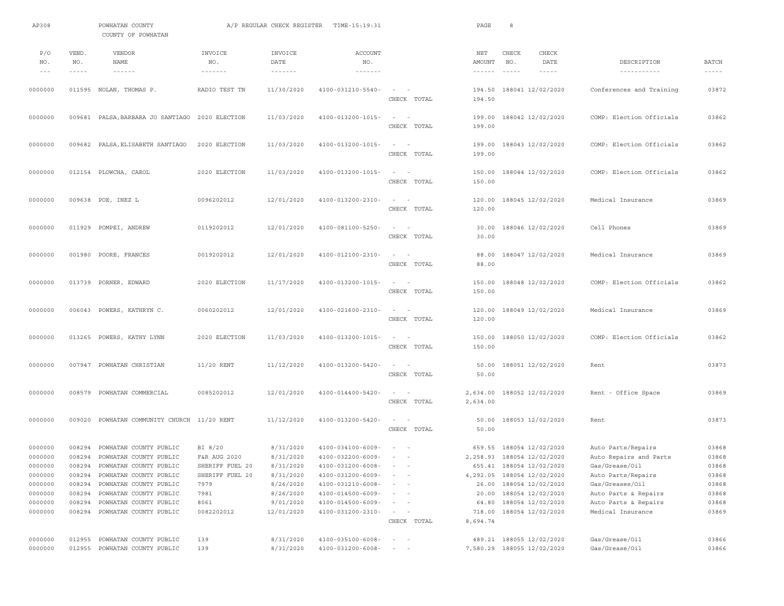| AP308                                                                                              |                             | POWHATAN COUNTY<br>COUNTY OF POWHATAN                      |                                     | A/P REGULAR CHECK REGISTER                    | TIME-15:19:31                                             |                                                   | PAGE                                           | 8                                                                                                                                                                                                                                                                                                                                                                                                                                            |                                              |                               |
|----------------------------------------------------------------------------------------------------|-----------------------------|------------------------------------------------------------|-------------------------------------|-----------------------------------------------|-----------------------------------------------------------|---------------------------------------------------|------------------------------------------------|----------------------------------------------------------------------------------------------------------------------------------------------------------------------------------------------------------------------------------------------------------------------------------------------------------------------------------------------------------------------------------------------------------------------------------------------|----------------------------------------------|-------------------------------|
| P/O<br>NO.<br>$\hspace{0.1cm} - \hspace{0.1cm} - \hspace{0.1cm} - \hspace{0.1cm} - \hspace{0.1cm}$ | VEND.<br>NO.<br>$- - - - -$ | <b>VENDOR</b><br><b>NAME</b><br>$\cdots\cdots\cdots\cdots$ | INVOICE<br>NO.<br>$- - - - - - - -$ | INVOICE<br>DATE<br>$\cdots\cdots\cdots\cdots$ | <b>ACCOUNT</b><br>NO.<br>$\cdots\cdots\cdots\cdots\cdots$ |                                                   | NET<br>AMOUNT<br>$\cdots \cdots \cdots \cdots$ | CHECK<br>CHECK<br>NO.<br>DATE<br>$\frac{1}{2} \frac{1}{2} \frac{1}{2} \frac{1}{2} \frac{1}{2} \frac{1}{2} \frac{1}{2} \frac{1}{2} \frac{1}{2} \frac{1}{2} \frac{1}{2} \frac{1}{2} \frac{1}{2} \frac{1}{2} \frac{1}{2} \frac{1}{2} \frac{1}{2} \frac{1}{2} \frac{1}{2} \frac{1}{2} \frac{1}{2} \frac{1}{2} \frac{1}{2} \frac{1}{2} \frac{1}{2} \frac{1}{2} \frac{1}{2} \frac{1}{2} \frac{1}{2} \frac{1}{2} \frac{1}{2} \frac{$<br>$- - - - -$ | DESCRIPTION<br>-----------                   | <b>BATCH</b><br>$- - - - - -$ |
| 0000000                                                                                            |                             | 011595 NOLAN, THOMAS P.                                    | RADIO TEST TN                       | 11/30/2020                                    | 4100-031210-5540-                                         | $\sim$ 100 $\sim$ 100 $\sim$<br>CHECK TOTAL       | 194.50<br>194.50                               | 188041 12/02/2020                                                                                                                                                                                                                                                                                                                                                                                                                            | Conferences and Training                     | 03872                         |
| 0000000                                                                                            |                             | 009681 PALSA, BARBARA JO SANTIAGO 2020 ELECTION            |                                     | 11/03/2020                                    | 4100-013200-1015-                                         | $\sim$<br>$\sim$ $-$<br>CHECK TOTAL               | 199.00<br>199.00                               | 188042 12/02/2020                                                                                                                                                                                                                                                                                                                                                                                                                            | COMP: Election Officials                     | 03862                         |
| 0000000                                                                                            |                             | 009682 PALSA, ELISABETH SANTIAGO                           | 2020 ELECTION                       | 11/03/2020                                    | 4100-013200-1015-                                         | $\sim$ $  -$<br>CHECK TOTAL                       | 199.00<br>199.00                               | 188043 12/02/2020                                                                                                                                                                                                                                                                                                                                                                                                                            | COMP: Election Officials                     | 03862                         |
| 0000000                                                                                            |                             | 012154 PLOWCHA, CAROL                                      | 2020 ELECTION                       | 11/03/2020                                    | 4100-013200-1015-                                         | $\sim$<br>$\sim$<br>CHECK TOTAL                   | 150.00<br>150.00                               | 188044 12/02/2020                                                                                                                                                                                                                                                                                                                                                                                                                            | COMP: Election Officials                     | 03862                         |
| 0000000                                                                                            |                             | 009638 POE, INEZ L                                         | 0096202012                          | 12/01/2020                                    | 4100-013200-2310-                                         | $\sim$<br>$\sim$<br>CHECK TOTAL                   | 120.00<br>120.00                               | 188045 12/02/2020                                                                                                                                                                                                                                                                                                                                                                                                                            | Medical Insurance                            | 03869                         |
| 0000000                                                                                            |                             | 011929 POMPEI, ANDREW                                      | 0119202012                          | 12/01/2020                                    | 4100-081100-5250-                                         | $\sim$<br>$\overline{\phantom{a}}$<br>CHECK TOTAL | 30.00<br>30.00                                 | 188046 12/02/2020                                                                                                                                                                                                                                                                                                                                                                                                                            | Cell Phones                                  | 03869                         |
| 0000000                                                                                            |                             | 001980 POORE, FRANCES                                      | 0019202012                          | 12/01/2020                                    | 4100-012100-2310-                                         | $\sim$ 100 $\sim$ 100<br>CHECK TOTAL              | 88.00<br>88.00                                 | 188047 12/02/2020                                                                                                                                                                                                                                                                                                                                                                                                                            | Medical Insurance                            | 03869                         |
| 0000000                                                                                            |                             | 013739 PORNER, EDWARD                                      | 2020 ELECTION                       | 11/17/2020                                    | 4100-013200-1015-                                         | $\sim$<br>$\sim$<br>CHECK TOTAL                   | 150.00<br>150.00                               | 188048 12/02/2020                                                                                                                                                                                                                                                                                                                                                                                                                            | COMP: Election Officials                     | 03862                         |
| 0000000                                                                                            |                             | 006043 POWERS, KATHRYN C.                                  | 0060202012                          | 12/01/2020                                    | 4100-021600-2310-                                         | $\sim$<br>$\overline{\phantom{a}}$<br>CHECK TOTAL | 120.00<br>120.00                               | 188049 12/02/2020                                                                                                                                                                                                                                                                                                                                                                                                                            | Medical Insurance                            | 03869                         |
| 0000000                                                                                            |                             | 013265 POWERS, KATHY LYNN                                  | 2020 ELECTION                       | 11/03/2020                                    | 4100-013200-1015-                                         | $\sim$ 100 $\sim$ 100 $\sim$<br>CHECK TOTAL       | 150.00                                         | 150.00 188050 12/02/2020                                                                                                                                                                                                                                                                                                                                                                                                                     | COMP: Election Officials                     | 03862                         |
| 0000000                                                                                            |                             | 007947 POWHATAN CHRISTIAN                                  | $11/20$ RENT                        | 11/12/2020                                    | 4100-013200-5420-                                         | $\sim$<br>$\sim$<br>CHECK TOTAL                   | 50.00<br>50.00                                 | 188051 12/02/2020                                                                                                                                                                                                                                                                                                                                                                                                                            | Rent                                         | 03873                         |
| 0000000                                                                                            |                             | 008579 POWHATAN COMMERCIAL                                 | 0085202012                          | 12/01/2020                                    | 4100-014400-5420-                                         | $\sim$ 100 $\sim$ 100 $\sim$<br>CHECK TOTAL       | 2,634.00<br>2,634.00                           | 188052 12/02/2020                                                                                                                                                                                                                                                                                                                                                                                                                            | Rent - Office Space                          | 03869                         |
| 0000000                                                                                            |                             | 009020 POWHATAN COMMUNITY CHURCH 11/20 RENT                |                                     | 11/12/2020                                    | 4100-013200-5420-                                         | $\sim$<br>$\sim$<br>CHECK TOTAL                   | 50.00<br>50.00                                 | 188053 12/02/2020                                                                                                                                                                                                                                                                                                                                                                                                                            | Rent                                         | 03873                         |
| 0000000<br>0000000                                                                                 | 008294                      | POWHATAN COUNTY PUBLIC<br>008294 POWHATAN COUNTY PUBLIC    | BI 8/20<br>F&R AUG 2020             | 8/31/2020<br>8/31/2020                        | 4100-034100-6009-<br>4100-032200-6009-                    | $\sim$<br>$ -$                                    | 659.55                                         | 188054 12/02/2020<br>2, 258.93 188054 12/02/2020                                                                                                                                                                                                                                                                                                                                                                                             | Auto Parts/Repairs<br>Auto Repairs and Parts | 03868<br>03868                |
| 0000000                                                                                            | 008294                      | POWHATAN COUNTY PUBLIC                                     | SHERIFF FUEL 20                     | 8/31/2020                                     | 4100-031200-6008-                                         |                                                   |                                                | 655.41 188054 12/02/2020                                                                                                                                                                                                                                                                                                                                                                                                                     | Gas/Grease/Oil                               | 03868                         |
| 0000000                                                                                            |                             | 008294 POWHATAN COUNTY PUBLIC                              | SHERIFF FUEL 20                     | 8/31/2020                                     | 4100-031200-6009-                                         | $\sim$<br>$\sim$                                  |                                                | 4, 292.05 188054 12/02/2020                                                                                                                                                                                                                                                                                                                                                                                                                  | Auto Parts/Repairs                           | 03868                         |
| 0000000                                                                                            | 008294                      | POWHATAN COUNTY PUBLIC                                     | 7979                                | 8/26/2020                                     | 4100-031210-6008-                                         |                                                   |                                                | 26.00 188054 12/02/2020                                                                                                                                                                                                                                                                                                                                                                                                                      | Gas/Greases/Oil                              | 03868                         |
| 0000000                                                                                            | 008294                      | POWHATAN COUNTY PUBLIC                                     | 7981                                | 8/26/2020                                     | 4100-014500-6009-                                         | $\sim$<br>$\sim$                                  | 20.00                                          | 188054 12/02/2020                                                                                                                                                                                                                                                                                                                                                                                                                            | Auto Parts & Repairs                         | 03868                         |
| 0000000                                                                                            | 008294                      | POWHATAN COUNTY PUBLIC                                     | 8061                                | 9/01/2020                                     | 4100-014500-6009-                                         | $\qquad \qquad -$                                 | 64.80                                          | 188054 12/02/2020                                                                                                                                                                                                                                                                                                                                                                                                                            | Auto Parts & Repairs                         | 03868                         |
| 0000000                                                                                            | 008294                      | POWHATAN COUNTY PUBLIC                                     | 0082202012                          | 12/01/2020                                    | 4100-031200-2310-                                         | $\sim$<br>$\sim$                                  | 718.00                                         | 188054 12/02/2020                                                                                                                                                                                                                                                                                                                                                                                                                            | Medical Insurance                            | 03869                         |
|                                                                                                    |                             |                                                            |                                     |                                               |                                                           | CHECK TOTAL                                       | 8,694.74                                       |                                                                                                                                                                                                                                                                                                                                                                                                                                              |                                              |                               |
|                                                                                                    |                             |                                                            |                                     |                                               |                                                           |                                                   |                                                |                                                                                                                                                                                                                                                                                                                                                                                                                                              |                                              |                               |
| 0000000                                                                                            |                             | 012955 POWHATAN COUNTY PUBLIC                              | 139                                 | 8/31/2020                                     | 4100-035100-6008-                                         | $\qquad \qquad -$                                 |                                                | 489.21 188055 12/02/2020                                                                                                                                                                                                                                                                                                                                                                                                                     | Gas/Grease/Oil                               | 03866                         |
| 0000000                                                                                            |                             | 012955 POWHATAN COUNTY PUBLIC                              | 139                                 | 8/31/2020                                     | 4100-031200-6008-                                         | $\qquad \qquad -$                                 |                                                | 7,580.29 188055 12/02/2020                                                                                                                                                                                                                                                                                                                                                                                                                   | Gas/Grease/Oil                               | 03866                         |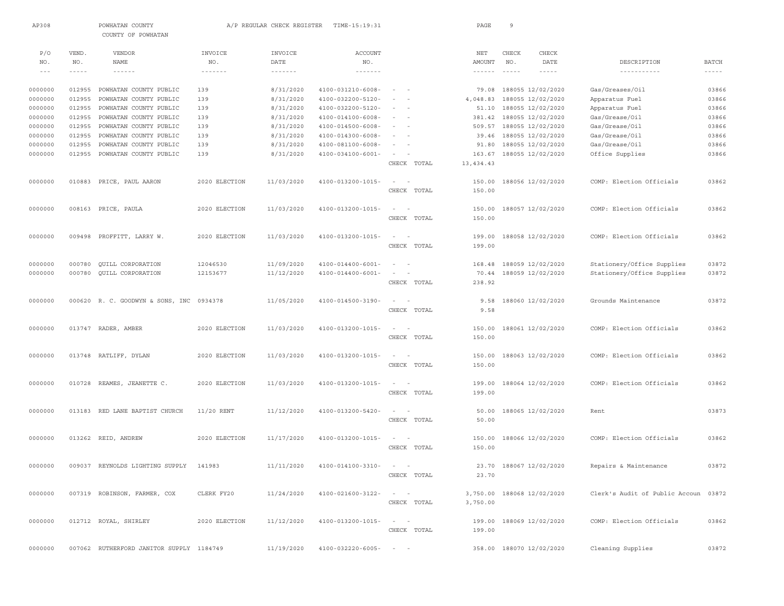| AP308   |               | POWHATAN COUNTY<br>COUNTY OF POWHATAN    |                            | A/P REGULAR CHECK REGISTER | TIME-15:19:31                    |                           | PAGE            | $\overline{9}$ |                            |                                      |               |
|---------|---------------|------------------------------------------|----------------------------|----------------------------|----------------------------------|---------------------------|-----------------|----------------|----------------------------|--------------------------------------|---------------|
|         |               |                                          |                            |                            |                                  |                           |                 |                |                            |                                      |               |
| P/O     | VEND.         | VENDOR                                   | INVOICE                    | INVOICE                    | ACCOUNT                          |                           | NET             | CHECK          | CHECK                      |                                      |               |
| NO.     | NO.           | NAME                                     | NO.                        | DATE                       | NO.                              |                           | AMOUNT          | NO.            | DATE                       | DESCRIPTION                          | <b>BATCH</b>  |
| $- - -$ | $- - - - - -$ | $- - - - - - -$                          | $\cdots\cdots\cdots\cdots$ | $\cdots\cdots\cdots\cdots$ | $\cdots\cdots\cdots\cdots\cdots$ |                           | $- - - - - - -$ | $\cdots$       | $- - - - - -$              |                                      | $- - - - - -$ |
| 0000000 | 012955        | POWHATAN COUNTY PUBLIC                   | 139                        | 8/31/2020                  | $4100 - 031210 - 6008 -$         | $\sim$ $-$                |                 |                | 79.08 188055 12/02/2020    | Gas/Greases/Oil                      | 03866         |
| 0000000 | 012955        | POWHATAN COUNTY PUBLIC                   | 139                        | 8/31/2020                  | 4100-032200-5120-                | $\sim$                    | 4,048.83        |                | 188055 12/02/2020          | Apparatus Fuel                       | 03866         |
| 0000000 | 012955        | POWHATAN COUNTY PUBLIC                   | 139                        | 8/31/2020                  | 4100-032200-5120-                | $\sim$<br>$\sim$          | 51.10           |                | 188055 12/02/2020          | Apparatus Fuel                       | 03866         |
| 0000000 | 012955        | POWHATAN COUNTY PUBLIC                   | 139                        | 8/31/2020                  | 4100-014100-6008-                | $\sim$                    | 381.42          |                | 188055 12/02/2020          | Gas/Grease/Oil                       | 03866         |
| 0000000 | 012955        | POWHATAN COUNTY PUBLIC                   | 139                        | 8/31/2020                  | $4100 - 014500 - 6008 -$         |                           | 509.57          |                | 188055 12/02/2020          | Gas/Grease/Oil                       | 03866         |
| 0000000 | 012955        | POWHATAN COUNTY PUBLIC                   | 139                        | 8/31/2020                  | $4100 - 014300 - 6008 -$         |                           |                 |                | 39.46 188055 12/02/2020    | Gas/Grease/Oil                       | 03866         |
| 0000000 | 012955        | POWHATAN COUNTY PUBLIC                   | 139                        | 8/31/2020                  | $4100 - 081100 - 6008 -$         | $\sim$                    | 91.80           |                | 188055 12/02/2020          | Gas/Grease/Oil                       | 03866         |
| 0000000 | 012955        | POWHATAN COUNTY PUBLIC                   | 139                        | 8/31/2020                  | $4100 - 034100 - 6001 -$         |                           | 163.67          |                | 188055 12/02/2020          | Office Supplies                      | 03866         |
|         |               |                                          |                            |                            |                                  | CHECK TOTAL               | 13, 434.43      |                |                            |                                      |               |
| 0000000 | 010883        | PRICE, PAUL AARON                        | 2020 ELECTION              | 11/03/2020                 | 4100-013200-1015-                | $\sim$                    | 150.00          |                | 188056 12/02/2020          | COMP: Election Officials             | 03862         |
|         |               |                                          |                            |                            |                                  | CHECK TOTAL               | 150.00          |                |                            |                                      |               |
|         |               |                                          |                            |                            |                                  |                           |                 |                |                            |                                      |               |
| 0000000 |               | 008163 PRICE, PAULA                      | 2020 ELECTION              | 11/03/2020                 | 4100-013200-1015-                | $\sim$                    | 150.00          |                | 188057 12/02/2020          | COMP: Election Officials             | 03862         |
|         |               |                                          |                            |                            |                                  | CHECK TOTAL               | 150.00          |                |                            |                                      |               |
| 0000000 | 009498        | PROFFITT, LARRY W.                       | 2020 ELECTION              | 11/03/2020                 | 4100-013200-1015-                | $\sim$                    | 199.00          |                | 188058 12/02/2020          | COMP: Election Officials             | 03862         |
|         |               |                                          |                            |                            |                                  | CHECK TOTAL               |                 |                |                            |                                      |               |
|         |               |                                          |                            |                            |                                  |                           | 199.00          |                |                            |                                      |               |
| 0000000 | 000780        | QUILL CORPORATION                        | 12046530                   | 11/09/2020                 | $4100 - 014400 - 6001 -$         | $\overline{\phantom{a}}$  | 168.48          |                | 188059 12/02/2020          | Stationery/Office Supplies           | 03872         |
| 0000000 | 000780        | QUILL CORPORATION                        | 12153677                   | 11/12/2020                 | $4100 - 014400 - 6001 -$         |                           | 70.44           |                | 188059 12/02/2020          | Stationery/Office Supplies           | 03872         |
|         |               |                                          |                            |                            |                                  | CHECK TOTAL               | 238.92          |                |                            |                                      |               |
| 0000000 |               | 000620 R. C. GOODWYN & SONS, INC 0934378 |                            | 11/05/2020                 | 4100-014500-3190-                | $\sim$<br>$\sim$          | 9.58            |                | 188060 12/02/2020          | Grounds Maintenance                  | 03872         |
|         |               |                                          |                            |                            |                                  | CHECK TOTAL               | 9.58            |                |                            |                                      |               |
|         |               |                                          |                            |                            |                                  |                           |                 |                |                            |                                      |               |
| 0000000 |               | 013747 RADER, AMBER                      | 2020 ELECTION              | 11/03/2020                 | 4100-013200-1015-                | $\sim$<br>$\sim$          | 150.00          |                | 188061 12/02/2020          | COMP: Election Officials             | 03862         |
|         |               |                                          |                            |                            |                                  | CHECK TOTAL               | 150.00          |                |                            |                                      |               |
|         |               |                                          |                            |                            |                                  |                           |                 |                |                            |                                      |               |
| 0000000 |               | 013748 RATLIFF, DYLAN                    | 2020 ELECTION              | 11/03/2020                 | 4100-013200-1015-                |                           | 150.00          |                | 188063 12/02/2020          | COMP: Election Officials             | 03862         |
|         |               |                                          |                            |                            |                                  | CHECK TOTAL               | 150.00          |                |                            |                                      |               |
| 0000000 | 010728        | REAMES, JEANETTE C.                      | 2020 ELECTION              | 11/03/2020                 | 4100-013200-1015-                | $\sim$<br>$\sim$          | 199.00          |                | 188064 12/02/2020          | COMP: Election Officials             | 03862         |
|         |               |                                          |                            |                            |                                  | CHECK TOTAL               | 199.00          |                |                            |                                      |               |
|         |               |                                          |                            |                            |                                  |                           |                 |                |                            |                                      |               |
| 0000000 |               | 013183 RED LANE BAPTIST CHURCH           | 11/20 RENT                 | 11/12/2020                 | 4100-013200-5420-                | $\sim$                    | 50.00           |                | 188065 12/02/2020          | Rent                                 | 03873         |
|         |               |                                          |                            |                            |                                  | CHECK TOTAL               | 50.00           |                |                            |                                      |               |
| 0000000 |               | 013262 REID, ANDREW                      | 2020 ELECTION              | 11/17/2020                 | 4100-013200-1015-                | $\sim$                    | 150.00          |                | 188066 12/02/2020          | COMP: Election Officials             | 03862         |
|         |               |                                          |                            |                            |                                  | CHECK TOTAL               | 150.00          |                |                            |                                      |               |
|         |               |                                          |                            |                            |                                  |                           |                 |                |                            |                                      |               |
| 0000000 |               | 009037 REYNOLDS LIGHTING SUPPLY 141983   |                            |                            | 11/11/2020 4100-014100-3310-     |                           |                 |                | 23.70 188067 12/02/2020    | Repairs & Maintenance                | 03872         |
|         |               |                                          |                            |                            |                                  | CHECK TOTAL               | 23.70           |                |                            |                                      |               |
|         |               |                                          |                            |                            |                                  |                           |                 |                |                            |                                      |               |
| 0000000 |               | 007319 ROBINSON, FARMER, COX             | CLERK FY20                 | 11/24/2020                 | 4100-021600-3122-                | $\alpha = 1, \ldots, n-1$ |                 |                | 3,750.00 188068 12/02/2020 | Clerk's Audit of Public Accoun 03872 |               |
|         |               |                                          |                            |                            |                                  | CHECK TOTAL               | 3,750.00        |                |                            |                                      |               |
|         |               |                                          |                            |                            |                                  |                           |                 |                |                            |                                      |               |
| 0000000 |               | 012712 ROYAL, SHIRLEY                    | 2020 ELECTION              | 11/12/2020                 | $4100 - 013200 - 1015 - - -$     |                           |                 |                | 199.00 188069 12/02/2020   | COMP: Election Officials             | 03862         |
|         |               |                                          |                            |                            |                                  | CHECK TOTAL               | 199.00          |                |                            |                                      |               |
|         |               |                                          |                            |                            |                                  |                           |                 |                |                            |                                      |               |
| 0000000 |               | 007062 RUTHERFORD JANITOR SUPPLY 1184749 |                            | 11/19/2020                 | $4100 - 032220 - 6005 - - -$     |                           |                 |                | 358.00 188070 12/02/2020   | Cleaning Supplies                    | 03872         |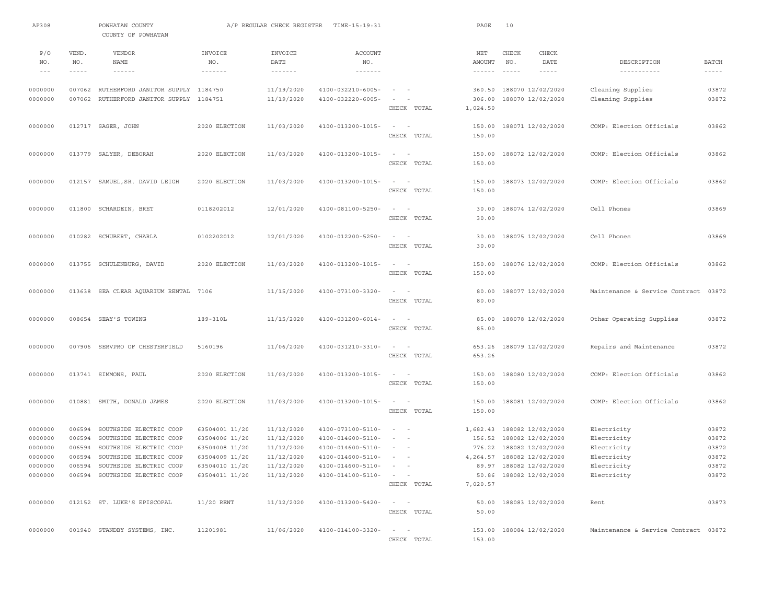| AP308                                                          |                                      | POWHATAN COUNTY<br>COUNTY OF POWHATAN                                                                                                                                        |                                                                                                          | A/P REGULAR CHECK REGISTER                                                       | TIME-15:19:31                                                                                                                     |                                                                                                                                                                                           | PAGE                             | 10                                            |                                                                                                                                                                         |                                                                                        |                                                    |
|----------------------------------------------------------------|--------------------------------------|------------------------------------------------------------------------------------------------------------------------------------------------------------------------------|----------------------------------------------------------------------------------------------------------|----------------------------------------------------------------------------------|-----------------------------------------------------------------------------------------------------------------------------------|-------------------------------------------------------------------------------------------------------------------------------------------------------------------------------------------|----------------------------------|-----------------------------------------------|-------------------------------------------------------------------------------------------------------------------------------------------------------------------------|----------------------------------------------------------------------------------------|----------------------------------------------------|
| P/O<br>NO.<br>$- - -$                                          | VEND.<br>NO.<br>$- - - - -$          | VENDOR<br><b>NAME</b><br>$\cdots \cdots \cdots \cdots$                                                                                                                       | INVOICE<br>NO.<br>-------                                                                                | INVOICE<br>DATE<br>$\cdots\cdots\cdots\cdots$                                    | <b>ACCOUNT</b><br>NO.<br>$\cdots\cdots\cdots\cdots\cdots$                                                                         |                                                                                                                                                                                           | NET<br>AMOUNT<br>$- - - - - - -$ | CHECK<br>NO.<br>$\cdots \cdots \cdots \cdots$ | CHECK<br>DATE<br>$- - - - -$                                                                                                                                            | DESCRIPTION<br>-----------                                                             | <b>BATCH</b><br>$\frac{1}{2}$                      |
| 0000000<br>0000000                                             | 007062<br>007062                     | RUTHERFORD JANITOR SUPPLY 1184750<br>RUTHERFORD JANITOR SUPPLY 1184751                                                                                                       |                                                                                                          | 11/19/2020<br>11/19/2020                                                         | 4100-032210-6005-<br>4100-032220-6005-                                                                                            | $\sim$<br>$\sim$<br>CHECK TOTAL                                                                                                                                                           | 360.50<br>306.00<br>1,024.50     |                                               | 188070 12/02/2020<br>188070 12/02/2020                                                                                                                                  | Cleaning Supplies<br>Cleaning Supplies                                                 | 03872<br>03872                                     |
| 0000000                                                        |                                      | 012717 SAGER, JOHN                                                                                                                                                           | 2020 ELECTION                                                                                            | 11/03/2020                                                                       | 4100-013200-1015-                                                                                                                 | $\sim$ 100 $\sim$ 100 $\sim$<br>CHECK TOTAL                                                                                                                                               | 150.00<br>150.00                 |                                               | 188071 12/02/2020                                                                                                                                                       | COMP: Election Officials                                                               | 03862                                              |
| 0000000                                                        |                                      | 013779 SALYER, DEBORAH                                                                                                                                                       | 2020 ELECTION                                                                                            | 11/03/2020                                                                       | 4100-013200-1015-                                                                                                                 | $\sim$<br>$\sim$<br>CHECK TOTAL                                                                                                                                                           | 150.00<br>150.00                 |                                               | 188072 12/02/2020                                                                                                                                                       | COMP: Election Officials                                                               | 03862                                              |
| 0000000                                                        |                                      | 012157 SAMUEL, SR. DAVID LEIGH                                                                                                                                               | 2020 ELECTION                                                                                            | 11/03/2020                                                                       | 4100-013200-1015-                                                                                                                 | $\sim$<br>$\sim$<br>CHECK TOTAL                                                                                                                                                           | 150.00<br>150.00                 |                                               | 188073 12/02/2020                                                                                                                                                       | COMP: Election Officials                                                               | 03862                                              |
| 0000000                                                        |                                      | 011800 SCHARDEIN, BRET                                                                                                                                                       | 0118202012                                                                                               | 12/01/2020                                                                       | 4100-081100-5250-                                                                                                                 | $\sim$<br>$\overline{\phantom{a}}$<br>CHECK TOTAL                                                                                                                                         | 30.00<br>30.00                   |                                               | 188074 12/02/2020                                                                                                                                                       | Cell Phones                                                                            | 03869                                              |
| 0000000                                                        |                                      | 010282 SCHUBERT, CHARLA                                                                                                                                                      | 0102202012                                                                                               | 12/01/2020                                                                       | 4100-012200-5250-                                                                                                                 | $\sim$<br>$\sim$<br>CHECK TOTAL                                                                                                                                                           | 30.00<br>30.00                   |                                               | 188075 12/02/2020                                                                                                                                                       | Cell Phones                                                                            | 03869                                              |
| 0000000                                                        |                                      | 013755 SCHULENBURG, DAVID                                                                                                                                                    | 2020 ELECTION                                                                                            | 11/03/2020                                                                       | 4100-013200-1015-                                                                                                                 | $\sim$<br>$\sim$<br>CHECK TOTAL                                                                                                                                                           | 150.00<br>150.00                 |                                               | 188076 12/02/2020                                                                                                                                                       | COMP: Election Officials                                                               | 03862                                              |
| 0000000                                                        |                                      | 013638 SEA CLEAR AQUARIUM RENTAL                                                                                                                                             | 7106                                                                                                     | 11/15/2020                                                                       | 4100-073100-3320-                                                                                                                 | $\overline{\phantom{a}}$<br>$\overline{\phantom{a}}$<br>CHECK TOTAL                                                                                                                       | 80.00<br>80.00                   |                                               | 188077 12/02/2020                                                                                                                                                       | Maintenance & Service Contract                                                         | 03872                                              |
| 0000000                                                        |                                      | 008654 SEAY'S TOWING                                                                                                                                                         | 189-310L                                                                                                 | 11/15/2020                                                                       | $4100 - 031200 - 6014 -$                                                                                                          | $\sim$<br>$\overline{\phantom{a}}$<br>CHECK TOTAL                                                                                                                                         | 85.00<br>85.00                   |                                               | 188078 12/02/2020                                                                                                                                                       | Other Operating Supplies                                                               | 03872                                              |
| 0000000                                                        |                                      | 007906 SERVPRO OF CHESTERFIELD                                                                                                                                               | 5160196                                                                                                  | 11/06/2020                                                                       | 4100-031210-3310-                                                                                                                 | $\sim$<br>$\sim$<br>CHECK TOTAL                                                                                                                                                           | 653.26<br>653.26                 |                                               | 188079 12/02/2020                                                                                                                                                       | Repairs and Maintenance                                                                | 03872                                              |
| 0000000                                                        |                                      | 013741 SIMMONS, PAUL                                                                                                                                                         | 2020 ELECTION                                                                                            | 11/03/2020                                                                       | 4100-013200-1015-                                                                                                                 | $\sim$<br>$\sim$<br>CHECK TOTAL                                                                                                                                                           | 150.00<br>150.00                 |                                               | 188080 12/02/2020                                                                                                                                                       | COMP: Election Officials                                                               | 03862                                              |
| 0000000                                                        |                                      | 010881 SMITH, DONALD JAMES                                                                                                                                                   | 2020 ELECTION                                                                                            | 11/03/2020                                                                       | 4100-013200-1015-                                                                                                                 | $\sim$<br>$\overline{\phantom{0}}$<br>CHECK TOTAL                                                                                                                                         | 150.00<br>150.00                 |                                               | 188081 12/02/2020                                                                                                                                                       | COMP: Election Officials                                                               | 03862                                              |
| 0000000<br>0000000<br>0000000<br>0000000<br>0000000<br>0000000 | 006594<br>006594<br>006594<br>006594 | SOUTHSIDE ELECTRIC COOP<br>SOUTHSIDE ELECTRIC COOP<br>SOUTHSIDE ELECTRIC COOP<br>SOUTHSIDE ELECTRIC COOP<br>006594 SOUTHSIDE ELECTRIC COOP<br>006594 SOUTHSIDE ELECTRIC COOP | 63504001 11/20<br>63504006 11/20<br>63504008 11/20<br>63504009 11/20<br>63504010 11/20<br>63504011 11/20 | 11/12/2020<br>11/12/2020<br>11/12/2020<br>11/12/2020<br>11/12/2020<br>11/12/2020 | 4100-073100-5110-<br>4100-014600-5110-<br>4100-014600-5110-<br>4100-014600-5110-<br>4100-014600-5110-<br>$4100 - 014100 - 5110 -$ | $\sim$ 100 $\sim$<br>$\sim$<br>$\sim$<br>$\sim$ $-$<br>$ -$<br>$\alpha$ , $\alpha$ , $\alpha$ , $\alpha$ , $\alpha$ , $\alpha$<br>$\alpha\in\mathbb{R}^n$ , where $\alpha\in\mathbb{R}^n$ |                                  |                                               | 1,682.43 188082 12/02/2020<br>156.52 188082 12/02/2020<br>776.22 188082 12/02/2020<br>4, 264.57 188082 12/02/2020<br>89.97 188082 12/02/2020<br>50.86 188082 12/02/2020 | Electricity<br>Electricity<br>Electricity<br>Electricity<br>Electricity<br>Electricity | 03872<br>03872<br>03872<br>03872<br>03872<br>03872 |
| 0000000                                                        |                                      | 012152 ST. LUKE'S EPISCOPAL                                                                                                                                                  | $11/20$ RENT                                                                                             | 11/12/2020                                                                       | $4100 - 013200 - 5420 -$                                                                                                          | CHECK TOTAL<br>$\sim$ $ \sim$ $ -$<br>CHECK TOTAL                                                                                                                                         | 7,020.57                         |                                               | 50.00 188083 12/02/2020                                                                                                                                                 | Rent                                                                                   | 03873                                              |
| 0000000                                                        |                                      | 001940 STANDBY SYSTEMS, INC.                                                                                                                                                 | 11201981                                                                                                 | 11/06/2020                                                                       | $4100 - 014100 - 3320 -$                                                                                                          | $\alpha = 1, \ldots, n-1$<br>CHECK TOTAL                                                                                                                                                  | 50.00<br>153.00                  |                                               | 153.00 188084 12/02/2020                                                                                                                                                | Maintenance & Service Contract 03872                                                   |                                                    |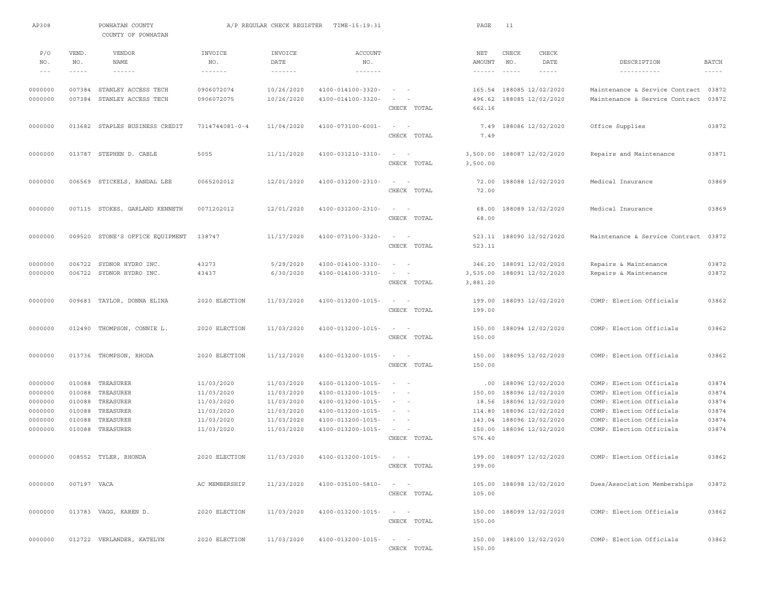| AP308              |                  | POWHATAN COUNTY<br>COUNTY OF POWHATAN      |                               | A/P REGULAR CHECK REGISTER           | TIME-15:19:31                          |                                                                                                                                 | PAGE                 | 11                                     |               |                                                      |                |
|--------------------|------------------|--------------------------------------------|-------------------------------|--------------------------------------|----------------------------------------|---------------------------------------------------------------------------------------------------------------------------------|----------------------|----------------------------------------|---------------|------------------------------------------------------|----------------|
| P/O<br>NO.         | VEND.<br>NO.     | VENDOR<br><b>NAME</b>                      | INVOICE<br>NO.                | INVOICE<br>DATE                      | <b>ACCOUNT</b><br>NO.                  |                                                                                                                                 | NET<br>AMOUNT        | CHECK<br>NO.                           | CHECK<br>DATE | DESCRIPTION                                          | <b>BATCH</b>   |
| $\frac{1}{2}$      | $- - - - -$      | $\cdots \cdots \cdots \cdots$              | $\cdots \cdots \cdots \cdots$ | $\cdots \cdots \cdots \cdots \cdots$ | $\cdots \cdots \cdots \cdots$          |                                                                                                                                 | $- - - - - - -$      | $\cdots$                               | $- - - - - -$ | -----------                                          | $\cdots$       |
| 0000000            | 007384<br>007384 | STANLEY ACCESS TECH<br>STANLEY ACCESS TECH | 0906072074<br>0906072075      | 10/26/2020                           | 4100-014100-3320-<br>4100-014100-3320- | $\sim$<br>$\sim$<br>$\overline{\phantom{a}}$                                                                                    |                      | 165.54 188085 12/02/2020               |               | Maintenance & Service Contract 03872                 | 03872          |
| 0000000            |                  |                                            |                               | 10/26/2020                           |                                        | CHECK TOTAL                                                                                                                     | 496.62<br>662.16     | 188085 12/02/2020                      |               | Maintenance & Service Contract                       |                |
| 0000000            |                  | 013682 STAPLES BUSINESS CREDIT             | 7314744081-0-4                | 11/04/2020                           | $4100 - 073100 - 6001 -$               | $\sim$<br>$\sim$<br>CHECK TOTAL                                                                                                 | 7.49<br>7.49         | 188086 12/02/2020                      |               | Office Supplies                                      | 03872          |
| 0000000            |                  | 013787 STEPHEN D. CABLE                    | 5055                          | 11/11/2020                           | 4100-031210-3310-                      | $\sim$<br>$\overline{a}$                                                                                                        | 3,500.00             | 188087 12/02/2020                      |               | Repairs and Maintenance                              | 03871          |
|                    |                  |                                            |                               |                                      |                                        | CHECK TOTAL                                                                                                                     | 3,500.00             |                                        |               |                                                      |                |
| 0000000            |                  | 006569 STICKELS, RANDAL LEE                | 0065202012                    | 12/01/2020                           | 4100-031200-2310-                      | $\sim$ 100 $\sim$ 100 $\sim$                                                                                                    | 72.00                | 188088 12/02/2020                      |               | Medical Insurance                                    | 03869          |
|                    |                  |                                            |                               |                                      |                                        | CHECK TOTAL                                                                                                                     | 72.00                |                                        |               |                                                      |                |
| 0000000            |                  | 007115 STOKES, GARLAND KENNETH             | 0071202012                    | 12/01/2020                           | 4100-031200-2310-                      | $\sim$<br>$\sim$ $-$<br>CHECK TOTAL                                                                                             | 68.00<br>68.00       | 188089 12/02/2020                      |               | Medical Insurance                                    | 03869          |
| 0000000            |                  | 009520 STONE'S OFFICE EQUIPMENT            | 138747                        | 11/17/2020                           | 4100-073100-3320-                      | $\sim$<br>$\overline{\phantom{a}}$                                                                                              | 523.11               | 188090 12/02/2020                      |               | Maintenance & Service Contract                       | 03872          |
|                    |                  |                                            |                               |                                      |                                        | CHECK TOTAL                                                                                                                     | 523.11               |                                        |               |                                                      |                |
| 0000000            | 006722           | SYDNOR HYDRO INC.                          | 43273                         | 5/29/2020                            | 4100-014100-3310-                      | $\frac{1}{2} \left( \frac{1}{2} \right) \left( \frac{1}{2} \right) = \frac{1}{2} \left( \frac{1}{2} \right)$                    | 346.20               | 188091 12/02/2020                      |               | Repairs & Maintenance                                | 03872          |
| 0000000            |                  | 006722 SYDNOR HYDRO INC.                   | 43437                         | 6/30/2020                            | 4100-014100-3310-                      | $\sim$<br>$\sim$<br>CHECK TOTAL                                                                                                 | 3,535.00<br>3,881.20 | 188091 12/02/2020                      |               | Repairs & Maintenance                                | 03872          |
| 0000000            |                  | 009683 TAYLOR, DONNA ELINA                 | 2020 ELECTION                 | 11/03/2020                           | 4100-013200-1015-                      | $\sim$ 100 $\sim$ 100 $\sim$                                                                                                    | 199.00               | 188093 12/02/2020                      |               | COMP: Election Officials                             | 03862          |
|                    |                  |                                            |                               |                                      |                                        | CHECK TOTAL                                                                                                                     | 199.00               |                                        |               |                                                      |                |
| 0000000            |                  | 012490 THOMPSON, CONNIE L.                 | 2020 ELECTION                 | 11/03/2020                           | 4100-013200-1015-                      | $\sim$<br>$\sim$<br>CHECK TOTAL                                                                                                 | 150.00<br>150.00     | 188094 12/02/2020                      |               | COMP: Election Officials                             | 03862          |
| 0000000            |                  | 013736 THOMPSON, RHODA                     | 2020 ELECTION                 | 11/12/2020                           | 4100-013200-1015-                      | $\overline{\phantom{a}}$                                                                                                        | 150.00               | 188095 12/02/2020                      |               | COMP: Election Officials                             | 03862          |
|                    |                  |                                            |                               |                                      |                                        | CHECK TOTAL                                                                                                                     | 150.00               |                                        |               |                                                      |                |
| 0000000            | 010088           | TREASURER                                  | 11/03/2020                    | 11/03/2020                           | 4100-013200-1015-                      | $\sim$ $  -$                                                                                                                    | .00                  | 188096 12/02/2020                      |               | COMP: Election Officials                             | 03874          |
| 0000000            | 010088<br>010088 | TREASURER<br>TREASURER                     | 11/03/2020                    | 11/03/2020<br>11/03/2020             | 4100-013200-1015-<br>4100-013200-1015- | $\sim$<br>$\sim$<br>$\sim$ 100 $\sim$ 100 $\sim$                                                                                | 150.00<br>18.56      | 188096 12/02/2020                      |               | COMP: Election Officials<br>COMP: Election Officials | 03874<br>03874 |
| 0000000<br>0000000 | 010088           | TREASURER                                  | 11/03/2020<br>11/03/2020      | 11/03/2020                           | 4100-013200-1015-                      | $\sim 10^{-1}$ and $\sim 10^{-1}$                                                                                               | 114.80               | 188096 12/02/2020<br>188096 12/02/2020 |               | COMP: Election Officials                             | 03874          |
| 0000000            | 010088           | TREASURER                                  | 11/03/2020                    | 11/03/2020                           | 4100-013200-1015-                      | $\sim$<br>$\sim$ $-$                                                                                                            | 143.04               | 188096 12/02/2020                      |               | COMP: Election Officials                             | 03874          |
| 0000000            | 010088           | TREASURER                                  | 11/03/2020                    | 11/03/2020                           | 4100-013200-1015-                      |                                                                                                                                 | 150.00               | 188096 12/02/2020                      |               | COMP: Election Officials                             | 03874          |
|                    |                  |                                            |                               |                                      |                                        | CHECK TOTAL                                                                                                                     | 576.40               |                                        |               |                                                      |                |
| 0000000            |                  | 008552 TYLER, RHONDA                       | 2020 ELECTION                 | 11/03/2020                           | 4100-013200-1015-                      | $\sim$                                                                                                                          |                      | 199.00 188097 12/02/2020               |               | COMP: Election Officials                             | 03862          |
|                    |                  |                                            |                               |                                      |                                        | CHECK TOTAL                                                                                                                     | 199.00               |                                        |               |                                                      |                |
| 0000000            | 007197 VACA      |                                            | AC MEMBERSHIP                 | 11/23/2020                           | 4100-035100-5810-                      | $ -$                                                                                                                            |                      | 105.00 188098 12/02/2020               |               | Dues/Association Memberships                         | 03872          |
|                    |                  |                                            |                               |                                      |                                        | CHECK TOTAL                                                                                                                     | 105.00               |                                        |               |                                                      |                |
| 0000000            |                  | 013783 VAGG, KAREN D.                      | 2020 ELECTION                 | 11/03/2020                           | 4100-013200-1015-                      | $\mathcal{L} = \mathcal{L} \times \mathcal{L} = \mathcal{L} \times \mathcal{L} = \mathcal{L} \times \mathcal{L}$<br>CHECK TOTAL | 150.00               | 150.00 188099 12/02/2020               |               | COMP: Election Officials                             | 03862          |
| 0000000            |                  | 012722 VERLANDER, KATELYN                  | 2020 ELECTION                 | 11/03/2020                           | 4100-013200-1015-                      | $\sim$ $-$<br>$\sim$                                                                                                            | 150.00               | 188100 12/02/2020                      |               | COMP: Election Officials                             | 03862          |
|                    |                  |                                            |                               |                                      |                                        | CHECK TOTAL                                                                                                                     | 150.00               |                                        |               |                                                      |                |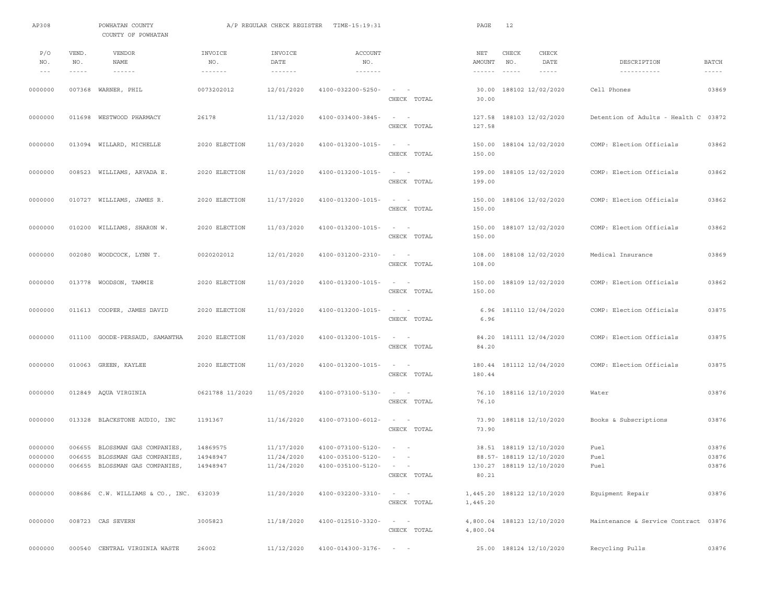| AP308                        |              | POWHATAN COUNTY<br>COUNTY OF POWHATAN                |                                                    | A/P REGULAR CHECK REGISTER                         | TIME-15:19:31                                         |                                                                                                                      | PAGE                     | 12                                             |                                      |                        |
|------------------------------|--------------|------------------------------------------------------|----------------------------------------------------|----------------------------------------------------|-------------------------------------------------------|----------------------------------------------------------------------------------------------------------------------|--------------------------|------------------------------------------------|--------------------------------------|------------------------|
| P/O<br>NO.                   | VEND.<br>NO. | <b>VENDOR</b><br>NAME                                | INVOICE<br>NO.                                     | INVOICE<br>DATE                                    | ACCOUNT<br>NO.                                        |                                                                                                                      | NET<br>AMOUNT            | CHECK<br>CHECK<br>NO.<br>DATE                  | DESCRIPTION                          | <b>BATCH</b>           |
| $\qquad \qquad -$<br>0000000 | $- - - - -$  | $\cdots \cdots \cdots \cdots$<br>007368 WARNER, PHIL | $\cdots \cdots \cdots \cdots \cdots$<br>0073202012 | $\cdots \cdots \cdots \cdots \cdots$<br>12/01/2020 | $\cdots\cdots\cdots\cdots\cdots$<br>4100-032200-5250- | $\sim$ $ -$                                                                                                          | $- - - - - - -$<br>30.00 | $\cdots$<br>$- - - - - -$<br>188102 12/02/2020 | -----------<br>Cell Phones           | $- - - - - -$<br>03869 |
|                              |              |                                                      |                                                    |                                                    |                                                       | CHECK TOTAL                                                                                                          | 30.00                    |                                                |                                      |                        |
| 0000000                      |              | 011698 WESTWOOD PHARMACY                             | 26178                                              | 11/12/2020                                         | 4100-033400-3845-                                     | $\sim$ 100 $\sim$ 100 $\sim$<br>CHECK TOTAL                                                                          | 127.58<br>127.58         | 188103 12/02/2020                              | Detention of Adults - Health C 03872 |                        |
| 0000000                      |              | 013094 WILLARD, MICHELLE                             | 2020 ELECTION                                      | 11/03/2020                                         | 4100-013200-1015-                                     | $\sim$ 100 $\sim$<br>CHECK TOTAL                                                                                     | 150.00<br>150.00         | 188104 12/02/2020                              | COMP: Election Officials             | 03862                  |
| 0000000                      |              | 008523 WILLIAMS, ARVADA E.                           | 2020 ELECTION                                      | 11/03/2020                                         | 4100-013200-1015-                                     | CHECK TOTAL                                                                                                          | 199.00<br>199.00         | 188105 12/02/2020                              | COMP: Election Officials             | 03862                  |
| 0000000                      |              | 010727 WILLIAMS, JAMES R.                            | 2020 ELECTION                                      | 11/17/2020                                         | 4100-013200-1015-                                     | $\sim$ 100 $\sim$ 100 $\sim$<br>CHECK TOTAL                                                                          | 150.00<br>150.00         | 188106 12/02/2020                              | COMP: Election Officials             | 03862                  |
| 0000000                      |              | 010200 WILLIAMS, SHARON W.                           | 2020 ELECTION                                      | 11/03/2020                                         | 4100-013200-1015-                                     | $\sim$ 100 $\sim$ 100 $\sim$<br>CHECK TOTAL                                                                          | 150.00<br>150.00         | 188107 12/02/2020                              | COMP: Election Officials             | 03862                  |
| 0000000                      |              | 002080 WOODCOCK, LYNN T.                             | 0020202012                                         | 12/01/2020                                         | 4100-031200-2310-                                     | $\sim$ 100 $\sim$ 100 $\sim$<br>CHECK TOTAL                                                                          | 108.00<br>108.00         | 188108 12/02/2020                              | Medical Insurance                    | 03869                  |
| 0000000                      |              | 013778 WOODSON, TAMMIE                               | 2020 ELECTION                                      | 11/03/2020                                         | 4100-013200-1015-                                     | $\sim$ $ -$                                                                                                          |                          | 150.00 188109 12/02/2020                       | COMP: Election Officials             | 03862                  |
| 0000000                      |              | 011613 COOPER, JAMES DAVID                           | 2020 ELECTION                                      | 11/03/2020                                         | 4100-013200-1015-                                     | CHECK TOTAL<br>$\sim$ 100 $\sim$ 100 $\sim$                                                                          | 150.00<br>6.96           | 181110 12/04/2020                              | COMP: Election Officials             | 03875                  |
| 0000000                      |              | 011100 GOODE-PERSAUD, SAMANTHA                       | 2020 ELECTION                                      | 11/03/2020                                         | 4100-013200-1015-                                     | CHECK TOTAL<br>$\sim$ $ -$                                                                                           | 6.96<br>84.20            | 181111 12/04/2020                              | COMP: Election Officials             | 03875                  |
|                              |              |                                                      |                                                    |                                                    |                                                       | CHECK TOTAL                                                                                                          | 84.20                    |                                                |                                      |                        |
| 0000000                      |              | 010063 GREEN, KAYLEE                                 | 2020 ELECTION                                      | 11/03/2020                                         | 4100-013200-1015-                                     | $\sim$ 100 $\sim$ 100 $\sim$<br>CHECK TOTAL                                                                          | 180.44                   | 180.44 181112 12/04/2020                       | COMP: Election Officials             | 03875                  |
| 0000000                      |              | 012849 AQUA VIRGINIA                                 | 0621788 11/2020                                    | 11/05/2020                                         | 4100-073100-5130-                                     | $\sim$ 100 $\sim$<br>CHECK TOTAL                                                                                     | 76.10<br>76.10           | 188116 12/10/2020                              | Water                                | 03876                  |
| 0000000                      |              | 013328 BLACKSTONE AUDIO, INC                         | 1191367                                            | 11/16/2020                                         | $4100 - 073100 - 6012 -$                              | $\sim$ $  -$<br>CHECK TOTAL                                                                                          | 73.90<br>73.90           | 188118 12/10/2020                              | Books & Subscriptions                | 03876                  |
| 0000000                      |              | 006655 BLOSSMAN GAS COMPANIES                        | 14869575                                           | 11/17/2020                                         | 4100-073100-5120-                                     | $\sim$ 100 $\sim$                                                                                                    |                          | 38.51 188119 12/10/2020                        | Fuel                                 | 03876                  |
| 0000000                      |              | 006655 BLOSSMAN GAS COMPANIES,                       | 14948947                                           | 11/24/2020                                         | 4100-035100-5120-                                     | $\sim$ $  -$                                                                                                         |                          | 88.57- 188119 12/10/2020                       | Fuel                                 | 03876                  |
| 0000000                      |              | 006655 BLOSSMAN GAS COMPANIES,                       | 14948947                                           | 11/24/2020                                         | $4100 - 035100 - 5120 - - -$                          | CHECK TOTAL                                                                                                          | 80.21                    | 130.27 188119 12/10/2020                       | Fuel                                 | 03876                  |
| 0000000                      |              | 008686 C.W. WILLIAMS & CO., INC. 632039              |                                                    | 11/20/2020                                         | 4100-032200-3310-                                     | $\mathcal{L} = \mathcal{L} \mathcal{L} \mathcal{L} = \mathcal{L} \mathcal{L} \mathcal{L} \mathcal{L}$<br>CHECK TOTAL | 1,445.20                 | 1,445.20 188122 12/10/2020                     | Equipment Repair                     | 03876                  |
| 0000000                      |              | 008723 CAS SEVERN                                    | 3005823                                            | 11/18/2020                                         | 4100-012510-3320-                                     | CHECK TOTAL                                                                                                          | 4,800.04                 | 4,800.04 188123 12/10/2020                     | Maintenance & Service Contract 03876 |                        |
| 0000000                      |              | 000540 CENTRAL VIRGINIA WASTE                        | 26002                                              | 11/12/2020                                         | $4100 - 014300 - 3176 - - -$                          |                                                                                                                      |                          | 25.00 188124 12/10/2020                        | Recycling Pulls                      | 03876                  |
|                              |              |                                                      |                                                    |                                                    |                                                       |                                                                                                                      |                          |                                                |                                      |                        |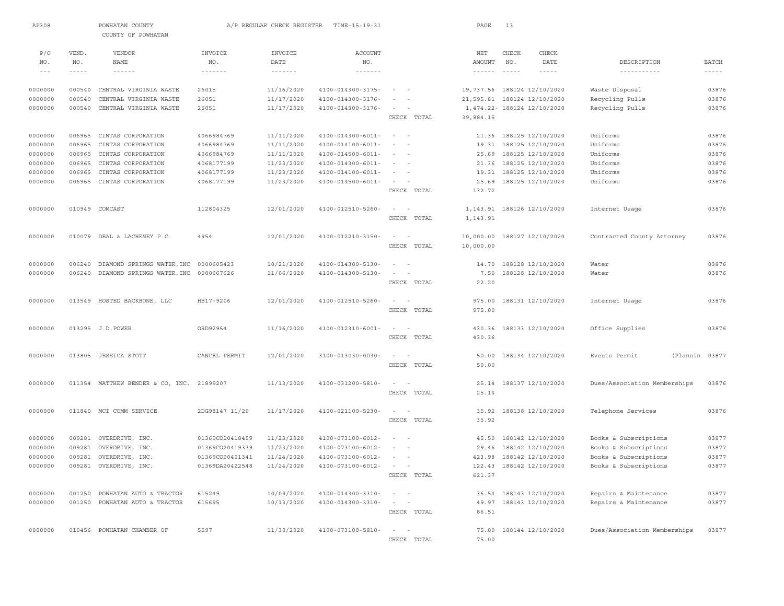| AP308    |               | POWHATAN COUNTY<br>COUNTY OF POWHATAN     |                   | A/P REGULAR CHECK REGISTER | TIME-15:19:31                    |                              | PAGE                        | 13                                                                                                                                                                                                                                                                                                                                                                                           |                             |                              |                |
|----------|---------------|-------------------------------------------|-------------------|----------------------------|----------------------------------|------------------------------|-----------------------------|----------------------------------------------------------------------------------------------------------------------------------------------------------------------------------------------------------------------------------------------------------------------------------------------------------------------------------------------------------------------------------------------|-----------------------------|------------------------------|----------------|
| P/O      | VEND.         | VENDOR                                    | INVOICE           | INVOICE                    | <b>ACCOUNT</b>                   |                              | NET                         | CHECK                                                                                                                                                                                                                                                                                                                                                                                        | CHECK                       |                              |                |
| NO.      | NO.           | NAME                                      | NO.               | DATE                       | NO.                              |                              | AMOUNT                      | NO.                                                                                                                                                                                                                                                                                                                                                                                          | DATE                        | DESCRIPTION                  | <b>BATCH</b>   |
| $\cdots$ | $- - - - - -$ | $- - - - - - -$                           | $- - - - - - - -$ | $- - - - - - - -$          | $\cdots\cdots\cdots\cdots\cdots$ |                              | $- - - - - - -$             | $\frac{1}{2} \frac{1}{2} \frac{1}{2} \frac{1}{2} \frac{1}{2} \frac{1}{2} \frac{1}{2} \frac{1}{2} \frac{1}{2} \frac{1}{2} \frac{1}{2} \frac{1}{2} \frac{1}{2} \frac{1}{2} \frac{1}{2} \frac{1}{2} \frac{1}{2} \frac{1}{2} \frac{1}{2} \frac{1}{2} \frac{1}{2} \frac{1}{2} \frac{1}{2} \frac{1}{2} \frac{1}{2} \frac{1}{2} \frac{1}{2} \frac{1}{2} \frac{1}{2} \frac{1}{2} \frac{1}{2} \frac{$ | $- - - - -$                 |                              | $- - - - - -$  |
| 0000000  | 000540        | CENTRAL VIRGINIA WASTE                    | 26015             | 11/16/2020                 | $4100 - 014300 - 3175 -$         | $\sim$ 100 $\sim$ 100 $\sim$ | 19,737.56 188124 12/10/2020 |                                                                                                                                                                                                                                                                                                                                                                                              |                             | Waste Disposal               | 03876          |
| 0000000  | 000540        | CENTRAL VIRGINIA WASTE                    | 26051             | 11/17/2020                 | 4100-014300-3176-                | $\sim$<br>$\sim$             |                             |                                                                                                                                                                                                                                                                                                                                                                                              | 21,595.81 188124 12/10/2020 | Recycling Pulls              | 03876          |
| 0000000  | 000540        | CENTRAL VIRGINIA WASTE                    | 26051             | 11/17/2020                 | 4100-014300-3176-                | $\sim$                       |                             |                                                                                                                                                                                                                                                                                                                                                                                              | 1,474.22- 188124 12/10/2020 | Recycling Pulls              | 03876          |
|          |               |                                           |                   |                            |                                  | CHECK TOTAL                  | 39,884.15                   |                                                                                                                                                                                                                                                                                                                                                                                              |                             |                              |                |
| 0000000  | 006965        | CINTAS CORPORATION                        | 4066984769        | 11/11/2020                 | $4100 - 014300 - 6011 -$         | $\sim$                       | 21.36                       |                                                                                                                                                                                                                                                                                                                                                                                              | 188125 12/10/2020           | Uniforms                     | 03876          |
| 0000000  | 006965        | CINTAS CORPORATION                        | 4066984769        | 11/11/2020                 | $4100 - 014100 - 6011 -$         | $\sim$ $-$                   |                             |                                                                                                                                                                                                                                                                                                                                                                                              | 19.31 188125 12/10/2020     | Uniforms                     | 03876          |
| 0000000  | 006965        | CINTAS CORPORATION                        | 4066984769        | 11/11/2020                 | $4100 - 014500 - 6011 -$         | $ -$                         | 25.69                       |                                                                                                                                                                                                                                                                                                                                                                                              | 188125 12/10/2020           | Uniforms                     | 03876          |
| 0000000  | 006965        | CINTAS CORPORATION                        | 4068177199        | 11/23/2020                 | $4100 - 014300 - 6011 -$         | $\sim$ 100 $\sim$ 100        | 21.36                       |                                                                                                                                                                                                                                                                                                                                                                                              | 188125 12/10/2020           | Uniforms                     | 03876          |
| 0000000  | 006965        | CINTAS CORPORATION                        | 4068177199        | 11/23/2020                 | 4100-014100-6011-                | $\sim$                       |                             |                                                                                                                                                                                                                                                                                                                                                                                              | 19.31 188125 12/10/2020     | Uniforms                     | 03876          |
| 0000000  | 006965        | CINTAS CORPORATION                        | 4068177199        | 11/23/2020                 | 4100-014500-6011-                | $\sim$                       | 25.69                       |                                                                                                                                                                                                                                                                                                                                                                                              | 188125 12/10/2020           | Uniforms                     | 03876          |
|          |               |                                           |                   |                            |                                  | CHECK TOTAL                  | 132.72                      |                                                                                                                                                                                                                                                                                                                                                                                              |                             |                              |                |
| 0000000  |               | 010949 COMCAST                            | 112804325         | 12/01/2020                 | 4100-012510-5260-                | $\sim$<br>$\sim$             |                             |                                                                                                                                                                                                                                                                                                                                                                                              | 1, 143.91 188126 12/10/2020 | Internet Usage               | 03876          |
|          |               |                                           |                   |                            |                                  | CHECK TOTAL                  | 1,143.91                    |                                                                                                                                                                                                                                                                                                                                                                                              |                             |                              |                |
| 0000000  |               | 010079 DEAL & LACHENEY P.C.               | 4954              | 12/01/2020                 | 4100-012210-3150-                | $\sim$                       | 10,000.00                   |                                                                                                                                                                                                                                                                                                                                                                                              | 188127 12/10/2020           | Contracted County Attorney   | 03876          |
|          |               |                                           |                   |                            |                                  | CHECK TOTAL                  | 10,000.00                   |                                                                                                                                                                                                                                                                                                                                                                                              |                             |                              |                |
| 0000000  | 006240        | DIAMOND SPRINGS WATER, INC 0000605423     |                   | 10/21/2020                 | 4100-014300-5130-                | $\sim$ 100 $\sim$ 100 $\sim$ | 14.70                       |                                                                                                                                                                                                                                                                                                                                                                                              | 188128 12/10/2020           | Water                        | 03876          |
| 0000000  | 006240        | DIAMOND SPRINGS WATER, INC 0000667626     |                   | 11/06/2020                 | 4100-014300-5130-                | $\sim$<br>$\sim$             | 7.50                        |                                                                                                                                                                                                                                                                                                                                                                                              | 188128 12/10/2020           | Water                        | 03876          |
|          |               |                                           |                   |                            |                                  | CHECK TOTAL                  | 22.20                       |                                                                                                                                                                                                                                                                                                                                                                                              |                             |                              |                |
| 0000000  |               | 013549 HOSTED BACKBONE, LLC               | HB17-9206         | 12/01/2020                 | 4100-012510-5260-                | $\sim$ 100 $\sim$ 100 $\sim$ | 975.00                      |                                                                                                                                                                                                                                                                                                                                                                                              | 188131 12/10/2020           | Internet Usage               | 03876          |
|          |               |                                           |                   |                            |                                  | CHECK TOTAL                  | 975.00                      |                                                                                                                                                                                                                                                                                                                                                                                              |                             |                              |                |
| 0000000  |               | 013295 J.D. POWER                         | ORD92954          | 11/16/2020                 | 4100-012310-6001-                | $\sim$ $  -$                 |                             |                                                                                                                                                                                                                                                                                                                                                                                              | 430.36 188133 12/10/2020    | Office Supplies              | 03876          |
|          |               |                                           |                   |                            |                                  | CHECK TOTAL                  | 430.36                      |                                                                                                                                                                                                                                                                                                                                                                                              |                             |                              |                |
| 0000000  |               | 013805 JESSICA STOTT                      | CANCEL PERMIT     | 12/01/2020                 | 3100-013030-0030-                | $\sim$<br>$\sim$             | 50.00                       |                                                                                                                                                                                                                                                                                                                                                                                              | 188134 12/10/2020           | Events Permit                | (Plannin 03877 |
|          |               |                                           |                   |                            |                                  | CHECK TOTAL                  | 50.00                       |                                                                                                                                                                                                                                                                                                                                                                                              |                             |                              |                |
| 0000000  |               | 011354 MATTHEW BENDER & CO, INC. 21899207 |                   | 11/13/2020                 | 4100-031200-5810-                | $\sim$ 100 $\sim$ 100 $\sim$ | 25.14                       |                                                                                                                                                                                                                                                                                                                                                                                              | 188137 12/10/2020           | Dues/Association Memberships | 03876          |
|          |               |                                           |                   |                            |                                  | CHECK TOTAL                  | 25.14                       |                                                                                                                                                                                                                                                                                                                                                                                              |                             |                              |                |
| 0000000  |               | 011840 MCI COMM SERVICE                   | 2DG98147 11/20    | 11/17/2020                 | 4100-021100-5230-                | $\sim$ $  -$                 | 35.92                       |                                                                                                                                                                                                                                                                                                                                                                                              | 188138 12/10/2020           | Telephone Services           | 03876          |
|          |               |                                           |                   |                            |                                  | CHECK TOTAL                  | 35.92                       |                                                                                                                                                                                                                                                                                                                                                                                              |                             |                              |                |
| 0000000  | 009281        | OVERDRIVE, INC.                           | 01369CO20418459   | 11/23/2020                 | 4100-073100-6012-                | $\sim$<br>$\sim$             | 45.50                       |                                                                                                                                                                                                                                                                                                                                                                                              | 188142 12/10/2020           | Books & Subscriptions        | 03877          |
| 0000000  | 009281        | OVERDRIVE, INC.                           | 01369CO20419339   | 11/23/2020                 | 4100-073100-6012-                | $\sim$<br>$\sim$             |                             |                                                                                                                                                                                                                                                                                                                                                                                              | 29.46 188142 12/10/2020     | Books & Subscriptions        | 03877          |
| 0000000  |               | 009281 OVERDRIVE, INC.                    | 01369CO20421341   | 11/24/2020                 | 4100-073100-6012-                |                              |                             |                                                                                                                                                                                                                                                                                                                                                                                              | 423.98 188142 12/10/2020    | Books & Subscriptions        | 03877          |
| 0000000  |               | 009281 OVERDRIVE, INC.                    | 01369DA20422548   | 11/24/2020                 | $4100 - 073100 - 6012 - - -$     |                              |                             |                                                                                                                                                                                                                                                                                                                                                                                              | 122.43 188142 12/10/2020    | Books & Subscriptions        | 03877          |
|          |               |                                           |                   |                            |                                  | CHECK TOTAL                  | 621.37                      |                                                                                                                                                                                                                                                                                                                                                                                              |                             |                              |                |
| 0000000  | 001250        | POWHATAN AUTO & TRACTOR                   | 615249            | 10/09/2020                 | 4100-014300-3310-                |                              |                             |                                                                                                                                                                                                                                                                                                                                                                                              | 36.54 188143 12/10/2020     | Repairs & Maintenance        | 03877          |
| 0000000  | 001250        | POWHATAN AUTO & TRACTOR                   | 615695            | 10/13/2020                 | 4100-014300-3310-                | $\sim$<br>$\sim$             |                             |                                                                                                                                                                                                                                                                                                                                                                                              | 49.97 188143 12/10/2020     | Repairs & Maintenance        | 03877          |
|          |               |                                           |                   |                            |                                  | CHECK TOTAL                  | 86.51                       |                                                                                                                                                                                                                                                                                                                                                                                              |                             |                              |                |
| 0000000  |               | 010456 POWHATAN CHAMBER OF                | 5597              | 11/30/2020                 | 4100-073100-5810-                | $\sim$<br>$\sim$ $-$         |                             |                                                                                                                                                                                                                                                                                                                                                                                              | 75.00 188144 12/10/2020     | Dues/Association Memberships | 03877          |
|          |               |                                           |                   |                            |                                  | CHECK TOTAL                  | 75.00                       |                                                                                                                                                                                                                                                                                                                                                                                              |                             |                              |                |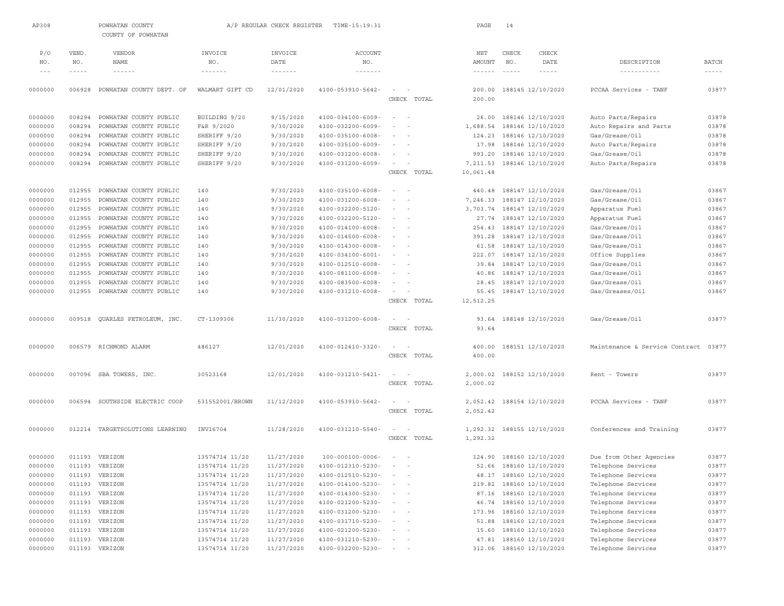| AP308              |                    | POWHATAN COUNTY<br>COUNTY OF POWHATAN            |                                      | A/P REGULAR CHECK REGISTER         | TIME-15:19:31                                 |                                    | PAGE                      | 14              |                                        |                                          |                             |
|--------------------|--------------------|--------------------------------------------------|--------------------------------------|------------------------------------|-----------------------------------------------|------------------------------------|---------------------------|-----------------|----------------------------------------|------------------------------------------|-----------------------------|
| P/O                | VEND.              | VENDOR                                           | INVOICE                              | INVOICE                            | <b>ACCOUNT</b>                                |                                    | NET                       | CHECK           | CHECK                                  |                                          |                             |
| NO.<br>$- - -$     | NO.<br>$- - - - -$ | <b>NAME</b><br>$- - - - - - -$                   | NO.<br>$\cdots \cdots \cdots \cdots$ | DATE<br>$\cdots\cdots\cdots\cdots$ | NO.<br>$\cdots \cdots \cdots \cdots \cdots$   |                                    | AMOUNT<br>$- - - - - - -$ | NO.<br>$\cdots$ | DATE<br>$- - - - -$                    | DESCRIPTION<br>-----------               | <b>BATCH</b><br>$- - - - -$ |
| 0000000            | 006928             | POWHATAN COUNTY DEPT. OF                         | WALMART GIFT CD                      | 12/01/2020                         | 4100-053910-5642-                             | CHECK TOTAL                        | 200.00<br>200.00          |                 | 188145 12/10/2020                      | PCCAA Services - TANF                    | 03877                       |
|                    |                    |                                                  |                                      |                                    | $4100 - 034100 - 6009 -$                      | $\sim$                             |                           |                 |                                        |                                          |                             |
| 0000000            | 008294<br>008294   | POWHATAN COUNTY PUBLIC<br>POWHATAN COUNTY PUBLIC | BUILDING 9/20<br>F&R 9/2020          | 9/15/2020<br>9/30/2020             | 4100-032200-6009-                             | $\sim$<br>$\sim$                   | 26.00                     |                 | 188146 12/10/2020                      | Auto Parts/Repairs                       | 03878<br>03878              |
| 0000000            | 008294             |                                                  |                                      | 9/30/2020                          |                                               | $\sim$                             | 1,688.54                  |                 | 188146 12/10/2020<br>188146 12/10/2020 | Auto Repairs and Parts<br>Gas/Grease/Oil | 03878                       |
| 0000000            |                    | POWHATAN COUNTY PUBLIC<br>POWHATAN COUNTY PUBLIC | SHERIFF 9/20                         | 9/30/2020                          | 4100-035100-6008-                             | $\sim$<br>$\sim$                   | 124.23<br>17.98           |                 |                                        |                                          | 03878                       |
| 0000000<br>0000000 | 008294<br>008294   | POWHATAN COUNTY PUBLIC                           | SHERIFF 9/20                         | 9/30/2020                          | 4100-035100-6009-                             |                                    | 993.20                    |                 | 188146 12/10/2020<br>188146 12/10/2020 | Auto Parts/Repairs<br>Gas/Grease/Oil     | 03878                       |
| 0000000            | 008294             | POWHATAN COUNTY PUBLIC                           | SHERIFF 9/20<br>SHERIFF 9/20         |                                    | 4100-031200-6008-<br>4100-031200-6009-        | $\sim$                             |                           |                 |                                        |                                          | 03878                       |
|                    |                    |                                                  |                                      | 9/30/2020                          |                                               | CHECK TOTAL                        | 7,211.53<br>10,061.48     |                 | 188146 12/10/2020                      | Auto Parts/Repairs                       |                             |
|                    |                    |                                                  |                                      |                                    |                                               | $\sim$                             |                           |                 |                                        |                                          | 03867                       |
| 0000000            | 012955<br>012955   | POWHATAN COUNTY PUBLIC                           | 140<br>140                           | 9/30/2020<br>9/30/2020             | 4100-035100-6008-                             | $\sim$                             | 440.48                    |                 | 188147 12/10/2020                      | Gas/Grease/Oil<br>Gas/Grease/Oil         | 03867                       |
| 0000000            |                    | POWHATAN COUNTY PUBLIC                           |                                      |                                    | 4100-031200-6008-                             | $\sim$                             | 7,246.33<br>3.703.74      |                 | 188147 12/10/2020                      |                                          |                             |
| 0000000            | 012955<br>012955   | POWHATAN COUNTY PUBLIC                           | 140<br>140                           | 9/30/2020<br>9/30/2020             | 4100-032200-5120-<br>4100-032200-5120-        | $\sim$                             | 27.74                     |                 | 188147 12/10/2020                      | Apparatus Fuel<br>Apparatus Fuel         | 03867<br>03867              |
| 0000000            |                    | POWHATAN COUNTY PUBLIC                           |                                      |                                    |                                               | $\sim$<br>$\overline{\phantom{a}}$ |                           |                 | 188147 12/10/2020                      |                                          | 03867                       |
| 0000000            | 012955             | POWHATAN COUNTY PUBLIC<br>POWHATAN COUNTY PUBLIC | 140                                  | 9/30/2020                          | 4100-014100-6008-<br>4100-014500-6008-        | $\sim$                             | 254.43                    |                 | 188147 12/10/2020                      | Gas/Grease/Oil                           | 03867                       |
| 0000000            | 012955             |                                                  | 140                                  | 9/30/2020                          |                                               | $\sim$<br>$\sim$                   | 391.28                    |                 | 188147 12/10/2020                      | Gas/Grease/Oil                           |                             |
| 0000000<br>0000000 | 012955<br>012955   | POWHATAN COUNTY PUBLIC<br>POWHATAN COUNTY PUBLIC | 140                                  | 9/30/2020<br>9/30/2020             | 4100-014300-6008-<br>$4100 - 034100 - 6001 -$ | $\sim$                             | 61.58                     |                 | 188147 12/10/2020                      | Gas/Grease/Oil                           | 03867<br>03867              |
|                    | 012955             | POWHATAN COUNTY PUBLIC                           | 140<br>140                           |                                    | $4100 - 012510 - 6008 -$                      |                                    | 222.07<br>39.84           |                 | 188147 12/10/2020<br>188147 12/10/2020 | Office Supplies                          | 03867                       |
| 0000000            | 012955             | POWHATAN COUNTY PUBLIC                           | 140                                  | 9/30/2020<br>9/30/2020             |                                               |                                    |                           |                 |                                        | Gas/Grease/Oil<br>Gas/Grease/Oil         | 03867                       |
| 0000000            | 012955             | POWHATAN COUNTY PUBLIC                           |                                      | 9/30/2020                          | 4100-081100-6008-                             | $\sim$                             | 40.86<br>28.45            |                 | 188147 12/10/2020                      | Gas/Grease/Oil                           | 03867                       |
| 0000000<br>0000000 | 012955             | POWHATAN COUNTY PUBLIC                           | 140<br>140                           | 9/30/2020                          | 4100-083500-6008-<br>4100-031210-6008-        |                                    | 55.45                     |                 | 188147 12/10/2020<br>188147 12/10/2020 | Gas/Greases/Oil                          | 03867                       |
|                    |                    |                                                  |                                      |                                    |                                               | CHECK TOTAL                        | 12,512.25                 |                 |                                        |                                          |                             |
| 0000000            | 009518             | QUARLES PETROLEUM, INC.                          | CT-1309306                           | 11/30/2020                         | 4100-031200-6008-                             | $\sim$                             | 93.64                     |                 | 188148 12/10/2020                      | Gas/Grease/Oil                           | 03877                       |
|                    |                    |                                                  |                                      |                                    |                                               | CHECK TOTAL                        | 93.64                     |                 |                                        |                                          |                             |
| 0000000            |                    | 006579 RICHMOND ALARM                            | 486127                               | 12/01/2020                         | 4100-012410-3320-                             | $\sim$<br>$\sim$<br>CHECK TOTAL    | 400.00<br>400.00          |                 | 188151 12/10/2020                      | Maintenance & Service Contract           | 03877                       |
| 0000000            |                    | 007096 SBA TOWERS, INC.                          | 30523168                             | 12/01/2020                         | 4100-031210-5421-                             |                                    | 2,000.02                  |                 | 188152 12/10/2020                      | Rent - Towers                            | 03877                       |
|                    |                    |                                                  |                                      |                                    |                                               | CHECK TOTAL                        | 2,000.02                  |                 |                                        |                                          |                             |
| 0000000            | 006594             | SOUTHSIDE ELECTRIC COOP                          | 531552001/BROWN                      | 11/12/2020                         | 4100-053910-5642-                             | $\sim$<br>$\sim$                   | 2,052.42                  |                 | 188154 12/10/2020                      | PCCAA Services - TANF                    | 03877                       |
|                    |                    |                                                  |                                      |                                    |                                               | CHECK TOTAL                        | 2,052.42                  |                 |                                        |                                          |                             |
| 0000000            |                    | 012214 TARGETSOLUTIONS LEARNING                  | INV16704                             | 11/28/2020                         | 4100-031210-5540-                             | $\sim$<br>CHECK TOTAL              | 1,292.32                  |                 | 1,292.32 188155 12/10/2020             | Conferences and Training                 | 03877                       |
| 0000000            |                    | 011193 VERIZON                                   | 13574714 11/20                       | 11/27/2020                         | $100 - 000100 - 0006 -$                       | $\sim$                             |                           |                 | 124.90 188160 12/10/2020               | Due from Other Agencies                  | 03877                       |
| 0000000            |                    | 011193 VERIZON                                   | 13574714 11/20                       | 11/27/2020                         | 4100-012310-5230-                             |                                    |                           |                 | 52.66 188160 12/10/2020                | Telephone Services                       | 03877                       |
| 0000000            |                    | 011193 VERIZON                                   | 13574714 11/20                       | 11/27/2020                         | 4100-012510-5230-                             |                                    |                           |                 | 48.17 188160 12/10/2020                | Telephone Services                       | 03877                       |
| 0000000            | 011193             | VERIZON                                          | 13574714 11/20                       | 11/27/2020                         | $4100 - 014100 - 5230 -$                      | $\overline{a}$                     | 219.82                    |                 | 188160 12/10/2020                      | Telephone Services                       | 03877                       |
| 0000000            | 011193             | VERIZON                                          | 13574714 11/20                       | 11/27/2020                         | 4100-014300-5230-                             | $\sim$ 100 $\sim$                  | 87.16                     |                 | 188160 12/10/2020                      | Telephone Services                       | 03877                       |
| 0000000            | 011193             | VERIZON                                          | 13574714 11/20                       | 11/27/2020                         | $4100 - 021200 - 5230 -$                      | $\sim$<br>$ \,$                    | 46.74                     |                 | 188160 12/10/2020                      | Telephone Services                       | 03877                       |
| 0000000            | 011193             | VERIZON                                          | 13574714 11/20                       | 11/27/2020                         | 4100-031200-5230-                             | $\qquad \qquad -$                  | 173.96                    |                 | 188160 12/10/2020                      | Telephone Services                       | 03877                       |
| 0000000            | 011193             | VERIZON                                          | 13574714 11/20                       | 11/27/2020                         | 4100-031710-5230-                             | $\sim$ $-$                         | 51.88                     |                 | 188160 12/10/2020                      | Telephone Services                       | 03877                       |
| 0000000            | 011193             | VERIZON                                          | 13574714 11/20                       | 11/27/2020                         | 4100-021200-5230-                             | $\qquad \qquad -$                  | 15.60                     |                 | 188160 12/10/2020                      | Telephone Services                       | 03877                       |
| 0000000            |                    | 011193 VERIZON                                   | 13574714 11/20                       | 11/27/2020                         | 4100-031210-5230-                             | $\sim$                             | 47.81                     |                 | 188160 12/10/2020                      | Telephone Services                       | 03877                       |
| 0000000            |                    | 011193 VERIZON                                   | 13574714 11/20                       | 11/27/2020                         | 4100-032200-5230-                             | $\qquad \qquad -$                  |                           |                 | 312.06 188160 12/10/2020               | Telephone Services                       | 03877                       |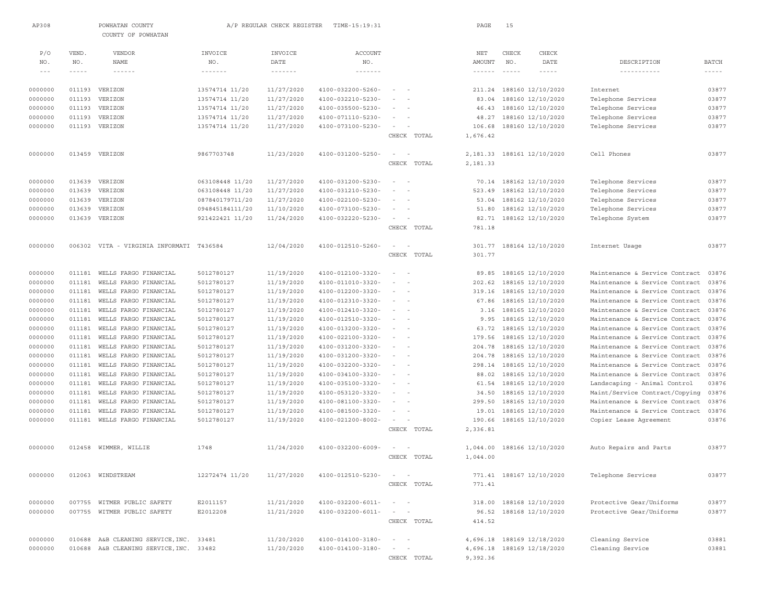| AP308              |                  | POWHATAN COUNTY<br>COUNTY OF POWHATAN          |                                    | A/P REGULAR CHECK REGISTER           | TIME-15:19:31                          |                                                                                                              | PAGE               | 15           |                                        |                                                                  |                |
|--------------------|------------------|------------------------------------------------|------------------------------------|--------------------------------------|----------------------------------------|--------------------------------------------------------------------------------------------------------------|--------------------|--------------|----------------------------------------|------------------------------------------------------------------|----------------|
| P/O<br>NO.         | VEND.<br>NO.     | <b>VENDOR</b><br>NAME                          | INVOICE<br>NO.                     | INVOICE<br>DATE                      | <b>ACCOUNT</b><br>NO.                  |                                                                                                              | NET<br>AMOUNT      | CHECK<br>NO. | CHECK<br>DATE                          | DESCRIPTION                                                      | <b>BATCH</b>   |
| $- - -$            | $- - - - -$      | $\cdots \cdots \cdots \cdots$                  | $\cdots \cdots \cdots \cdots$      | $\cdots \cdots \cdots \cdots \cdots$ | $\cdots\cdots\cdots\cdots\cdots$       |                                                                                                              | $- - - - - - -$    | $\cdots$     | $- - - - -$                            | -----------                                                      | $- - - - -$    |
|                    |                  |                                                |                                    |                                      |                                        |                                                                                                              |                    |              |                                        |                                                                  |                |
| 0000000            |                  | 011193 VERIZON                                 | 13574714 11/20                     | 11/27/2020                           | 4100-032200-5260-                      | $\sim$<br>$\sim$                                                                                             |                    |              | 211.24 188160 12/10/2020               | Internet                                                         | 03877          |
| 0000000            | 011193           | VERIZON                                        | 13574714 11/20                     | 11/27/2020                           | 4100-032210-5230-                      | $\sim$<br>$\sim$                                                                                             | 83.04              |              | 188160 12/10/2020                      | Telephone Services                                               | 03877          |
| 0000000            | 011193           | VERIZON                                        | 13574714 11/20                     | 11/27/2020                           | 4100-035500-5230-                      | $\sim$                                                                                                       | 46.43              |              | 188160 12/10/2020                      | Telephone Services                                               | 03877          |
| 0000000            | 011193           | VERIZON                                        | 13574714 11/20                     | 11/27/2020                           | 4100-071110-5230-                      | $\sim$                                                                                                       | 48.27              |              | 188160 12/10/2020                      | Telephone Services                                               | 03877          |
| 0000000            |                  | 011193 VERIZON                                 | 13574714 11/20                     | 11/27/2020                           | 4100-073100-5230-                      | $\sim$<br>CHECK TOTAL                                                                                        | 106.68<br>1,676.42 |              | 188160 12/10/2020                      | Telephone Services                                               | 03877          |
| 0000000            |                  | 013459 VERIZON                                 | 9867703748                         | 11/23/2020                           | 4100-031200-5250-                      | $\sim$<br>$\sim$                                                                                             | 2,181.33           |              | 188161 12/10/2020                      | Cell Phones                                                      | 03877          |
|                    |                  |                                                |                                    |                                      |                                        | CHECK TOTAL                                                                                                  | 2,181.33           |              |                                        |                                                                  |                |
| 0000000            | 013639           | VERIZON                                        | 063108448 11/20                    | 11/27/2020                           | 4100-031200-5230-                      | $\sim$<br>$\sim$                                                                                             | 70.14              |              | 188162 12/10/2020                      | Telephone Services                                               | 03877          |
| 0000000            | 013639           | VERIZON                                        | 063108448 11/20                    | 11/27/2020                           | 4100-031210-5230-                      | $\sim$                                                                                                       | 523.49             |              | 188162 12/10/2020                      | Telephone Services                                               | 03877          |
| 0000000            | 013639<br>013639 | VERIZON<br>VERIZON                             | 087840179711/20<br>094845184111/20 | 11/27/2020<br>11/10/2020             | 4100-022100-5230-<br>4100-073100-5230- | $\sim$<br>$\sim$                                                                                             | 53.04<br>51.80     |              | 188162 12/10/2020                      | Telephone Services<br>Telephone Services                         | 03877<br>03877 |
| 0000000<br>0000000 | 013639           | VERIZON                                        | 921422421 11/20                    | 11/24/2020                           | 4100-032220-5230-                      | $\sim$                                                                                                       | 82.71              |              | 188162 12/10/2020<br>188162 12/10/2020 | Telephone System                                                 | 03877          |
|                    |                  |                                                |                                    |                                      |                                        | CHECK TOTAL                                                                                                  | 781.18             |              |                                        |                                                                  |                |
| 0000000            |                  | 006302 VITA - VIRGINIA INFORMATI T436584       |                                    | 12/04/2020                           | 4100-012510-5260-                      | $\sim$ 100 $\sim$ 100                                                                                        |                    |              | 301.77 188164 12/10/2020               | Internet Usage                                                   | 03877          |
|                    |                  |                                                |                                    |                                      |                                        | CHECK TOTAL                                                                                                  | 301.77             |              |                                        |                                                                  |                |
| 0000000            | 011181           | WELLS FARGO FINANCIAL                          | 5012780127                         | 11/19/2020                           | 4100-012100-3320-                      | $\sim$                                                                                                       | 89.85              |              | 188165 12/10/2020                      | Maintenance & Service Contract                                   | 03876          |
| 0000000            | 011181           | WELLS FARGO FINANCIAL                          | 5012780127                         | 11/19/2020                           | 4100-011010-3320-                      | $\sim$<br>$\sim$                                                                                             | 202.62             |              | 188165 12/10/2020                      | Maintenance & Service Contract                                   | 03876          |
| 0000000            | 011181           | WELLS FARGO FINANCIAL                          | 5012780127                         | 11/19/2020                           | 4100-012200-3320-                      | $\sim$ $-$<br>$\sim$                                                                                         | 319.16             |              | 188165 12/10/2020                      | Maintenance & Service Contract                                   | 03876          |
| 0000000<br>0000000 | 011181<br>011181 | WELLS FARGO FINANCIAL<br>WELLS FARGO FINANCIAL | 5012780127<br>5012780127           | 11/19/2020<br>11/19/2020             | 4100-012310-3320-<br>4100-012410-3320- | $\sim$<br>$\sim$                                                                                             | 67.86<br>3.16      |              | 188165 12/10/2020<br>188165 12/10/2020 | Maintenance & Service Contract<br>Maintenance & Service Contract | 03876<br>03876 |
| 0000000            | 011181           | WELLS FARGO FINANCIAL                          | 5012780127                         | 11/19/2020                           | 4100-012510-3320-                      | $\sim$                                                                                                       | 9.95               |              | 188165 12/10/2020                      | Maintenance & Service Contract                                   | 03876          |
| 0000000            | 011181           | WELLS FARGO FINANCIAL                          | 5012780127                         | 11/19/2020                           | 4100-013200-3320-                      | $\frac{1}{2} \left( \frac{1}{2} \right) \left( \frac{1}{2} \right) = \frac{1}{2} \left( \frac{1}{2} \right)$ | 63.72              |              | 188165 12/10/2020                      | Maintenance & Service Contract                                   | 03876          |
| 0000000            | 011181           | WELLS FARGO FINANCIAL                          | 5012780127                         | 11/19/2020                           | 4100-022100-3320-                      | $\sim$                                                                                                       | 179.56             |              | 188165 12/10/2020                      | Maintenance & Service Contract                                   | 03876          |
| 0000000            | 011181           | WELLS FARGO FINANCIAL                          | 5012780127                         | 11/19/2020                           | 4100-031200-3320-                      | $\frac{1}{2} \left( \frac{1}{2} \right) \left( \frac{1}{2} \right) = \frac{1}{2} \left( \frac{1}{2} \right)$ | 204.78             |              | 188165 12/10/2020                      | Maintenance & Service Contract                                   | 03876          |
| 0000000            | 011181           | WELLS FARGO FINANCIAL                          | 5012780127                         | 11/19/2020                           | 4100-031200-3320-                      | $\sim$                                                                                                       | 204.78             |              | 188165 12/10/2020                      | Maintenance & Service Contract                                   | 03876          |
| 0000000            | 011181           | WELLS FARGO FINANCIAL                          | 5012780127                         | 11/19/2020                           | 4100-032200-3320-                      | $\sim$<br>$\sim$                                                                                             | 298.14             |              | 188165 12/10/2020                      | Maintenance & Service Contract                                   | 03876          |
| 0000000            | 011181           | WELLS FARGO FINANCIAL                          | 5012780127                         | 11/19/2020                           | 4100-034100-3320-                      | $\sim$ $-$                                                                                                   | 88.02              |              | 188165 12/10/2020                      | Maintenance & Service Contract                                   | 03876          |
| 0000000            | 011181           | WELLS FARGO FINANCIAL                          | 5012780127                         | 11/19/2020                           | 4100-035100-3320-                      | $\sim$<br>$\sim$                                                                                             | 61.54              |              | 188165 12/10/2020                      | Landscaping - Animal Control                                     | 03876          |
| 0000000            | 011181           | WELLS FARGO FINANCIAL                          | 5012780127                         | 11/19/2020                           | 4100-053120-3320-                      | $\sim$ $-$                                                                                                   | 34.50              |              | 188165 12/10/2020                      | Maint/Service Contract/Copying                                   | 03876          |
| 0000000            | 011181           | WELLS FARGO FINANCIAL                          | 5012780127                         | 11/19/2020                           | 4100-081100-3320-                      | $\sim$<br>$\sim$                                                                                             | 299.50             |              | 188165 12/10/2020                      | Maintenance & Service Contract                                   | 03876          |
| 0000000            | 011181           | WELLS FARGO FINANCIAL                          | 5012780127                         | 11/19/2020                           | 4100-081500-3320-                      | $\overline{\phantom{a}}$                                                                                     | 19.01              |              | 188165 12/10/2020                      | Maintenance & Service Contract                                   | 03876          |
| 0000000            | 011181           | WELLS FARGO FINANCIAL                          | 5012780127                         | 11/19/2020                           | 4100-021200-8002-                      | $\sim$<br>CHECK TOTAL                                                                                        | 190.66<br>2,336.81 |              | 188165 12/10/2020                      | Copier Lease Agreement                                           | 03876          |
| 0000000            |                  | 012458 WIMMER, WILLIE                          | 1748                               | 11/24/2020                           | 4100-032200-6009-                      | $\sim$                                                                                                       | 1,044.00           |              | 188166 12/10/2020                      | Auto Repairs and Parts                                           | 03877          |
|                    |                  |                                                |                                    |                                      |                                        | CHECK TOTAL                                                                                                  | 1,044.00           |              |                                        |                                                                  |                |
| 0000000            |                  | 012063 WINDSTREAM                              | 12272474 11/20                     | 11/27/2020                           | 4100-012510-5230-                      |                                                                                                              |                    |              | 771.41 188167 12/10/2020               | Telephone Services                                               | 03877          |
|                    |                  |                                                |                                    |                                      |                                        | CHECK TOTAL                                                                                                  | 771.41             |              |                                        |                                                                  |                |
| 0000000            | 007755           | WITMER PUBLIC SAFETY                           | E2011157                           | 11/21/2020                           | $4100 - 032200 - 6011 -$               | $\overline{\phantom{a}}$<br>$\sim$ $-$                                                                       | 318.00             |              | 188168 12/10/2020                      | Protective Gear/Uniforms                                         | 03877          |
| 0000000            |                  | 007755 WITMER PUBLIC SAFETY                    | E2012208                           | 11/21/2020                           | $4100 - 032200 - 6011 -$               | $\sim$                                                                                                       | 96.52              |              | 188168 12/10/2020                      | Protective Gear/Uniforms                                         | 03877          |
|                    |                  |                                                |                                    |                                      |                                        | CHECK TOTAL                                                                                                  | 414.52             |              |                                        |                                                                  |                |
| 0000000            |                  | 010688 A&B CLEANING SERVICE, INC. 33481        |                                    | 11/20/2020                           | 4100-014100-3180-                      | $\sim$<br>$\sim$                                                                                             |                    |              | 4,696.18 188169 12/18/2020             | Cleaning Service                                                 | 03881          |
| 0000000            |                  | 010688 A&B CLEANING SERVICE, INC. 33482        |                                    | 11/20/2020                           | 4100-014100-3180-                      | $\overline{\phantom{a}}$<br>$\sim$                                                                           |                    |              | 4,696.18 188169 12/18/2020             | Cleaning Service                                                 | 03881          |
|                    |                  |                                                |                                    |                                      |                                        | CHECK TOTAL                                                                                                  | 9,392.36           |              |                                        |                                                                  |                |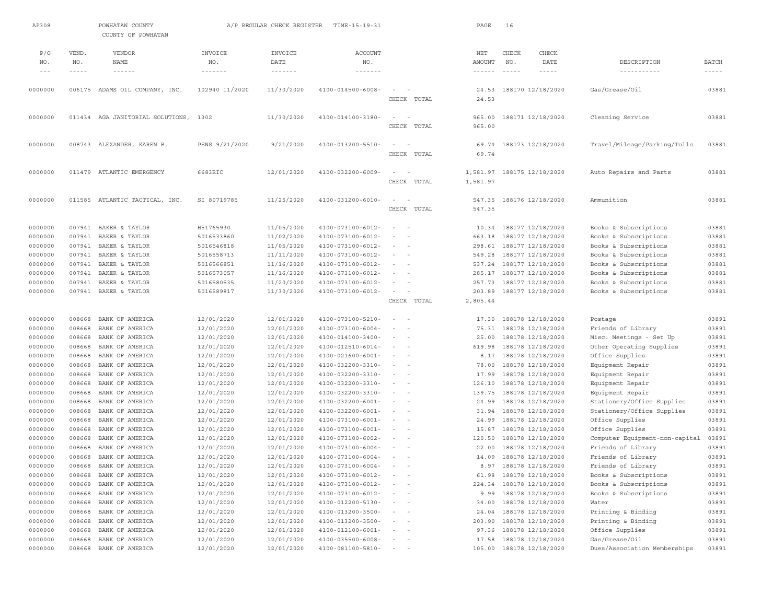| AP308                                                                                |               | POWHATAN COUNTY<br>COUNTY OF POWHATAN                                                                                                                                                                                                                                                                                                                                                        |                | A/P REGULAR CHECK REGISTER           | TIME-15:19:31                        |                                                                                                              | PAGE                          | 16                                                                                                                                                                                                                                                                                                                                                                                                                                                                         |                            |                                |              |
|--------------------------------------------------------------------------------------|---------------|----------------------------------------------------------------------------------------------------------------------------------------------------------------------------------------------------------------------------------------------------------------------------------------------------------------------------------------------------------------------------------------------|----------------|--------------------------------------|--------------------------------------|--------------------------------------------------------------------------------------------------------------|-------------------------------|----------------------------------------------------------------------------------------------------------------------------------------------------------------------------------------------------------------------------------------------------------------------------------------------------------------------------------------------------------------------------------------------------------------------------------------------------------------------------|----------------------------|--------------------------------|--------------|
|                                                                                      |               |                                                                                                                                                                                                                                                                                                                                                                                              |                |                                      |                                      |                                                                                                              |                               |                                                                                                                                                                                                                                                                                                                                                                                                                                                                            |                            |                                |              |
| P/O                                                                                  | VEND.         | VENDOR                                                                                                                                                                                                                                                                                                                                                                                       | INVOICE        | INVOICE                              | ACCOUNT                              |                                                                                                              | NET                           | CHECK                                                                                                                                                                                                                                                                                                                                                                                                                                                                      | CHECK                      |                                |              |
| NO.                                                                                  | NO.           | NAME                                                                                                                                                                                                                                                                                                                                                                                         | NO.            | DATE                                 | NO.                                  |                                                                                                              | AMOUNT                        | NO.                                                                                                                                                                                                                                                                                                                                                                                                                                                                        | DATE                       | DESCRIPTION                    | <b>BATCH</b> |
| $\hspace{0.1cm} - \hspace{0.1cm} - \hspace{0.1cm} - \hspace{0.1cm} - \hspace{0.1cm}$ | $- - - - - -$ | $\frac{1}{2} \frac{1}{2} \frac{1}{2} \frac{1}{2} \frac{1}{2} \frac{1}{2} \frac{1}{2} \frac{1}{2} \frac{1}{2} \frac{1}{2} \frac{1}{2} \frac{1}{2} \frac{1}{2} \frac{1}{2} \frac{1}{2} \frac{1}{2} \frac{1}{2} \frac{1}{2} \frac{1}{2} \frac{1}{2} \frac{1}{2} \frac{1}{2} \frac{1}{2} \frac{1}{2} \frac{1}{2} \frac{1}{2} \frac{1}{2} \frac{1}{2} \frac{1}{2} \frac{1}{2} \frac{1}{2} \frac{$ | -------        | $\cdots \cdots \cdots \cdots \cdots$ | $\cdots \cdots \cdots \cdots \cdots$ |                                                                                                              | $\cdots \cdots \cdots \cdots$ | $\frac{1}{2} \left( \frac{1}{2} \right) \left( \frac{1}{2} \right) \left( \frac{1}{2} \right) \left( \frac{1}{2} \right) \left( \frac{1}{2} \right) \left( \frac{1}{2} \right) \left( \frac{1}{2} \right) \left( \frac{1}{2} \right) \left( \frac{1}{2} \right) \left( \frac{1}{2} \right) \left( \frac{1}{2} \right) \left( \frac{1}{2} \right) \left( \frac{1}{2} \right) \left( \frac{1}{2} \right) \left( \frac{1}{2} \right) \left( \frac{1}{2} \right) \left( \frac$ | $- - - - - -$              | -----------                    | $\cdots$     |
| 0000000                                                                              |               | 006175 ADAMS OIL COMPANY, INC.                                                                                                                                                                                                                                                                                                                                                               | 102940 11/2020 | 11/30/2020                           | $4100 - 014500 - 6008 -$             | $\sim$ 100 $\sim$                                                                                            |                               |                                                                                                                                                                                                                                                                                                                                                                                                                                                                            | 24.53 188170 12/18/2020    | Gas/Grease/Oil                 | 03881        |
|                                                                                      |               |                                                                                                                                                                                                                                                                                                                                                                                              |                |                                      |                                      | CHECK TOTAL                                                                                                  | 24.53                         |                                                                                                                                                                                                                                                                                                                                                                                                                                                                            |                            |                                |              |
|                                                                                      |               |                                                                                                                                                                                                                                                                                                                                                                                              |                |                                      |                                      |                                                                                                              |                               |                                                                                                                                                                                                                                                                                                                                                                                                                                                                            |                            |                                |              |
| 0000000                                                                              |               | 011434 AGA JANITORIAL SOLUTIONS,                                                                                                                                                                                                                                                                                                                                                             | 1302           | 11/30/2020                           | 4100-014100-3180-                    | $\sim$                                                                                                       | 965.00                        |                                                                                                                                                                                                                                                                                                                                                                                                                                                                            | 188171 12/18/2020          | Cleaning Service               | 03881        |
|                                                                                      |               |                                                                                                                                                                                                                                                                                                                                                                                              |                |                                      |                                      | CHECK TOTAL                                                                                                  | 965.00                        |                                                                                                                                                                                                                                                                                                                                                                                                                                                                            |                            |                                |              |
| 0000000                                                                              |               | 008743 ALEXANDER, KAREN B.                                                                                                                                                                                                                                                                                                                                                                   | PENS 9/21/2020 | 9/21/2020                            | 4100-013200-5510-                    | $\sim$<br>$\overline{\phantom{a}}$                                                                           | 69.74                         |                                                                                                                                                                                                                                                                                                                                                                                                                                                                            | 188173 12/18/2020          | Travel/Mileage/Parking/Tolls   | 03881        |
|                                                                                      |               |                                                                                                                                                                                                                                                                                                                                                                                              |                |                                      |                                      | CHECK TOTAL                                                                                                  | 69.74                         |                                                                                                                                                                                                                                                                                                                                                                                                                                                                            |                            |                                |              |
|                                                                                      |               |                                                                                                                                                                                                                                                                                                                                                                                              |                |                                      |                                      |                                                                                                              |                               |                                                                                                                                                                                                                                                                                                                                                                                                                                                                            |                            |                                |              |
| 0000000                                                                              |               | 011479 ATLANTIC EMERGENCY                                                                                                                                                                                                                                                                                                                                                                    | 6683RIC        | 12/01/2020                           | 4100-032200-6009-                    | $\sim$<br>$\sim$                                                                                             |                               |                                                                                                                                                                                                                                                                                                                                                                                                                                                                            | 1,581.97 188175 12/18/2020 | Auto Repairs and Parts         | 03881        |
|                                                                                      |               |                                                                                                                                                                                                                                                                                                                                                                                              |                |                                      |                                      | CHECK TOTAL                                                                                                  | 1,581.97                      |                                                                                                                                                                                                                                                                                                                                                                                                                                                                            |                            |                                |              |
| 0000000                                                                              |               | 011585 ATLANTIC TACTICAL, INC.                                                                                                                                                                                                                                                                                                                                                               | SI 80719785    | 11/25/2020                           | 4100-031200-6010-                    | $\sim$<br>$\overline{\phantom{a}}$                                                                           | 547.35                        |                                                                                                                                                                                                                                                                                                                                                                                                                                                                            | 188176 12/18/2020          | Ammunition                     | 03881        |
|                                                                                      |               |                                                                                                                                                                                                                                                                                                                                                                                              |                |                                      |                                      | CHECK TOTAL                                                                                                  | 547.35                        |                                                                                                                                                                                                                                                                                                                                                                                                                                                                            |                            |                                |              |
|                                                                                      |               |                                                                                                                                                                                                                                                                                                                                                                                              |                |                                      |                                      |                                                                                                              |                               |                                                                                                                                                                                                                                                                                                                                                                                                                                                                            |                            |                                |              |
| 0000000                                                                              | 007941        | BAKER & TAYLOR                                                                                                                                                                                                                                                                                                                                                                               | H51765930      | 11/05/2020                           | 4100-073100-6012-                    | $\sim$ 100 $\sim$ 100 $\sim$                                                                                 | 10.34                         |                                                                                                                                                                                                                                                                                                                                                                                                                                                                            | 188177 12/18/2020          | Books & Subscriptions          | 03881        |
| 0000000                                                                              | 007941        | BAKER & TAYLOR                                                                                                                                                                                                                                                                                                                                                                               | 5016533860     | 11/02/2020                           | 4100-073100-6012-                    | $\sim$<br>$\sim$                                                                                             |                               |                                                                                                                                                                                                                                                                                                                                                                                                                                                                            | 663.18 188177 12/18/2020   | Books & Subscriptions          | 03881        |
| 0000000                                                                              | 007941        | BAKER & TAYLOR                                                                                                                                                                                                                                                                                                                                                                               | 5016546818     | 11/05/2020                           | 4100-073100-6012-                    | $\sim$<br>$\sim$                                                                                             | 298.61                        |                                                                                                                                                                                                                                                                                                                                                                                                                                                                            | 188177 12/18/2020          | Books & Subscriptions          | 03881        |
| 0000000                                                                              | 007941        | BAKER & TAYLOR                                                                                                                                                                                                                                                                                                                                                                               | 5016558713     | 11/11/2020                           | 4100-073100-6012-                    | $\sim$<br>$\sim$                                                                                             | 549.28                        |                                                                                                                                                                                                                                                                                                                                                                                                                                                                            | 188177 12/18/2020          | Books & Subscriptions          | 03881        |
| 0000000                                                                              | 007941        | BAKER & TAYLOR                                                                                                                                                                                                                                                                                                                                                                               | 5016566851     | 11/16/2020                           | 4100-073100-6012-                    | $\sim$<br>$\sim$                                                                                             | 537.24                        |                                                                                                                                                                                                                                                                                                                                                                                                                                                                            | 188177 12/18/2020          | Books & Subscriptions          | 03881        |
| 0000000                                                                              | 007941        | BAKER & TAYLOR                                                                                                                                                                                                                                                                                                                                                                               | 5016573057     | 11/16/2020                           | 4100-073100-6012-                    | $\sim$ 100 $\sim$                                                                                            | 285.17                        |                                                                                                                                                                                                                                                                                                                                                                                                                                                                            | 188177 12/18/2020          | Books & Subscriptions          | 03881        |
| 0000000                                                                              | 007941        | BAKER & TAYLOR                                                                                                                                                                                                                                                                                                                                                                               | 5016580535     | 11/20/2020                           | 4100-073100-6012-                    | $\sim$<br>$\overline{\phantom{a}}$                                                                           | 257.73                        |                                                                                                                                                                                                                                                                                                                                                                                                                                                                            | 188177 12/18/2020          | Books & Subscriptions          | 03881        |
| 0000000                                                                              | 007941        | BAKER & TAYLOR                                                                                                                                                                                                                                                                                                                                                                               | 5016589817     | 11/30/2020                           | 4100-073100-6012-                    | $\sim$<br>$\overline{\phantom{a}}$                                                                           | 203.89                        |                                                                                                                                                                                                                                                                                                                                                                                                                                                                            | 188177 12/18/2020          | Books & Subscriptions          | 03881        |
|                                                                                      |               |                                                                                                                                                                                                                                                                                                                                                                                              |                |                                      |                                      | CHECK TOTAL                                                                                                  | 2,805.44                      |                                                                                                                                                                                                                                                                                                                                                                                                                                                                            |                            |                                |              |
| 0000000                                                                              | 008668        | BANK OF AMERICA                                                                                                                                                                                                                                                                                                                                                                              | 12/01/2020     | 12/01/2020                           | 4100-073100-5210-                    | $\overline{\phantom{a}}$<br>$\sim$                                                                           | 17.30                         |                                                                                                                                                                                                                                                                                                                                                                                                                                                                            | 188178 12/18/2020          | Postage                        | 03891        |
| 0000000                                                                              | 008668        | BANK OF AMERICA                                                                                                                                                                                                                                                                                                                                                                              | 12/01/2020     | 12/01/2020                           | $4100 - 073100 - 6004 -$             | $\sim$<br>$\sim$                                                                                             |                               |                                                                                                                                                                                                                                                                                                                                                                                                                                                                            | 75.31 188178 12/18/2020    | Friends of Library             | 03891        |
| 0000000                                                                              | 008668        | BANK OF AMERICA                                                                                                                                                                                                                                                                                                                                                                              | 12/01/2020     | 12/01/2020                           | 4100-014100-3400-                    | $ -$                                                                                                         | 25.00                         |                                                                                                                                                                                                                                                                                                                                                                                                                                                                            | 188178 12/18/2020          | Misc. Meetings - Set Up        | 03891        |
| 0000000                                                                              | 008668        | BANK OF AMERICA                                                                                                                                                                                                                                                                                                                                                                              | 12/01/2020     | 12/01/2020                           | $4100 - 012510 - 6014 -$             | $\sim$<br>$\sim$                                                                                             | 619.98                        |                                                                                                                                                                                                                                                                                                                                                                                                                                                                            | 188178 12/18/2020          | Other Operating Supplies       | 03891        |
| 0000000                                                                              | 008668        | BANK OF AMERICA                                                                                                                                                                                                                                                                                                                                                                              | 12/01/2020     | 12/01/2020                           | $4100 - 021600 - 6001 -$             | $\sim$<br>$\sim$                                                                                             | 8.17                          |                                                                                                                                                                                                                                                                                                                                                                                                                                                                            | 188178 12/18/2020          | Office Supplies                | 03891        |
| 0000000                                                                              | 008668        | BANK OF AMERICA                                                                                                                                                                                                                                                                                                                                                                              | 12/01/2020     | 12/01/2020                           | 4100-032200-3310-                    | $\sim$<br>$\sim$                                                                                             | 78.00                         |                                                                                                                                                                                                                                                                                                                                                                                                                                                                            | 188178 12/18/2020          | Equipment Repair               | 03891        |
| 0000000                                                                              | 008668        | BANK OF AMERICA                                                                                                                                                                                                                                                                                                                                                                              | 12/01/2020     | 12/01/2020                           | 4100-032200-3310-                    | $\frac{1}{2} \left( \frac{1}{2} \right) \left( \frac{1}{2} \right) = \frac{1}{2} \left( \frac{1}{2} \right)$ | 17.99                         |                                                                                                                                                                                                                                                                                                                                                                                                                                                                            | 188178 12/18/2020          | Equipment Repair               | 03891        |
| 0000000                                                                              | 008668        | BANK OF AMERICA                                                                                                                                                                                                                                                                                                                                                                              | 12/01/2020     | 12/01/2020                           | 4100-032200-3310-                    | $ -$                                                                                                         | 126.10                        |                                                                                                                                                                                                                                                                                                                                                                                                                                                                            | 188178 12/18/2020          | Equipment Repair               | 03891        |
| 0000000                                                                              | 008668        | BANK OF AMERICA                                                                                                                                                                                                                                                                                                                                                                              | 12/01/2020     | 12/01/2020                           | 4100-032200-3310-                    | $\sim$ 100 $\sim$ 100                                                                                        | 139.75                        |                                                                                                                                                                                                                                                                                                                                                                                                                                                                            | 188178 12/18/2020          | Equipment Repair               | 03891        |
| 0000000                                                                              | 008668        | BANK OF AMERICA                                                                                                                                                                                                                                                                                                                                                                              | 12/01/2020     | 12/01/2020                           | $4100 - 032200 - 6001 -$             | $\sim$<br>$\sim$                                                                                             | 24.99                         |                                                                                                                                                                                                                                                                                                                                                                                                                                                                            | 188178 12/18/2020          | Stationery/Office Supplies     | 03891        |
| 0000000                                                                              | 008668        | BANK OF AMERICA                                                                                                                                                                                                                                                                                                                                                                              | 12/01/2020     | 12/01/2020                           | $4100 - 032200 - 6001 -$             | $\frac{1}{2} \left( \frac{1}{2} \right) \left( \frac{1}{2} \right) = \frac{1}{2} \left( \frac{1}{2} \right)$ | 31.94                         |                                                                                                                                                                                                                                                                                                                                                                                                                                                                            | 188178 12/18/2020          | Stationery/Office Supplies     | 03891        |
| 0000000                                                                              | 008668        | BANK OF AMERICA                                                                                                                                                                                                                                                                                                                                                                              | 12/01/2020     | 12/01/2020                           | $4100 - 073100 - 6001 -$             | $\frac{1}{2} \left( \frac{1}{2} \right) \left( \frac{1}{2} \right) = \frac{1}{2} \left( \frac{1}{2} \right)$ | 24.99                         |                                                                                                                                                                                                                                                                                                                                                                                                                                                                            | 188178 12/18/2020          | Office Supplies                | 03891        |
| 0000000                                                                              | 008668        | BANK OF AMERICA                                                                                                                                                                                                                                                                                                                                                                              | 12/01/2020     | 12/01/2020                           | $4100 - 073100 - 6001 -$             | $\sim$ 100 $\sim$                                                                                            | 15.87                         |                                                                                                                                                                                                                                                                                                                                                                                                                                                                            | 188178 12/18/2020          | Office Supplies                | 03891        |
| 0000000                                                                              | 008668        | BANK OF AMERICA                                                                                                                                                                                                                                                                                                                                                                              | 12/01/2020     | 12/01/2020                           | 4100-073100-6002-                    | $ -$                                                                                                         | 120.50                        |                                                                                                                                                                                                                                                                                                                                                                                                                                                                            | 188178 12/18/2020          | Computer Equipment-non-capital | 03891        |
| 0000000                                                                              | 008668        | BANK OF AMERICA                                                                                                                                                                                                                                                                                                                                                                              | 12/01/2020     | 12/01/2020                           | $4100 - 073100 - 6004 -$             | $\sim$                                                                                                       | 22.00                         |                                                                                                                                                                                                                                                                                                                                                                                                                                                                            | 188178 12/18/2020          | Friends of Library             | 03891        |
| 0000000                                                                              | 008668        | BANK OF AMERICA                                                                                                                                                                                                                                                                                                                                                                              | 12/01/2020     | 12/01/2020                           | $4100 - 073100 - 6004 -$             | $\sim$ $  -$                                                                                                 |                               |                                                                                                                                                                                                                                                                                                                                                                                                                                                                            | 14.09 188178 12/18/2020    | Friends of Library             | 03891        |
| 0000000                                                                              | 008668        | BANK OF AMERICA                                                                                                                                                                                                                                                                                                                                                                              | 12/01/2020     | 12/01/2020                           | $4100 - 073100 - 6004 -$             |                                                                                                              |                               |                                                                                                                                                                                                                                                                                                                                                                                                                                                                            | 8.97 188178 12/18/2020     | Friends of Library             | 03891        |
| 0000000                                                                              | 008668        | BANK OF AMERICA                                                                                                                                                                                                                                                                                                                                                                              | 12/01/2020     | 12/01/2020                           | $4100 - 073100 - 6012 -$             | $\qquad \qquad -$                                                                                            |                               |                                                                                                                                                                                                                                                                                                                                                                                                                                                                            | 61.98 188178 12/18/2020    | Books & Subscriptions          | 03891        |
| 0000000                                                                              | 008668        | BANK OF AMERICA                                                                                                                                                                                                                                                                                                                                                                              | 12/01/2020     | 12/01/2020                           | 4100-073100-6012-                    |                                                                                                              | 224.34                        |                                                                                                                                                                                                                                                                                                                                                                                                                                                                            | 188178 12/18/2020          | Books & Subscriptions          | 03891        |
| 0000000                                                                              | 008668        | BANK OF AMERICA                                                                                                                                                                                                                                                                                                                                                                              | 12/01/2020     | 12/01/2020                           | 4100-073100-6012-                    | $\frac{1}{2} \left( \frac{1}{2} \right) \left( \frac{1}{2} \right) = \frac{1}{2} \left( \frac{1}{2} \right)$ | 9.99                          |                                                                                                                                                                                                                                                                                                                                                                                                                                                                            | 188178 12/18/2020          | Books & Subscriptions          | 03891        |
| 0000000                                                                              | 008668        | BANK OF AMERICA                                                                                                                                                                                                                                                                                                                                                                              | 12/01/2020     | 12/01/2020                           | 4100-012200-5130-                    | $\overline{\phantom{a}}$                                                                                     | 34.00                         |                                                                                                                                                                                                                                                                                                                                                                                                                                                                            | 188178 12/18/2020          | Water                          | 03891        |
| 0000000                                                                              | 008668        | BANK OF AMERICA                                                                                                                                                                                                                                                                                                                                                                              | 12/01/2020     | 12/01/2020                           | 4100-013200-3500-                    | $\sim$<br>$\sim$ $-$                                                                                         | 24.04                         |                                                                                                                                                                                                                                                                                                                                                                                                                                                                            | 188178 12/18/2020          | Printing & Binding             | 03891        |
| 0000000                                                                              | 008668        | BANK OF AMERICA                                                                                                                                                                                                                                                                                                                                                                              | 12/01/2020     | 12/01/2020                           | 4100-013200-3500-                    | $\sim$                                                                                                       | 203.90                        |                                                                                                                                                                                                                                                                                                                                                                                                                                                                            | 188178 12/18/2020          | Printing & Binding             | 03891        |
| 0000000                                                                              | 008668        | BANK OF AMERICA                                                                                                                                                                                                                                                                                                                                                                              | 12/01/2020     | 12/01/2020                           | 4100-012100-6001-                    | $\overline{\phantom{a}}$<br>$\sim$                                                                           | 97.36                         |                                                                                                                                                                                                                                                                                                                                                                                                                                                                            | 188178 12/18/2020          | Office Supplies                | 03891        |
| 0000000                                                                              | 008668        | BANK OF AMERICA                                                                                                                                                                                                                                                                                                                                                                              | 12/01/2020     | 12/01/2020                           | $4100 - 035500 - 6008 -$             |                                                                                                              |                               |                                                                                                                                                                                                                                                                                                                                                                                                                                                                            | 17.58 188178 12/18/2020    | Gas/Grease/Oil                 | 03891        |
| 0000000                                                                              | 008668        | BANK OF AMERICA                                                                                                                                                                                                                                                                                                                                                                              | 12/01/2020     | 12/01/2020                           | 4100-081100-5810-                    | $\sim$<br>$\overline{\phantom{a}}$                                                                           |                               |                                                                                                                                                                                                                                                                                                                                                                                                                                                                            | 105.00 188178 12/18/2020   | Dues/Association Memberships   | 03891        |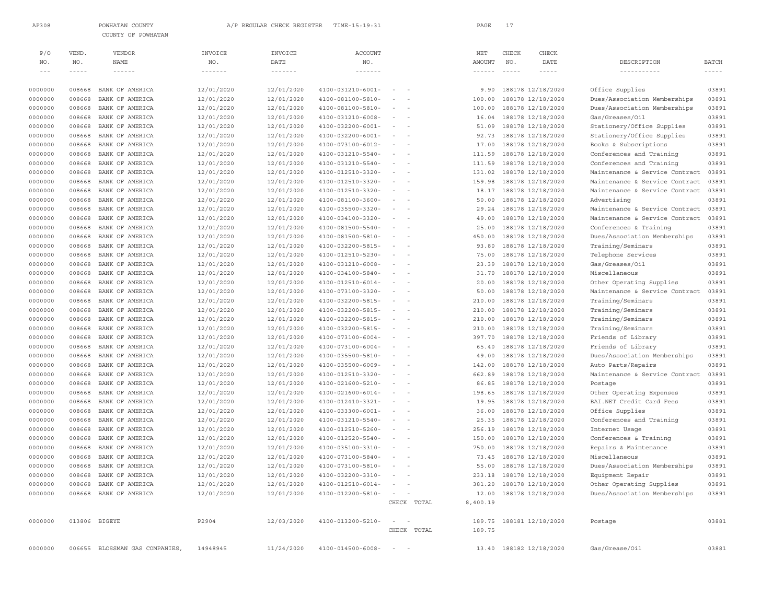|                    |                  | COUNTY OF POWHATAN                 |                          |                                      |                                        |                                                                                                                                                                                         |             |                               |                                                                                                                                                                                                                                                                                                                                                                                              |                                        |                                        |                                                                                                                                                                                                                                                                                                                                                                                              |
|--------------------|------------------|------------------------------------|--------------------------|--------------------------------------|----------------------------------------|-----------------------------------------------------------------------------------------------------------------------------------------------------------------------------------------|-------------|-------------------------------|----------------------------------------------------------------------------------------------------------------------------------------------------------------------------------------------------------------------------------------------------------------------------------------------------------------------------------------------------------------------------------------------|----------------------------------------|----------------------------------------|----------------------------------------------------------------------------------------------------------------------------------------------------------------------------------------------------------------------------------------------------------------------------------------------------------------------------------------------------------------------------------------------|
| P/O                | VEND.            | VENDOR                             | INVOICE                  | INVOICE                              | ACCOUNT                                |                                                                                                                                                                                         |             | $_{\rm NET}$                  | CHECK                                                                                                                                                                                                                                                                                                                                                                                        | CHECK                                  |                                        |                                                                                                                                                                                                                                                                                                                                                                                              |
| NO.                | NO.              | <b>NAME</b>                        | NO.                      | DATE                                 | NO.                                    |                                                                                                                                                                                         |             | <b>AMOUNT</b>                 | NO.                                                                                                                                                                                                                                                                                                                                                                                          | DATE                                   | DESCRIPTION                            | <b>BATCH</b>                                                                                                                                                                                                                                                                                                                                                                                 |
| $  -$              | $- - - - -$      | $\cdots\cdots\cdots\cdots$         | -------                  | $\cdots \cdots \cdots \cdots \cdots$ | $\cdots\cdots\cdots\cdots\cdots$       |                                                                                                                                                                                         |             | $\cdots \cdots \cdots \cdots$ | $\frac{1}{2} \frac{1}{2} \frac{1}{2} \frac{1}{2} \frac{1}{2} \frac{1}{2} \frac{1}{2} \frac{1}{2} \frac{1}{2} \frac{1}{2} \frac{1}{2} \frac{1}{2} \frac{1}{2} \frac{1}{2} \frac{1}{2} \frac{1}{2} \frac{1}{2} \frac{1}{2} \frac{1}{2} \frac{1}{2} \frac{1}{2} \frac{1}{2} \frac{1}{2} \frac{1}{2} \frac{1}{2} \frac{1}{2} \frac{1}{2} \frac{1}{2} \frac{1}{2} \frac{1}{2} \frac{1}{2} \frac{$ | $\cdots$                               | -----------                            | $\frac{1}{2} \frac{1}{2} \frac{1}{2} \frac{1}{2} \frac{1}{2} \frac{1}{2} \frac{1}{2} \frac{1}{2} \frac{1}{2} \frac{1}{2} \frac{1}{2} \frac{1}{2} \frac{1}{2} \frac{1}{2} \frac{1}{2} \frac{1}{2} \frac{1}{2} \frac{1}{2} \frac{1}{2} \frac{1}{2} \frac{1}{2} \frac{1}{2} \frac{1}{2} \frac{1}{2} \frac{1}{2} \frac{1}{2} \frac{1}{2} \frac{1}{2} \frac{1}{2} \frac{1}{2} \frac{1}{2} \frac{$ |
| 0000000            | 008668           | BANK OF AMERICA                    | 12/01/2020               | 12/01/2020                           | $4100 - 031210 - 6001 -$               | $\sim$<br>$\sim$                                                                                                                                                                        |             | 9.90                          |                                                                                                                                                                                                                                                                                                                                                                                              | 188178 12/18/2020                      | Office Supplies                        | 03891                                                                                                                                                                                                                                                                                                                                                                                        |
| 0000000            | 008668           | BANK OF AMERICA                    | 12/01/2020               | 12/01/2020                           | 4100-081100-5810-                      | $\sim$ $-$<br>$\overline{\phantom{a}}$                                                                                                                                                  |             | 100.00                        |                                                                                                                                                                                                                                                                                                                                                                                              | 188178 12/18/2020                      | Dues/Association Memberships           | 03891                                                                                                                                                                                                                                                                                                                                                                                        |
| 0000000            | 008668           | BANK OF AMERICA                    | 12/01/2020               | 12/01/2020                           | 4100-081100-5810-                      | $\overline{\phantom{a}}$<br>$\sim$                                                                                                                                                      |             | 100.00                        |                                                                                                                                                                                                                                                                                                                                                                                              | 188178 12/18/2020                      | Dues/Association Memberships           | 03891                                                                                                                                                                                                                                                                                                                                                                                        |
| 0000000            | 008668           | BANK OF AMERICA                    | 12/01/2020               | 12/01/2020                           | $4100 - 031210 - 6008 -$               | $\frac{1}{2} \left( \frac{1}{2} \right) \left( \frac{1}{2} \right) = \frac{1}{2} \left( \frac{1}{2} \right)$                                                                            |             | 16.04                         |                                                                                                                                                                                                                                                                                                                                                                                              | 188178 12/18/2020                      | Gas/Greases/Oil                        | 03891                                                                                                                                                                                                                                                                                                                                                                                        |
| 0000000            | 008668           | BANK OF AMERICA                    | 12/01/2020               | 12/01/2020                           | $4100 - 032200 - 6001 -$               | $\sim$ $-$                                                                                                                                                                              |             | 51.09                         |                                                                                                                                                                                                                                                                                                                                                                                              | 188178 12/18/2020                      | Stationery/Office Supplies             | 03891                                                                                                                                                                                                                                                                                                                                                                                        |
| 0000000            | 008668           | BANK OF AMERICA                    | 12/01/2020               | 12/01/2020                           | $4100 - 032200 - 6001 -$               | $\sim$<br>$\sim$                                                                                                                                                                        |             | 92.73                         |                                                                                                                                                                                                                                                                                                                                                                                              | 188178 12/18/2020                      | Stationery/Office Supplies             | 03891                                                                                                                                                                                                                                                                                                                                                                                        |
| 0000000            | 008668           | BANK OF AMERICA                    | 12/01/2020               | 12/01/2020                           | 4100-073100-6012-                      | $\sim$<br>$\sim$                                                                                                                                                                        |             | 17.00                         |                                                                                                                                                                                                                                                                                                                                                                                              | 188178 12/18/2020                      | Books & Subscriptions                  | 03891                                                                                                                                                                                                                                                                                                                                                                                        |
| 0000000            | 008668           | BANK OF AMERICA                    | 12/01/2020               | 12/01/2020                           | 4100-031210-5540-                      | $\sim$<br>$\sim$                                                                                                                                                                        |             | 111.59                        |                                                                                                                                                                                                                                                                                                                                                                                              | 188178 12/18/2020                      | Conferences and Training               | 03891                                                                                                                                                                                                                                                                                                                                                                                        |
| 0000000            | 008668           | BANK OF AMERICA                    | 12/01/2020               | 12/01/2020                           | 4100-031210-5540-                      | $\sim$<br>$\sim$                                                                                                                                                                        |             | 111.59                        |                                                                                                                                                                                                                                                                                                                                                                                              | 188178 12/18/2020                      | Conferences and Training               | 03891                                                                                                                                                                                                                                                                                                                                                                                        |
| 0000000            | 008668           | BANK OF AMERICA                    | 12/01/2020               | 12/01/2020                           | 4100-012510-3320-                      | $ \,$<br>$\sim$                                                                                                                                                                         |             | 131.02                        |                                                                                                                                                                                                                                                                                                                                                                                              | 188178 12/18/2020                      | Maintenance & Service Contract         | 03891                                                                                                                                                                                                                                                                                                                                                                                        |
| 0000000            | 008668           | BANK OF AMERICA                    | 12/01/2020               | 12/01/2020                           | 4100-012510-3320-                      | $\frac{1}{2} \left( \frac{1}{2} \right) \left( \frac{1}{2} \right) = \frac{1}{2} \left( \frac{1}{2} \right)$                                                                            |             | 159.98                        |                                                                                                                                                                                                                                                                                                                                                                                              | 188178 12/18/2020                      | Maintenance & Service Contract         | 03891                                                                                                                                                                                                                                                                                                                                                                                        |
| 0000000            | 008668           | BANK OF AMERICA                    | 12/01/2020               | 12/01/2020                           | 4100-012510-3320-                      | $\sim$<br>$\sim$                                                                                                                                                                        |             | 18.17                         |                                                                                                                                                                                                                                                                                                                                                                                              | 188178 12/18/2020                      | Maintenance & Service Contract         | 03891                                                                                                                                                                                                                                                                                                                                                                                        |
| 0000000            | 008668           | BANK OF AMERICA                    | 12/01/2020               | 12/01/2020                           | 4100-081100-3600-                      | $\frac{1}{2} \left( \frac{1}{2} \right) \left( \frac{1}{2} \right) = \frac{1}{2} \left( \frac{1}{2} \right)$                                                                            |             | 50.00                         |                                                                                                                                                                                                                                                                                                                                                                                              | 188178 12/18/2020                      | Advertising                            | 03891                                                                                                                                                                                                                                                                                                                                                                                        |
| 0000000            | 008668           | BANK OF AMERICA                    | 12/01/2020               | 12/01/2020                           | 4100-035500-3320-                      | $\overline{\phantom{a}}$                                                                                                                                                                |             | 29.24                         |                                                                                                                                                                                                                                                                                                                                                                                              | 188178 12/18/2020                      | Maintenance & Service Contract         | 03891                                                                                                                                                                                                                                                                                                                                                                                        |
| 0000000            | 008668           | BANK OF AMERICA                    | 12/01/2020               | 12/01/2020                           | 4100-034100-3320-                      | $\sim$<br>$\sim$                                                                                                                                                                        |             | 49.00                         |                                                                                                                                                                                                                                                                                                                                                                                              | 188178 12/18/2020                      | Maintenance & Service Contract         | 03891                                                                                                                                                                                                                                                                                                                                                                                        |
| 0000000            | 008668           | BANK OF AMERICA                    | 12/01/2020               | 12/01/2020                           | 4100-081500-5540-                      | $\sim$<br>$\sim$                                                                                                                                                                        |             | 25.00                         |                                                                                                                                                                                                                                                                                                                                                                                              | 188178 12/18/2020                      | Conferences & Training                 | 03891                                                                                                                                                                                                                                                                                                                                                                                        |
| 0000000            | 008668           | BANK OF AMERICA                    | 12/01/2020               | 12/01/2020                           | 4100-081500-5810-                      | $\sim$<br>$\sim$                                                                                                                                                                        |             | 450.00                        |                                                                                                                                                                                                                                                                                                                                                                                              | 188178 12/18/2020                      | Dues/Association Memberships           | 03891                                                                                                                                                                                                                                                                                                                                                                                        |
| 0000000            | 008668           | BANK OF AMERICA                    | 12/01/2020               | 12/01/2020                           | 4100-032200-5815-                      | $\sim$<br>$\sim$                                                                                                                                                                        |             | 93.80                         |                                                                                                                                                                                                                                                                                                                                                                                              | 188178 12/18/2020                      | Training/Seminars                      | 03891                                                                                                                                                                                                                                                                                                                                                                                        |
| 0000000            | 008668           | BANK OF AMERICA                    | 12/01/2020               | 12/01/2020                           | 4100-012510-5230-                      | $\sim$<br>$\sim$                                                                                                                                                                        |             | 75.00                         |                                                                                                                                                                                                                                                                                                                                                                                              | 188178 12/18/2020                      | Telephone Services                     | 03891                                                                                                                                                                                                                                                                                                                                                                                        |
| 0000000            | 008668           | BANK OF AMERICA                    | 12/01/2020               | 12/01/2020                           | 4100-031210-6008-                      | $\sim$<br>$\sim$                                                                                                                                                                        |             | 23.39                         |                                                                                                                                                                                                                                                                                                                                                                                              | 188178 12/18/2020                      | Gas/Greases/Oil                        | 03891                                                                                                                                                                                                                                                                                                                                                                                        |
| 0000000            | 008668           | BANK OF AMERICA                    | 12/01/2020               | 12/01/2020                           | 4100-034100-5840-                      | $\sim$<br>$\sim$                                                                                                                                                                        |             | 31.70                         |                                                                                                                                                                                                                                                                                                                                                                                              | 188178 12/18/2020                      | Miscellaneous                          | 03891                                                                                                                                                                                                                                                                                                                                                                                        |
| 0000000            | 008668           | BANK OF AMERICA                    | 12/01/2020               | 12/01/2020                           | $4100 - 012510 - 6014 -$               | $\frac{1}{2} \left( \frac{1}{2} \right) \left( \frac{1}{2} \right) = \frac{1}{2} \left( \frac{1}{2} \right)$                                                                            |             | 20.00                         |                                                                                                                                                                                                                                                                                                                                                                                              | 188178 12/18/2020                      | Other Operating Supplies               | 03891                                                                                                                                                                                                                                                                                                                                                                                        |
| 0000000            | 008668           | BANK OF AMERICA                    | 12/01/2020               | 12/01/2020                           | 4100-073100-3320-                      | $\sim$<br>$\sim$                                                                                                                                                                        |             | 50.00                         |                                                                                                                                                                                                                                                                                                                                                                                              | 188178 12/18/2020                      | Maintenance & Service Contract         | 03891                                                                                                                                                                                                                                                                                                                                                                                        |
| 0000000            | 008668           | BANK OF AMERICA                    | 12/01/2020<br>12/01/2020 | 12/01/2020                           | 4100-032200-5815-                      | $\frac{1}{2} \left( \frac{1}{2} \right) \left( \frac{1}{2} \right) = \frac{1}{2} \left( \frac{1}{2} \right)$<br>$\overline{\phantom{a}}$<br>$\sim$                                      |             | 210.00                        |                                                                                                                                                                                                                                                                                                                                                                                              | 188178 12/18/2020                      | Training/Seminars                      | 03891                                                                                                                                                                                                                                                                                                                                                                                        |
| 0000000<br>0000000 | 008668<br>008668 | BANK OF AMERICA<br>BANK OF AMERICA | 12/01/2020               | 12/01/2020<br>12/01/2020             | 4100-032200-5815-<br>4100-032200-5815- | $\frac{1}{2} \left( \frac{1}{2} \right) \left( \frac{1}{2} \right) = \frac{1}{2} \left( \frac{1}{2} \right)$                                                                            |             | 210.00<br>210.00              |                                                                                                                                                                                                                                                                                                                                                                                              | 188178 12/18/2020<br>188178 12/18/2020 | Training/Seminars<br>Training/Seminars | 03891<br>03891                                                                                                                                                                                                                                                                                                                                                                               |
| 0000000            | 008668           | BANK OF AMERICA                    | 12/01/2020               | 12/01/2020                           | 4100-032200-5815-                      | $\sim$ $-$                                                                                                                                                                              |             | 210.00                        |                                                                                                                                                                                                                                                                                                                                                                                              | 188178 12/18/2020                      | Training/Seminars                      | 03891                                                                                                                                                                                                                                                                                                                                                                                        |
| 0000000            | 008668           | BANK OF AMERICA                    | 12/01/2020               | 12/01/2020                           | $4100 - 073100 - 6004 -$               | $\sim$<br>$\sim$                                                                                                                                                                        |             | 397.70                        |                                                                                                                                                                                                                                                                                                                                                                                              | 188178 12/18/2020                      | Friends of Library                     | 03891                                                                                                                                                                                                                                                                                                                                                                                        |
| 0000000            | 008668           | BANK OF AMERICA                    | 12/01/2020               | 12/01/2020                           | $4100 - 073100 - 6004 -$               | $\sim$<br>$\sim$                                                                                                                                                                        |             | 65.40                         |                                                                                                                                                                                                                                                                                                                                                                                              | 188178 12/18/2020                      | Friends of Library                     | 03891                                                                                                                                                                                                                                                                                                                                                                                        |
| 0000000            | 008668           | BANK OF AMERICA                    | 12/01/2020               | 12/01/2020                           | 4100-035500-5810-                      | $\sim$<br>$\sim$                                                                                                                                                                        |             | 49.00                         |                                                                                                                                                                                                                                                                                                                                                                                              | 188178 12/18/2020                      | Dues/Association Memberships           | 03891                                                                                                                                                                                                                                                                                                                                                                                        |
| 0000000            | 008668           | BANK OF AMERICA                    | 12/01/2020               | 12/01/2020                           | 4100-035500-6009-                      | $\sim$<br>$\sim$                                                                                                                                                                        |             | 142.00                        |                                                                                                                                                                                                                                                                                                                                                                                              | 188178 12/18/2020                      | Auto Parts/Repairs                     | 03891                                                                                                                                                                                                                                                                                                                                                                                        |
| 0000000            | 008668           | BANK OF AMERICA                    | 12/01/2020               | 12/01/2020                           | 4100-012510-3320-                      | $\sim$<br>$\sim$                                                                                                                                                                        |             | 662.89                        |                                                                                                                                                                                                                                                                                                                                                                                              | 188178 12/18/2020                      | Maintenance & Service Contract         | 03891                                                                                                                                                                                                                                                                                                                                                                                        |
| 0000000            | 008668           | BANK OF AMERICA                    | 12/01/2020               | 12/01/2020                           | 4100-021600-5210-                      | $\frac{1}{2} \left( \frac{1}{2} \right) \left( \frac{1}{2} \right) = \frac{1}{2} \left( \frac{1}{2} \right)$                                                                            |             | 86.85                         |                                                                                                                                                                                                                                                                                                                                                                                              | 188178 12/18/2020                      | Postage                                | 03891                                                                                                                                                                                                                                                                                                                                                                                        |
| 0000000            | 008668           | BANK OF AMERICA                    | 12/01/2020               | 12/01/2020                           | $4100 - 021600 - 6014 -$               | $\sim$<br>$\sim$                                                                                                                                                                        |             | 198.65                        |                                                                                                                                                                                                                                                                                                                                                                                              | 188178 12/18/2020                      | Other Operating Expenses               | 03891                                                                                                                                                                                                                                                                                                                                                                                        |
| 0000000            | 008668           | BANK OF AMERICA                    | 12/01/2020               | 12/01/2020                           | 4100-012410-3321-                      | $\frac{1}{2} \left( \frac{1}{2} \right) \left( \frac{1}{2} \right) = \frac{1}{2} \left( \frac{1}{2} \right)$                                                                            |             | 19.95                         |                                                                                                                                                                                                                                                                                                                                                                                              | 188178 12/18/2020                      | BAI.NET Credit Card Fees               | 03891                                                                                                                                                                                                                                                                                                                                                                                        |
| 0000000            | 008668           | BANK OF AMERICA                    | 12/01/2020               | 12/01/2020                           | $4100 - 033300 - 6001 -$               | $\overline{\phantom{a}}$<br>$\sim$                                                                                                                                                      |             | 36.00                         |                                                                                                                                                                                                                                                                                                                                                                                              | 188178 12/18/2020                      | Office Supplies                        | 03891                                                                                                                                                                                                                                                                                                                                                                                        |
| 0000000            | 008668           | BANK OF AMERICA                    | 12/01/2020               | 12/01/2020                           | 4100-031210-5540-                      | $\frac{1}{2} \left( \frac{1}{2} \right) \left( \frac{1}{2} \right) = \frac{1}{2} \left( \frac{1}{2} \right)$                                                                            |             | 25.35                         |                                                                                                                                                                                                                                                                                                                                                                                              | 188178 12/18/2020                      | Conferences and Training               | 03891                                                                                                                                                                                                                                                                                                                                                                                        |
| 0000000            | 008668           | BANK OF AMERICA                    | 12/01/2020               | 12/01/2020                           | 4100-012510-5260-                      | $\frac{1}{2} \left( \frac{1}{2} \right) \left( \frac{1}{2} \right) = \frac{1}{2} \left( \frac{1}{2} \right)$                                                                            |             | 256.19                        |                                                                                                                                                                                                                                                                                                                                                                                              | 188178 12/18/2020                      | Internet Usage                         | 03891                                                                                                                                                                                                                                                                                                                                                                                        |
| 0000000            | 008668           | BANK OF AMERICA                    | 12/01/2020               | 12/01/2020                           | $4100 - 012520 - 5540 -$               | $\sim 10^{-1}$ and $\sim 10^{-1}$                                                                                                                                                       |             | 150.00                        |                                                                                                                                                                                                                                                                                                                                                                                              | 188178 12/18/2020                      | Conferences & Training                 | 03891                                                                                                                                                                                                                                                                                                                                                                                        |
| 0000000            | 008668           | BANK OF AMERICA                    | 12/01/2020               | 12/01/2020                           | 4100-035100-3310-                      | $\sim$ 100 $\sim$                                                                                                                                                                       |             | 750.00                        |                                                                                                                                                                                                                                                                                                                                                                                              | 188178 12/18/2020                      | Repairs & Maintenance                  | 03891                                                                                                                                                                                                                                                                                                                                                                                        |
| 0000000            | 008668           | BANK OF AMERICA                    | 12/01/2020               | 12/01/2020                           | 4100-073100-5840-                      | $\sim$<br>$\sim$                                                                                                                                                                        |             | 73.45                         |                                                                                                                                                                                                                                                                                                                                                                                              | 188178 12/18/2020                      | Miscellaneous                          | 03891                                                                                                                                                                                                                                                                                                                                                                                        |
| 0000000            | 008668           | BANK OF AMERICA                    | 12/01/2020               | 12/01/2020                           | 4100-073100-5810-                      | $\sim$ 100 $\sim$                                                                                                                                                                       |             |                               |                                                                                                                                                                                                                                                                                                                                                                                              | 55.00 188178 12/18/2020                | Dues/Association Memberships           | 03891                                                                                                                                                                                                                                                                                                                                                                                        |
| 0000000            | 008668           | BANK OF AMERICA                    | 12/01/2020               | 12/01/2020                           | $4100 - 032200 - 3310 -$               |                                                                                                                                                                                         |             |                               |                                                                                                                                                                                                                                                                                                                                                                                              | 233.18 188178 12/18/2020               | Equipment Repair                       | 03891                                                                                                                                                                                                                                                                                                                                                                                        |
| 0000000            |                  | 008668 BANK OF AMERICA             | 12/01/2020               | 12/01/2020                           | $4100 - 012510 - 6014 -$               | $\mathcal{L} = \mathcal{L} \times \mathcal{L} = \mathcal{L} \times \mathcal{L} = \mathcal{L} \times \mathcal{L} \times \mathcal{L} = \mathcal{L} \times \mathcal{L} \times \mathcal{L}$ |             |                               |                                                                                                                                                                                                                                                                                                                                                                                              | 381.20 188178 12/18/2020               | Other Operating Supplies               | 03891                                                                                                                                                                                                                                                                                                                                                                                        |
| 0000000            |                  | 008668 BANK OF AMERICA             | 12/01/2020               | 12/01/2020                           | $4100 - 012200 - 5810 -$               | $\qquad \qquad -$                                                                                                                                                                       |             |                               |                                                                                                                                                                                                                                                                                                                                                                                              | 12.00 188178 12/18/2020                | Dues/Association Memberships           | 03891                                                                                                                                                                                                                                                                                                                                                                                        |
|                    |                  |                                    |                          |                                      |                                        |                                                                                                                                                                                         | CHECK TOTAL | 8,400.19                      |                                                                                                                                                                                                                                                                                                                                                                                              |                                        |                                        |                                                                                                                                                                                                                                                                                                                                                                                              |
| 0000000            |                  | 013806 BIGEYE                      | P2904                    | 12/03/2020                           | 4100-013200-5210-                      | $\sim$ 100 $\sim$                                                                                                                                                                       |             |                               |                                                                                                                                                                                                                                                                                                                                                                                              | 189.75 188181 12/18/2020               | Postage                                | 03881                                                                                                                                                                                                                                                                                                                                                                                        |
|                    |                  |                                    |                          |                                      |                                        |                                                                                                                                                                                         | CHECK TOTAL | 189.75                        |                                                                                                                                                                                                                                                                                                                                                                                              |                                        |                                        |                                                                                                                                                                                                                                                                                                                                                                                              |
|                    |                  |                                    |                          |                                      |                                        |                                                                                                                                                                                         |             |                               |                                                                                                                                                                                                                                                                                                                                                                                              |                                        |                                        |                                                                                                                                                                                                                                                                                                                                                                                              |
| 0000000            |                  | 006655 BLOSSMAN GAS COMPANIES,     | 14948945                 | 11/24/2020                           | $4100 - 014500 - 6008 - - -$           |                                                                                                                                                                                         |             |                               |                                                                                                                                                                                                                                                                                                                                                                                              | 13.40 188182 12/18/2020                | Gas/Grease/Oil                         | 03881                                                                                                                                                                                                                                                                                                                                                                                        |

AP308 POWHATAN COUNTY  $A/P$  REGULAR CHECK REGISTER TIME-15:19:31 PAGE 17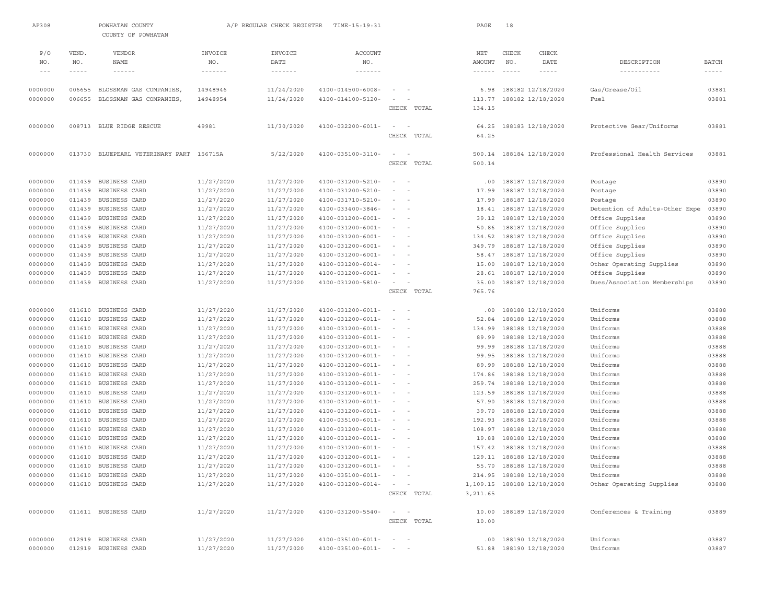| AP308                                                                                |                  | POWHATAN COUNTY<br>COUNTY OF POWHATAN    |                          | A/P REGULAR CHECK REGISTER | TIME-15:19:31                                        |                                              |             | PAGE                 | 18            |                                        |                                |                |
|--------------------------------------------------------------------------------------|------------------|------------------------------------------|--------------------------|----------------------------|------------------------------------------------------|----------------------------------------------|-------------|----------------------|---------------|----------------------------------------|--------------------------------|----------------|
| P/O<br>NO.                                                                           | VEND.<br>NO.     | <b>VENDOR</b><br><b>NAME</b>             | INVOICE<br>NO.           | INVOICE<br>DATE            | <b>ACCOUNT</b><br>NO.                                |                                              |             | NET<br><b>AMOUNT</b> | CHECK<br>NO.  | CHECK<br>DATE                          | DESCRIPTION                    | <b>BATCH</b>   |
| $\hspace{0.1cm} - \hspace{0.1cm} - \hspace{0.1cm} - \hspace{0.1cm} - \hspace{0.1cm}$ | $- - - - -$      | $\cdots \cdots \cdots \cdots$            | $\cdots$                 | $\cdots\cdots\cdots\cdots$ | $\cdots \cdots \cdots \cdots$                        |                                              |             | $- - - - - - -$      | $\frac{1}{2}$ | $\frac{1}{2}$                          | -----------                    | $- - - - -$    |
| 0000000                                                                              | 006655           | BLOSSMAN GAS COMPANIES                   | 14948946                 | 11/24/2020                 | 4100-014500-6008-                                    |                                              |             | 6.98                 |               | 188182 12/18/2020                      | Gas/Grease/Oil                 | 03881          |
| 0000000                                                                              | 006655           | BLOSSMAN GAS COMPANIES                   | 14948954                 | 11/24/2020                 | 4100-014100-5120-                                    |                                              |             | 113.77               |               | 188182 12/18/2020                      | Fuel                           | 03881          |
|                                                                                      |                  |                                          |                          |                            |                                                      |                                              | CHECK TOTAL | 134.15               |               |                                        |                                |                |
|                                                                                      |                  |                                          |                          |                            |                                                      |                                              |             |                      |               |                                        |                                |                |
| 0000000                                                                              |                  | 008713 BLUE RIDGE RESCUE                 | 49981                    | 11/30/2020                 | 4100-032200-6011-                                    |                                              | CHECK TOTAL | 64.25<br>64.25       |               | 188183 12/18/2020                      | Protective Gear/Uniforms       | 03881          |
|                                                                                      |                  |                                          |                          |                            |                                                      |                                              |             |                      |               |                                        |                                |                |
| 0000000                                                                              |                  | 013730 BLUEPEARL VETERINARY PART 156715A |                          | 5/22/2020                  | 4100-035100-3110-                                    | $\sim$<br>$\overline{\phantom{a}}$           |             | 500.14               |               | 188184 12/18/2020                      | Professional Health Services   | 03881          |
|                                                                                      |                  |                                          |                          |                            |                                                      |                                              | CHECK TOTAL | 500.14               |               |                                        |                                |                |
| 0000000                                                                              | 011439           | BUSINESS CARD                            | 11/27/2020               | 11/27/2020                 | 4100-031200-5210-                                    |                                              |             | .00                  |               | 188187 12/18/2020                      | Postage                        | 03890          |
| 0000000                                                                              | 011439           | BUSINESS CARD                            | 11/27/2020               | 11/27/2020                 | 4100-031200-5210-                                    |                                              |             | 17.99                |               | 188187 12/18/2020                      | Postage                        | 03890          |
| 0000000                                                                              | 011439           | BUSINESS CARD                            | 11/27/2020               | 11/27/2020                 | 4100-031710-5210-                                    |                                              |             | 17.99                |               | 188187 12/18/2020                      | Postage                        | 03890          |
| 0000000                                                                              | 011439           | BUSINESS CARD                            | 11/27/2020               | 11/27/2020                 | 4100-033400-3846-                                    |                                              |             | 18.41                |               | 188187 12/18/2020                      | Detention of Adults-Other Expe | 03890          |
| 0000000                                                                              | 011439           | BUSINESS CARD                            | 11/27/2020               | 11/27/2020                 | 4100-031200-6001-                                    |                                              |             | 39.12                |               | 188187 12/18/2020                      | Office Supplies                | 03890          |
| 0000000                                                                              | 011439           | BUSINESS CARD                            | 11/27/2020               | 11/27/2020                 | 4100-031200-6001-                                    | $\sim$                                       |             | 50.86                |               | 188187 12/18/2020                      | Office Supplies                | 03890          |
| 0000000                                                                              | 011439           | BUSINESS CARD                            | 11/27/2020               | 11/27/2020                 | $4100 - 031200 - 6001 -$                             | $\sim$<br>$\overline{\phantom{a}}$           |             | 134.52               |               | 188187 12/18/2020                      | Office Supplies                | 03890          |
| 0000000                                                                              | 011439           | BUSINESS CARD                            | 11/27/2020               | 11/27/2020                 | 4100-031200-6001-                                    |                                              |             | 349.79               |               | 188187 12/18/2020                      | Office Supplies                | 03890          |
| 0000000                                                                              | 011439           | BUSINESS CARD                            | 11/27/2020               | 11/27/2020                 | 4100-031200-6001-                                    | $\sim$<br>$\overline{\phantom{a}}$           |             | 58.47                |               | 188187 12/18/2020                      | Office Supplies                | 03890          |
| 0000000                                                                              | 011439           | BUSINESS CARD                            | 11/27/2020               | 11/27/2020                 | $4100 - 031200 - 6014 -$                             |                                              |             | 15.00                |               | 188187 12/18/2020                      | Other Operating Supplies       | 03890          |
| 0000000                                                                              | 011439           | BUSINESS CARD                            | 11/27/2020               | 11/27/2020                 | $4100 - 031200 - 6001$                               |                                              |             | 28.61                |               | 188187 12/18/2020                      | Office Supplies                | 03890          |
| 0000000                                                                              | 011439           | BUSINESS CARD                            | 11/27/2020               | 11/27/2020                 | 4100-031200-5810-                                    | $\sim$                                       |             | 35.00                |               | 188187 12/18/2020                      | Dues/Association Memberships   | 03890          |
|                                                                                      |                  |                                          |                          |                            |                                                      |                                              | CHECK TOTAL | 765.76               |               |                                        |                                |                |
| 0000000                                                                              | 011610           | BUSINESS CARD                            | 11/27/2020               | 11/27/2020                 | $4100 - 031200 - 6011 -$                             |                                              |             | .00                  |               | 188188 12/18/2020                      | Uniforms                       | 03888          |
| 0000000                                                                              | 011610           | BUSINESS CARD                            | 11/27/2020               | 11/27/2020                 | 4100-031200-6011-                                    |                                              |             | 52.84                |               | 188188 12/18/2020                      | Uniforms                       | 03888          |
| 0000000                                                                              | 011610           | BUSINESS CARD                            | 11/27/2020               | 11/27/2020                 | 4100-031200-6011-                                    |                                              |             | 134.99               |               | 188188 12/18/2020                      | Uniforms                       | 03888          |
| 0000000                                                                              | 011610           | BUSINESS CARD                            | 11/27/2020               | 11/27/2020                 | $4100 - 031200 - 6011 -$                             | $\sim$<br>$\overline{\phantom{a}}$           |             | 89.99                |               | 188188 12/18/2020                      | Uniforms                       | 03888          |
| 0000000                                                                              | 011610           | BUSINESS CARD                            | 11/27/2020               | 11/27/2020                 | 4100-031200-6011-                                    |                                              |             | 99.99                |               | 188188 12/18/2020                      | Uniforms                       | 03888          |
| 0000000                                                                              | 011610           | BUSINESS CARD                            | 11/27/2020               | 11/27/2020                 | 4100-031200-6011-                                    | $\sim$<br>$\overline{\phantom{a}}$           |             | 99.95                |               | 188188 12/18/2020                      | Uniforms                       | 03888          |
| 0000000                                                                              | 011610           | BUSINESS CARD                            | 11/27/2020               | 11/27/2020                 | $4100 - 031200 - 6011 -$                             |                                              |             | 89.99                |               | 188188 12/18/2020                      | Uniforms                       | 03888          |
| 0000000                                                                              | 011610           | BUSINESS CARD                            | 11/27/2020               | 11/27/2020                 | 4100-031200-6011-                                    | $\overline{\phantom{a}}$                     |             | 174.86               |               | 188188 12/18/2020                      | Uniforms                       | 03888          |
| 0000000                                                                              | 011610           | BUSINESS CARD                            | 11/27/2020               | 11/27/2020                 | $4100 - 031200 - 6011 -$                             | $\sim$                                       |             | 259.74               |               | 188188 12/18/2020                      | Uniforms                       | 03888          |
| 0000000                                                                              | 011610           | BUSINESS CARD                            | 11/27/2020               | 11/27/2020                 | $4100 - 031200 - 6011 -$                             | $\sim$                                       |             | 123.59               |               | 188188 12/18/2020                      | Uniforms                       | 03888          |
| 0000000                                                                              | 011610           | BUSINESS CARD                            | 11/27/2020               | 11/27/2020                 | $4100 - 031200 - 6011 -$                             | $\sim$                                       |             | 57.90                |               | 188188 12/18/2020                      | Uniforms                       | 03888          |
| 0000000                                                                              | 011610           | BUSINESS CARD                            | 11/27/2020               | 11/27/2020                 | 4100-031200-6011-                                    |                                              |             | 39.70                |               | 188188 12/18/2020                      | Uniforms                       | 03888          |
| 0000000                                                                              | 011610           | BUSINESS CARD                            | 11/27/2020               | 11/27/2020                 | 4100-035100-6011-                                    | $\sim$<br>$\overline{\phantom{a}}$           |             | 192.93               |               | 188188 12/18/2020                      | Uniforms                       | 03888          |
| 0000000<br>0000000                                                                   | 011610<br>011610 | BUSINESS CARD<br>BUSINESS CARD           | 11/27/2020<br>11/27/2020 | 11/27/2020<br>11/27/2020   | $4100 - 031200 - 6011 -$<br>$4100 - 031200 - 6011 -$ | $\sim$<br>$\sim$<br>$\overline{\phantom{a}}$ |             | 108.97<br>19.88      |               | 188188 12/18/2020<br>188188 12/18/2020 | Uniforms<br>Uniforms           | 03888<br>03888 |
| 0000000                                                                              | 011610           | BUSINESS CARD                            | 11/27/2020               | 11/27/2020                 | 4100-031200-6011-                                    |                                              |             | 157.42               |               | 188188 12/18/2020                      | Uniforms                       | 03888          |
| 0000000                                                                              | 011610           | BUSINESS CARD                            | 11/27/2020               | 11/27/2020                 | $4100 - 031200 - 6011 -$                             | $\sim$                                       |             |                      |               | 129.11 188188 12/18/2020               | Uniforms                       | 03888          |
| 0000000                                                                              | 011610           | BUSINESS CARD                            | 11/27/2020               | 11/27/2020                 | $4100 - 031200 - 6011 -$                             |                                              |             | 55.70                |               | 188188 12/18/2020                      | Uniforms                       | 03888          |
| 0000000                                                                              |                  | 011610 BUSINESS CARD                     | 11/27/2020               | 11/27/2020                 | $4100 - 035100 - 6011 -$                             | $-$                                          |             |                      |               | 214.95 188188 12/18/2020               | Uniforms                       | 03888          |
| 0000000                                                                              |                  | 011610 BUSINESS CARD                     | 11/27/2020               | 11/27/2020                 | $4100 - 031200 - 6014 -$                             | $\sim$                                       |             |                      |               | 1,109.15 188188 12/18/2020             | Other Operating Supplies       | 03888          |
|                                                                                      |                  |                                          |                          |                            |                                                      |                                              | CHECK TOTAL | 3,211.65             |               |                                        |                                |                |
|                                                                                      |                  |                                          |                          |                            |                                                      |                                              |             |                      |               |                                        |                                |                |
| 0000000                                                                              |                  | 011611 BUSINESS CARD                     | 11/27/2020               | 11/27/2020                 | 4100-031200-5540-                                    | $\sim$<br>$\overline{\phantom{a}}$           |             |                      |               | 10.00 188189 12/18/2020                | Conferences & Training         | 03889          |
|                                                                                      |                  |                                          |                          |                            |                                                      |                                              | CHECK TOTAL | 10.00                |               |                                        |                                |                |
| 0000000                                                                              |                  | 012919 BUSINESS CARD                     | 11/27/2020               | 11/27/2020                 | $4100 - 035100 - 6011 -$                             |                                              |             |                      |               | $.00$ 188190 12/18/2020                | Uniforms                       | 03887          |
| 0000000                                                                              |                  | 012919 BUSINESS CARD                     | 11/27/2020               | 11/27/2020                 | $4100 - 035100 - 6011 -$                             |                                              |             |                      |               | 51.88 188190 12/18/2020                | Uniforms                       | 03887          |
|                                                                                      |                  |                                          |                          |                            |                                                      |                                              |             |                      |               |                                        |                                |                |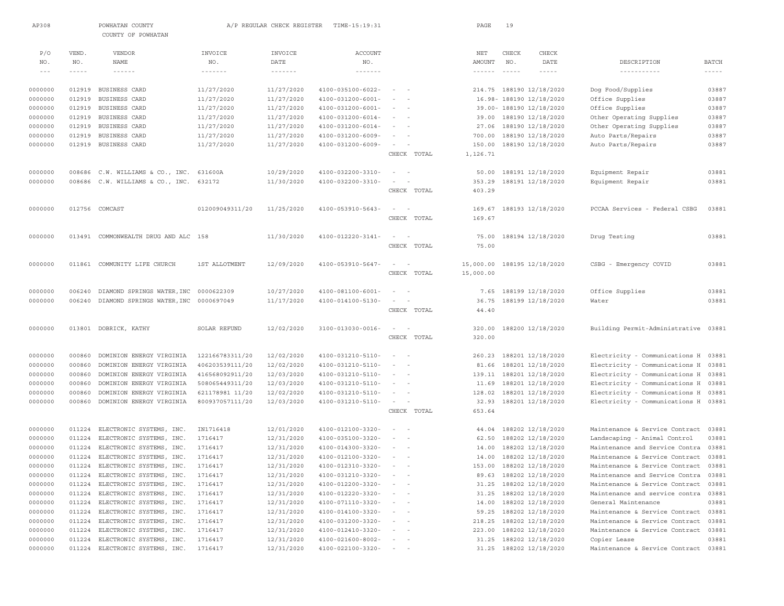| AP308             |             | POWHATAN COUNTY<br>COUNTY OF POWHATAN        |                            | A/P REGULAR CHECK REGISTER | TIME-15:19:31                 |                              |             | PAGE      | 19       |                          |                                      |               |
|-------------------|-------------|----------------------------------------------|----------------------------|----------------------------|-------------------------------|------------------------------|-------------|-----------|----------|--------------------------|--------------------------------------|---------------|
|                   |             |                                              |                            |                            |                               |                              |             |           |          |                          |                                      |               |
| P/O               | VEND.       | VENDOR                                       | INVOICE                    | INVOICE                    | ACCOUNT                       |                              |             | NET       | CHECK    | <b>CHECK</b>             |                                      |               |
| NO.               | NO.         | NAME                                         | NO.                        | DATE                       | NO.                           |                              |             | AMOUNT    | NO.      | DATE                     | DESCRIPTION                          | <b>BATCH</b>  |
| $\qquad \qquad -$ | $- - - - -$ | $\cdots\cdots\cdots\cdots$                   | $\cdots\cdots\cdots\cdots$ | $\cdots\cdots\cdots\cdots$ | $\cdots \cdots \cdots \cdots$ |                              |             | $\cdots$  | $\cdots$ | $- - - - -$              | -----------                          | $- - - - - -$ |
| 0000000           | 012919      | BUSINESS CARD                                | 11/27/2020                 | 11/27/2020                 | 4100-035100-6022-             | $\sim$                       |             |           |          | 214.75 188190 12/18/2020 | Dog Food/Supplies                    | 03887         |
| 0000000           | 012919      | BUSINESS CARD                                | 11/27/2020                 | 11/27/2020                 | $4100 - 031200 - 6001 -$      | $\sim$                       |             |           |          | 16.98-188190 12/18/2020  | Office Supplies                      | 03887         |
| 0000000           | 012919      | BUSINESS CARD                                | 11/27/2020                 | 11/27/2020                 | $4100 - 031200 - 6001 -$      | $\sim$ 100 $\sim$ 100        |             |           |          | 39.00- 188190 12/18/2020 | Office Supplies                      | 03887         |
| 0000000           | 012919      | BUSINESS CARD                                | 11/27/2020                 | 11/27/2020                 | $4100 - 031200 - 6014 -$      | $ -$                         |             |           |          | 39.00 188190 12/18/2020  | Other Operating Supplies             | 03887         |
| 0000000           | 012919      | BUSINESS CARD                                | 11/27/2020                 | 11/27/2020                 | 4100-031200-6014-             | $\sim$ $-$                   |             |           |          | 27.06 188190 12/18/2020  | Other Operating Supplies             | 03887         |
| 0000000           | 012919      | BUSINESS CARD                                | 11/27/2020                 | 11/27/2020                 | 4100-031200-6009-             |                              |             |           |          | 700.00 188190 12/18/2020 | Auto Parts/Repairs                   | 03887         |
| 0000000           |             | 012919 BUSINESS CARD                         | 11/27/2020                 | 11/27/2020                 | 4100-031200-6009-             | $\sim$                       |             | 150.00    |          | 188190 12/18/2020        | Auto Parts/Repairs                   | 03887         |
|                   |             |                                              |                            |                            |                               |                              | CHECK TOTAL | 1,126.71  |          |                          |                                      |               |
| 0000000           |             | 008686 C.W. WILLIAMS & CO., INC. 631600A     |                            | 10/29/2020                 | 4100-032200-3310-             | $\sim$<br>$\sim$             |             |           |          | 50.00 188191 12/18/2020  | Equipment Repair                     | 03881         |
| 0000000           |             | 008686 C.W. WILLIAMS & CO., INC.             | 632172                     | 11/30/2020                 | 4100-032200-3310-             | $\sim$                       |             | 353.29    |          | 188191 12/18/2020        | Equipment Repair                     | 03881         |
|                   |             |                                              |                            |                            |                               |                              | CHECK TOTAL | 403.29    |          |                          |                                      |               |
| 0000000           |             | 012756 COMCAST                               | 012009049311/20            | 11/25/2020                 | 4100-053910-5643-             | $\sim$ 100 $\sim$            |             |           |          | 169.67 188193 12/18/2020 | PCCAA Services - Federal CSBG        | 03881         |
|                   |             |                                              |                            |                            |                               |                              | CHECK TOTAL | 169.67    |          |                          |                                      |               |
| 0000000           | 013491      | COMMONWEALTH DRUG AND ALC 158                |                            | 11/30/2020                 | 4100-012220-3141-             | $\overline{\phantom{0}}$     |             | 75.00     |          | 188194 12/18/2020        | Drug Testing                         | 03881         |
|                   |             |                                              |                            |                            |                               |                              | CHECK TOTAL | 75.00     |          |                          |                                      |               |
| 0000000           | 011861      | COMMUNITY LIFE CHURCH                        | 1ST ALLOTMENT              | 12/09/2020                 | 4100-053910-5647-             | $\sim$<br>$\sim$             |             | 15,000.00 |          | 188195 12/18/2020        | CSBG - Emergency COVID               | 03881         |
|                   |             |                                              |                            |                            |                               |                              | CHECK TOTAL | 15,000.00 |          |                          |                                      |               |
| 0000000           | 006240      | DIAMOND SPRINGS WATER, INC 0000622309        |                            | 10/27/2020                 | $4100 - 081100 - 6001 -$      | $\sim$<br>$\sim$             |             | 7.65      |          | 188199 12/18/2020        | Office Supplies                      | 03881         |
| 0000000           |             | 006240 DIAMOND SPRINGS WATER, INC 0000697049 |                            | 11/17/2020                 | 4100-014100-5130-             | $\sim$                       |             | 36.75     |          | 188199 12/18/2020        | Water                                | 03881         |
|                   |             |                                              |                            |                            |                               |                              | CHECK TOTAL | 44.40     |          |                          |                                      |               |
| 0000000           |             | 013801 DOBRICK, KATHY                        | SOLAR REFUND               | 12/02/2020                 | 3100-013030-0016-             | $\sim$ 100 $\sim$ 100 $\sim$ |             | 320.00    |          | 188200 12/18/2020        | Building Permit-Administrative 03881 |               |
|                   |             |                                              |                            |                            |                               |                              | CHECK TOTAL | 320.00    |          |                          |                                      |               |
| 0000000           | 000860      | DOMINION ENERGY VIRGINIA                     | 122166783311/20            | 12/02/2020                 | 4100-031210-5110-             | $\sim$                       |             | 260.23    |          | 188201 12/18/2020        | Electricity - Communications H 03881 |               |
| 0000000           | 000860      | DOMINION ENERGY VIRGINIA                     | 406203539111/20            | 12/02/2020                 | 4100-031210-5110-             | $\sim$<br>$\sim$             |             | 81.66     |          | 188201 12/18/2020        | Electricity - Communications H       | 03881         |
| 0000000           | 000860      | DOMINION ENERGY VIRGINIA                     | 416568092911/20            | 12/03/2020                 | 4100-031210-5110-             | $\sim$ 100 $\sim$ 100 $\sim$ |             |           |          | 139.11 188201 12/18/2020 | Electricity - Communications H       | 03881         |
| 0000000           | 000860      | DOMINION ENERGY VIRGINIA                     | 508065449311/20            | 12/03/2020                 | 4100-031210-5110-             | $\sim$                       |             | 11.69     |          | 188201 12/18/2020        | Electricity - Communications H       | 03881         |
| 0000000           | 000860      | DOMINION ENERGY VIRGINIA                     | 621178981 11/20            | 12/02/2020                 | 4100-031210-5110-             | $\sim$                       |             | 128.02    |          | 188201 12/18/2020        | Electricity - Communications H       | 03881         |
| 0000000           | 000860      | DOMINION ENERGY VIRGINIA                     | 800937057111/20            | 12/03/2020                 | 4100-031210-5110-             | $\sim$                       |             | 32.93     |          | 188201 12/18/2020        | Electricity - Communications H 03881 |               |
|                   |             |                                              |                            |                            |                               |                              | CHECK TOTAL | 653.64    |          |                          |                                      |               |
| 0000000           | 011224      | ELECTRONIC SYSTEMS, INC.                     | IN1716418                  | 12/01/2020                 | 4100-012100-3320-             | $ -$                         |             | 44.04     |          | 188202 12/18/2020        | Maintenance & Service Contract 03881 |               |
| 0000000           | 011224      | ELECTRONIC SYSTEMS, INC.                     | 1716417                    | 12/31/2020                 | 4100-035100-3320-             | $\sim$                       |             |           |          | 62.50 188202 12/18/2020  | Landscaping - Animal Control         | 03881         |
| 0000000           | 011224      | ELECTRONIC SYSTEMS, INC.                     | 1716417                    | 12/31/2020                 | 4100-014300-3320-             |                              |             | 14.00     |          | 188202 12/18/2020        | Maintenance and Service Contra       | 03881         |
| 0000000           |             | 011224 ELECTRONIC SYSTEMS, INC.              | 1716417                    | 12/31/2020                 | 4100-012100-3320-             | $\sim$ $-$                   |             |           |          | 14.00 188202 12/18/2020  | Maintenance & Service Contract 03881 |               |
| 0000000           |             | 011224 ELECTRONIC SYSTEMS, INC.              | 1716417                    | 12/31/2020                 | 4100-012310-3320-             |                              |             |           |          | 153.00 188202 12/18/2020 | Maintenance & Service Contract 03881 |               |
| 0000000           |             | 011224 ELECTRONIC SYSTEMS, INC.              | 1716417                    | 12/31/2020                 | 4100-031210-3320-             | $ -$                         |             |           |          | 89.63 188202 12/18/2020  | Maintenance and Service Contra 03881 |               |
| 0000000           | 011224      | ELECTRONIC SYSTEMS, INC.                     | 1716417                    | 12/31/2020                 | 4100-012200-3320-             |                              |             |           |          | 31.25 188202 12/18/2020  | Maintenance & Service Contract 03881 |               |
| 0000000           | 011224      | ELECTRONIC SYSTEMS, INC.                     | 1716417                    | 12/31/2020                 | $4100 - 012220 - 3320 - - -$  |                              |             |           |          | 31.25 188202 12/18/2020  | Maintenance and service contra       | 03881         |
| 0000000           |             | 011224 ELECTRONIC SYSTEMS, INC.              | 1716417                    | 12/31/2020                 | $4100 - 071110 - 3320 - - -$  |                              |             |           |          | 14.00 188202 12/18/2020  | General Maintenance                  | 03881         |
| 0000000           | 011224      | ELECTRONIC SYSTEMS, INC.                     | 1716417                    | 12/31/2020                 | 4100-014100-3320-             | $\sim$ $      -$             |             |           |          | 59.25 188202 12/18/2020  | Maintenance & Service Contract 03881 |               |
| 0000000           | 011224      | ELECTRONIC SYSTEMS, INC.                     | 1716417                    | 12/31/2020                 | 4100-031200-3320-             | and the state of the         |             |           |          | 218.25 188202 12/18/2020 | Maintenance & Service Contract       | 03881         |
| 0000000           | 011224      | ELECTRONIC SYSTEMS, INC.                     | 1716417                    | 12/31/2020                 | 4100-012410-3320-             | $\sim$ $ -$                  |             |           |          | 223.00 188202 12/18/2020 | Maintenance & Service Contract       | 03881         |
| 0000000           | 011224      | ELECTRONIC SYSTEMS, INC.                     | 1716417                    | 12/31/2020                 | $4100 - 021600 - 8002 -$      |                              |             |           |          | 31.25 188202 12/18/2020  | Copier Lease                         | 03881         |
| 0000000           |             | 011224 ELECTRONIC SYSTEMS, INC.              | 1716417                    | 12/31/2020                 | $4100 - 022100 - 3320 -$      |                              |             |           |          | 31.25 188202 12/18/2020  | Maintenance & Service Contract 03881 |               |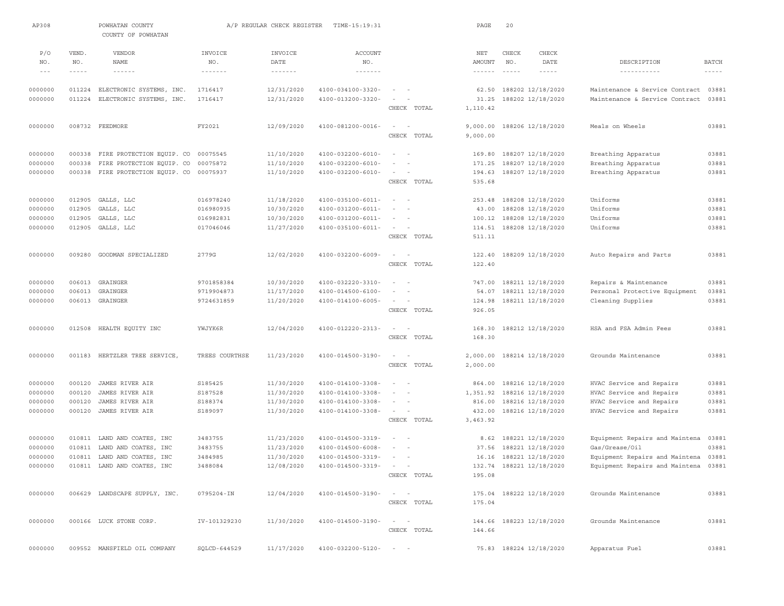| AP308             |             | POWHATAN COUNTY<br>COUNTY OF POWHATAN |                            | A/P REGULAR CHECK REGISTER | TIME-15:19:31                    |                                    | PAGE            | 20                           |                                      |               |
|-------------------|-------------|---------------------------------------|----------------------------|----------------------------|----------------------------------|------------------------------------|-----------------|------------------------------|--------------------------------------|---------------|
| P/O               | VEND.       | VENDOR                                | INVOICE                    | INVOICE                    | <b>ACCOUNT</b>                   |                                    | NET             | CHECK<br>CHECK               |                                      |               |
| NO.               | NO.         | NAME                                  | NO.                        | DATE                       | NO.                              |                                    | AMOUNT          | NO.<br>DATE                  | DESCRIPTION                          | <b>BATCH</b>  |
| $\qquad \qquad -$ | $- - - - -$ | $- - - - - - -$                       | $\cdots\cdots\cdots\cdots$ | -------                    | $\cdots\cdots\cdots\cdots\cdots$ |                                    | $- - - - - - -$ | $- - - - -$<br>$- - - - - -$ |                                      | $- - - - - -$ |
| 0000000           | 011224      | ELECTRONIC SYSTEMS, INC.              | 1716417                    | 12/31/2020                 | 4100-034100-3320-                |                                    | 62.50           | 188202 12/18/2020            | Maintenance & Service Contract       | 03881         |
| 0000000           | 011224      | ELECTRONIC SYSTEMS, INC.              | 1716417                    | 12/31/2020                 | 4100-013200-3320-                |                                    | 31.25           | 188202 12/18/2020            | Maintenance & Service Contract       | 03881         |
|                   |             |                                       |                            |                            |                                  | CHECK TOTAL                        | 1,110.42        |                              |                                      |               |
| 0000000           |             | 008732 FEEDMORE                       | FY2021                     | 12/09/2020                 | 4100-081200-0016-                | $\sim$<br>$\sim$                   | 9,000.00        | 188206 12/18/2020            | Meals on Wheels                      | 03881         |
|                   |             |                                       |                            |                            |                                  | CHECK TOTAL                        | 9,000.00        |                              |                                      |               |
| 0000000           | 000338      | FIRE PROTECTION EQUIP. CO             | 00075545                   | 11/10/2020                 | 4100-032200-6010-                | $\sim$<br>$\sim$                   | 169.80          | 188207 12/18/2020            | Breathing Apparatus                  | 03881         |
| 0000000           | 000338      | FIRE PROTECTION EQUIP. CO             | 00075872                   | 11/10/2020                 | 4100-032200-6010-                | $\sim$<br>$\sim$                   | 171.25          | 188207 12/18/2020            | Breathing Apparatus                  | 03881         |
| 0000000           | 000338      | FIRE PROTECTION EQUIP. CO             | 00075937                   | 11/10/2020                 | 4100-032200-6010-                | $\sim$<br>$\sim$                   | 194.63          | 188207 12/18/2020            | Breathing Apparatus                  | 03881         |
|                   |             |                                       |                            |                            |                                  | CHECK TOTAL                        | 535.68          |                              |                                      |               |
| 0000000           |             | 012905 GALLS, LLC                     | 016978240                  | 11/18/2020                 | 4100-035100-6011-                | $\sim$<br>$\sim$                   | 253.48          | 188208 12/18/2020            | Uniforms                             | 03881         |
| 0000000           | 012905      | GALLS, LLC                            | 016980935                  | 10/30/2020                 | 4100-031200-6011-                |                                    | 43.00           | 188208 12/18/2020            | Uniforms                             | 03881         |
| 0000000           | 012905      | GALLS, LLC                            | 016982831                  | 10/30/2020                 | 4100-031200-6011-                | $\sim$                             | 100.12          | 188208 12/18/2020            | Uniforms                             | 03881         |
| 0000000           | 012905      | GALLS, LLC                            | 017046046                  | 11/27/2020                 | $4100 - 035100 - 6011 -$         | $\sim$                             | 114.51          | 188208 12/18/2020            | Uniforms                             | 03881         |
|                   |             |                                       |                            |                            |                                  | CHECK TOTAL                        | 511.11          |                              |                                      |               |
| 0000000           | 009280      | GOODMAN SPECIALIZED                   | 2779G                      | 12/02/2020                 | 4100-032200-6009-                | $\sim$<br>$\sim$                   | 122.40          | 188209 12/18/2020            | Auto Repairs and Parts               | 03881         |
|                   |             |                                       |                            |                            |                                  | CHECK TOTAL                        | 122.40          |                              |                                      |               |
| 0000000           |             | 006013 GRAINGER                       | 9701858384                 | 10/30/2020                 | 4100-032220-3310-                | $\sim$                             | 747.00          | 188211 12/18/2020            | Repairs & Maintenance                | 03881         |
| 0000000           | 006013      | GRAINGER                              | 9719904873                 | 11/17/2020                 | $4100 - 014500 - 6100 -$         |                                    |                 | 54.07 188211 12/18/2020      | Personal Protective Equipment        | 03881         |
| 0000000           |             | 006013 GRAINGER                       | 9724631859                 | 11/20/2020                 | $4100 - 014100 - 6005 -$         | $\sim$                             | 124.98          | 188211 12/18/2020            | Cleaning Supplies                    | 03881         |
|                   |             |                                       |                            |                            |                                  | CHECK TOTAL                        | 926.05          |                              |                                      |               |
| 0000000           | 012508      | HEALTH EQUITY INC                     | YWJYK6R                    | 12/04/2020                 | 4100-012220-2313-                | $\sim$<br>$\sim$                   | 168.30          | 188212 12/18/2020            | HSA and FSA Admin Fees               | 03881         |
|                   |             |                                       |                            |                            |                                  | CHECK TOTAL                        | 168.30          |                              |                                      |               |
| 0000000           | 001183      | HERTZLER TREE SERVICE,                | TREES COURTHSE             | 11/23/2020                 | 4100-014500-3190-                | $\sim$<br>$\overline{\phantom{a}}$ | 2,000.00        | 188214 12/18/2020            | Grounds Maintenance                  | 03881         |
|                   |             |                                       |                            |                            |                                  | CHECK TOTAL                        | 2,000.00        |                              |                                      |               |
| 0000000           | 000120      | JAMES RIVER AIR                       | S185425                    | 11/30/2020                 | 4100-014100-3308-                | $\sim$<br>$\sim$                   | 864.00          | 188216 12/18/2020            | HVAC Service and Repairs             | 03881         |
| 0000000           | 000120      | JAMES RIVER AIR                       | S187528                    | 11/30/2020                 | 4100-014100-3308-                |                                    | 1,351.92        | 188216 12/18/2020            | HVAC Service and Repairs             | 03881         |
| 0000000           | 000120      | JAMES RIVER AIR                       | S188374                    | 11/30/2020                 | 4100-014100-3308-                | $\sim$<br>$\sim$                   | 816.00          | 188216 12/18/2020            | HVAC Service and Repairs             | 03881         |
| 0000000           | 000120      | JAMES RIVER AIR                       | S189097                    | 11/30/2020                 | 4100-014100-3308-                | $\sim$ 100 $\sim$ 100 $\sim$       | 432.00          | 188216 12/18/2020            | HVAC Service and Repairs             | 03881         |
|                   |             |                                       |                            |                            |                                  | CHECK TOTAL                        | 3,463.92        |                              |                                      |               |
| 0000000           | 010811      | LAND AND COATES, INC                  | 3483755                    | 11/23/2020                 | 4100-014500-3319-                | $\sim$                             | 8.62            | 188221 12/18/2020            | Equipment Repairs and Maintena       | 03881         |
| 0000000           | 010811      | LAND AND COATES, INC                  | 3483755                    | 11/23/2020                 | 4100-014500-6008-                | $\sim$                             | 37.56           | 188221 12/18/2020            | Gas/Grease/Oil                       | 03881         |
| 0000000           |             | 010811 LAND AND COATES, INC           | 3484985                    | 11/30/2020                 | 4100-014500-3319-                | $\sim$                             |                 | 16.16 188221 12/18/2020      | Equipment Repairs and Maintena 03881 |               |
| 0000000           |             | 010811 LAND AND COATES, INC           | 3488084                    | 12/08/2020                 | $4100 - 014500 - 3319 - - -$     |                                    |                 | 132.74 188221 12/18/2020     | Equipment Repairs and Maintena       | 03881         |
|                   |             |                                       |                            |                            |                                  | CHECK TOTAL                        | 195.08          |                              |                                      |               |
| 0000000           |             | 006629 LANDSCAPE SUPPLY, INC.         | 0795204-IN                 | 12/04/2020                 | 4100-014500-3190-                | $\sim$ $ -$                        |                 | 175.04 188222 12/18/2020     | Grounds Maintenance                  | 03881         |
|                   |             |                                       |                            |                            |                                  | CHECK TOTAL                        | 175.04          |                              |                                      |               |
| 0000000           |             | 000166 LUCK STONE CORP.               | IV-101329230               | 11/30/2020                 | 4100-014500-3190-                | $\alpha = 1, \ldots, n-1$          |                 | 144.66 188223 12/18/2020     | Grounds Maintenance                  | 03881         |
|                   |             |                                       |                            |                            |                                  | CHECK TOTAL                        | 144.66          |                              |                                      |               |
| 0000000           |             | 009552 MANSFIELD OIL COMPANY          | SQLCD-644529               | 11/17/2020                 | 4100-032200-5120- - -            |                                    |                 | 75.83 188224 12/18/2020      | Apparatus Fuel                       | 03881         |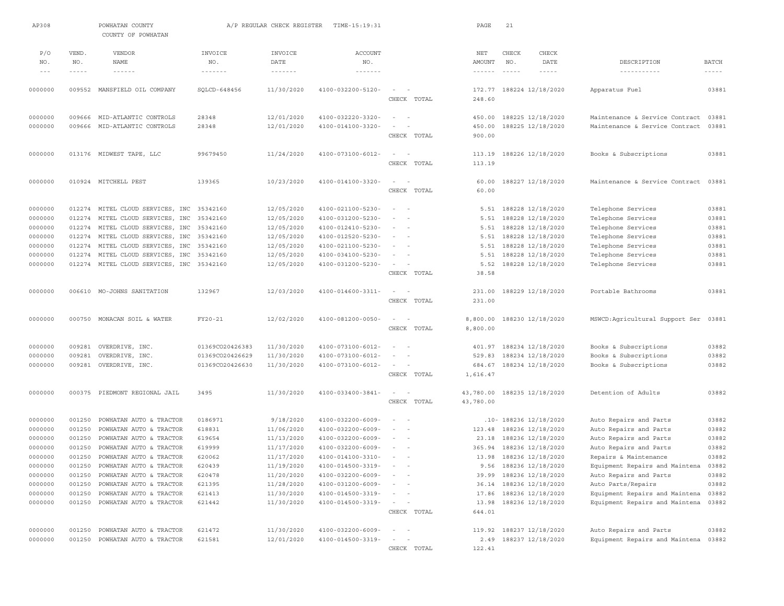| AP308              |                  | POWHATAN COUNTY<br>COUNTY OF POWHATAN              |                                      | A/P REGULAR CHECK REGISTER           | TIME-15:19:31                                 |                                    | PAGE                          | 21           |                                                   |                                                         |                                                                                                                                                                                                                                                                                                                                                                                              |
|--------------------|------------------|----------------------------------------------------|--------------------------------------|--------------------------------------|-----------------------------------------------|------------------------------------|-------------------------------|--------------|---------------------------------------------------|---------------------------------------------------------|----------------------------------------------------------------------------------------------------------------------------------------------------------------------------------------------------------------------------------------------------------------------------------------------------------------------------------------------------------------------------------------------|
| P/O<br>NO.         | VEND.<br>NO.     | <b>VENDOR</b><br>NAME                              | INVOICE<br>NO.                       | INVOICE<br>DATE                      | <b>ACCOUNT</b><br>NO.                         |                                    | NET<br>AMOUNT                 | CHECK<br>NO. | CHECK<br>DATE                                     | DESCRIPTION                                             | <b>BATCH</b>                                                                                                                                                                                                                                                                                                                                                                                 |
| $\cdots$           | $- - - - -$      | $\cdots \cdots \cdots \cdots$                      | $\cdots \cdots \cdots \cdots \cdots$ | $\cdots \cdots \cdots \cdots \cdots$ | $\cdots \cdots \cdots \cdots \cdots$          |                                    | $\cdots \cdots \cdots \cdots$ | $\cdots$     | $- - - - - -$                                     | -----------                                             | $\frac{1}{2} \frac{1}{2} \frac{1}{2} \frac{1}{2} \frac{1}{2} \frac{1}{2} \frac{1}{2} \frac{1}{2} \frac{1}{2} \frac{1}{2} \frac{1}{2} \frac{1}{2} \frac{1}{2} \frac{1}{2} \frac{1}{2} \frac{1}{2} \frac{1}{2} \frac{1}{2} \frac{1}{2} \frac{1}{2} \frac{1}{2} \frac{1}{2} \frac{1}{2} \frac{1}{2} \frac{1}{2} \frac{1}{2} \frac{1}{2} \frac{1}{2} \frac{1}{2} \frac{1}{2} \frac{1}{2} \frac{$ |
|                    |                  |                                                    |                                      |                                      |                                               |                                    |                               |              |                                                   |                                                         |                                                                                                                                                                                                                                                                                                                                                                                              |
| 0000000            |                  | 009552 MANSFIELD OIL COMPANY                       | SQLCD-648456                         | 11/30/2020                           | 4100-032200-5120-                             | $\sim$<br>$\sim$<br>CHECK TOTAL    | 172.77<br>248.60              |              | 188224 12/18/2020                                 | Apparatus Fuel                                          | 03881                                                                                                                                                                                                                                                                                                                                                                                        |
|                    |                  |                                                    |                                      |                                      |                                               |                                    |                               |              |                                                   |                                                         |                                                                                                                                                                                                                                                                                                                                                                                              |
| 0000000            | 009666           | MID-ATLANTIC CONTROLS                              | 28348                                | 12/01/2020                           | 4100-032220-3320-                             | $\sim$<br>$\sim$                   | 450.00                        |              | 188225 12/18/2020                                 | Maintenance & Service Contract                          | 03881                                                                                                                                                                                                                                                                                                                                                                                        |
| 0000000            | 009666           | MID-ATLANTIC CONTROLS                              | 28348                                | 12/01/2020                           | 4100-014100-3320-                             | $\sim$                             | 450.00                        |              | 188225 12/18/2020                                 | Maintenance & Service Contract                          | 03881                                                                                                                                                                                                                                                                                                                                                                                        |
|                    |                  |                                                    |                                      |                                      |                                               | CHECK TOTAL                        | 900.00                        |              |                                                   |                                                         |                                                                                                                                                                                                                                                                                                                                                                                              |
| 0000000            |                  | 013176 MIDWEST TAPE, LLC                           | 99679450                             | 11/24/2020                           | $4100 - 073100 - 6012 -$                      | $\overline{\phantom{a}}$           | 113.19                        |              | 188226 12/18/2020                                 | Books & Subscriptions                                   | 03881                                                                                                                                                                                                                                                                                                                                                                                        |
|                    |                  |                                                    |                                      |                                      |                                               | CHECK TOTAL                        | 113.19                        |              |                                                   |                                                         |                                                                                                                                                                                                                                                                                                                                                                                              |
|                    |                  |                                                    |                                      |                                      |                                               |                                    |                               |              |                                                   |                                                         |                                                                                                                                                                                                                                                                                                                                                                                              |
| 0000000            |                  | 010924 MITCHELL PEST                               | 139365                               | 10/23/2020                           | 4100-014100-3320-                             | $\sim$<br>$\sim$                   | 60.00                         |              | 188227 12/18/2020                                 | Maintenance & Service Contract                          | 03881                                                                                                                                                                                                                                                                                                                                                                                        |
|                    |                  |                                                    |                                      |                                      |                                               | CHECK TOTAL                        | 60.00                         |              |                                                   |                                                         |                                                                                                                                                                                                                                                                                                                                                                                              |
| 0000000            |                  | 012274 MITEL CLOUD SERVICES, INC                   | 35342160                             | 12/05/2020                           | 4100-021100-5230-                             |                                    | 5.51                          |              | 188228 12/18/2020                                 | Telephone Services                                      | 03881                                                                                                                                                                                                                                                                                                                                                                                        |
| 0000000            | 012274           | MITEL CLOUD SERVICES, INC                          | 35342160                             | 12/05/2020                           | 4100-031200-5230-                             | $\sim$<br>$\sim$                   | 5.51                          |              | 188228 12/18/2020                                 | Telephone Services                                      | 03881                                                                                                                                                                                                                                                                                                                                                                                        |
| 0000000            | 012274           | MITEL CLOUD SERVICES, INC                          | 35342160                             | 12/05/2020                           | 4100-012410-5230-                             | $ -$                               | 5.51                          |              | 188228 12/18/2020                                 | Telephone Services                                      | 03881                                                                                                                                                                                                                                                                                                                                                                                        |
| 0000000            | 012274           | MITEL CLOUD SERVICES, INC                          | 35342160                             | 12/05/2020                           | 4100-012520-5230-                             | $\sim$<br>$\sim$                   | 5.51                          |              | 188228 12/18/2020                                 | Telephone Services                                      | 03881                                                                                                                                                                                                                                                                                                                                                                                        |
| 0000000            | 012274           | MITEL CLOUD SERVICES, INC                          | 35342160                             | 12/05/2020                           | 4100-021100-5230-                             | $\sim$                             | 5.51                          |              | 188228 12/18/2020                                 | Telephone Services                                      | 03881                                                                                                                                                                                                                                                                                                                                                                                        |
| 0000000            | 012274           | MITEL CLOUD SERVICES, INC                          | 35342160                             | 12/05/2020                           | 4100-034100-5230-                             | $\sim$                             | 5.51                          |              | 188228 12/18/2020                                 | Telephone Services                                      | 03881                                                                                                                                                                                                                                                                                                                                                                                        |
| 0000000            | 012274           | MITEL CLOUD SERVICES, INC                          | 35342160                             | 12/05/2020                           | 4100-031200-5230-                             | $\sim$                             | 5.52                          |              | 188228 12/18/2020                                 | Telephone Services                                      | 03881                                                                                                                                                                                                                                                                                                                                                                                        |
|                    |                  |                                                    |                                      |                                      |                                               | CHECK TOTAL                        | 38.58                         |              |                                                   |                                                         |                                                                                                                                                                                                                                                                                                                                                                                              |
| 0000000            |                  | 006610 MO-JOHNS SANITATION                         | 132967                               | 12/03/2020                           | 4100-014600-3311-                             | $\sim$<br>$\sim$                   | 231.00                        |              | 188229 12/18/2020                                 | Portable Bathrooms                                      | 03881                                                                                                                                                                                                                                                                                                                                                                                        |
|                    |                  |                                                    |                                      |                                      |                                               | CHECK TOTAL                        | 231.00                        |              |                                                   |                                                         |                                                                                                                                                                                                                                                                                                                                                                                              |
| 0000000            | 000750           | MONACAN SOIL & WATER                               | FY20-21                              | 12/02/2020                           | 4100-081200-0050-                             | $\sim$                             | 8,800.00                      |              | 188230 12/18/2020                                 | MSWCD:Agricultural Support Ser                          | 03881                                                                                                                                                                                                                                                                                                                                                                                        |
|                    |                  |                                                    |                                      |                                      |                                               | CHECK TOTAL                        | 8,800.00                      |              |                                                   |                                                         |                                                                                                                                                                                                                                                                                                                                                                                              |
|                    | 009281           |                                                    | 01369CO20426383                      | 11/30/2020                           | 4100-073100-6012-                             | $\overline{\phantom{a}}$<br>$\sim$ | 401.97                        |              |                                                   |                                                         | 03882                                                                                                                                                                                                                                                                                                                                                                                        |
| 0000000<br>0000000 | 009281           | OVERDRIVE, INC.<br>OVERDRIVE, INC.                 | 01369CO20426629                      | 11/30/2020                           | 4100-073100-6012-                             |                                    | 529.83                        |              | 188234 12/18/2020<br>188234 12/18/2020            | Books & Subscriptions<br>Books & Subscriptions          | 03882                                                                                                                                                                                                                                                                                                                                                                                        |
| 0000000            | 009281           | OVERDRIVE, INC.                                    | 01369CO20426630                      | 11/30/2020                           | 4100-073100-6012-                             | $\sim$<br>$\sim$                   | 684.67                        |              | 188234 12/18/2020                                 | Books & Subscriptions                                   | 03882                                                                                                                                                                                                                                                                                                                                                                                        |
|                    |                  |                                                    |                                      |                                      |                                               | CHECK TOTAL                        | 1,616.47                      |              |                                                   |                                                         |                                                                                                                                                                                                                                                                                                                                                                                              |
| 0000000            |                  |                                                    | 3495                                 |                                      |                                               | - 1                                |                               |              |                                                   | Detention of Adults                                     | 03882                                                                                                                                                                                                                                                                                                                                                                                        |
|                    | 000375           | PIEDMONT REGIONAL JAIL                             |                                      | 11/30/2020                           | 4100-033400-3841-                             | CHECK TOTAL                        | 43,780.00<br>43,780.00        |              | 188235 12/18/2020                                 |                                                         |                                                                                                                                                                                                                                                                                                                                                                                              |
|                    |                  |                                                    |                                      |                                      |                                               |                                    |                               |              |                                                   |                                                         |                                                                                                                                                                                                                                                                                                                                                                                              |
| 0000000            | 001250           | POWHATAN AUTO & TRACTOR                            | 0186971                              | 9/18/2020                            | 4100-032200-6009-                             | $\sim$<br>$\sim$                   |                               |              | .10- 188236 12/18/2020                            | Auto Repairs and Parts                                  | 03882                                                                                                                                                                                                                                                                                                                                                                                        |
| 0000000            | 001250           | POWHATAN AUTO & TRACTOR                            | 618831                               | 11/06/2020                           | 4100-032200-6009-                             | $\sim$<br>$\sim$                   | 123.48                        |              | 188236 12/18/2020                                 | Auto Repairs and Parts                                  | 03882                                                                                                                                                                                                                                                                                                                                                                                        |
| 0000000            | 001250           | POWHATAN AUTO & TRACTOR                            | 619654                               | 11/13/2020                           | 4100-032200-6009-                             | $\sim$ 100 $\sim$ 100              | 23.18                         |              | 188236 12/18/2020                                 | Auto Repairs and Parts                                  | 03882                                                                                                                                                                                                                                                                                                                                                                                        |
| 0000000            | 001250           | POWHATAN AUTO & TRACTOR                            | 619999                               | 11/17/2020                           | 4100-032200-6009-                             | $\sim$                             | 365.94                        |              | 188236 12/18/2020                                 | Auto Repairs and Parts                                  | 03882                                                                                                                                                                                                                                                                                                                                                                                        |
| 0000000<br>0000000 | 001250<br>001250 | POWHATAN AUTO & TRACTOR<br>POWHATAN AUTO & TRACTOR | 620062                               | 11/17/2020<br>11/19/2020             | 4100-014100-3310-                             | $\sim$                             | 13.98                         |              | 188236 12/18/2020                                 | Repairs & Maintenance<br>Equipment Repairs and Maintena | 03882<br>03882                                                                                                                                                                                                                                                                                                                                                                               |
| 0000000            |                  | 001250 POWHATAN AUTO & TRACTOR                     | 620439<br>620478                     | 11/20/2020                           | $4100 - 014500 - 3319 -$<br>4100-032200-6009- |                                    |                               |              | 9.56 188236 12/18/2020<br>39.99 188236 12/18/2020 | Auto Repairs and Parts                                  | 03882                                                                                                                                                                                                                                                                                                                                                                                        |
| 0000000            | 001250           | POWHATAN AUTO & TRACTOR                            | 621395                               | 11/28/2020                           | 4100-031200-6009-                             | $\sim$                             | 36.14                         |              | 188236 12/18/2020                                 | Auto Parts/Repairs                                      | 03882                                                                                                                                                                                                                                                                                                                                                                                        |
| 0000000            | 001250           | POWHATAN AUTO & TRACTOR                            | 621413                               | 11/30/2020                           | 4100-014500-3319-                             |                                    | 17.86                         |              | 188236 12/18/2020                                 | Equipment Repairs and Maintena                          | 03882                                                                                                                                                                                                                                                                                                                                                                                        |
| 0000000            |                  | 001250 POWHATAN AUTO & TRACTOR                     | 621442                               | 11/30/2020                           | 4100-014500-3319-                             | $\sim$<br>$\overline{\phantom{a}}$ | 13.98                         |              | 188236 12/18/2020                                 | Equipment Repairs and Maintena                          | 03882                                                                                                                                                                                                                                                                                                                                                                                        |
|                    |                  |                                                    |                                      |                                      |                                               | CHECK TOTAL                        | 644.01                        |              |                                                   |                                                         |                                                                                                                                                                                                                                                                                                                                                                                              |
| 0000000            | 001250           | POWHATAN AUTO & TRACTOR                            | 621472                               | 11/30/2020                           | 4100-032200-6009-                             | $\sim$                             | 119.92                        |              | 188237 12/18/2020                                 | Auto Repairs and Parts                                  | 03882                                                                                                                                                                                                                                                                                                                                                                                        |
| 0000000            | 001250           | POWHATAN AUTO & TRACTOR                            | 621581                               | 12/01/2020                           | 4100-014500-3319-                             | $\overline{\phantom{a}}$           | 2.49                          |              | 188237 12/18/2020                                 | Equipment Repairs and Maintena                          | 03882                                                                                                                                                                                                                                                                                                                                                                                        |
|                    |                  |                                                    |                                      |                                      |                                               | CHECK TOTAL                        | 122.41                        |              |                                                   |                                                         |                                                                                                                                                                                                                                                                                                                                                                                              |
|                    |                  |                                                    |                                      |                                      |                                               |                                    |                               |              |                                                   |                                                         |                                                                                                                                                                                                                                                                                                                                                                                              |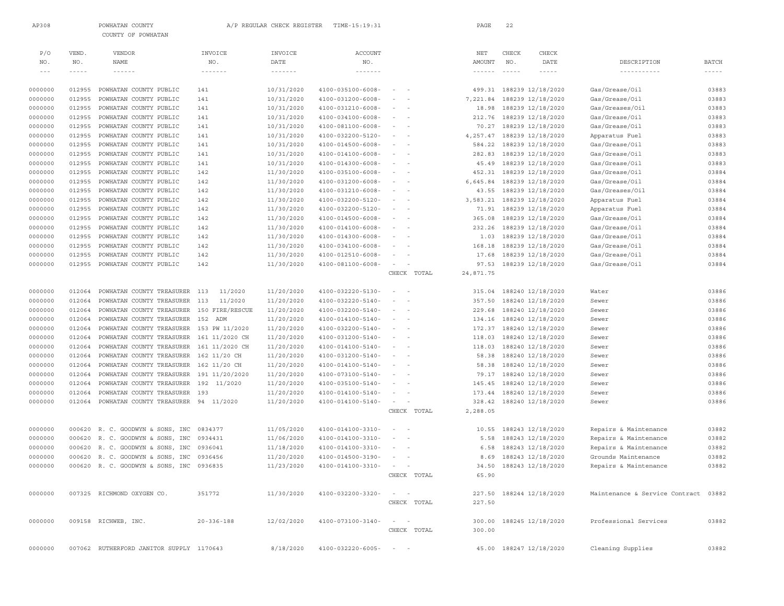| AP308                    |                      | POWHATAN COUNTY                          |                                             | A/P REGULAR CHECK REGISTER         | TIME-15:19:31                                  |                                                                   | PAGE                    | 22                        |                          |                                      |                               |
|--------------------------|----------------------|------------------------------------------|---------------------------------------------|------------------------------------|------------------------------------------------|-------------------------------------------------------------------|-------------------------|---------------------------|--------------------------|--------------------------------------|-------------------------------|
|                          |                      | COUNTY OF POWHATAN                       |                                             |                                    |                                                |                                                                   |                         |                           |                          |                                      |                               |
|                          |                      |                                          |                                             |                                    |                                                |                                                                   |                         |                           |                          |                                      |                               |
| P/O                      | VEND.                | VENDOR                                   | INVOICE                                     | INVOICE                            | ACCOUNT                                        |                                                                   | NET                     | CHECK                     | CHECK                    |                                      |                               |
| NO.<br>$\qquad \qquad -$ | NO.<br>$- - - - - -$ | NAME<br>$- - - - - -$                    | NO.<br>$\cdots \cdots \cdots \cdots \cdots$ | DATE<br>$\cdots\cdots\cdots\cdots$ | $\rm NO$ .<br>$\cdots\cdots\cdots\cdots\cdots$ |                                                                   | AMOUNT<br>$- - - - - -$ | $_{\rm NO}$ .<br>$\cdots$ | DATE<br>$- - - - - -$    | DESCRIPTION                          | <b>BATCH</b><br>$- - - - - -$ |
|                          |                      |                                          |                                             |                                    |                                                |                                                                   |                         |                           |                          |                                      |                               |
| 0000000                  | 012955               | POWHATAN COUNTY PUBLIC                   | 141                                         | 10/31/2020                         | $4100 - 035100 - 6008 -$                       | $\sim$                                                            | 499.31                  |                           | 188239 12/18/2020        | Gas/Grease/Oil                       | 03883                         |
| 0000000                  | 012955               | POWHATAN COUNTY PUBLIC                   | 141                                         | 10/31/2020                         | 4100-031200-6008-                              |                                                                   | 7,221.84                |                           | 188239 12/18/2020        | Gas/Grease/Oil                       | 03883                         |
| 0000000                  | 012955               | POWHATAN COUNTY PUBLIC                   | 141                                         | 10/31/2020                         | 4100-031210-6008-                              | $\sim$<br>$\sim$                                                  | 18.98                   |                           | 188239 12/18/2020        | Gas/Greases/Oil                      | 03883                         |
| 0000000                  | 012955               | POWHATAN COUNTY PUBLIC                   | 141                                         | 10/31/2020                         | 4100-034100-6008-                              | $\sim$                                                            | 212.76                  |                           | 188239 12/18/2020        | Gas/Grease/Oil                       | 03883                         |
| 0000000                  | 012955               | POWHATAN COUNTY PUBLIC                   | 141                                         | 10/31/2020                         | 4100-081100-6008-                              | $\overline{\phantom{a}}$<br>$\overline{\phantom{a}}$              | 70.27                   |                           | 188239 12/18/2020        | Gas/Grease/Oil                       | 03883                         |
| 0000000                  | 012955               | POWHATAN COUNTY PUBLIC                   | 141                                         | 10/31/2020                         | 4100-032200-5120-                              | $\overline{\phantom{a}}$<br>$\overline{\phantom{a}}$              | 4,257.47                |                           | 188239 12/18/2020        | Apparatus Fuel                       | 03883                         |
| 0000000                  | 012955               | POWHATAN COUNTY PUBLIC                   | 141                                         | 10/31/2020                         | 4100-014500-6008-                              | $\sim$<br>$\overline{\phantom{a}}$                                | 584.22                  |                           | 188239 12/18/2020        | Gas/Grease/Oil                       | 03883                         |
| 0000000                  | 012955               | POWHATAN COUNTY PUBLIC                   | 141                                         | 10/31/2020                         | 4100-014100-6008-                              | $\sim$<br>$\sim$                                                  | 282.83                  |                           | 188239 12/18/2020        | Gas/Grease/Oil                       | 03883                         |
| 0000000                  | 012955               | POWHATAN COUNTY PUBLIC                   | 141                                         | 10/31/2020                         | 4100-014300-6008-                              | $\sim$                                                            | 45.49                   |                           | 188239 12/18/2020        | Gas/Grease/Oil                       | 03883                         |
| 0000000                  | 012955               | POWHATAN COUNTY PUBLIC                   | 142                                         | 11/30/2020                         | 4100-035100-6008-                              | $\sim$<br>$\sim$                                                  | 452.31                  |                           | 188239 12/18/2020        | Gas/Grease/Oil                       | 03884                         |
| 0000000                  | 012955               | POWHATAN COUNTY PUBLIC                   | 142                                         | 11/30/2020                         | 4100-031200-6008-                              |                                                                   | 6,645.84                |                           | 188239 12/18/2020        | Gas/Grease/Oil                       | 03884                         |
| 0000000                  | 012955               | POWHATAN COUNTY PUBLIC                   | 142                                         | 11/30/2020                         | 4100-031210-6008-                              | $\overline{\phantom{a}}$<br>$\sim$                                | 43.55                   |                           | 188239 12/18/2020        | Gas/Greases/Oil                      | 03884                         |
| 0000000                  | 012955               | POWHATAN COUNTY PUBLIC                   | 142                                         | 11/30/2020                         | 4100-032200-5120-                              | $\sim$                                                            | 3,583.21                |                           | 188239 12/18/2020        | Apparatus Fuel                       | 03884                         |
| 0000000                  | 012955               | POWHATAN COUNTY PUBLIC                   | 142                                         | 11/30/2020                         | 4100-032200-5120-                              | $\sim$<br>$\sim$                                                  | 71.91                   |                           | 188239 12/18/2020        | Apparatus Fuel                       | 03884                         |
| 0000000                  | 012955               | POWHATAN COUNTY PUBLIC                   | 142                                         | 11/30/2020                         | 4100-014500-6008-                              | $\sim$                                                            | 365.08                  |                           | 188239 12/18/2020        | Gas/Grease/Oil                       | 03884                         |
| 0000000                  | 012955               | POWHATAN COUNTY PUBLIC                   | 142                                         | 11/30/2020                         | 4100-014100-6008-                              | $\overline{\phantom{a}}$<br>$\overline{\phantom{a}}$              | 232.26                  |                           | 188239 12/18/2020        | Gas/Grease/Oil                       | 03884                         |
| 0000000                  | 012955               | POWHATAN COUNTY PUBLIC                   | 142                                         | 11/30/2020                         | 4100-014300-6008-                              | $\overline{\phantom{a}}$<br>$\overline{\phantom{a}}$              | 1.03                    |                           | 188239 12/18/2020        | Gas/Grease/Oil                       | 03884                         |
| 0000000                  | 012955               | POWHATAN COUNTY PUBLIC                   | 142                                         | 11/30/2020                         | 4100-034100-6008-                              | $\sim$<br>$\overline{\phantom{a}}$                                | 168.18                  |                           | 188239 12/18/2020        | Gas/Grease/Oil                       | 03884                         |
| 0000000                  | 012955               | POWHATAN COUNTY PUBLIC                   | 142                                         | 11/30/2020                         | 4100-012510-6008-                              | $\sim$<br>$\overline{\phantom{a}}$                                | 17.68                   |                           | 188239 12/18/2020        | Gas/Grease/Oil                       | 03884                         |
| 0000000                  | 012955               | POWHATAN COUNTY PUBLIC                   | 142                                         | 11/30/2020                         | 4100-081100-6008-                              | $\sim$<br>$\overline{\phantom{a}}$                                | 97.53                   |                           | 188239 12/18/2020        | Gas/Grease/Oil                       | 03884                         |
|                          |                      |                                          |                                             |                                    |                                                | CHECK TOTAL                                                       | 24,871.75               |                           |                          |                                      |                               |
|                          |                      |                                          |                                             |                                    |                                                |                                                                   |                         |                           |                          |                                      |                               |
| 0000000                  | 012064               | POWHATAN COUNTY TREASURER                | 113<br>11/2020                              | 11/20/2020                         | 4100-032220-5130-                              | $\sim$                                                            | 315.04                  |                           | 188240 12/18/2020        | Water                                | 03886                         |
| 0000000                  | 012064               | POWHATAN COUNTY TREASURER                | 11/2020<br>113                              | 11/20/2020                         | 4100-032220-5140-                              | $\sim$                                                            | 357.50                  |                           | 188240 12/18/2020        | Sewer                                | 03886                         |
| 0000000                  | 012064               | POWHATAN COUNTY TREASURER                | 150 FIRE/RESCUE                             | 11/20/2020                         | 4100-032200-5140-                              | $\sim$<br>$\sim$                                                  | 229.68                  |                           | 188240 12/18/2020        | Sewer                                | 03886                         |
| 0000000                  | 012064               | POWHATAN COUNTY TREASURER                | 152 ADM                                     | 11/20/2020                         | 4100-014100-5140-                              | $\sim$                                                            | 134.16                  |                           | 188240 12/18/2020        | Sewer                                | 03886                         |
| 0000000                  | 012064               | POWHATAN COUNTY TREASURER                | 153 PW 11/2020                              | 11/20/2020                         | 4100-032200-5140-                              | $\overline{\phantom{a}}$                                          | 172.37                  |                           | 188240 12/18/2020        | Sewer                                | 03886                         |
| 0000000                  | 012064               | POWHATAN COUNTY TREASURER                | 161 11/2020 CH                              | 11/20/2020                         | 4100-031200-5140-                              | $\overline{\phantom{a}}$<br>$\overline{\phantom{a}}$              | 118.03                  |                           | 188240 12/18/2020        | Sewer                                | 03886                         |
| 0000000                  | 012064               | POWHATAN COUNTY TREASURER                | 161 11/2020 CH                              | 11/20/2020                         | 4100-014100-5140-                              | $\sim$<br>$\overline{\phantom{a}}$                                | 118.03                  |                           | 188240 12/18/2020        | Sewer                                | 03886                         |
| 0000000                  | 012064               | POWHATAN COUNTY TREASURER 162 11/20 CH   |                                             | 11/20/2020                         | 4100-031200-5140-                              | $\sim$<br>$\overline{\phantom{a}}$                                | 58.38                   |                           | 188240 12/18/2020        | Sewer                                | 03886                         |
| 0000000                  | 012064               | POWHATAN COUNTY TREASURER                | 162 11/20 CH                                | 11/20/2020                         | 4100-014100-5140-                              | $\sim$<br>$\sim$                                                  | 58.38                   |                           | 188240 12/18/2020        | Sewer                                | 03886                         |
| 0000000                  | 012064               | POWHATAN COUNTY TREASURER                | 191 11/20/2020                              | 11/20/2020                         | 4100-073100-5140-                              | $\sim$<br>$\sim$                                                  | 79.17                   |                           | 188240 12/18/2020        | Sewer                                | 03886                         |
| 0000000                  | 012064               | POWHATAN COUNTY TREASURER                | 192 11/2020                                 | 11/20/2020                         | 4100-035100-5140-                              |                                                                   | 145.45                  |                           | 188240 12/18/2020        | Sewer                                | 03886                         |
| 0000000                  | 012064               | POWHATAN COUNTY TREASURER                | 193                                         | 11/20/2020                         | 4100-014100-5140-                              | $\overline{\phantom{a}}$<br>$\overline{\phantom{a}}$              | 173.44                  |                           | 188240 12/18/2020        | Sewer                                | 03886                         |
| 0000000                  | 012064               | POWHATAN COUNTY TREASURER 94 11/2020     |                                             | 11/20/2020                         | 4100-014100-5140-                              | $\sim$                                                            | 328.42                  |                           | 188240 12/18/2020        | Sewer                                | 03886                         |
|                          |                      |                                          |                                             |                                    |                                                | CHECK TOTAL                                                       | 2,288.05                |                           |                          |                                      |                               |
|                          |                      |                                          |                                             |                                    |                                                |                                                                   |                         |                           |                          |                                      |                               |
| 0000000                  | 000620               | R. C. GOODWYN & SONS, INC                | 0834377                                     | 11/05/2020                         | 4100-014100-3310-                              | $\overline{\phantom{a}}$<br>$\overline{\phantom{a}}$              | 10.55                   |                           | 188243 12/18/2020        | Repairs & Maintenance                | 03882                         |
| 0000000                  | 000620               | R. C. GOODWYN & SONS, INC                | 0934431                                     | 11/06/2020                         | 4100-014100-3310-                              | $\overline{\phantom{a}}$                                          | 5.58                    |                           | 188243 12/18/2020        | Repairs & Maintenance                | 03882                         |
| 0000000                  |                      | 000620 R. C. GOODWYN & SONS, INC         | 0936041                                     | 11/18/2020                         | 4100-014100-3310-                              | $\overline{\phantom{a}}$                                          | 6.58                    |                           | 188243 12/18/2020        | Repairs & Maintenance                | 03882                         |
| 0000000                  |                      | 000620 R. C. GOODWYN & SONS, INC 0936456 |                                             | 11/20/2020                         | 4100-014500-3190-                              | $\sim$ $  -$                                                      |                         |                           | 8.69 188243 12/18/2020   | Grounds Maintenance                  | 03882                         |
| 0000000                  |                      | 000620 R. C. GOODWYN & SONS, INC 0936835 |                                             | 11/23/2020                         | 4100-014100-3310-                              | the contract of the con-                                          |                         |                           | 34.50 188243 12/18/2020  | Repairs & Maintenance                | 03882                         |
|                          |                      |                                          |                                             |                                    |                                                | CHECK TOTAL                                                       | 65.90                   |                           |                          |                                      |                               |
|                          |                      |                                          |                                             |                                    |                                                |                                                                   |                         |                           |                          |                                      |                               |
| 0000000                  |                      | 007325 RICHMOND OXYGEN CO.               | 351772                                      | 11/30/2020                         | 4100-032200-3320-                              | $\sim$ $    -$                                                    | 227.50                  |                           | 188244 12/18/2020        | Maintenance & Service Contract 03882 |                               |
|                          |                      |                                          |                                             |                                    |                                                | CHECK TOTAL                                                       | 227.50                  |                           |                          |                                      |                               |
|                          |                      |                                          |                                             |                                    |                                                |                                                                   |                         |                           |                          |                                      |                               |
| 0000000                  |                      | 009158 RICHWEB, INC.                     | $20 - 336 - 188$                            | 12/02/2020                         | 4100-073100-3140-                              | $\mathcal{L} = \mathcal{L} \mathcal{L} = \mathcal{L} \mathcal{L}$ |                         |                           | 300.00 188245 12/18/2020 | Professional Services                | 03882                         |
|                          |                      |                                          |                                             |                                    |                                                | CHECK TOTAL                                                       | 300.00                  |                           |                          |                                      |                               |
|                          |                      |                                          |                                             |                                    |                                                |                                                                   |                         |                           |                          |                                      |                               |
| 0000000                  |                      | 007062 RUTHERFORD JANITOR SUPPLY 1170643 |                                             | 8/18/2020                          | $4100 - 032220 - 6005 - - -$                   |                                                                   |                         |                           | 45.00 188247 12/18/2020  | Cleaning Supplies                    | 03882                         |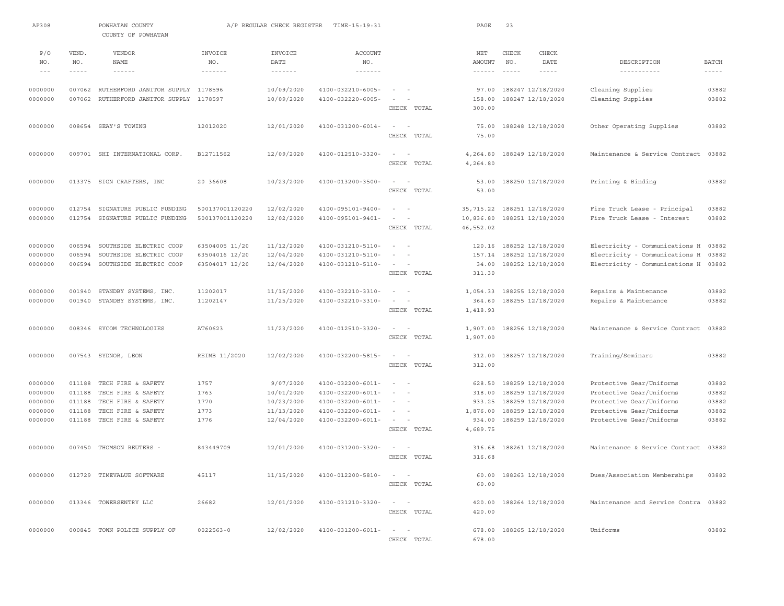| AP308                                                                                                                                                                                                                                                                                                                                                                                               |                  | POWHATAN COUNTY<br>COUNTY OF POWHATAN                                         |                                      | A/P REGULAR CHECK REGISTER           | TIME-15:19:31                                                                                                                                                                                                                                                                                                                                                                                                                                                                     |                                    | PAGE                        | 23                                                                                                                                                                                                                                                                                                                                                                                                  |                                                                                                                                                                                                                                                                                                                                                                                              |                                                      |                                                                                                                                                                                                                                                                                                                                                                                                              |
|-----------------------------------------------------------------------------------------------------------------------------------------------------------------------------------------------------------------------------------------------------------------------------------------------------------------------------------------------------------------------------------------------------|------------------|-------------------------------------------------------------------------------|--------------------------------------|--------------------------------------|-----------------------------------------------------------------------------------------------------------------------------------------------------------------------------------------------------------------------------------------------------------------------------------------------------------------------------------------------------------------------------------------------------------------------------------------------------------------------------------|------------------------------------|-----------------------------|-----------------------------------------------------------------------------------------------------------------------------------------------------------------------------------------------------------------------------------------------------------------------------------------------------------------------------------------------------------------------------------------------------|----------------------------------------------------------------------------------------------------------------------------------------------------------------------------------------------------------------------------------------------------------------------------------------------------------------------------------------------------------------------------------------------|------------------------------------------------------|--------------------------------------------------------------------------------------------------------------------------------------------------------------------------------------------------------------------------------------------------------------------------------------------------------------------------------------------------------------------------------------------------------------|
| P/O                                                                                                                                                                                                                                                                                                                                                                                                 | VEND.<br>NO.     | <b>VENDOR</b><br><b>NAME</b>                                                  | INVOICE<br>NO.                       | INVOICE<br><b>DATE</b>               | <b>ACCOUNT</b>                                                                                                                                                                                                                                                                                                                                                                                                                                                                    |                                    | $_{\rm NET}$                | CHECK                                                                                                                                                                                                                                                                                                                                                                                               | CHECK<br>DATE                                                                                                                                                                                                                                                                                                                                                                                | DESCRIPTION                                          |                                                                                                                                                                                                                                                                                                                                                                                                              |
| NO.<br>$\frac{1}{2} \frac{1}{2} \frac{1}{2} \frac{1}{2} \frac{1}{2} \frac{1}{2} \frac{1}{2} \frac{1}{2} \frac{1}{2} \frac{1}{2} \frac{1}{2} \frac{1}{2} \frac{1}{2} \frac{1}{2} \frac{1}{2} \frac{1}{2} \frac{1}{2} \frac{1}{2} \frac{1}{2} \frac{1}{2} \frac{1}{2} \frac{1}{2} \frac{1}{2} \frac{1}{2} \frac{1}{2} \frac{1}{2} \frac{1}{2} \frac{1}{2} \frac{1}{2} \frac{1}{2} \frac{1}{2} \frac{$ | $- - - - -$      | $\frac{1}{2}$                                                                 | $\cdots \cdots \cdots \cdots \cdots$ | $\cdots \cdots \cdots \cdots \cdots$ | NO.<br>$\frac{1}{2} \left( \frac{1}{2} \right) \left( \frac{1}{2} \right) \left( \frac{1}{2} \right) \left( \frac{1}{2} \right) \left( \frac{1}{2} \right) \left( \frac{1}{2} \right) \left( \frac{1}{2} \right) \left( \frac{1}{2} \right) \left( \frac{1}{2} \right) \left( \frac{1}{2} \right) \left( \frac{1}{2} \right) \left( \frac{1}{2} \right) \left( \frac{1}{2} \right) \left( \frac{1}{2} \right) \left( \frac{1}{2} \right) \left( \frac{1}{2} \right) \left( \frac$ |                                    | AMOUNT<br>$\frac{1}{2}$     | NO.<br>$\frac{1}{2} \frac{1}{2} \frac{1}{2} \frac{1}{2} \frac{1}{2} \frac{1}{2} \frac{1}{2} \frac{1}{2} \frac{1}{2} \frac{1}{2} \frac{1}{2} \frac{1}{2} \frac{1}{2} \frac{1}{2} \frac{1}{2} \frac{1}{2} \frac{1}{2} \frac{1}{2} \frac{1}{2} \frac{1}{2} \frac{1}{2} \frac{1}{2} \frac{1}{2} \frac{1}{2} \frac{1}{2} \frac{1}{2} \frac{1}{2} \frac{1}{2} \frac{1}{2} \frac{1}{2} \frac{1}{2} \frac{$ | $\frac{1}{2} \frac{1}{2} \frac{1}{2} \frac{1}{2} \frac{1}{2} \frac{1}{2} \frac{1}{2} \frac{1}{2} \frac{1}{2} \frac{1}{2} \frac{1}{2} \frac{1}{2} \frac{1}{2} \frac{1}{2} \frac{1}{2} \frac{1}{2} \frac{1}{2} \frac{1}{2} \frac{1}{2} \frac{1}{2} \frac{1}{2} \frac{1}{2} \frac{1}{2} \frac{1}{2} \frac{1}{2} \frac{1}{2} \frac{1}{2} \frac{1}{2} \frac{1}{2} \frac{1}{2} \frac{1}{2} \frac{$ | -----------                                          | <b>BATCH</b><br>$\frac{1}{2} \frac{1}{2} \frac{1}{2} \frac{1}{2} \frac{1}{2} \frac{1}{2} \frac{1}{2} \frac{1}{2} \frac{1}{2} \frac{1}{2} \frac{1}{2} \frac{1}{2} \frac{1}{2} \frac{1}{2} \frac{1}{2} \frac{1}{2} \frac{1}{2} \frac{1}{2} \frac{1}{2} \frac{1}{2} \frac{1}{2} \frac{1}{2} \frac{1}{2} \frac{1}{2} \frac{1}{2} \frac{1}{2} \frac{1}{2} \frac{1}{2} \frac{1}{2} \frac{1}{2} \frac{1}{2} \frac{$ |
|                                                                                                                                                                                                                                                                                                                                                                                                     |                  |                                                                               |                                      |                                      |                                                                                                                                                                                                                                                                                                                                                                                                                                                                                   | $\sim$                             |                             |                                                                                                                                                                                                                                                                                                                                                                                                     |                                                                                                                                                                                                                                                                                                                                                                                              |                                                      |                                                                                                                                                                                                                                                                                                                                                                                                              |
| 0000000<br>0000000                                                                                                                                                                                                                                                                                                                                                                                  | 007062           | 007062 RUTHERFORD JANITOR SUPPLY 1178596<br>RUTHERFORD JANITOR SUPPLY 1178597 |                                      | 10/09/2020<br>10/09/2020             | $4100 - 032210 - 6005 -$<br>4100-032220-6005-                                                                                                                                                                                                                                                                                                                                                                                                                                     | $\sim$<br>$\sim$                   | 97.00<br>158.00             |                                                                                                                                                                                                                                                                                                                                                                                                     | 188247 12/18/2020<br>188247 12/18/2020                                                                                                                                                                                                                                                                                                                                                       | Cleaning Supplies<br>Cleaning Supplies               | 03882<br>03882                                                                                                                                                                                                                                                                                                                                                                                               |
|                                                                                                                                                                                                                                                                                                                                                                                                     |                  |                                                                               |                                      |                                      |                                                                                                                                                                                                                                                                                                                                                                                                                                                                                   | CHECK TOTAL                        | 300.00                      |                                                                                                                                                                                                                                                                                                                                                                                                     |                                                                                                                                                                                                                                                                                                                                                                                              |                                                      |                                                                                                                                                                                                                                                                                                                                                                                                              |
| 0000000                                                                                                                                                                                                                                                                                                                                                                                             |                  | 008654 SEAY'S TOWING                                                          | 12012020                             | 12/01/2020                           | 4100-031200-6014-                                                                                                                                                                                                                                                                                                                                                                                                                                                                 | $\sim$<br>$\sim$                   | 75.00                       |                                                                                                                                                                                                                                                                                                                                                                                                     | 188248 12/18/2020                                                                                                                                                                                                                                                                                                                                                                            | Other Operating Supplies                             | 03882                                                                                                                                                                                                                                                                                                                                                                                                        |
|                                                                                                                                                                                                                                                                                                                                                                                                     |                  |                                                                               |                                      |                                      |                                                                                                                                                                                                                                                                                                                                                                                                                                                                                   | CHECK TOTAL                        | 75.00                       |                                                                                                                                                                                                                                                                                                                                                                                                     |                                                                                                                                                                                                                                                                                                                                                                                              |                                                      |                                                                                                                                                                                                                                                                                                                                                                                                              |
| 0000000                                                                                                                                                                                                                                                                                                                                                                                             |                  | 009701 SHI INTERNATIONAL CORP.                                                | B12711562                            | 12/09/2020                           | 4100-012510-3320-                                                                                                                                                                                                                                                                                                                                                                                                                                                                 | $\sim$<br>$\sim$                   | 4,264.80                    |                                                                                                                                                                                                                                                                                                                                                                                                     | 188249 12/18/2020                                                                                                                                                                                                                                                                                                                                                                            | Maintenance & Service Contract                       | 03882                                                                                                                                                                                                                                                                                                                                                                                                        |
|                                                                                                                                                                                                                                                                                                                                                                                                     |                  |                                                                               |                                      |                                      |                                                                                                                                                                                                                                                                                                                                                                                                                                                                                   | CHECK TOTAL                        | 4,264.80                    |                                                                                                                                                                                                                                                                                                                                                                                                     |                                                                                                                                                                                                                                                                                                                                                                                              |                                                      |                                                                                                                                                                                                                                                                                                                                                                                                              |
| 0000000                                                                                                                                                                                                                                                                                                                                                                                             |                  | 013375 SIGN CRAFTERS, INC                                                     | 20 36608                             | 10/23/2020                           | 4100-013200-3500-                                                                                                                                                                                                                                                                                                                                                                                                                                                                 | $\sim$<br>$\sim$                   | 53.00                       |                                                                                                                                                                                                                                                                                                                                                                                                     | 188250 12/18/2020                                                                                                                                                                                                                                                                                                                                                                            | Printing & Binding                                   | 03882                                                                                                                                                                                                                                                                                                                                                                                                        |
|                                                                                                                                                                                                                                                                                                                                                                                                     |                  |                                                                               |                                      |                                      |                                                                                                                                                                                                                                                                                                                                                                                                                                                                                   | CHECK TOTAL                        | 53.00                       |                                                                                                                                                                                                                                                                                                                                                                                                     |                                                                                                                                                                                                                                                                                                                                                                                              |                                                      |                                                                                                                                                                                                                                                                                                                                                                                                              |
| 0000000                                                                                                                                                                                                                                                                                                                                                                                             | 012754           | SIGNATURE PUBLIC FUNDING                                                      | 500137001120220                      | 12/02/2020                           | 4100-095101-9400-                                                                                                                                                                                                                                                                                                                                                                                                                                                                 | $\sim$<br>$\sim$                   | 35,715.22 188251 12/18/2020 |                                                                                                                                                                                                                                                                                                                                                                                                     |                                                                                                                                                                                                                                                                                                                                                                                              | Fire Truck Lease - Principal                         | 03882                                                                                                                                                                                                                                                                                                                                                                                                        |
| 0000000                                                                                                                                                                                                                                                                                                                                                                                             | 012754           | SIGNATURE PUBLIC FUNDING                                                      | 500137001120220                      | 12/02/2020                           | 4100-095101-9401-                                                                                                                                                                                                                                                                                                                                                                                                                                                                 | $\sim$<br>$\overline{\phantom{a}}$ | 10,836.80                   |                                                                                                                                                                                                                                                                                                                                                                                                     | 188251 12/18/2020                                                                                                                                                                                                                                                                                                                                                                            | Fire Truck Lease - Interest                          | 03882                                                                                                                                                                                                                                                                                                                                                                                                        |
|                                                                                                                                                                                                                                                                                                                                                                                                     |                  |                                                                               |                                      |                                      |                                                                                                                                                                                                                                                                                                                                                                                                                                                                                   | CHECK TOTAL                        | 46,552.02                   |                                                                                                                                                                                                                                                                                                                                                                                                     |                                                                                                                                                                                                                                                                                                                                                                                              |                                                      |                                                                                                                                                                                                                                                                                                                                                                                                              |
| 0000000                                                                                                                                                                                                                                                                                                                                                                                             | 006594           | SOUTHSIDE ELECTRIC COOP                                                       | 63504005 11/20                       | 11/12/2020                           | 4100-031210-5110-                                                                                                                                                                                                                                                                                                                                                                                                                                                                 | $\sim$<br>$\sim$                   | 120.16                      |                                                                                                                                                                                                                                                                                                                                                                                                     | 188252 12/18/2020                                                                                                                                                                                                                                                                                                                                                                            | Electricity - Communications H                       | 03882                                                                                                                                                                                                                                                                                                                                                                                                        |
| 0000000                                                                                                                                                                                                                                                                                                                                                                                             | 006594           | SOUTHSIDE ELECTRIC COOP                                                       | 63504016 12/20                       | 12/04/2020                           | 4100-031210-5110-                                                                                                                                                                                                                                                                                                                                                                                                                                                                 | $\sim$<br>- 4                      | 157.14                      |                                                                                                                                                                                                                                                                                                                                                                                                     | 188252 12/18/2020                                                                                                                                                                                                                                                                                                                                                                            | Electricity - Communications H                       | 03882                                                                                                                                                                                                                                                                                                                                                                                                        |
| 0000000                                                                                                                                                                                                                                                                                                                                                                                             | 006594           | SOUTHSIDE ELECTRIC COOP                                                       | 63504017 12/20                       | 12/04/2020                           | 4100-031210-5110-                                                                                                                                                                                                                                                                                                                                                                                                                                                                 | $\sim$                             | 34.00                       |                                                                                                                                                                                                                                                                                                                                                                                                     | 188252 12/18/2020                                                                                                                                                                                                                                                                                                                                                                            | Electricity - Communications H                       | 03882                                                                                                                                                                                                                                                                                                                                                                                                        |
|                                                                                                                                                                                                                                                                                                                                                                                                     |                  |                                                                               |                                      |                                      |                                                                                                                                                                                                                                                                                                                                                                                                                                                                                   | CHECK TOTAL                        | 311.30                      |                                                                                                                                                                                                                                                                                                                                                                                                     |                                                                                                                                                                                                                                                                                                                                                                                              |                                                      |                                                                                                                                                                                                                                                                                                                                                                                                              |
| 0000000                                                                                                                                                                                                                                                                                                                                                                                             | 001940           | STANDBY SYSTEMS, INC.                                                         | 11202017                             | 11/15/2020                           | 4100-032210-3310-                                                                                                                                                                                                                                                                                                                                                                                                                                                                 | $\overline{\phantom{a}}$<br>$\sim$ | 1,054.33                    |                                                                                                                                                                                                                                                                                                                                                                                                     | 188255 12/18/2020                                                                                                                                                                                                                                                                                                                                                                            | Repairs & Maintenance                                | 03882                                                                                                                                                                                                                                                                                                                                                                                                        |
| 0000000                                                                                                                                                                                                                                                                                                                                                                                             |                  | 001940 STANDBY SYSTEMS, INC.                                                  | 11202147                             | 11/25/2020                           | 4100-032210-3310-                                                                                                                                                                                                                                                                                                                                                                                                                                                                 | $\sim$                             | 364.60                      |                                                                                                                                                                                                                                                                                                                                                                                                     | 188255 12/18/2020                                                                                                                                                                                                                                                                                                                                                                            | Repairs & Maintenance                                | 03882                                                                                                                                                                                                                                                                                                                                                                                                        |
|                                                                                                                                                                                                                                                                                                                                                                                                     |                  |                                                                               |                                      |                                      |                                                                                                                                                                                                                                                                                                                                                                                                                                                                                   | CHECK TOTAL                        | 1,418.93                    |                                                                                                                                                                                                                                                                                                                                                                                                     |                                                                                                                                                                                                                                                                                                                                                                                              |                                                      |                                                                                                                                                                                                                                                                                                                                                                                                              |
| 0000000                                                                                                                                                                                                                                                                                                                                                                                             |                  | 008346 SYCOM TECHNOLOGIES                                                     | AT60623                              | 11/23/2020                           | 4100-012510-3320-                                                                                                                                                                                                                                                                                                                                                                                                                                                                 | $\sim$<br>$\sim$                   | 1,907.00                    |                                                                                                                                                                                                                                                                                                                                                                                                     | 188256 12/18/2020                                                                                                                                                                                                                                                                                                                                                                            | Maintenance & Service Contract                       | 03882                                                                                                                                                                                                                                                                                                                                                                                                        |
|                                                                                                                                                                                                                                                                                                                                                                                                     |                  |                                                                               |                                      |                                      |                                                                                                                                                                                                                                                                                                                                                                                                                                                                                   | CHECK TOTAL                        | 1,907.00                    |                                                                                                                                                                                                                                                                                                                                                                                                     |                                                                                                                                                                                                                                                                                                                                                                                              |                                                      |                                                                                                                                                                                                                                                                                                                                                                                                              |
| 0000000                                                                                                                                                                                                                                                                                                                                                                                             |                  | 007543 SYDNOR, LEON                                                           | REIMB 11/2020                        | 12/02/2020                           | 4100-032200-5815-                                                                                                                                                                                                                                                                                                                                                                                                                                                                 | ÷.<br>$\overline{\phantom{a}}$     | 312.00                      |                                                                                                                                                                                                                                                                                                                                                                                                     | 188257 12/18/2020                                                                                                                                                                                                                                                                                                                                                                            | Training/Seminars                                    | 03882                                                                                                                                                                                                                                                                                                                                                                                                        |
|                                                                                                                                                                                                                                                                                                                                                                                                     |                  |                                                                               |                                      |                                      |                                                                                                                                                                                                                                                                                                                                                                                                                                                                                   | CHECK TOTAL                        | 312.00                      |                                                                                                                                                                                                                                                                                                                                                                                                     |                                                                                                                                                                                                                                                                                                                                                                                              |                                                      |                                                                                                                                                                                                                                                                                                                                                                                                              |
| 0000000                                                                                                                                                                                                                                                                                                                                                                                             | 011188           | TECH FIRE & SAFETY                                                            | 1757                                 | 9/07/2020                            | $4100 - 032200 - 6011 -$                                                                                                                                                                                                                                                                                                                                                                                                                                                          |                                    | 628.50                      |                                                                                                                                                                                                                                                                                                                                                                                                     | 188259 12/18/2020                                                                                                                                                                                                                                                                                                                                                                            | Protective Gear/Uniforms                             | 03882                                                                                                                                                                                                                                                                                                                                                                                                        |
| 0000000                                                                                                                                                                                                                                                                                                                                                                                             | 011188           | TECH FIRE & SAFETY                                                            | 1763                                 | 10/01/2020                           | 4100-032200-6011-                                                                                                                                                                                                                                                                                                                                                                                                                                                                 | $\sim$                             | 318.00                      |                                                                                                                                                                                                                                                                                                                                                                                                     | 188259 12/18/2020                                                                                                                                                                                                                                                                                                                                                                            | Protective Gear/Uniforms                             | 03882                                                                                                                                                                                                                                                                                                                                                                                                        |
| 0000000                                                                                                                                                                                                                                                                                                                                                                                             | 011188           | TECH FIRE & SAFETY                                                            | 1770                                 | 10/23/2020                           | 4100-032200-6011-                                                                                                                                                                                                                                                                                                                                                                                                                                                                 | $\sim$<br>$\sim$                   | 933.25                      |                                                                                                                                                                                                                                                                                                                                                                                                     | 188259 12/18/2020                                                                                                                                                                                                                                                                                                                                                                            | Protective Gear/Uniforms                             | 03882                                                                                                                                                                                                                                                                                                                                                                                                        |
| 0000000<br>0000000                                                                                                                                                                                                                                                                                                                                                                                  | 011188<br>011188 | TECH FIRE & SAFETY<br>TECH FIRE & SAFETY                                      | 1773<br>1776                         | 11/13/2020<br>12/04/2020             | 4100-032200-6011-<br>$4100 - 032200 - 6011 -$                                                                                                                                                                                                                                                                                                                                                                                                                                     | $\sim 10^{-1}$ m $^{-1}$           | 1,876.00<br>934.00          |                                                                                                                                                                                                                                                                                                                                                                                                     | 188259 12/18/2020<br>188259 12/18/2020                                                                                                                                                                                                                                                                                                                                                       | Protective Gear/Uniforms<br>Protective Gear/Uniforms | 03882<br>03882                                                                                                                                                                                                                                                                                                                                                                                               |
|                                                                                                                                                                                                                                                                                                                                                                                                     |                  |                                                                               |                                      |                                      |                                                                                                                                                                                                                                                                                                                                                                                                                                                                                   | CHECK TOTAL                        | 4,689.75                    |                                                                                                                                                                                                                                                                                                                                                                                                     |                                                                                                                                                                                                                                                                                                                                                                                              |                                                      |                                                                                                                                                                                                                                                                                                                                                                                                              |
| 0000000                                                                                                                                                                                                                                                                                                                                                                                             |                  | 007450 THOMSON REUTERS -                                                      | 843449709                            | 12/01/2020                           | 4100-031200-3320-                                                                                                                                                                                                                                                                                                                                                                                                                                                                 | $\sim 10^{-10}$ m $^{-1}$          | 316.68                      |                                                                                                                                                                                                                                                                                                                                                                                                     | 188261 12/18/2020                                                                                                                                                                                                                                                                                                                                                                            | Maintenance & Service Contract                       | 03882                                                                                                                                                                                                                                                                                                                                                                                                        |
|                                                                                                                                                                                                                                                                                                                                                                                                     |                  |                                                                               |                                      |                                      |                                                                                                                                                                                                                                                                                                                                                                                                                                                                                   | CHECK TOTAL                        | 316.68                      |                                                                                                                                                                                                                                                                                                                                                                                                     |                                                                                                                                                                                                                                                                                                                                                                                              |                                                      |                                                                                                                                                                                                                                                                                                                                                                                                              |
| 0000000                                                                                                                                                                                                                                                                                                                                                                                             |                  | 012729 TIMEVALUE SOFTWARE                                                     | 45117                                | 11/15/2020                           | 4100-012200-5810-                                                                                                                                                                                                                                                                                                                                                                                                                                                                 | $\sim$ 100 $\sim$ 100 $\sim$       | 60.00                       |                                                                                                                                                                                                                                                                                                                                                                                                     | 188263 12/18/2020                                                                                                                                                                                                                                                                                                                                                                            | Dues/Association Memberships                         | 03882                                                                                                                                                                                                                                                                                                                                                                                                        |
|                                                                                                                                                                                                                                                                                                                                                                                                     |                  |                                                                               |                                      |                                      |                                                                                                                                                                                                                                                                                                                                                                                                                                                                                   | CHECK TOTAL                        | 60.00                       |                                                                                                                                                                                                                                                                                                                                                                                                     |                                                                                                                                                                                                                                                                                                                                                                                              |                                                      |                                                                                                                                                                                                                                                                                                                                                                                                              |
| 0000000                                                                                                                                                                                                                                                                                                                                                                                             |                  | 013346 TOWERSENTRY LLC                                                        | 26682                                | 12/01/2020                           | 4100-031210-3320-                                                                                                                                                                                                                                                                                                                                                                                                                                                                 | $\sim$ 100 $\sim$ 100 $\sim$       | 420.00                      |                                                                                                                                                                                                                                                                                                                                                                                                     | 188264 12/18/2020                                                                                                                                                                                                                                                                                                                                                                            | Maintenance and Service Contra                       | 03882                                                                                                                                                                                                                                                                                                                                                                                                        |
|                                                                                                                                                                                                                                                                                                                                                                                                     |                  |                                                                               |                                      |                                      |                                                                                                                                                                                                                                                                                                                                                                                                                                                                                   | CHECK TOTAL                        | 420.00                      |                                                                                                                                                                                                                                                                                                                                                                                                     |                                                                                                                                                                                                                                                                                                                                                                                              |                                                      |                                                                                                                                                                                                                                                                                                                                                                                                              |
| 0000000                                                                                                                                                                                                                                                                                                                                                                                             |                  | 000845 TOWN POLICE SUPPLY OF                                                  | $0022563 - 0$                        | 12/02/2020                           | $4100 - 031200 - 6011 -$                                                                                                                                                                                                                                                                                                                                                                                                                                                          | $\sim$<br>- -                      |                             |                                                                                                                                                                                                                                                                                                                                                                                                     | 678.00 188265 12/18/2020                                                                                                                                                                                                                                                                                                                                                                     | Uniforms                                             | 03882                                                                                                                                                                                                                                                                                                                                                                                                        |
|                                                                                                                                                                                                                                                                                                                                                                                                     |                  |                                                                               |                                      |                                      |                                                                                                                                                                                                                                                                                                                                                                                                                                                                                   | CHECK TOTAL                        | 678.00                      |                                                                                                                                                                                                                                                                                                                                                                                                     |                                                                                                                                                                                                                                                                                                                                                                                              |                                                      |                                                                                                                                                                                                                                                                                                                                                                                                              |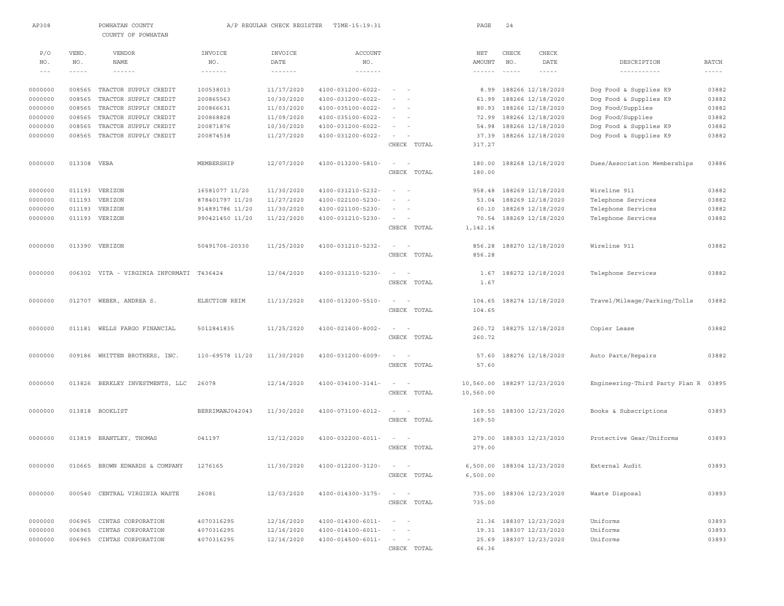| AP308          |                      | POWHATAN COUNTY<br>COUNTY OF POWHATAN    |                 | A/P REGULAR CHECK REGISTER                   | TIME-15:19:31                               |                                                      | PAGE                      | 24                   |                            |                                |                               |
|----------------|----------------------|------------------------------------------|-----------------|----------------------------------------------|---------------------------------------------|------------------------------------------------------|---------------------------|----------------------|----------------------------|--------------------------------|-------------------------------|
|                |                      |                                          |                 |                                              |                                             |                                                      |                           |                      |                            |                                |                               |
| P/O            | VEND.                | VENDOR                                   | INVOICE         | INVOICE                                      | <b>ACCOUNT</b>                              |                                                      | NET                       | CHECK                | CHECK                      |                                |                               |
| NO.<br>$- - -$ | NO.<br>$- - - - - -$ | <b>NAME</b><br>$- - - - - - -$           | NO.<br>-------  | DATE<br>$\cdots \cdots \cdots \cdots \cdots$ | NO.<br>$\cdots \cdots \cdots \cdots \cdots$ |                                                      | AMOUNT<br>$- - - - - - -$ | NO.<br>$- - - - - -$ | DATE<br>$- - - - - -$      | DESCRIPTION<br>-----------     | <b>BATCH</b><br>$- - - - - -$ |
|                |                      |                                          |                 |                                              |                                             |                                                      |                           |                      |                            |                                |                               |
| 0000000        | 008565               | TRACTOR SUPPLY CREDIT                    | 100538013       | 11/17/2020                                   | 4100-031200-6022-                           | $\sim$                                               | 8.99                      |                      | 188266 12/18/2020          | Dog Food & Supplies K9         | 03882                         |
| 0000000        | 008565               | TRACTOR SUPPLY CREDIT                    | 200865563       | 10/30/2020                                   | 4100-031200-6022-                           |                                                      | 61.99                     |                      | 188266 12/18/2020          | Dog Food & Supplies K9         | 03882                         |
| 0000000        | 008565               | TRACTOR SUPPLY CREDIT                    | 200866631       | 11/03/2020                                   | $4100 - 035100 - 6022 -$                    | $\sim$ 100 $\sim$ 100                                | 80.93                     |                      | 188266 12/18/2020          | Dog Food/Supplies              | 03882                         |
| 0000000        | 008565               | TRACTOR SUPPLY CREDIT                    | 200868828       | 11/09/2020                                   | $4100 - 035100 - 6022 -$                    | $\sim$                                               | 72.99                     |                      | 188266 12/18/2020          | Dog Food/Supplies              | 03882                         |
| 0000000        | 008565               | TRACTOR SUPPLY CREDIT                    | 200871876       | 10/30/2020                                   | 4100-031200-6022-                           | $\sim$<br>$\sim$                                     | 54.98                     |                      | 188266 12/18/2020          | Dog Food & Supplies K9         | 03882                         |
| 0000000        | 008565               | TRACTOR SUPPLY CREDIT                    | 200874538       | 11/27/2020                                   | 4100-031200-6022-                           | $\sim$                                               | 37.39                     |                      | 188266 12/18/2020          | Dog Food & Supplies K9         | 03882                         |
|                |                      |                                          |                 |                                              |                                             | CHECK TOTAL                                          | 317.27                    |                      |                            |                                |                               |
| 0000000        | 013308 VEBA          |                                          | MEMBERSHIP      | 12/07/2020                                   | 4100-013200-5810-                           | $\sim$<br>$\sim$                                     | 180.00                    |                      | 188268 12/18/2020          | Dues/Association Memberships   | 03886                         |
|                |                      |                                          |                 |                                              |                                             | CHECK TOTAL                                          | 180.00                    |                      |                            |                                |                               |
|                |                      |                                          |                 |                                              |                                             |                                                      |                           |                      |                            |                                |                               |
| 0000000        |                      | 011193 VERIZON                           | 16581077 11/20  | 11/30/2020                                   | 4100-031210-5232-                           | $\sim$<br>$\sim$                                     | 958.48                    |                      | 188269 12/18/2020          | Wireline 911                   | 03882                         |
| 0000000        | 011193               | VERIZON                                  | 878401797 11/20 | 11/27/2020                                   | 4100-022100-5230-                           | $\sim$                                               | 53.04                     |                      | 188269 12/18/2020          | Telephone Services             | 03882                         |
| 0000000        | 011193               | VERIZON                                  | 914891786 11/20 | 11/30/2020                                   | 4100-021100-5230-                           | $\sim$                                               | 60.10                     |                      | 188269 12/18/2020          | Telephone Services             | 03882                         |
| 0000000        |                      | 011193 VERIZON                           | 990421450 11/20 | 11/22/2020                                   | 4100-031210-5230-                           | $\sim$                                               | 70.54                     |                      | 188269 12/18/2020          | Telephone Services             | 03882                         |
|                |                      |                                          |                 |                                              |                                             | CHECK TOTAL                                          | 1,142.16                  |                      |                            |                                |                               |
|                |                      |                                          |                 |                                              |                                             |                                                      |                           |                      |                            |                                |                               |
| 0000000        |                      | 013390 VERIZON                           | 50491706-20330  | 11/25/2020                                   | 4100-031210-5232-                           | $\sim$                                               | 856.28                    |                      | 188270 12/18/2020          | Wireline 911                   | 03882                         |
|                |                      |                                          |                 |                                              |                                             | CHECK TOTAL                                          | 856.28                    |                      |                            |                                |                               |
| 0000000        |                      | 006302 VITA - VIRGINIA INFORMATI T436424 |                 | 12/04/2020                                   | 4100-031210-5230-                           | $\sim$                                               | 1.67                      |                      | 188272 12/18/2020          | Telephone Services             | 03882                         |
|                |                      |                                          |                 |                                              |                                             | CHECK TOTAL                                          | 1.67                      |                      |                            |                                |                               |
|                |                      |                                          |                 |                                              |                                             |                                                      |                           |                      |                            |                                |                               |
| 0000000        |                      | 012707 WEBER, ANDREA S.                  | ELECTION REIM   | 11/13/2020                                   | 4100-013200-5510-                           | $\sim$                                               | 104.65                    |                      | 188274 12/18/2020          | Travel/Mileage/Parking/Tolls   | 03882                         |
|                |                      |                                          |                 |                                              |                                             | CHECK TOTAL                                          | 104.65                    |                      |                            |                                |                               |
|                |                      |                                          |                 |                                              |                                             |                                                      |                           |                      |                            |                                |                               |
| 0000000        |                      | 011181 WELLS FARGO FINANCIAL             | 5012841835      | 11/25/2020                                   | 4100-021600-8002-                           | $\sim$<br>$\sim$                                     |                           |                      | 260.72 188275 12/18/2020   | Copier Lease                   | 03882                         |
|                |                      |                                          |                 |                                              |                                             | CHECK TOTAL                                          | 260.72                    |                      |                            |                                |                               |
|                |                      |                                          |                 |                                              |                                             |                                                      |                           |                      |                            |                                |                               |
| 0000000        | 009186               | WHITTEN BROTHERS, INC.                   | 110-69578 11/20 | 11/30/2020                                   | 4100-031200-6009-                           | $\sim$<br>$\sim$                                     | 57.60                     |                      | 188276 12/18/2020          | Auto Parts/Repairs             | 03882                         |
|                |                      |                                          |                 |                                              |                                             | CHECK TOTAL                                          | 57.60                     |                      |                            |                                |                               |
| 0000000        | 013826               | BERKLEY INVESTMENTS, LLC                 | 26078           | 12/14/2020                                   | 4100-034100-3141-                           | $\sim$<br>$\sim$                                     | 10,560.00                 |                      | 188297 12/23/2020          | Engineering-Third Party Plan R | 03895                         |
|                |                      |                                          |                 |                                              |                                             | CHECK TOTAL                                          | 10,560.00                 |                      |                            |                                |                               |
|                |                      |                                          |                 |                                              |                                             |                                                      |                           |                      |                            |                                |                               |
| 0000000        |                      | 013818 BOOKLIST                          | BERRIMANJ042043 | 11/30/2020                                   | 4100-073100-6012-                           | $\sim$                                               | 169.50                    |                      | 188300 12/23/2020          | Books & Subscriptions          | 03893                         |
|                |                      |                                          |                 |                                              |                                             | CHECK TOTAL                                          | 169.50                    |                      |                            |                                |                               |
|                |                      |                                          |                 |                                              |                                             |                                                      |                           |                      |                            |                                |                               |
| 0000000        |                      | 013819 BRANTLEY, THOMAS                  | 041197          | 12/12/2020                                   | $4100 - 032200 - 6011 -$                    | $\overline{\phantom{a}}$<br>$\overline{\phantom{a}}$ | 279.00                    |                      | 188303 12/23/2020          | Protective Gear/Uniforms       | 03893                         |
|                |                      |                                          |                 |                                              |                                             | CHECK TOTAL                                          | 279.00                    |                      |                            |                                |                               |
|                |                      |                                          |                 |                                              |                                             |                                                      |                           |                      |                            |                                |                               |
| 0000000        |                      | 010665 BROWN EDWARDS & COMPANY           | 1276165         |                                              | 11/30/2020 4100-012200-3120-                | $\sim$                                               |                           |                      | 6,500.00 188304 12/23/2020 | External Audit                 | 03893                         |
|                |                      |                                          |                 |                                              |                                             | CHECK TOTAL                                          | 6,500.00                  |                      |                            |                                |                               |
|                |                      |                                          |                 |                                              |                                             |                                                      |                           |                      |                            |                                |                               |
| 0000000        |                      | 000540 CENTRAL VIRGINIA WASTE            | 26081           | 12/03/2020                                   | 4100-014300-3175-                           | $\sim$ $  -$                                         |                           |                      | 735.00 188306 12/23/2020   | Waste Disposal                 | 03893                         |
|                |                      |                                          |                 |                                              |                                             | CHECK TOTAL                                          | 735.00                    |                      |                            |                                |                               |
| 0000000        | 006965               | CINTAS CORPORATION                       | 4070316295      | 12/16/2020                                   | $4100 - 014300 - 6011 -$                    |                                                      |                           |                      | 21.36 188307 12/23/2020    | Uniforms                       | 03893                         |
| 0000000        | 006965               | CINTAS CORPORATION                       | 4070316295      | 12/16/2020                                   | 4100-014100-6011-                           | $\sim$ 100 $\sim$                                    |                           |                      | 19.31 188307 12/23/2020    | Uniforms                       | 03893                         |
| 0000000        |                      | 006965 CINTAS CORPORATION                | 4070316295      | 12/16/2020                                   | 4100-014500-6011-                           | $\qquad \qquad -$                                    | 25.69                     |                      | 188307 12/23/2020          | Uniforms                       | 03893                         |
|                |                      |                                          |                 |                                              |                                             | CHECK TOTAL                                          | 66.36                     |                      |                            |                                |                               |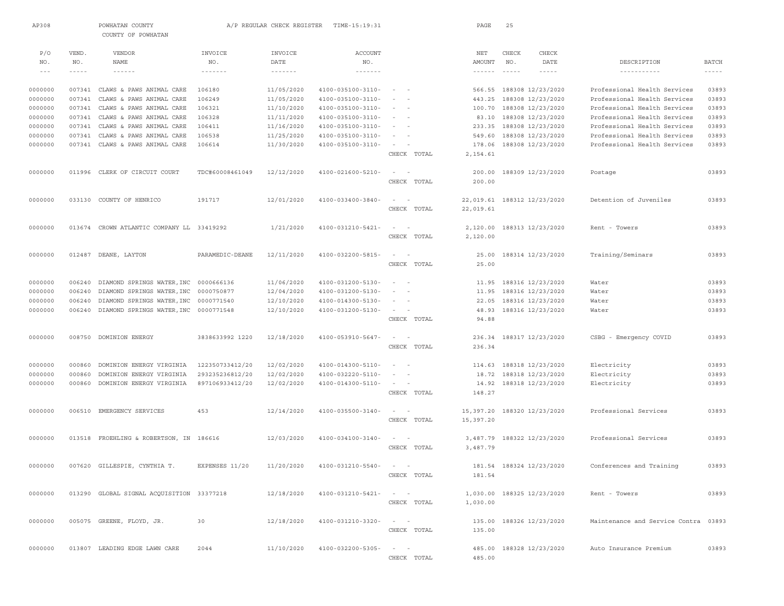| AP308   |               | POWHATAN COUNTY<br>COUNTY OF POWHATAN     |                            | A/P REGULAR CHECK REGISTER | TIME-15:19:31                      |                                                                                                              | PAGE            | 25            |                             |                                      |               |
|---------|---------------|-------------------------------------------|----------------------------|----------------------------|------------------------------------|--------------------------------------------------------------------------------------------------------------|-----------------|---------------|-----------------------------|--------------------------------------|---------------|
| P/O     | VEND.         | VENDOR                                    | INVOICE                    | INVOICE                    | ACCOUNT                            |                                                                                                              | NET             | CHECK         | CHECK                       |                                      |               |
| NO.     | NO.           | NAME                                      | NO.                        | DATE                       | NO.                                |                                                                                                              | AMOUNT          | NO.           | DATE                        | DESCRIPTION                          | <b>BATCH</b>  |
| $- - -$ | $- - - - - -$ | $\cdots\cdots\cdots\cdots$                | $\cdots\cdots\cdots\cdots$ | $- - - - - - - -$          | $\cdots\cdots\cdots\cdots$         |                                                                                                              | $- - - - - - -$ | $- - - - - -$ | $- - - - - -$               |                                      | $- - - - - -$ |
| 0000000 | 007341        | CLAWS & PAWS ANIMAL CARE                  | 106180                     | 11/05/2020                 | 4100-035100-3110-                  | $\sim$ $-$                                                                                                   |                 |               | 566.55 188308 12/23/2020    | Professional Health Services         | 03893         |
| 0000000 | 007341        | CLAWS & PAWS ANIMAL CARE                  | 106249                     | 11/05/2020                 | 4100-035100-3110-                  |                                                                                                              | 443.25          |               | 188308 12/23/2020           | Professional Health Services         | 03893         |
| 0000000 | 007341        | CLAWS & PAWS ANIMAL CARE                  | 106321                     | 11/10/2020                 | 4100-035100-3110-                  | $\sim$                                                                                                       | 100.70          |               | 188308 12/23/2020           | Professional Health Services         | 03893         |
| 0000000 | 007341        | CLAWS & PAWS ANIMAL CARE                  | 106328                     | 11/11/2020                 | 4100-035100-3110-                  | $\sim$<br>$\overline{\phantom{a}}$                                                                           | 83.10           |               | 188308 12/23/2020           | Professional Health Services         | 03893         |
| 0000000 | 007341        | CLAWS & PAWS ANIMAL CARE                  | 106411                     | 11/16/2020                 | 4100-035100-3110-                  | $\frac{1}{2} \left( \frac{1}{2} \right) \left( \frac{1}{2} \right) = \frac{1}{2} \left( \frac{1}{2} \right)$ | 233.35          |               | 188308 12/23/2020           | Professional Health Services         | 03893         |
| 0000000 | 007341        | CLAWS & PAWS ANIMAL CARE                  | 106538                     | 11/25/2020                 | 4100-035100-3110-                  |                                                                                                              | 549.60          |               | 188308 12/23/2020           | Professional Health Services         | 03893         |
| 0000000 | 007341        | CLAWS & PAWS ANIMAL CARE                  | 106614                     | 11/30/2020                 | 4100-035100-3110-                  | $\sim$                                                                                                       | 178.06          |               | 188308 12/23/2020           | Professional Health Services         | 03893         |
|         |               |                                           |                            |                            |                                    | CHECK TOTAL                                                                                                  | 2,154.61        |               |                             |                                      |               |
| 0000000 |               | 011996 CLERK OF CIRCUIT COURT             | TDC#60008461049            | 12/12/2020                 | 4100-021600-5210-                  |                                                                                                              |                 |               | 200.00 188309 12/23/2020    | Postage                              | 03893         |
|         |               |                                           |                            |                            |                                    | CHECK TOTAL                                                                                                  | 200.00          |               |                             |                                      |               |
| 0000000 | 033130        | COUNTY OF HENRICO                         | 191717                     | 12/01/2020                 | 4100-033400-3840-                  | $\sim$<br>$\sim$                                                                                             |                 |               | 22,019.61 188312 12/23/2020 | Detention of Juveniles               | 03893         |
|         |               |                                           |                            |                            |                                    | CHECK TOTAL                                                                                                  | 22,019.61       |               |                             |                                      |               |
| 0000000 |               | 013674 CROWN ATLANTIC COMPANY LL 33419292 |                            | 1/21/2020                  | 4100-031210-5421-                  | $ -$                                                                                                         |                 |               | 2,120.00 188313 12/23/2020  | Rent - Towers                        | 03893         |
|         |               |                                           |                            |                            |                                    | CHECK TOTAL                                                                                                  | 2,120.00        |               |                             |                                      |               |
|         |               |                                           |                            |                            |                                    |                                                                                                              |                 |               |                             |                                      |               |
| 0000000 |               | 012487 DEANE, LAYTON                      | PARAMEDIC-DEANE            | 12/11/2020                 | 4100-032200-5815-                  | $\sim$ $-$                                                                                                   | 25.00           |               | 188314 12/23/2020           | Training/Seminars                    | 03893         |
|         |               |                                           |                            |                            |                                    | CHECK TOTAL                                                                                                  | 25.00           |               |                             |                                      |               |
| 0000000 | 006240        | DIAMOND SPRINGS WATER, INC                | 0000666136                 | 11/06/2020                 | 4100-031200-5130-                  |                                                                                                              | 11.95           |               | 188316 12/23/2020           | Water                                | 03893         |
| 0000000 | 006240        | DIAMOND SPRINGS WATER, INC                | 0000750877                 | 12/04/2020                 | 4100-031200-5130-                  |                                                                                                              | 11.95           |               | 188316 12/23/2020           | Water                                | 03893         |
| 0000000 | 006240        | DIAMOND SPRINGS WATER, INC                | 0000771540                 | 12/10/2020                 | 4100-014300-5130-                  |                                                                                                              | 22.05           |               | 188316 12/23/2020           | Water                                | 03893         |
| 0000000 | 006240        | DIAMOND SPRINGS WATER, INC 0000771548     |                            | 12/10/2020                 | 4100-031200-5130-                  | $\sim$                                                                                                       | 48.93           |               | 188316 12/23/2020           | Water                                | 03893         |
|         |               |                                           |                            |                            |                                    | CHECK TOTAL                                                                                                  | 94.88           |               |                             |                                      |               |
| 0000000 | 008750        | DOMINION ENERGY                           | 3838633992 1220            | 12/18/2020                 | 4100-053910-5647-                  | $ -$                                                                                                         |                 |               | 236.34 188317 12/23/2020    | CSBG - Emergency COVID               | 03893         |
|         |               |                                           |                            |                            |                                    | CHECK TOTAL                                                                                                  | 236.34          |               |                             |                                      |               |
| 0000000 | 000860        | DOMINION ENERGY VIRGINIA                  | 122350733412/20            | 12/02/2020                 | 4100-014300-5110-                  |                                                                                                              |                 |               | 114.63 188318 12/23/2020    | Electricity                          | 03893         |
| 0000000 | 000860        | DOMINION ENERGY VIRGINIA                  | 293235236812/20            | 12/02/2020                 | 4100-032220-5110-                  |                                                                                                              |                 |               | 18.72 188318 12/23/2020     | Electricity                          | 03893         |
| 0000000 | 000860        | DOMINION ENERGY VIRGINIA                  | 897106933412/20            | 12/02/2020                 | 4100-014300-5110-                  | $\overline{\phantom{a}}$<br>$\sim$                                                                           |                 |               | 14.92 188318 12/23/2020     | Electricity                          | 03893         |
|         |               |                                           |                            |                            |                                    | CHECK TOTAL                                                                                                  | 148.27          |               |                             |                                      |               |
| 0000000 | 006510        | EMERGENCY SERVICES                        | 453                        | 12/14/2020                 | 4100-035500-3140-                  | $\sim$<br>$\overline{\phantom{0}}$                                                                           |                 |               | 15,397.20 188320 12/23/2020 | Professional Services                | 03893         |
|         |               |                                           |                            |                            |                                    | CHECK TOTAL                                                                                                  | 15,397.20       |               |                             |                                      |               |
| 0000000 |               | 013518 FROEHLING & ROBERTSON, IN 186616   |                            | 12/03/2020                 | 4100-034100-3140-                  | $-$<br>$\sim$                                                                                                |                 |               | 3,487.79 188322 12/23/2020  | Professional Services                | 03893         |
|         |               |                                           |                            |                            |                                    | CHECK TOTAL                                                                                                  | 3,487.79        |               |                             |                                      |               |
|         |               |                                           |                            |                            |                                    |                                                                                                              |                 |               |                             |                                      |               |
| 0000000 |               | 007620 GILLESPIE, CYNTHIA T.              | EXPENSES 11/20             |                            | $11/20/2020$ $4100-031210-5540-$ - |                                                                                                              |                 |               | 181.54 188324 12/23/2020    | Conferences and Training             | 03893         |
|         |               |                                           |                            |                            |                                    | CHECK TOTAL                                                                                                  | 181.54          |               |                             |                                      |               |
| 0000000 |               | 013290 GLOBAL SIGNAL ACQUISITION 33377218 |                            | 12/18/2020                 | 4100-031210-5421-                  |                                                                                                              |                 |               | 1,030.00 188325 12/23/2020  | Rent - Towers                        | 03893         |
|         |               |                                           |                            |                            |                                    | CHECK TOTAL                                                                                                  | 1,030.00        |               |                             |                                      |               |
| 0000000 |               | 005075 GREENE, FLOYD, JR.                 | 30                         | 12/18/2020                 | $4100 - 031210 - 3320 - - -$       |                                                                                                              |                 |               | 135.00 188326 12/23/2020    | Maintenance and Service Contra 03893 |               |
|         |               |                                           |                            |                            |                                    | CHECK TOTAL                                                                                                  | 135.00          |               |                             |                                      |               |
|         |               |                                           |                            |                            |                                    |                                                                                                              |                 |               |                             |                                      |               |
| 0000000 |               | 013807 LEADING EDGE LAWN CARE             | 2044                       | 11/10/2020                 | 4100-032200-5305-                  | $\alpha\rightarrow\alpha\gamma$ , $\alpha\rightarrow\alpha\gamma$                                            |                 |               | 485.00 188328 12/23/2020    | Auto Insurance Premium               | 03893         |
|         |               |                                           |                            |                            |                                    | CHECK TOTAL                                                                                                  | 485.00          |               |                             |                                      |               |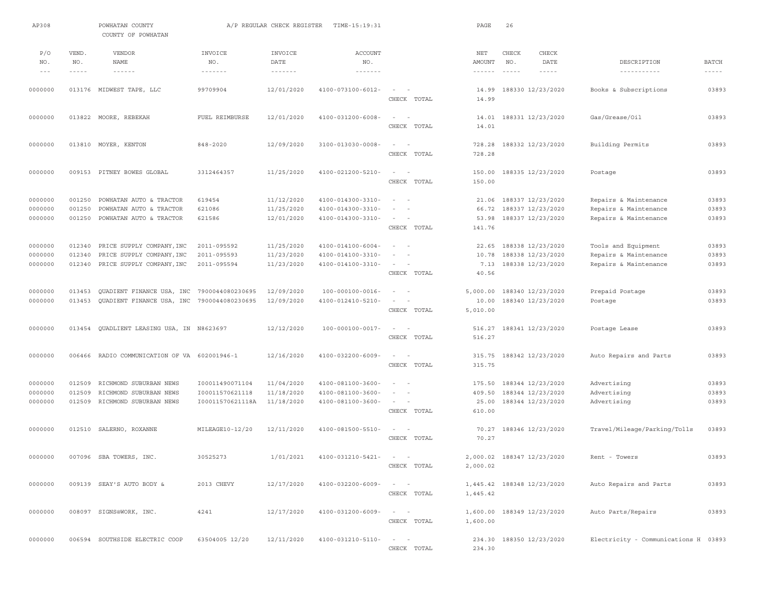| AP308                         |                             | POWHATAN COUNTY<br>COUNTY OF POWHATAN                                         |                                                        | A/P REGULAR CHECK REGISTER                    | TIME-15:19:31                                               |                                                                                                             | PAGE                                           | 26                       |                                                             |                                                                         |                               |
|-------------------------------|-----------------------------|-------------------------------------------------------------------------------|--------------------------------------------------------|-----------------------------------------------|-------------------------------------------------------------|-------------------------------------------------------------------------------------------------------------|------------------------------------------------|--------------------------|-------------------------------------------------------------|-------------------------------------------------------------------------|-------------------------------|
| P/O<br>NO.<br>$- - -$         | VEND.<br>NO.<br>$- - - - -$ | VENDOR<br><b>NAME</b><br>$\cdots\cdots\cdots\cdots$                           | INVOICE<br>NO.<br>$\cdots \cdots \cdots \cdots \cdots$ | INVOICE<br>DATE<br>$\cdots\cdots\cdots\cdots$ | <b>ACCOUNT</b><br>NO.<br>$\cdots\cdots\cdots\cdots\cdots$   |                                                                                                             | NET<br>AMOUNT<br>$\cdots \cdots \cdots \cdots$ | CHECK<br>NO.<br>$\cdots$ | CHECK<br>DATE<br>$- - - - -$                                | DESCRIPTION<br>-----------                                              | <b>BATCH</b><br>$\frac{1}{2}$ |
| 0000000                       |                             | 013176 MIDWEST TAPE, LLC                                                      | 99709904                                               | 12/01/2020                                    | $4100 - 073100 - 6012 -$                                    | $\overline{\phantom{a}}$<br>CHECK TOTAL                                                                     | 14.99<br>14.99                                 |                          | 188330 12/23/2020                                           | Books & Subscriptions                                                   | 03893                         |
| 0000000                       |                             | 013822 MOORE, REBEKAH                                                         | FUEL REIMBURSE                                         | 12/01/2020                                    | 4100-031200-6008-                                           | $\sim$<br>CHECK TOTAL                                                                                       | 14.01<br>14.01                                 |                          | 188331 12/23/2020                                           | Gas/Grease/Oil                                                          | 03893                         |
| 0000000                       |                             | 013810 MOYER, KENTON                                                          | $848 - 2020$                                           | 12/09/2020                                    | 3100-013030-0008-                                           | $\sim$<br>$\sim$<br>CHECK TOTAL                                                                             | 728.28<br>728.28                               |                          | 188332 12/23/2020                                           | Building Permits                                                        | 03893                         |
| 0000000                       |                             | 009153 PITNEY BOWES GLOBAL                                                    | 3312464357                                             | 11/25/2020                                    | 4100-021200-5210-                                           | $\sim$<br>$\overline{\phantom{a}}$<br>CHECK TOTAL                                                           | 150.00<br>150.00                               |                          | 188335 12/23/2020                                           | Postage                                                                 | 03893                         |
| 0000000<br>0000000<br>0000000 | 001250<br>001250<br>001250  | POWHATAN AUTO & TRACTOR<br>POWHATAN AUTO & TRACTOR<br>POWHATAN AUTO & TRACTOR | 619454<br>621086<br>621586                             | 11/12/2020<br>11/25/2020<br>12/01/2020        | 4100-014300-3310-<br>4100-014300-3310-<br>4100-014300-3310- | $\sim$<br>$\sim$<br>$\overline{\phantom{0}}$<br>$\sim$                                                      | 21.06<br>66.72<br>53.98                        |                          | 188337 12/23/2020<br>188337 12/23/2020<br>188337 12/23/2020 | Repairs & Maintenance<br>Repairs & Maintenance<br>Repairs & Maintenance | 03893<br>03893<br>03893       |
| 0000000<br>0000000            | 012340<br>012340            | PRICE SUPPLY COMPANY, INC<br>PRICE SUPPLY COMPANY, INC                        | 2011-095592<br>2011-095593                             | 11/25/2020<br>11/23/2020                      | 4100-014100-6004-<br>4100-014100-3310-                      | CHECK TOTAL<br>$\sim$<br>$\sim$<br>$\overline{\phantom{a}}$                                                 | 141.76<br>22.65<br>10.78                       |                          | 188338 12/23/2020<br>188338 12/23/2020                      | Tools and Equipment<br>Repairs & Maintenance                            | 03893<br>03893                |
| 0000000                       | 012340                      | PRICE SUPPLY COMPANY, INC                                                     | 2011-095594                                            | 11/23/2020                                    | 4100-014100-3310-                                           | $\sim$<br>$\sim$<br>CHECK TOTAL                                                                             | 7.13<br>40.56                                  |                          | 188338 12/23/2020                                           | Repairs & Maintenance                                                   | 03893                         |
| 0000000<br>0000000            | 013453<br>013453            | QUADIENT FINANCE USA, INC<br>QUADIENT FINANCE USA, INC                        | 7900044080230695<br>7900044080230695                   | 12/09/2020<br>12/09/2020                      | $100 - 000100 - 0016 -$<br>4100-012410-5210-                | $\sim$<br>$\overline{\phantom{a}}$<br>CHECK TOTAL                                                           | 5,000.00<br>10.00<br>5,010.00                  |                          | 188340 12/23/2020<br>188340 12/23/2020                      | Prepaid Postage<br>Postage                                              | 03893<br>03893                |
| 0000000                       |                             | 013454 QUADLIENT LEASING USA, IN N8623697                                     |                                                        | 12/12/2020                                    | $100 - 000100 - 0017 -$                                     | $\sim$<br>$\overline{\phantom{a}}$<br>CHECK TOTAL                                                           | 516.27<br>516.27                               |                          | 188341 12/23/2020                                           | Postage Lease                                                           | 03893                         |
| 0000000                       | 006466                      | RADIO COMMUNICATION OF VA 602001946-1                                         |                                                        | 12/16/2020                                    | 4100-032200-6009-                                           | $\sim$<br>$\sim$<br>CHECK TOTAL                                                                             | 315.75<br>315.75                               |                          | 188342 12/23/2020                                           | Auto Repairs and Parts                                                  | 03893                         |
| 0000000<br>0000000<br>0000000 | 012509<br>012509<br>012509  | RICHMOND SUBURBAN NEWS<br>RICHMOND SUBURBAN NEWS<br>RICHMOND SUBURBAN NEWS    | I00011490071104<br>100011570621118<br>I00011570621118A | 11/04/2020<br>11/18/2020<br>11/18/2020        | 4100-081100-3600-<br>4100-081100-3600-<br>4100-081100-3600- | $\sim$<br>$\sim$<br>$\overline{\phantom{a}}$<br>CHECK TOTAL                                                 | 175.50<br>409.50<br>25.00<br>610.00            |                          | 188344 12/23/2020<br>188344 12/23/2020<br>188344 12/23/2020 | Advertising<br>Advertising<br>Advertising                               | 03893<br>03893<br>03893       |
| 0000000                       |                             | 012510 SALERNO, ROXANNE                                                       | MILEAGE10-12/20                                        | 12/11/2020                                    | 4100-081500-5510-                                           | $\sim$<br>CHECK TOTAL                                                                                       | 70.27<br>70.27                                 |                          | 188346 12/23/2020                                           | Travel/Mileage/Parking/Tolls                                            | 03893                         |
| 0000000                       |                             | 007096 SBA TOWERS, INC.                                                       | 30525273                                               | 1/01/2021                                     | 4100-031210-5421-                                           | $\sim$<br>$\sim$<br>CHECK TOTAL                                                                             | 2,000.02                                       |                          | 2.000.02 188347 12/23/2020                                  | Rent - Towers                                                           | 03893                         |
| 0000000                       |                             | 009139 SEAY'S AUTO BODY &                                                     | 2013 CHEVY                                             | 12/17/2020                                    | 4100-032200-6009-                                           | $\sim$ $ -$<br>CHECK TOTAL                                                                                  | 1,445.42                                       |                          | 1,445.42 188348 12/23/2020                                  | Auto Repairs and Parts                                                  | 03893                         |
| 0000000                       |                             | 008097 SIGNS@WORK, INC.                                                       | 4241                                                   | 12/17/2020                                    | 4100-031200-6009-                                           | $\sim$ 100 $\sim$<br>CHECK TOTAL                                                                            | 1,600.00                                       |                          | 1,600.00 188349 12/23/2020                                  | Auto Parts/Repairs                                                      | 03893                         |
| 0000000                       |                             | 006594 SOUTHSIDE ELECTRIC COOP                                                | 63504005 12/20                                         | 12/11/2020                                    | 4100-031210-5110-                                           | $\mathcal{L}_{\mathcal{A}}(x) = \mathcal{L}_{\mathcal{A}}(x) + \mathcal{L}_{\mathcal{A}}(x)$<br>CHECK TOTAL | 234.30                                         |                          | 234.30 188350 12/23/2020                                    | Electricity - Communications H 03893                                    |                               |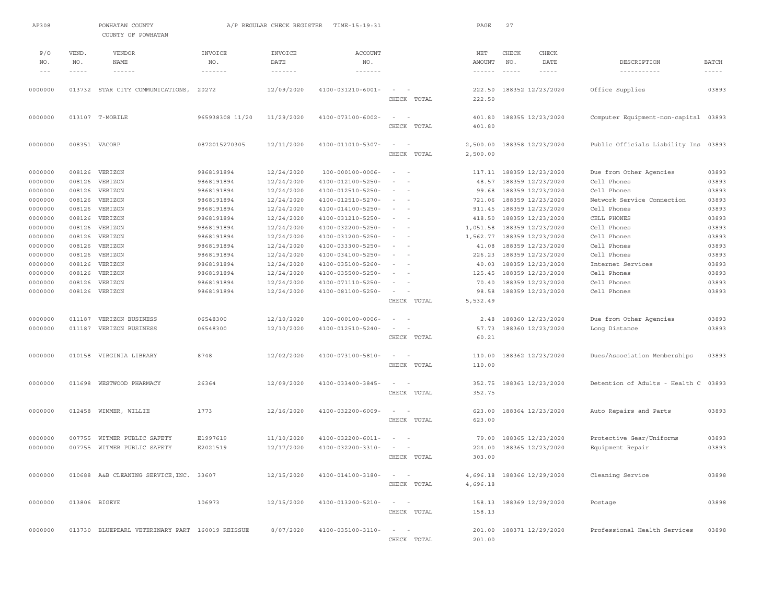| AP308   |             | POWHATAN COUNTY<br>COUNTY OF POWHATAN           |                 | A/P REGULAR CHECK REGISTER | TIME-15:19:31            |                                                                                              |             | PAGE                          | 27       |                            |                                |              |
|---------|-------------|-------------------------------------------------|-----------------|----------------------------|--------------------------|----------------------------------------------------------------------------------------------|-------------|-------------------------------|----------|----------------------------|--------------------------------|--------------|
| P/O     | VEND.       | VENDOR                                          | INVOICE         | INVOICE                    | <b>ACCOUNT</b>           |                                                                                              |             | NET                           | CHECK    | CHECK                      |                                |              |
| NO.     | NO.         | <b>NAME</b>                                     | NO.             | DATE                       | NO.                      |                                                                                              |             | AMOUNT                        | NO.      | DATE                       | DESCRIPTION                    | <b>BATCH</b> |
| $- - -$ | $- - - - -$ | $- - - - - -$                                   | -------         | $- - - - - - - -$          | -------                  |                                                                                              |             | $\cdots \cdots \cdots \cdots$ | $\cdots$ | $- - - - -$                | -----------                    | $- - - - -$  |
| 0000000 |             | 013732 STAR CITY COMMUNICATIONS,                | 20272           | 12/09/2020                 | $4100 - 031210 - 6001 -$ | $\sim$                                                                                       | CHECK TOTAL | 222.50<br>222.50              |          | 188352 12/23/2020          | Office Supplies                | 03893        |
| 0000000 |             | 013107 T-MOBILE                                 | 965938308 11/20 | 11/29/2020                 | 4100-073100-6002-        | $\overline{\phantom{a}}$                                                                     | CHECK TOTAL | 401.80<br>401.80              |          | 188355 12/23/2020          | Computer Equipment-non-capital | 03893        |
| 0000000 |             | 008351 VACORP                                   | 0872015270305   | 12/11/2020                 | 4100-011010-5307-        | $\sim$<br>$\sim$                                                                             | CHECK TOTAL | 2,500.00<br>2,500.00          |          | 188358 12/23/2020          | Public Officials Liability Ins | 03893        |
| 0000000 | 008126      | VERIZON                                         | 9868191894      | 12/24/2020                 | $100 - 000100 - 0006 -$  | ×.<br>$\sim$                                                                                 |             |                               |          | 117.11 188359 12/23/2020   | Due from Other Agencies        | 03893        |
| 0000000 | 008126      | VERIZON                                         | 9868191894      | 12/24/2020                 | 4100-012100-5250-        | $\sim$<br>$\sim$                                                                             |             | 48.57                         |          | 188359 12/23/2020          | Cell Phones                    | 03893        |
| 0000000 | 008126      | VERIZON                                         | 9868191894      | 12/24/2020                 | 4100-012510-5250-        | $\sim$                                                                                       |             | 99.68                         |          | 188359 12/23/2020          | Cell Phones                    | 03893        |
| 0000000 | 008126      | VERIZON                                         | 9868191894      | 12/24/2020                 | 4100-012510-5270-        | $\sim$<br>$\sim$                                                                             |             | 721.06                        |          | 188359 12/23/2020          | Network Service Connection     | 03893        |
| 0000000 | 008126      | VERIZON                                         | 9868191894      | 12/24/2020                 | 4100-014100-5250-        | $\overline{\phantom{a}}$                                                                     |             | 911.45                        |          | 188359 12/23/2020          | Cell Phones                    | 03893        |
| 0000000 | 008126      | VERIZON                                         | 9868191894      | 12/24/2020                 | 4100-031210-5250-        | $\overline{\phantom{a}}$                                                                     |             | 418.50                        |          | 188359 12/23/2020          | CELL PHONES                    | 03893        |
| 0000000 | 008126      | VERIZON                                         | 9868191894      | 12/24/2020                 | 4100-032200-5250-        | $\sim$<br>$\sim$                                                                             |             | 1,051.58                      |          | 188359 12/23/2020          | Cell Phones                    | 03893        |
| 0000000 | 008126      | VERIZON                                         | 9868191894      | 12/24/2020                 | 4100-031200-5250-        | $\sim$<br>$\sim$                                                                             |             | 1,562.77                      |          | 188359 12/23/2020          | Cell Phones                    | 03893        |
| 0000000 | 008126      | VERIZON                                         | 9868191894      | 12/24/2020                 | 4100-033300-5250-        | $\sim$<br>- -                                                                                |             | 41.08                         |          | 188359 12/23/2020          | Cell Phones                    | 03893        |
| 0000000 | 008126      | VERIZON                                         | 9868191894      | 12/24/2020                 | 4100-034100-5250-        | $\overline{\phantom{a}}$<br>$\sim$                                                           |             | 226.23                        |          | 188359 12/23/2020          | Cell Phones                    | 03893        |
| 0000000 | 008126      | VERIZON                                         | 9868191894      | 12/24/2020                 | 4100-035100-5260-        | $\overline{\phantom{a}}$<br>$\sim$                                                           |             | 40.03                         |          | 188359 12/23/2020          | Internet Services              | 03893        |
| 0000000 | 008126      | VERIZON                                         | 9868191894      | 12/24/2020                 | 4100-035500-5250-        |                                                                                              |             | 125.45                        |          | 188359 12/23/2020          | Cell Phones                    | 03893        |
| 0000000 | 008126      | VERIZON                                         | 9868191894      | 12/24/2020                 | 4100-071110-5250-        | ÷                                                                                            |             | 70.40                         |          | 188359 12/23/2020          | Cell Phones                    | 03893        |
| 0000000 | 008126      | VERIZON                                         | 9868191894      | 12/24/2020                 | 4100-081100-5250-        |                                                                                              |             | 98.58                         |          | 188359 12/23/2020          | Cell Phones                    | 03893        |
|         |             |                                                 |                 |                            |                          |                                                                                              | CHECK TOTAL | 5,532.49                      |          |                            |                                |              |
| 0000000 | 011187      | VERIZON BUSINESS                                | 06548300        | 12/10/2020                 | $100 - 000100 - 0006 -$  | $\sim$                                                                                       |             | 2.48                          |          | 188360 12/23/2020          | Due from Other Agencies        | 03893        |
| 0000000 | 011187      | VERIZON BUSINESS                                | 06548300        | 12/10/2020                 | 4100-012510-5240-        | $\overline{\phantom{a}}$                                                                     |             | 57.73                         |          | 188360 12/23/2020          | Long Distance                  | 03893        |
|         |             |                                                 |                 |                            |                          |                                                                                              | CHECK TOTAL | 60.21                         |          |                            |                                |              |
| 0000000 | 010158      | VIRGINIA LIBRARY                                | 8748            | 12/02/2020                 | 4100-073100-5810-        | $\sim$<br>$\sim$                                                                             |             | 110.00                        |          | 188362 12/23/2020          | Dues/Association Memberships   | 03893        |
|         |             |                                                 |                 |                            |                          |                                                                                              | CHECK TOTAL | 110.00                        |          |                            |                                |              |
| 0000000 | 011698      | WESTWOOD PHARMACY                               | 26364           | 12/09/2020                 | 4100-033400-3845-        | $\sim$                                                                                       |             | 352.75                        |          | 188363 12/23/2020          | Detention of Adults - Health C | 03893        |
|         |             |                                                 |                 |                            |                          |                                                                                              | CHECK TOTAL | 352.75                        |          |                            |                                |              |
| 0000000 | 012458      | WIMMER, WILLIE                                  | 1773            | 12/16/2020                 | 4100-032200-6009-        | $\sim$                                                                                       |             | 623.00                        |          | 188364 12/23/2020          | Auto Repairs and Parts         | 03893        |
|         |             |                                                 |                 |                            |                          |                                                                                              | CHECK TOTAL | 623.00                        |          |                            |                                |              |
| 0000000 | 007755      | WITMER PUBLIC SAFETY                            | E1997619        | 11/10/2020                 | $4100 - 032200 - 6011 -$ | - 1                                                                                          |             | 79.00                         |          | 188365 12/23/2020          | Protective Gear/Uniforms       | 03893        |
| 0000000 | 007755      | WITMER PUBLIC SAFETY                            | E2021519        | 12/17/2020                 | 4100-032200-3310-        | $\overline{\phantom{a}}$                                                                     |             | 224.00                        |          | 188365 12/23/2020          | Equipment Repair               | 03893        |
|         |             |                                                 |                 |                            |                          |                                                                                              | CHECK TOTAL | 303.00                        |          |                            |                                |              |
| 0000000 |             | 010688 A&B CLEANING SERVICE, INC. 33607         |                 | 12/15/2020                 | 4100-014100-3180-        | $\mathcal{L}_{\mathcal{A}}(x) = \mathcal{L}_{\mathcal{A}}(x) + \mathcal{L}_{\mathcal{A}}(x)$ |             |                               |          | 4,696.18 188366 12/29/2020 | Cleaning Service               | 03898        |
|         |             |                                                 |                 |                            |                          |                                                                                              | CHECK TOTAL | 4,696.18                      |          |                            |                                |              |
| 0000000 |             | 013806 BIGEYE                                   | 106973          | 12/15/2020                 | 4100-013200-5210-        | $\overline{\phantom{a}}$<br>$\overline{\phantom{0}}$                                         |             |                               |          | 158.13 188369 12/29/2020   | Postage                        | 03898        |
|         |             |                                                 |                 |                            |                          |                                                                                              | CHECK TOTAL | 158.13                        |          |                            |                                |              |
| 0000000 |             | 013730 BLUEPEARL VETERINARY PART 160019 REISSUE |                 | 8/07/2020                  | 4100-035100-3110-        | $\sim$ 100 $\sim$                                                                            |             |                               |          | 201.00 188371 12/29/2020   | Professional Health Services   | 03898        |
|         |             |                                                 |                 |                            |                          |                                                                                              | CHECK TOTAL | 201.00                        |          |                            |                                |              |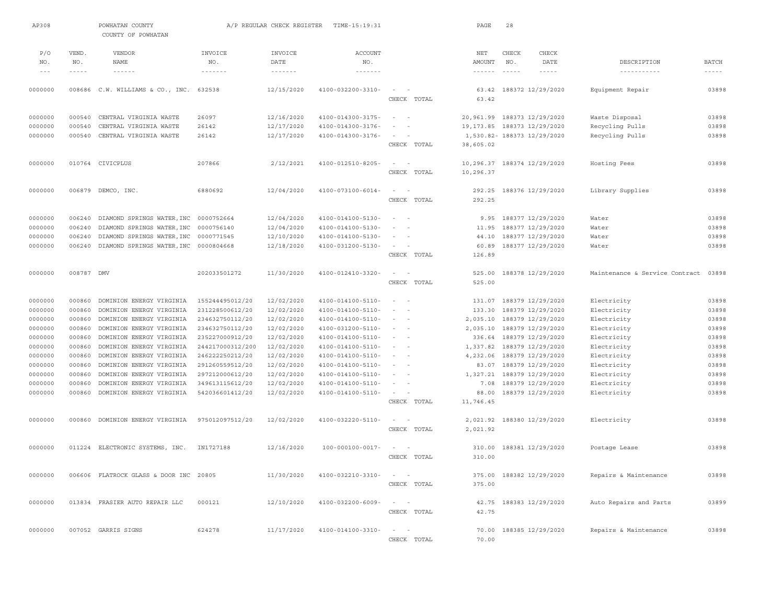| AP308   |             | POWHATAN COUNTY<br>COUNTY OF POWHATAN   |                  | A/P REGULAR CHECK REGISTER | TIME-15:19:31            |                              | PAGE                          | 28            |                             |                                |              |
|---------|-------------|-----------------------------------------|------------------|----------------------------|--------------------------|------------------------------|-------------------------------|---------------|-----------------------------|--------------------------------|--------------|
| P/O     | VEND.       | VENDOR                                  | INVOICE          | INVOICE                    | <b>ACCOUNT</b>           |                              | $_{\rm NET}$                  | CHECK         | CHECK                       |                                |              |
| NO.     | NO.         | <b>NAME</b>                             | NO.              | DATE                       | NO.                      |                              | <b>AMOUNT</b>                 | NO.           | DATE                        | DESCRIPTION                    | <b>BATCH</b> |
| $- - -$ | $- - - - -$ | $- - - - - -$                           | -------          | $\cdots\cdots\cdots\cdots$ | $- - - - - - -$          |                              | $\cdots \cdots \cdots \cdots$ | $\frac{1}{2}$ | $- - - - -$                 | -----------                    | $- - - - -$  |
| 0000000 |             | 008686 C.W. WILLIAMS & CO., INC. 632538 |                  | 12/15/2020                 | 4100-032200-3310-        | $\sim$<br>$\sim$             | 63.42                         |               | 188372 12/29/2020           | Equipment Repair               | 03898        |
|         |             |                                         |                  |                            |                          | CHECK TOTAL                  | 63.42                         |               |                             |                                |              |
| 0000000 | 000540      | CENTRAL VIRGINIA WASTE                  | 26097            | 12/16/2020                 | 4100-014300-3175-        | $\sim$<br>$\sim$             |                               |               | 20,961.99 188373 12/29/2020 | Waste Disposal                 | 03898        |
| 0000000 | 000540      | CENTRAL VIRGINIA WASTE                  | 26142            | 12/17/2020                 | 4100-014300-3176-        |                              | 19, 173.85                    |               | 188373 12/29/2020           | Recycling Pulls                | 03898        |
| 0000000 | 000540      | CENTRAL VIRGINIA WASTE                  | 26142            | 12/17/2020                 | 4100-014300-3176-        |                              |                               |               | 1,530.82- 188373 12/29/2020 | Recycling Pulls                | 03898        |
|         |             |                                         |                  |                            |                          | CHECK TOTAL                  | 38,605.02                     |               |                             |                                |              |
| 0000000 | 010764      | CIVICPLUS                               | 207866           | 2/12/2021                  | 4100-012510-8205-        | $\sim$<br>$\sim$             | 10,296.37                     |               | 188374 12/29/2020           | Hosting Fees                   | 03898        |
|         |             |                                         |                  |                            |                          | CHECK TOTAL                  | 10,296.37                     |               |                             |                                |              |
| 0000000 |             | 006879 DEMCO, INC.                      | 6880692          | 12/04/2020                 | $4100 - 073100 - 6014 -$ | $\sim$<br>$\sim$             | 292.25                        |               | 188376 12/29/2020           | Library Supplies               | 03898        |
|         |             |                                         |                  |                            |                          | CHECK TOTAL                  | 292.25                        |               |                             |                                |              |
| 0000000 | 006240      | DIAMOND SPRINGS WATER, INC              | 0000752664       | 12/04/2020                 | 4100-014100-5130-        | $\sim$<br>$\sim$             | 9.95                          |               | 188377 12/29/2020           | Water                          | 03898        |
| 0000000 | 006240      | DIAMOND SPRINGS WATER, INC              | 0000756140       | 12/04/2020                 | 4100-014100-5130-        |                              | 11.95                         |               | 188377 12/29/2020           | Water                          | 03898        |
| 0000000 | 006240      | DIAMOND SPRINGS WATER, INC              | 0000771545       | 12/10/2020                 | 4100-014100-5130-        |                              | 44.10                         |               | 188377 12/29/2020           | Water                          | 03898        |
| 0000000 | 006240      | DIAMOND SPRINGS WATER, INC              | 0000804668       | 12/18/2020                 | 4100-031200-5130-        | $\sim$<br>$\sim$             | 60.89                         |               | 188377 12/29/2020           | Water                          | 03898        |
|         |             |                                         |                  |                            |                          | CHECK TOTAL                  | 126.89                        |               |                             |                                |              |
| 0000000 | 008787 DMV  |                                         | 202033501272     | 11/30/2020                 | 4100-012410-3320-        | $\sim$<br>$\sim$             | 525.00                        |               | 188378 12/29/2020           | Maintenance & Service Contract | 03898        |
|         |             |                                         |                  |                            |                          | CHECK TOTAL                  | 525.00                        |               |                             |                                |              |
| 0000000 | 000860      | DOMINION ENERGY VIRGINIA                | 155244495012/20  | 12/02/2020                 | 4100-014100-5110-        | $\sim$<br>$\sim$             | 131.07                        |               | 188379 12/29/2020           | Electricity                    | 03898        |
| 0000000 | 000860      | DOMINION ENERGY VIRGINIA                | 231228500612/20  | 12/02/2020                 | 4100-014100-5110-        | $\sim$                       | 133.30                        |               | 188379 12/29/2020           | Electricity                    | 03898        |
| 0000000 | 000860      | DOMINION ENERGY VIRGINIA                | 234632750112/20  | 12/02/2020                 | 4100-014100-5110-        |                              | 2,035.10                      |               | 188379 12/29/2020           | Electricity                    | 03898        |
| 0000000 | 000860      | DOMINION ENERGY VIRGINIA                | 234632750112/20  | 12/02/2020                 | 4100-031200-5110-        | $\sim$                       | 2,035.10                      |               | 188379 12/29/2020           | Electricity                    | 03898        |
| 0000000 | 000860      | DOMINION ENERGY VIRGINIA                | 235227000912/20  | 12/02/2020                 | 4100-014100-5110-        | $\overline{\phantom{a}}$     | 336.64                        |               | 188379 12/29/2020           | Electricity                    | 03898        |
| 0000000 | 000860      | DOMINION ENERGY VIRGINIA                | 244217000312/200 | 12/02/2020                 | 4100-014100-5110-        |                              | 1,337.82                      |               | 188379 12/29/2020           | Electricity                    | 03898        |
| 0000000 | 000860      | DOMINION ENERGY VIRGINIA                | 246222250212/20  | 12/02/2020                 | 4100-014100-5110-        | $\sim$                       | 4,232.06                      |               | 188379 12/29/2020           | Electricity                    | 03898        |
| 0000000 | 000860      | DOMINION ENERGY VIRGINIA                | 291260559512/20  | 12/02/2020                 | 4100-014100-5110-        | $\sim$                       | 83.07                         |               | 188379 12/29/2020           | Electricity                    | 03898        |
| 0000000 | 000860      | DOMINION ENERGY VIRGINIA                | 297212000612/20  | 12/02/2020                 | 4100-014100-5110-        |                              | 1,327.21                      |               | 188379 12/29/2020           | Electricity                    | 03898        |
| 0000000 | 000860      | DOMINION ENERGY VIRGINIA                | 349613115612/20  | 12/02/2020                 | 4100-014100-5110-        | $\sim$                       | 7.08                          |               | 188379 12/29/2020           | Electricity                    | 03898        |
| 0000000 | 000860      | DOMINION ENERGY VIRGINIA                | 542036601412/20  | 12/02/2020                 | 4100-014100-5110-        | $\sim$<br>$\sim$             | 88.00                         |               | 188379 12/29/2020           | Electricity                    | 03898        |
|         |             |                                         |                  |                            |                          | CHECK TOTAL                  | 11,746.45                     |               |                             |                                |              |
| 0000000 |             | 000860 DOMINION ENERGY VIRGINIA         | 975012097512/20  | 12/02/2020                 | 4100-032220-5110-        | $\sim$<br>$\sim$             | 2,021.92                      |               | 188380 12/29/2020           | Electricity                    | 03898        |
|         |             |                                         |                  |                            |                          | CHECK TOTAL                  | 2,021.92                      |               |                             |                                |              |
| 0000000 |             | 011224 ELECTRONIC SYSTEMS, INC.         | IN1727188        | 12/16/2020                 | $100 - 000100 - 0017 -$  | $\sim$<br>$\sim$             | 310.00                        |               | 188381 12/29/2020           | Postage Lease                  | 03898        |
|         |             |                                         |                  |                            |                          | CHECK TOTAL                  | 310.00                        |               |                             |                                |              |
| 0000000 |             | 006606 FLATROCK GLASS & DOOR INC 20805  |                  | 11/30/2020                 | 4100-032210-3310-        | $\sim$<br>$\sim$             | 375.00                        |               | 188382 12/29/2020           | Repairs & Maintenance          | 03898        |
|         |             |                                         |                  |                            |                          | CHECK TOTAL                  | 375.00                        |               |                             |                                |              |
| 0000000 |             | 013834 FRASIER AUTO REPAIR LLC          | 000121           | 12/10/2020                 | 4100-032200-6009-        | $\sim$ 100 $\sim$ 100 $\sim$ | 42.75                         |               | 188383 12/29/2020           | Auto Repairs and Parts         | 03899        |
|         |             |                                         |                  |                            |                          | CHECK TOTAL                  | 42.75                         |               |                             |                                |              |
| 0000000 |             | 007052 GARRIS SIGNS                     | 624278           | 11/17/2020                 | 4100-014100-3310-        |                              |                               |               | 70.00 188385 12/29/2020     | Repairs & Maintenance          | 03898        |
|         |             |                                         |                  |                            |                          | CHECK<br>TOTAL               | 70.00                         |               |                             |                                |              |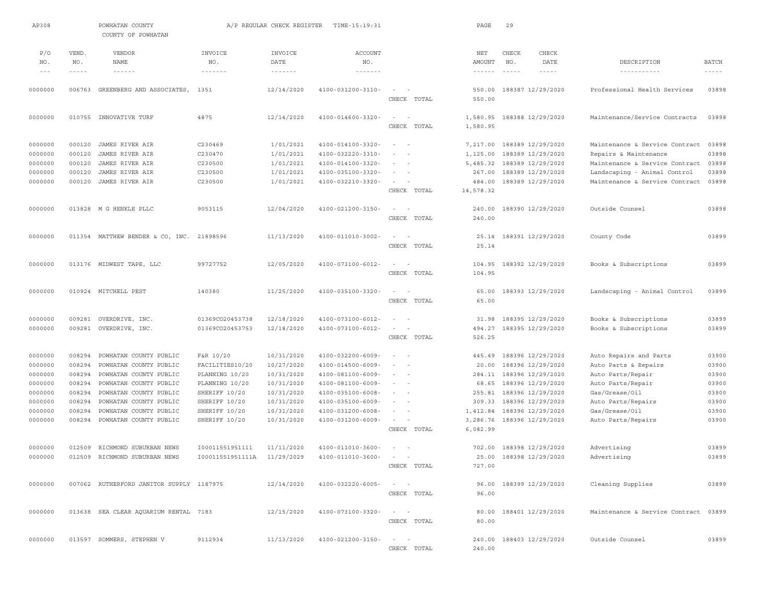| AP308    |             | POWHATAN COUNTY<br>COUNTY OF POWHATAN    |                                      | A/P REGULAR CHECK REGISTER           | TIME-15:19:31                 |                                                                                                                  | PAGE                          | 29            |                          |                                      |                                                                                                                                                                                                                                                                                                                                                                                              |
|----------|-------------|------------------------------------------|--------------------------------------|--------------------------------------|-------------------------------|------------------------------------------------------------------------------------------------------------------|-------------------------------|---------------|--------------------------|--------------------------------------|----------------------------------------------------------------------------------------------------------------------------------------------------------------------------------------------------------------------------------------------------------------------------------------------------------------------------------------------------------------------------------------------|
|          |             |                                          |                                      |                                      |                               |                                                                                                                  |                               |               |                          |                                      |                                                                                                                                                                                                                                                                                                                                                                                              |
| P/O      | VEND.       | <b>VENDOR</b>                            | INVOICE                              | INVOICE                              | <b>ACCOUNT</b>                |                                                                                                                  | NET                           | CHECK         | CHECK                    |                                      |                                                                                                                                                                                                                                                                                                                                                                                              |
| NO.      | NO.         | NAME                                     | NO.                                  | DATE                                 | NO.                           |                                                                                                                  | AMOUNT                        | NO.           | DATE                     | DESCRIPTION                          | <b>BATCH</b>                                                                                                                                                                                                                                                                                                                                                                                 |
| $\cdots$ | $- - - - -$ | $\cdots$                                 | $\cdots \cdots \cdots \cdots \cdots$ | $\cdots \cdots \cdots \cdots \cdots$ | $\cdots \cdots \cdots \cdots$ |                                                                                                                  | $\cdots \cdots \cdots \cdots$ | $- - - - - -$ | $- - - - - -$            | -----------                          | $\frac{1}{2} \frac{1}{2} \frac{1}{2} \frac{1}{2} \frac{1}{2} \frac{1}{2} \frac{1}{2} \frac{1}{2} \frac{1}{2} \frac{1}{2} \frac{1}{2} \frac{1}{2} \frac{1}{2} \frac{1}{2} \frac{1}{2} \frac{1}{2} \frac{1}{2} \frac{1}{2} \frac{1}{2} \frac{1}{2} \frac{1}{2} \frac{1}{2} \frac{1}{2} \frac{1}{2} \frac{1}{2} \frac{1}{2} \frac{1}{2} \frac{1}{2} \frac{1}{2} \frac{1}{2} \frac{1}{2} \frac{$ |
| 0000000  | 006763      | GREENBERG AND ASSOCIATES,                | 1351                                 | 12/14/2020                           | 4100-031200-3110-             | $\sim$<br>$\sim$                                                                                                 | 550.00                        |               | 188387 12/29/2020        | Professional Health Services         | 03898                                                                                                                                                                                                                                                                                                                                                                                        |
|          |             |                                          |                                      |                                      |                               | CHECK TOTAL                                                                                                      | 550.00                        |               |                          |                                      |                                                                                                                                                                                                                                                                                                                                                                                              |
| 0000000  |             | 010755 INNOVATIVE TURF                   | 4875                                 | 12/14/2020                           | 4100-014600-3320-             | $\sim$<br>$\overline{\phantom{a}}$                                                                               | 1,580.95                      |               | 188388 12/29/2020        | Maintenance/Service Contracts        | 03898                                                                                                                                                                                                                                                                                                                                                                                        |
|          |             |                                          |                                      |                                      |                               | CHECK TOTAL                                                                                                      | 1,580.95                      |               |                          |                                      |                                                                                                                                                                                                                                                                                                                                                                                              |
| 0000000  | 000120      | JAMES RIVER AIR                          | C230469                              | 1/01/2021                            | 4100-014100-3320-             | $\sim$<br>$\sim$                                                                                                 | 7,217.00                      |               | 188389 12/29/2020        | Maintenance & Service Contract       | 03898                                                                                                                                                                                                                                                                                                                                                                                        |
| 0000000  | 000120      | JAMES RIVER AIR                          | C230470                              | 1/01/2021                            | 4100-032220-3310-             | $\sim$                                                                                                           | 1,125.00                      |               | 188389 12/29/2020        | Repairs & Maintenance                | 03898                                                                                                                                                                                                                                                                                                                                                                                        |
| 0000000  | 000120      | JAMES RIVER AIR                          | C230500                              | 1/01/2021                            | 4100-014100-3320-             | $\sim$ 100 $\sim$ 100                                                                                            | 5,485.32                      |               | 188389 12/29/2020        | Maintenance & Service Contract       | 03898                                                                                                                                                                                                                                                                                                                                                                                        |
| 0000000  | 000120      | JAMES RIVER AIR                          | C230500                              | 1/01/2021                            | 4100-035100-3320-             | $\sim$                                                                                                           | 267.00                        |               | 188389 12/29/2020        | Landscaping - Animal Control         | 03898                                                                                                                                                                                                                                                                                                                                                                                        |
| 0000000  | 000120      | JAMES RIVER AIR                          | C230500                              | 1/01/2021                            | 4100-032210-3320-             | $\sim$                                                                                                           | 484.00                        |               | 188389 12/29/2020        | Maintenance & Service Contract       | 03898                                                                                                                                                                                                                                                                                                                                                                                        |
|          |             |                                          |                                      |                                      |                               | CHECK TOTAL                                                                                                      | 14,578.32                     |               |                          |                                      |                                                                                                                                                                                                                                                                                                                                                                                              |
| 0000000  |             | 013828 M G HENKLE PLLC                   | 9053115                              | 12/04/2020                           | 4100-021200-3150-             |                                                                                                                  | 240.00                        |               | 188390 12/29/2020        | Outside Counsel                      | 03898                                                                                                                                                                                                                                                                                                                                                                                        |
|          |             |                                          |                                      |                                      |                               | CHECK TOTAL                                                                                                      | 240.00                        |               |                          |                                      |                                                                                                                                                                                                                                                                                                                                                                                              |
| 0000000  | 011354      | MATTHEW BENDER & CO, INC. 21898596       |                                      | 11/13/2020                           | 4100-011010-3002-             | $\sim$                                                                                                           | 25.14                         |               | 188391 12/29/2020        | County Code                          | 03899                                                                                                                                                                                                                                                                                                                                                                                        |
|          |             |                                          |                                      |                                      |                               | CHECK TOTAL                                                                                                      | 25.14                         |               |                          |                                      |                                                                                                                                                                                                                                                                                                                                                                                              |
| 0000000  |             | 013176 MIDWEST TAPE, LLC                 | 99727752                             | 12/05/2020                           | 4100-073100-6012-             | $\sim$<br>$\sim$                                                                                                 | 104.95                        |               | 188392 12/29/2020        | Books & Subscriptions                | 03899                                                                                                                                                                                                                                                                                                                                                                                        |
|          |             |                                          |                                      |                                      |                               | CHECK TOTAL                                                                                                      | 104.95                        |               |                          |                                      |                                                                                                                                                                                                                                                                                                                                                                                              |
| 0000000  |             | 010924 MITCHELL PEST                     | 140380                               | 11/25/2020                           | 4100-035100-3320-             | $\sim$<br>$\sim$                                                                                                 | 65.00                         |               | 188393 12/29/2020        | Landscaping - Animal Control         | 03899                                                                                                                                                                                                                                                                                                                                                                                        |
|          |             |                                          |                                      |                                      |                               | CHECK TOTAL                                                                                                      | 65.00                         |               |                          |                                      |                                                                                                                                                                                                                                                                                                                                                                                              |
|          |             |                                          |                                      |                                      |                               |                                                                                                                  |                               |               |                          |                                      |                                                                                                                                                                                                                                                                                                                                                                                              |
| 0000000  | 009281      | OVERDRIVE, INC.                          | 01369CO20453738                      | 12/18/2020                           | 4100-073100-6012-             | $\sim$<br>$\sim$                                                                                                 | 31.98                         |               | 188395 12/29/2020        | Books & Subscriptions                | 03899                                                                                                                                                                                                                                                                                                                                                                                        |
| 0000000  | 009281      | OVERDRIVE, INC.                          | 01369CO20453753                      | 12/18/2020                           | 4100-073100-6012-             | $\sim$                                                                                                           | 494.27                        |               | 188395 12/29/2020        | Books & Subscriptions                | 03899                                                                                                                                                                                                                                                                                                                                                                                        |
|          |             |                                          |                                      |                                      |                               | CHECK TOTAL                                                                                                      | 526.25                        |               |                          |                                      |                                                                                                                                                                                                                                                                                                                                                                                              |
| 0000000  | 008294      | POWHATAN COUNTY PUBLIC                   | F&R 10/20                            | 10/31/2020                           | 4100-032200-6009-             |                                                                                                                  | 445.49                        |               | 188396 12/29/2020        | Auto Repairs and Parts               | 03900                                                                                                                                                                                                                                                                                                                                                                                        |
| 0000000  | 008294      | POWHATAN COUNTY PUBLIC                   | FACILITIES10/20                      | 10/27/2020                           | 4100-014500-6009-             | $\overline{\phantom{a}}$<br>$\sim$                                                                               | 20.00                         |               | 188396 12/29/2020        | Auto Parts & Repairs                 | 03900                                                                                                                                                                                                                                                                                                                                                                                        |
| 0000000  | 008294      | POWHATAN COUNTY PUBLIC                   | PLANNING 10/20                       | 10/31/2020                           | 4100-081100-6009-             | $ -$                                                                                                             |                               |               | 284.11 188396 12/29/2020 | Auto Parts/Repair                    | 03900                                                                                                                                                                                                                                                                                                                                                                                        |
| 0000000  | 008294      | POWHATAN COUNTY PUBLIC                   | PLANNING 10/20                       | 10/31/2020                           | 4100-081100-6009-             | $\sim$ $-$                                                                                                       | 68.65                         |               | 188396 12/29/2020        | Auto Parts/Repair                    | 03900                                                                                                                                                                                                                                                                                                                                                                                        |
| 0000000  | 008294      | POWHATAN COUNTY PUBLIC                   | SHERIFF 10/20                        | 10/31/2020                           | 4100-035100-6008-             | $\sim$<br>$\sim$                                                                                                 | 255.81                        |               | 188396 12/29/2020        | Gas/Grease/Oil                       | 03900                                                                                                                                                                                                                                                                                                                                                                                        |
| 0000000  | 008294      | POWHATAN COUNTY PUBLIC                   | SHERIFF 10/20                        | 10/31/2020                           | 4100-035100-6009-             | $\sim$<br>$\sim$                                                                                                 | 309.33                        |               | 188396 12/29/2020        | Auto Parts/Repairs                   | 03900                                                                                                                                                                                                                                                                                                                                                                                        |
| 0000000  | 008294      | POWHATAN COUNTY PUBLIC                   | SHERIFF 10/20                        | 10/31/2020                           | $4100 - 031200 - 6008 -$      | $\sim$                                                                                                           | 1,412.84                      |               | 188396 12/29/2020        | Gas/Grease/Oil                       | 03900                                                                                                                                                                                                                                                                                                                                                                                        |
| 0000000  | 008294      | POWHATAN COUNTY PUBLIC                   | SHERIFF 10/20                        | 10/31/2020                           | 4100-031200-6009-             | $\sim$<br>$\sim$                                                                                                 | 3,286.76                      |               | 188396 12/29/2020        | Auto Parts/Repairs                   | 03900                                                                                                                                                                                                                                                                                                                                                                                        |
|          |             |                                          |                                      |                                      |                               | CHECK TOTAL                                                                                                      | 6,082.99                      |               |                          |                                      |                                                                                                                                                                                                                                                                                                                                                                                              |
| 0000000  | 012509      | RICHMOND SUBURBAN NEWS                   | 100011551951111                      | 11/11/2020                           | 4100-011010-3600-             |                                                                                                                  | 702.00                        |               | 188398 12/29/2020        | Advertising                          | 03899                                                                                                                                                                                                                                                                                                                                                                                        |
| 0000000  | 012509      | RICHMOND SUBURBAN NEWS                   | I00011551951111A                     | 11/29/2029                           | 4100-011010-3600-             |                                                                                                                  | 25.00                         |               | 188398 12/29/2020        | Advertising                          | 03899                                                                                                                                                                                                                                                                                                                                                                                        |
|          |             |                                          |                                      |                                      |                               | CHECK TOTAL                                                                                                      | 727.00                        |               |                          |                                      |                                                                                                                                                                                                                                                                                                                                                                                              |
| 0000000  |             | 007062 RUTHERFORD JANITOR SUPPLY 1187975 |                                      | 12/14/2020                           | 4100-032220-6005-             | $\frac{1}{2} \left( \frac{1}{2} \right) \left( \frac{1}{2} \right) = \frac{1}{2} \left( \frac{1}{2} \right)$     |                               |               | 96.00 188399 12/29/2020  | Cleaning Supplies                    | 03899                                                                                                                                                                                                                                                                                                                                                                                        |
|          |             |                                          |                                      |                                      |                               | CHECK TOTAL                                                                                                      | 96.00                         |               |                          |                                      |                                                                                                                                                                                                                                                                                                                                                                                              |
| 0000000  |             | 013638 SEA CLEAR AQUARIUM RENTAL 7183    |                                      | 12/15/2020                           | 4100-073100-3320-             | $\mathcal{L} = \mathcal{L} \times \mathcal{L} = \mathcal{L} \times \mathcal{L} = \mathcal{L} \times \mathcal{L}$ |                               |               | 80.00 188401 12/29/2020  | Maintenance & Service Contract 03899 |                                                                                                                                                                                                                                                                                                                                                                                              |
|          |             |                                          |                                      |                                      |                               | CHECK TOTAL                                                                                                      | 80.00                         |               |                          |                                      |                                                                                                                                                                                                                                                                                                                                                                                              |
| 0000000  |             |                                          | 9112934                              | 11/13/2020                           | 4100-021200-3150-             | $\sim$<br>$\sim$                                                                                                 | 240.00                        |               |                          | Outside Counsel                      | 03899                                                                                                                                                                                                                                                                                                                                                                                        |
|          |             | 013597 SOMMERS, STEPHEN V                |                                      |                                      |                               | CHECK TOTAL                                                                                                      | 240.00                        |               | 188403 12/29/2020        |                                      |                                                                                                                                                                                                                                                                                                                                                                                              |
|          |             |                                          |                                      |                                      |                               |                                                                                                                  |                               |               |                          |                                      |                                                                                                                                                                                                                                                                                                                                                                                              |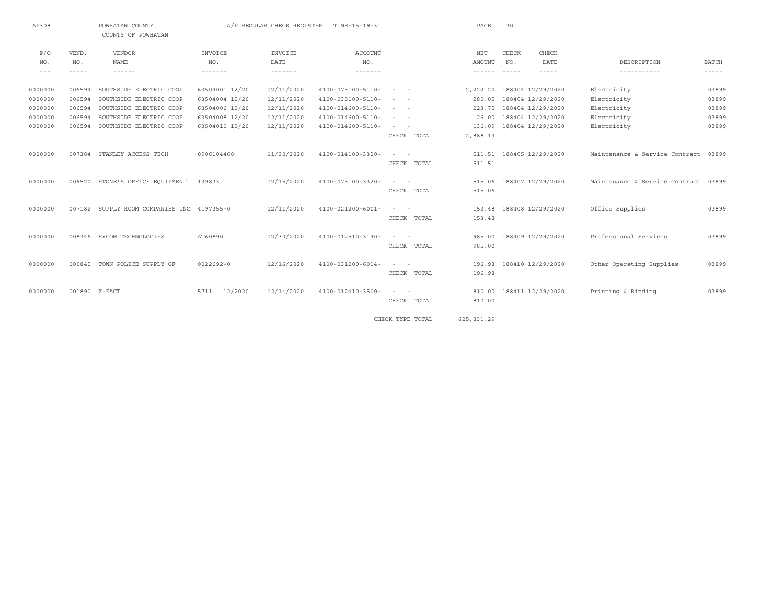| AP308     |        | POWHATAN COUNTY<br>COUNTY OF POWHATAN      |                 | A/P REGULAR CHECK REGISTER       | TIME-15:19:31            |                                                                                                                           | PAGE          | 30    |                             |                                |               |
|-----------|--------|--------------------------------------------|-----------------|----------------------------------|--------------------------|---------------------------------------------------------------------------------------------------------------------------|---------------|-------|-----------------------------|--------------------------------|---------------|
| P/O       | VEND.  | <b>VENDOR</b>                              | INVOICE         | INVOICE                          | <b>ACCOUNT</b>           |                                                                                                                           | $_{\rm NET}$  | CHECK | <b>CHECK</b>                |                                |               |
| NO.       | NO.    | <b>NAME</b>                                | NO.             | DATE                             | NO.                      |                                                                                                                           | AMOUNT        | NO.   | DATE                        | DESCRIPTION                    | <b>BATCH</b>  |
| $- - - -$ | -----  | $- - - - - - -$                            | -------         | $\cdots\cdots\cdots\cdots\cdots$ | -------                  |                                                                                                                           | ------- ----- |       | $- - - - -$                 | -----------                    | $- - - - - -$ |
| 0000000   | 006594 | SOUTHSIDE ELECTRIC COOP                    | 63504001 12/20  | 12/11/2020                       | 4100-073100-5110-        | $\qquad \qquad -$                                                                                                         |               |       | 2, 222.24 188404 12/29/2020 | Electricity                    | 03899         |
| 0000000   | 006594 | SOUTHSIDE ELECTRIC COOP                    | 63504004 12/20  | 12/11/2020                       | 4100-035100-5110-        | $\frac{1}{2} \left( \frac{1}{2} \right) \left( \frac{1}{2} \right) \left( \frac{1}{2} \right) \left( \frac{1}{2} \right)$ | 280.05        |       | 188404 12/29/2020           | Electricity                    | 03899         |
| 0000000   | 006594 | SOUTHSIDE ELECTRIC COOP                    | 63504006 12/20  | 12/11/2020                       | 4100-014600-5110-        | $\sim$ 100 $\sim$ 100 $\sim$                                                                                              | 223.75        |       | 188404 12/29/2020           | Electricity                    | 03899         |
| 0000000   | 006594 | SOUTHSIDE ELECTRIC COOP                    | 63504008 12/20  | 12/11/2020                       | 4100-014600-5110-        | $\sim$ $ -$                                                                                                               | 26.00         |       | 188404 12/29/2020           | Electricity                    | 03899         |
| 0000000   | 006594 | SOUTHSIDE ELECTRIC COOP                    | 63504010 12/20  | 12/11/2020                       | 4100-014600-5110-        | $\qquad \qquad -$                                                                                                         | 136.09        |       | 188404 12/29/2020           | Electricity                    | 03899         |
|           |        |                                            |                 |                                  |                          | CHECK TOTAL                                                                                                               | 2,888.13      |       |                             |                                |               |
| 0000000   |        | 007384 STANLEY ACCESS TECH                 | 0906104468      | 11/30/2020                       | 4100-014100-3320-        | $\sim$ 100 $\sim$ 100 $\sim$                                                                                              |               |       | 511.51 188405 12/29/2020    | Maintenance & Service Contract | 03899         |
|           |        |                                            |                 |                                  |                          | CHECK TOTAL                                                                                                               | 511.51        |       |                             |                                |               |
| 0000000   |        | 009520 STONE'S OFFICE EQUIPMENT            | 139833          | 12/15/2020                       | 4100-073100-3320-        | $\sim$ 100 $\sim$ 100 $\sim$                                                                                              |               |       | 515.06 188407 12/29/2020    | Maintenance & Service Contract | 03899         |
|           |        |                                            |                 |                                  |                          | CHECK TOTAL                                                                                                               | 515.06        |       |                             |                                |               |
| 0000000   |        | 007182 SUPPLY ROOM COMPANIES INC 4197355-0 |                 | 12/11/2020                       | 4100-021200-6001-        | $\sim$ 100 $\sim$ 100 $\sim$                                                                                              |               |       | 153.48 188408 12/29/2020    | Office Supplies                | 03899         |
|           |        |                                            |                 |                                  |                          | CHECK TOTAL                                                                                                               | 153.48        |       |                             |                                |               |
| 0000000   |        | 008346 SYCOM TECHNOLOGIES                  | AT60890         | 12/30/2020                       | 4100-012510-3140-        | $\sim$ 100 $\sim$ 100 $\sim$                                                                                              |               |       | 985.00 188409 12/29/2020    | Professional Services          | 03899         |
|           |        |                                            |                 |                                  |                          | CHECK TOTAL                                                                                                               | 985.00        |       |                             |                                |               |
| 0000000   |        | 000845 TOWN POLICE SUPPLY OF               | $0022692 - 0$   | 12/16/2020                       | $4100 - 031200 - 6014 -$ | $\sim$ 100 $\sim$ 100                                                                                                     |               |       | 196.98 188410 12/29/2020    | Other Operating Supplies       | 03899         |
|           |        |                                            |                 |                                  |                          | CHECK TOTAL                                                                                                               | 196.98        |       |                             |                                |               |
| 0000000   |        | 001890 X-ZACT                              | 12/2020<br>5711 | 12/14/2020                       | 4100-012410-3500-        | $\sim$ $ -$                                                                                                               |               |       | 810.00 188411 12/29/2020    | Printing & Binding             | 03899         |
|           |        |                                            |                 |                                  |                          | CHECK TOTAL                                                                                                               | 810.00        |       |                             |                                |               |
|           |        |                                            |                 |                                  |                          |                                                                                                                           |               |       |                             |                                |               |

CHECK TYPE TOTAL 625,831.29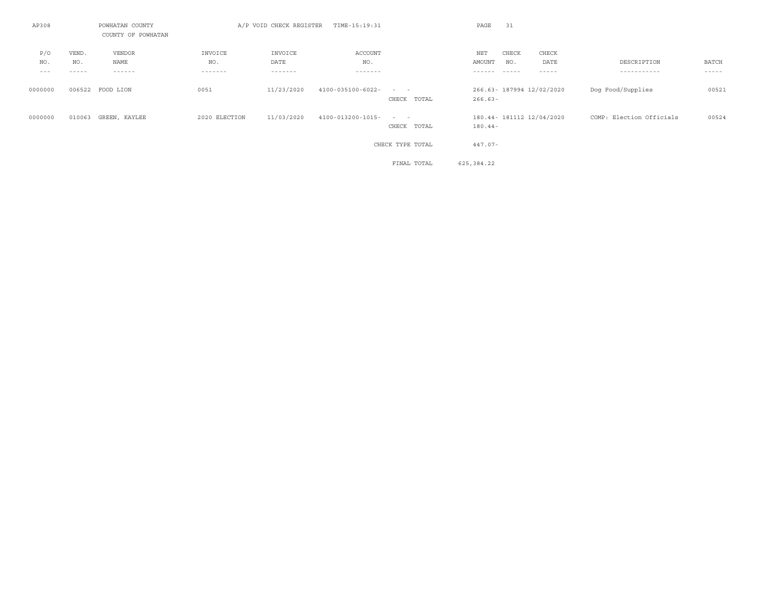| AP308                   |                       | POWHATAN COUNTY<br>COUNTY OF POWHATAN |                           | A/P VOID CHECK REGISTER    | TIME-15:19:31             |                                             | PAGE                    | 31                            |                           |                            |                        |
|-------------------------|-----------------------|---------------------------------------|---------------------------|----------------------------|---------------------------|---------------------------------------------|-------------------------|-------------------------------|---------------------------|----------------------------|------------------------|
| P/O<br>NO.<br>$- - - -$ | VEND.<br>NO.<br>----- | VENDOR<br>NAME<br>------              | INVOICE<br>NO.<br>------- | INVOICE<br>DATE<br>------- | ACCOUNT<br>NO.<br>------- |                                             | NET<br>AMOUNT<br>------ | CHECK<br>NO.<br>$- - - - - -$ | CHECK<br>DATE<br>-----    | DESCRIPTION<br>----------- | BATCH<br>$- - - - - -$ |
| 0000000                 |                       | 006522 FOOD LION                      | 0051                      | 11/23/2020                 | 4100-035100-6022-         | $\qquad \qquad -$<br>CHECK TOTAL            | $266.63 -$              |                               | 266.63- 187994 12/02/2020 | Dog Food/Supplies          | 00521                  |
| 0000000                 | 010063                | GREEN, KAYLEE                         | 2020 ELECTION             | 11/03/2020                 | 4100-013200-1015-         | $\sim$ 100 $\sim$ 100 $\sim$<br>CHECK TOTAL | $180.44 -$              |                               | 180.44- 181112 12/04/2020 | COMP: Election Officials   | 00524                  |
|                         |                       |                                       |                           |                            |                           | CHECK TYPE TOTAL                            | $447.07 -$              |                               |                           |                            |                        |
|                         |                       |                                       |                           |                            |                           | FINAL TOTAL                                 | 625, 384.22             |                               |                           |                            |                        |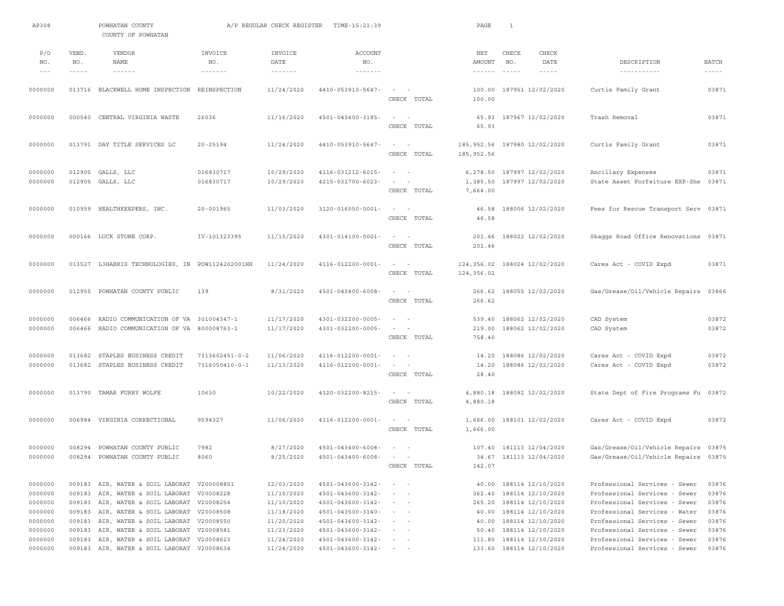| AP308                                               |                             | POWHATAN COUNTY<br>COUNTY OF POWHATAN                                                                                                                                                                                 |                                  | A/P REGULAR CHECK REGISTER                                         | TIME-15:21:39                                                                                                       |                                                                                                                               | PAGE                                           | $\mathbf{1}$             |                                                                                                             |                                                                                                                                                                                                    |                                                    |
|-----------------------------------------------------|-----------------------------|-----------------------------------------------------------------------------------------------------------------------------------------------------------------------------------------------------------------------|----------------------------------|--------------------------------------------------------------------|---------------------------------------------------------------------------------------------------------------------|-------------------------------------------------------------------------------------------------------------------------------|------------------------------------------------|--------------------------|-------------------------------------------------------------------------------------------------------------|----------------------------------------------------------------------------------------------------------------------------------------------------------------------------------------------------|----------------------------------------------------|
| P/O<br>NO.<br>$- - -$                               | VEND.<br>NO.<br>$- - - - -$ | VENDOR<br><b>NAME</b><br>$\cdots \cdots \cdots \cdots$                                                                                                                                                                | INVOICE<br>NO.<br>-------        | INVOICE<br>DATE<br>$\cdots \cdots \cdots \cdots \cdots$            | <b>ACCOUNT</b><br>NO.<br><u> - - - - - - -</u>                                                                      |                                                                                                                               | NET<br>AMOUNT<br>$\cdots \cdots \cdots \cdots$ | CHECK<br>NO.<br>$\cdots$ | CHECK<br>DATE<br>$- - - - -$                                                                                | DESCRIPTION<br>-----------                                                                                                                                                                         | <b>BATCH</b><br>$\frac{1}{2}$                      |
| 0000000                                             |                             | 013716 BLACKWELL HOME INSPECTION                                                                                                                                                                                      | REINSPECTION                     | 11/24/2020                                                         | 4410-053910-5647-                                                                                                   | $\overline{\phantom{a}}$<br>CHECK TOTAL                                                                                       | 100.00<br>100.00                               |                          | 187951 12/02/2020                                                                                           | Curtis Family Grant                                                                                                                                                                                | 03871                                              |
| 0000000                                             | 000540                      | CENTRAL VIRGINIA WASTE                                                                                                                                                                                                | 26036                            | 11/16/2020                                                         | 4501-043400-3185-                                                                                                   | $\sim$<br>CHECK TOTAL                                                                                                         | 65.93<br>65.93                                 |                          | 187967 12/02/2020                                                                                           | Trash Removal                                                                                                                                                                                      | 03871                                              |
| 0000000                                             |                             | 013791 DAY TITLE SERVICES LC                                                                                                                                                                                          | 20-25194                         | 11/24/2020                                                         | 4410-053910-5647-                                                                                                   | $\sim$<br>$\overline{\phantom{0}}$<br>CHECK TOTAL                                                                             | 185,952.56<br>185, 952.56                      |                          | 187980 12/02/2020                                                                                           | Curtis Family Grant                                                                                                                                                                                | 03871                                              |
| 0000000<br>0000000                                  |                             | 012905 GALLS, LLC<br>012905 GALLS, LLC                                                                                                                                                                                | 016830717<br>016830717           | 10/29/2020<br>10/29/2020                                           | 4116-031212-6015-<br>4215-031700-6023-                                                                              | $\sim$<br>$\sim$<br>$\sim$<br>CHECK TOTAL                                                                                     | 6,278.50<br>1,385.50<br>7,664.00               |                          | 187997 12/02/2020<br>187997 12/02/2020                                                                      | Ancillary Expenses<br>State Asset Forfeiture EXP-She                                                                                                                                               | 03871<br>03871                                     |
| 0000000                                             |                             | 010959 HEALTHKEEPERS, INC.                                                                                                                                                                                            | $20 - 001965$                    | 11/03/2020                                                         | $3120 - 016050 - 0001 -$                                                                                            | $\sim$<br>$\overline{\phantom{a}}$<br>CHECK TOTAL                                                                             | 46.58<br>46.58                                 |                          | 188006 12/02/2020                                                                                           | Fees for Rescue Transport Serv 03871                                                                                                                                                               |                                                    |
| 0000000                                             |                             | 000166 LUCK STONE CORP.                                                                                                                                                                                               | IV-101323395                     | 11/15/2020                                                         | 4301-014100-0001-                                                                                                   | $\sim$<br>$\overline{\phantom{a}}$<br>CHECK TOTAL                                                                             | 201.46<br>201.46                               |                          | 188022 12/02/2020                                                                                           | Skaggs Road Office Renovations                                                                                                                                                                     | 03871                                              |
| 0000000                                             |                             | 013527 L3HARRIS TECHNOLOGIES, IN POW1124202001HH                                                                                                                                                                      |                                  | 11/24/2020                                                         | 4116-012200-0001-                                                                                                   | $\sim$<br>$\overline{\phantom{a}}$<br>CHECK TOTAL                                                                             | 124,356.02<br>124,356.02                       |                          | 188024 12/02/2020                                                                                           | Cares Act - COVID Expd                                                                                                                                                                             | 03871                                              |
| 0000000                                             |                             | 012955 POWHATAN COUNTY PUBLIC                                                                                                                                                                                         | 139                              | 8/31/2020                                                          | $4501 - 043400 - 6008 -$                                                                                            | $\overline{\phantom{a}}$<br>CHECK TOTAL                                                                                       | 266.62<br>266.62                               |                          | 188055 12/02/2020                                                                                           | Gas/Grease/Oil/Vehicle Repairs                                                                                                                                                                     | 03866                                              |
| 0000000<br>0000000                                  | 006466<br>006466            | RADIO COMMUNICATION OF VA<br>RADIO COMMUNICATION OF VA 800008763-1                                                                                                                                                    | 301004347-1                      | 11/17/2020<br>11/17/2020                                           | 4301-032200-0005-<br>4301-032200-0005-                                                                              | $\sim$<br>$\sim$<br>$\overline{\phantom{a}}$<br>CHECK TOTAL                                                                   | 539.40<br>219.00<br>758.40                     |                          | 188062 12/02/2020<br>188062 12/02/2020                                                                      | CAD System<br>CAD System                                                                                                                                                                           | 03872<br>03872                                     |
| 0000000<br>0000000                                  | 013682<br>013682            | STAPLES BUSINESS CREDIT<br>STAPLES BUSINESS CREDIT                                                                                                                                                                    | 7313602451-0-2<br>7316050410-0-1 | 11/06/2020<br>11/13/2020                                           | 4116-012200-0001-<br>4116-012200-0001-                                                                              | $\overline{\phantom{a}}$<br>$\sim$<br>$\sim$<br>CHECK TOTAL                                                                   | 14.20<br>14.20<br>28.40                        |                          | 188086 12/02/2020<br>188086 12/02/2020                                                                      | Cares Act - COVID Expd<br>Cares Act - COVID Expd                                                                                                                                                   | 03872<br>03872                                     |
| 0000000                                             |                             | 013790 TAMAR FURRY WOLFE                                                                                                                                                                                              | 10630                            | 10/22/2020                                                         | 4120-032200-8215-                                                                                                   | $\sim$<br>$\sim$<br>CHECK TOTAL                                                                                               | 4,880.18<br>4,880.18                           |                          | 188092 12/02/2020                                                                                           | State Dept of Fire Programs Fu 03872                                                                                                                                                               |                                                    |
| 0000000                                             | 006984                      | VIRGINIA CORRECTIONAL                                                                                                                                                                                                 | 9594327                          | 11/06/2020                                                         | 4116-012200-0001-                                                                                                   | CHECK TOTAL                                                                                                                   | 1,666.00<br>1,666.00                           |                          | 188101 12/02/2020                                                                                           | Cares Act - COVID Expd                                                                                                                                                                             | 03872                                              |
| 0000000<br>0000000                                  | 008294                      | POWHATAN COUNTY PUBLIC<br>008294 POWHATAN COUNTY PUBLIC                                                                                                                                                               | 7982<br>8060                     | 8/27/2020<br>8/25/2020                                             | $4501 - 043400 - 6008 -$<br>$4501 - 043400 - 6008 -$                                                                | $\sim$ $-$<br>$\sim$<br>CHECK TOTAL                                                                                           | 142.07                                         |                          | 107.40 181113 12/04/2020<br>34.67 181113 12/04/2020                                                         | Gas/Grease/Oil/Vehicle Repairs 03875<br>Gas/Grease/Oil/Vehicle Repairs 03875                                                                                                                       |                                                    |
| 0000000<br>0000000<br>0000000<br>0000000<br>0000000 | 009183<br>009183            | 009183 AIR, WATER & SOIL LABORAT V200008851<br>009183 AIR, WATER & SOIL LABORAT V20008228<br>009183 AIR, WATER & SOIL LABORAT V20008254<br>AIR, WATER & SOIL LABORAT V20008508<br>AIR, WATER & SOIL LABORAT V20008550 |                                  | 12/03/2020<br>11/10/2020<br>11/10/2020<br>11/18/2020<br>11/20/2020 | $4501 - 043600 - 3142 -$<br>4501-043600-3142-<br>4501-043600-3142-<br>$4501 - 043500 - 3140 -$<br>4501-043600-3142- | $\sim$ 100 $\sim$ 100<br>$\sim$<br>$\overline{\phantom{0}}$<br>$\sim$ $ -$<br>$\sim$ 100 $\sim$<br>$\sim$ $ -$<br>$\sim$ $ -$ | 362.40<br>265.20<br>40.00<br>40.00             |                          | 40.00 188114 12/10/2020<br>188114 12/10/2020<br>188114 12/10/2020<br>188114 12/10/2020<br>188114 12/10/2020 | Professional Services - Sewer<br>Professional Services - Sewer<br>Professional Services - Sewer<br>Professional Services - Water<br>Professional Services - Sewer<br>Professional Services - Sewer | 03876<br>03876<br>03876<br>03876<br>03876<br>03876 |
| 0000000<br>0000000<br>0000000                       |                             | 009183 AIR, WATER & SOIL LABORAT V20008581<br>009183 AIR, WATER & SOIL LABORAT V20008623<br>009183 AIR, WATER & SOIL LABORAT V20008634                                                                                |                                  | 11/23/2020<br>11/24/2020<br>11/24/2020                             | $4501 - 043600 - 3142 -$<br>$4501 - 043600 - 3142 -$<br>4501-043600-3142-                                           | $\frac{1}{2} \left( \frac{1}{2} \right) \left( \frac{1}{2} \right) = \frac{1}{2} \left( \frac{1}{2} \right)$<br>$\sim$ $ -$   | 50.40<br>111.80<br>133.60                      |                          | 188114 12/10/2020<br>188114 12/10/2020<br>188114 12/10/2020                                                 | Professional Services - Sewer<br>Professional Services - Sewer                                                                                                                                     | 03876<br>03876                                     |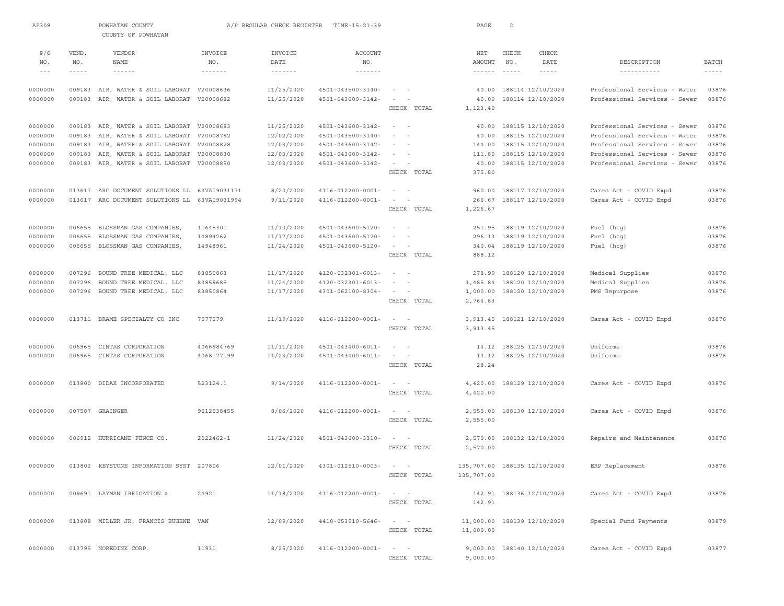| AP308      |              | POWHATAN COUNTY<br>COUNTY OF POWHATAN      |                            | A/P REGULAR CHECK REGISTER | TIME-15:21:39                    |                                                                   | PAGE                         | 2            |                             |                                                                |                |
|------------|--------------|--------------------------------------------|----------------------------|----------------------------|----------------------------------|-------------------------------------------------------------------|------------------------------|--------------|-----------------------------|----------------------------------------------------------------|----------------|
| P/O<br>NO. | VEND.<br>NO. | VENDOR<br>NAME                             | INVOICE<br>NO.             | INVOICE<br>DATE            | <b>ACCOUNT</b><br>NO.            |                                                                   | NET<br>AMOUNT                | CHECK<br>NO. | <b>CHECK</b><br>DATE        | DESCRIPTION                                                    | <b>BATCH</b>   |
| $- - -$    | $- - - - -$  | $- - - - - - -$                            | $\cdots\cdots\cdots\cdots$ | $\cdots\cdots\cdots\cdots$ | $\cdots\cdots\cdots\cdots\cdots$ |                                                                   | $- - - - - - -$              | $\cdots$     | $- - - - - -$               | -----------                                                    | $- - - - - -$  |
|            |              |                                            |                            |                            |                                  |                                                                   |                              |              |                             |                                                                |                |
| 0000000    |              | 009183 AIR, WATER & SOIL LABORAT           | V20008636<br>V20008682     | 11/25/2020                 | 4501-043500-3140-                | $\sim$                                                            | 40.00                        |              | 188114 12/10/2020           | Professional Services - Water<br>Professional Services - Sewer | 03876<br>03876 |
| 0000000    |              | 009183 AIR, WATER & SOIL LABORAT           |                            | 11/25/2020                 | 4501-043600-3142-                | CHECK TOTAL                                                       | 40.00<br>1,123.40            |              | 188114 12/10/2020           |                                                                |                |
| 0000000    |              | 009183 AIR, WATER & SOIL LABORAT V20008683 |                            | 11/25/2020                 | 4501-043600-3142-                | $\sim$<br>$\sim$ $-$                                              |                              |              | 40.00 188115 12/10/2020     | Professional Services - Sewer                                  | 03876          |
| 0000000    | 009183       | AIR, WATER & SOIL LABORAT                  | V20008792                  | 12/02/2020                 | $4501 - 043500 - 3140 -$         |                                                                   | 40.00                        |              | 188115 12/10/2020           | Professional Services - Water                                  | 03876          |
| 0000000    | 009183       | AIR, WATER & SOIL LABORAT V20008828        |                            | 12/03/2020                 | 4501-043600-3142-                |                                                                   | 144.00                       |              | 188115 12/10/2020           | Professional Services - Sewer                                  | 03876          |
| 0000000    | 009183       | AIR, WATER & SOIL LABORAT V20008830        |                            | 12/03/2020                 | 4501-043600-3142-                | $\sim$ 100 $\sim$                                                 | 111.80                       |              | 188115 12/10/2020           | Professional Services - Sewer                                  | 03876          |
| 0000000    | 009183       | AIR, WATER & SOIL LABORAT V20008850        |                            | 12/03/2020                 | 4501-043600-3142-                | $\sim$ 100 $\sim$                                                 | 40.00                        |              | 188115 12/10/2020           | Professional Services - Sewer                                  | 03876          |
|            |              |                                            |                            |                            |                                  | CHECK TOTAL                                                       | 375.80                       |              |                             |                                                                |                |
| 0000000    | 013617       | ARC DOCUMENT SOLUTIONS LL                  | 63VAI9031171               | 8/20/2020                  | 4116-012200-0001-                | $\sim$                                                            | 960.00                       |              | 188117 12/10/2020           | Cares Act - COVID Expd                                         | 03876          |
| 0000000    |              | 013617 ARC DOCUMENT SOLUTIONS LL           | 63VAI9031994               | 9/11/2020                  | 4116-012200-0001-                | $\sim$<br>$\sim$                                                  | 266.67                       |              | 188117 12/10/2020           | Cares Act - COVID Expd                                         | 03876          |
|            |              |                                            |                            |                            |                                  | CHECK TOTAL                                                       | 1,226.67                     |              |                             |                                                                |                |
| 0000000    | 006655       | BLOSSMAN GAS COMPANIES                     | 11645301                   | 11/10/2020                 | 4501-043600-5120-                | $\sim$ 100 $\sim$ 100                                             | 251.95                       |              | 188119 12/10/2020           | Fuel (htg)                                                     | 03876          |
| 0000000    | 006655       | BLOSSMAN GAS COMPANIES,                    | 14894262                   | 11/17/2020                 | 4501-043600-5120-                | $\sim$<br>$\overline{\phantom{a}}$                                | 296.13                       |              | 188119 12/10/2020           | Fuel (htg)                                                     | 03876          |
| 0000000    |              | 006655 BLOSSMAN GAS COMPANIES,             | 14948961                   | 11/24/2020                 | 4501-043600-5120-                |                                                                   | 340.04                       |              | 188119 12/10/2020           | Fuel (htg)                                                     | 03876          |
|            |              |                                            |                            |                            |                                  | CHECK TOTAL                                                       | 888.12                       |              |                             |                                                                |                |
| 0000000    | 007296       | BOUND TREE MEDICAL, LLC                    | 83850863                   | 11/17/2020                 | 4120-032301-6013-                | $\sim$<br>$\sim$                                                  | 278.99                       |              | 188120 12/10/2020           | Medical Supplies                                               | 03876          |
| 0000000    | 007296       | BOUND TREE MEDICAL, LLC                    | 83859685                   | 11/24/2020                 | $4120 - 032301 - 6013 -$         | $\sim$<br>$\overline{\phantom{a}}$                                | 1,485.84                     |              | 188120 12/10/2020           | Medical Supplies                                               | 03876          |
| 0000000    | 007296       | BOUND TREE MEDICAL, LLC                    | 83850864                   | 11/17/2020                 | $4301 - 062100 - 8304 -$         | $\sim$ 100 $\sim$ 100                                             | 1,000.00                     |              | 188120 12/10/2020           | PMS Repurpose                                                  | 03876          |
|            |              |                                            |                            |                            |                                  | CHECK TOTAL                                                       | 2,764.83                     |              |                             |                                                                |                |
| 0000000    |              | 013711 BRAME SPECIALTY CO INC              | 7577279                    | 11/19/2020                 | 4116-012200-0001-                | $\sim$                                                            | 3,913.45                     |              | 188121 12/10/2020           | Cares Act - COVID Expd                                         | 03876          |
|            |              |                                            |                            |                            |                                  | CHECK TOTAL                                                       | 3,913.45                     |              |                             |                                                                |                |
| 0000000    | 006965       | CINTAS CORPORATION                         | 4066984769                 | 11/11/2020                 | 4501-043400-6011-                | $\sim$ 100 $\sim$                                                 | 14.12                        |              | 188125 12/10/2020           | Uniforms                                                       | 03876          |
| 0000000    | 006965       | CINTAS CORPORATION                         | 4068177199                 | 11/23/2020                 | $4501 - 043400 - 6011 -$         | $\sim$ 100 $\sim$                                                 |                              |              | 14.12 188125 12/10/2020     | Uniforms                                                       | 03876          |
|            |              |                                            |                            |                            |                                  | CHECK TOTAL                                                       | 28.24                        |              |                             |                                                                |                |
| 0000000    | 013800       | DIDAX INCORPORATED                         | 523124.1                   | 9/14/2020                  | 4116-012200-0001-                | $\sim$ $  -$                                                      | 4,420.00                     |              | 188129 12/10/2020           | Cares Act - COVID Expd                                         | 03876          |
|            |              |                                            |                            |                            |                                  | CHECK TOTAL                                                       | 4,420.00                     |              |                             |                                                                |                |
| 0000000    |              | 007587 GRAINGER                            | 9612538455                 | 8/06/2020                  | 4116-012200-0001-                | $\sim$ 100 $\sim$ 100 $\sim$                                      | 2,555.00                     |              | 188130 12/10/2020           | Cares Act - COVID Expd                                         | 03876          |
|            |              |                                            |                            |                            |                                  | CHECK TOTAL                                                       | 2,555.00                     |              |                             |                                                                |                |
| 0000000    |              | 006912 HURRICANE FENCE CO.                 | $2022462 - 1$              | 11/24/2020                 | 4501-043600-3310-                | $\sim$<br>$\sim$                                                  | 2,570.00                     |              | 188132 12/10/2020           | Repairs and Maintenance                                        | 03876          |
|            |              |                                            |                            |                            |                                  | CHECK TOTAL                                                       | 2,570.00                     |              |                             |                                                                |                |
| 0000000    |              | 013802 KEYSTONE INFORMATION SYST 207806    |                            | 12/01/2020                 | $4301 - 012510 - 0003 - - -$     |                                                                   | 135,707.00 188135 12/10/2020 |              |                             | ERP Replacement                                                | 03876          |
|            |              |                                            |                            |                            |                                  | CHECK TOTAL                                                       | 135,707.00                   |              |                             |                                                                |                |
| 0000000    |              | 009691 LAYMAN IRRIGATION &                 | 24921                      | 11/18/2020                 | 4116-012200-0001-                | $\sim$ $ -$                                                       |                              |              | 142.91 188136 12/10/2020    | Cares Act - COVID Expd                                         | 03876          |
|            |              |                                            |                            |                            |                                  | CHECK TOTAL                                                       | 142.91                       |              |                             |                                                                |                |
| 0000000    |              | 013808 MILLER JR, FRANCIS EUGENE VAN       |                            | 12/09/2020                 | 4410-053910-5646-                | $\sim$ $ -$                                                       |                              |              | 11,000.00 188139 12/10/2020 | Special Fund Payments                                          | 03879          |
|            |              |                                            |                            |                            |                                  | CHECK TOTAL                                                       | 11,000.00                    |              |                             |                                                                |                |
| 0000000    |              | 013795 NOREDINK CORP.                      | 11931                      | 8/25/2020                  | 4116-012200-0001-                | $\mathcal{L} = \mathcal{L} \mathcal{L} = \mathcal{L} \mathcal{L}$ |                              |              | 9,000.00 188140 12/10/2020  | Cares Act - COVID Expd                                         | 03877          |
|            |              |                                            |                            |                            |                                  | CHECK TOTAL                                                       | 9,000.00                     |              |                             |                                                                |                |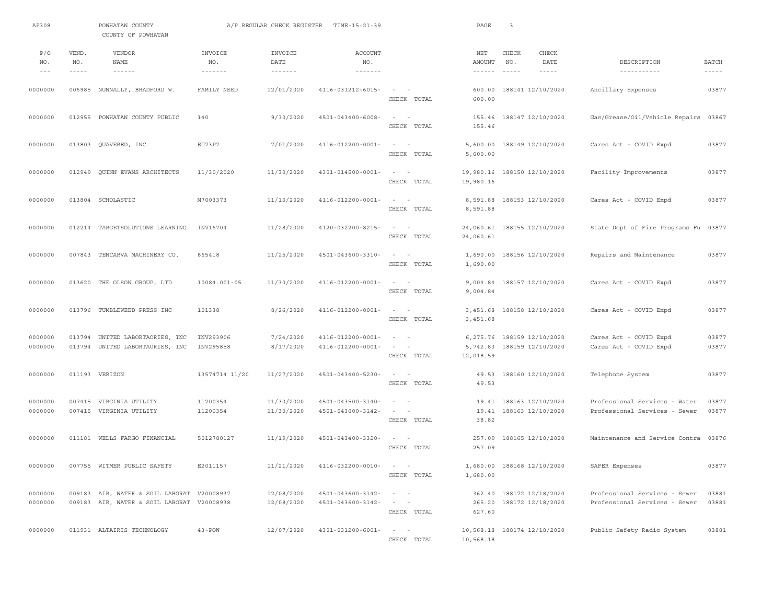| AP308                       |                             | POWHATAN COUNTY<br>COUNTY OF POWHATAN                                                    |                                     | A/P REGULAR CHECK REGISTER                       | TIME-15:21:39                                       |                                                                   | PAGE                             | $\overline{\mathbf{3}}$                                  |                                                                |                               |
|-----------------------------|-----------------------------|------------------------------------------------------------------------------------------|-------------------------------------|--------------------------------------------------|-----------------------------------------------------|-------------------------------------------------------------------|----------------------------------|----------------------------------------------------------|----------------------------------------------------------------|-------------------------------|
| P/O<br>NO.<br>$\frac{1}{2}$ | VEND.<br>NO.<br>$- - - - -$ | <b>VENDOR</b><br>NAME<br>$- - - - - - -$                                                 | INVOICE<br>NO.<br>$- - - - - - - -$ | INVOICE<br>DATE<br>$\cdots \cdots \cdots \cdots$ | <b>ACCOUNT</b><br>NO.<br>$\cdots\cdots\cdots\cdots$ |                                                                   | NET<br>AMOUNT<br>$- - - - - - -$ | CHECK<br>CHECK<br>NO.<br>DATE<br>$\cdots$<br>$- - - - -$ | DESCRIPTION<br>-----------                                     | <b>BATCH</b><br>$- - - - - -$ |
| 0000000                     |                             | 006985 NUNNALLY, BRADFORD W.                                                             | FAMILY NEED                         | 12/01/2020                                       | 4116-031212-6015-                                   | $\sim$ $  -$<br>CHECK TOTAL                                       | 600.00<br>600.00                 | 188141 12/10/2020                                        | Ancillary Expenses                                             | 03877                         |
| 0000000                     |                             | 012955 POWHATAN COUNTY PUBLIC                                                            | 140                                 | 9/30/2020                                        | $4501 - 043400 - 6008 -$                            | $\sim$<br>$\sim$<br>CHECK TOTAL                                   | 155.46<br>155.46                 | 188147 12/10/2020                                        | Gas/Grease/Oil/Vehicle Repairs 03867                           |                               |
| 0000000                     |                             | 013803 QUAVERED, INC.                                                                    | <b>BU73P7</b>                       | 7/01/2020                                        | $4116 - 012200 - 0001 -$                            | $\sim$ 100 $\sim$ 100 $\sim$<br>CHECK TOTAL                       | 5,600.00<br>5,600.00             | 188149 12/10/2020                                        | Cares Act - COVID Expd                                         | 03877                         |
| 0000000                     | 012949                      | QUINN EVANS ARCHITECTS                                                                   | 11/30/2020                          | 11/30/2020                                       | $4301 - 014500 - 0001 -$                            | $\sim$ $  -$<br>CHECK TOTAL                                       | 19,980.16                        | 19,980.16 188150 12/10/2020                              | Facility Improvements                                          | 03877                         |
| 0000000                     |                             | 013804 SCHOLASTIC                                                                        | M7003373                            | 11/10/2020                                       | 4116-012200-0001-                                   | $\sim$ 100 $\sim$ 100 $\sim$<br>CHECK TOTAL                       | 8,591.88<br>8,591.88             | 188153 12/10/2020                                        | Cares Act - COVID Expd                                         | 03877                         |
| 0000000                     |                             | 012214 TARGETSOLUTIONS LEARNING                                                          | INV16704                            | 11/28/2020                                       | 4120-032200-8215-                                   | $\sim$<br>$\sim$ $-$<br>CHECK TOTAL                               | 24,060.61                        | 24,060.61 188155 12/10/2020                              | State Dept of Fire Programs Fu 03877                           |                               |
| 0000000                     |                             | 007843 TENCARVA MACHINERY CO.                                                            | 865418                              | 11/25/2020                                       | 4501-043600-3310-                                   | $\sim$ 100 $\sim$ 100 $\sim$<br>CHECK TOTAL                       | 1,690.00<br>1,690.00             | 188156 12/10/2020                                        | Repairs and Maintenance                                        | 03877                         |
| 0000000                     |                             | 013620 THE OLSON GROUP, LTD                                                              | 10084.001-05                        | 11/30/2020                                       | 4116-012200-0001-                                   | $\sim$<br>$\sim$<br>CHECK TOTAL                                   | 9,004.84                         | 9,004.84 188157 12/10/2020                               | Cares Act - COVID Expd                                         | 03877                         |
| 0000000                     |                             | 013796 TUMBLEWEED PRESS INC                                                              | 101338                              | 8/26/2020                                        | 4116-012200-0001-                                   | $\sim$<br>$\overline{\phantom{a}}$<br>CHECK TOTAL                 | 3,451.68<br>3,451.68             | 188158 12/10/2020                                        | Cares Act - COVID Expd                                         | 03877                         |
| 0000000<br>0000000          | 013794                      | UNITED LABORTAORIES, INC<br>013794 UNITED LABORTAORIES, INC                              | INV293906<br>INV295858              | 7/24/2020<br>8/17/2020                           | 4116-012200-0001-<br>4116-012200-0001-              | $\sim$<br>$\overline{\phantom{a}}$<br>$\sim$ $  -$<br>CHECK TOTAL | 6,275.76<br>12,018.59            | 188159 12/10/2020<br>5,742.83 188159 12/10/2020          | Cares Act - COVID Expd<br>Cares Act - COVID Expd               | 03877<br>03877                |
| 0000000                     |                             | 011193 VERIZON                                                                           | 13574714 11/20                      | 11/27/2020                                       | 4501-043400-5230-                                   | CHECK TOTAL                                                       | 49.53<br>49.53                   | 188160 12/10/2020                                        | Telephone System                                               | 03877                         |
| 0000000<br>0000000          |                             | 007415 VIRGINIA UTILITY<br>007415 VIRGINIA UTILITY                                       | 11200354<br>11200354                | 11/30/2020<br>11/30/2020                         | 4501-043500-3140-<br>4501-043600-3142-              | $\sim$<br>$\overline{\phantom{0}}$<br>$\sim$ $  -$<br>CHECK TOTAL | 19.41<br>19.41<br>38.82          | 188163 12/10/2020<br>188163 12/10/2020                   | Professional Services - Water<br>Professional Services - Sewer | 03877<br>03877                |
| 0000000                     |                             | 011181 WELLS FARGO FINANCIAL                                                             | 5012780127                          | 11/19/2020                                       | 4501-043400-3320-                                   | $\sim$<br>$\overline{\phantom{a}}$<br>CHECK TOTAL                 | 257.09<br>257.09                 | 188165 12/10/2020                                        | Maintenance and Service Contra                                 | 03876                         |
| 0000000                     |                             | 007755 WITMER PUBLIC SAFETY                                                              | E2011157                            | 11/21/2020                                       | $4116 - 032200 - 0010 - - -$                        | CHECK TOTAL                                                       | 1,680.00                         | 1,680.00 188168 12/10/2020                               | SAFER Expenses                                                 | 03877                         |
| 0000000<br>0000000          |                             | 009183 AIR, WATER & SOIL LABORAT V20008937<br>009183 AIR, WATER & SOIL LABORAT V20008938 |                                     | 12/08/2020<br>12/08/2020                         | 4501-043600-3142-<br>$4501 - 043600 - 3142 -$       | $\qquad \qquad -$<br>$\sim$ $ -$<br>CHECK TOTAL                   | 627.60                           | 362.40 188172 12/18/2020<br>265.20 188172 12/18/2020     | Professional Services - Sewer<br>Professional Services - Sewer | 03881<br>03881                |
| 0000000                     |                             | 011931 ALTAIRIS TECHNOLOGY                                                               | $43 - POW$                          | 12/07/2020                                       | 4301-031200-6001-                                   | $\alpha = 1, \ldots, n-1$<br>CHECK TOTAL                          | 10,568.18                        | 10,568.18 188174 12/18/2020                              | Public Safety Radio System                                     | 03881                         |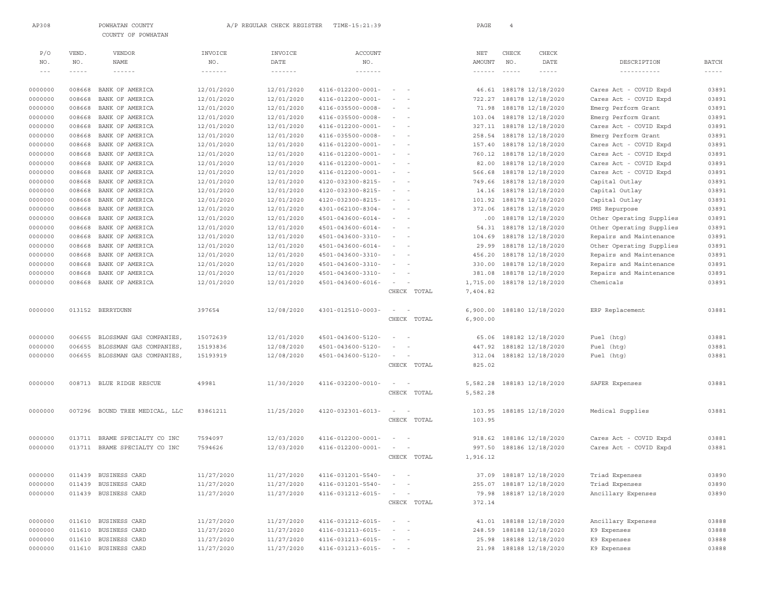| AP308   |             | POWHATAN COUNTY<br>COUNTY OF POWHATAN |                                      | A/P REGULAR CHECK REGISTER | TIME-15:21:39                                                                                                                                                                                                                                                                                                                                                                                                                                                              |                                                                                                              | PAGE            | $\overline{4}$                                                                                                                                                                                                                                                                                                                                                                               |                          |                          |               |
|---------|-------------|---------------------------------------|--------------------------------------|----------------------------|----------------------------------------------------------------------------------------------------------------------------------------------------------------------------------------------------------------------------------------------------------------------------------------------------------------------------------------------------------------------------------------------------------------------------------------------------------------------------|--------------------------------------------------------------------------------------------------------------|-----------------|----------------------------------------------------------------------------------------------------------------------------------------------------------------------------------------------------------------------------------------------------------------------------------------------------------------------------------------------------------------------------------------------|--------------------------|--------------------------|---------------|
|         |             |                                       |                                      |                            |                                                                                                                                                                                                                                                                                                                                                                                                                                                                            |                                                                                                              |                 |                                                                                                                                                                                                                                                                                                                                                                                              |                          |                          |               |
| P/O     | VEND.       | VENDOR                                | INVOICE                              | INVOICE                    | <b>ACCOUNT</b>                                                                                                                                                                                                                                                                                                                                                                                                                                                             |                                                                                                              | NET             | CHECK                                                                                                                                                                                                                                                                                                                                                                                        | CHECK                    |                          |               |
| NO.     | NO.         | <b>NAME</b>                           | NO.                                  | DATE                       | NO.                                                                                                                                                                                                                                                                                                                                                                                                                                                                        |                                                                                                              | AMOUNT          | NO.                                                                                                                                                                                                                                                                                                                                                                                          | DATE                     | DESCRIPTION              | <b>BATCH</b>  |
| $- - -$ | $- - - - -$ | $\cdots \cdots \cdots \cdots$         | $\cdots \cdots \cdots \cdots \cdots$ | $\cdots\cdots\cdots\cdots$ | $\frac{1}{2} \left( \frac{1}{2} \right) \left( \frac{1}{2} \right) \left( \frac{1}{2} \right) \left( \frac{1}{2} \right) \left( \frac{1}{2} \right) \left( \frac{1}{2} \right) \left( \frac{1}{2} \right) \left( \frac{1}{2} \right) \left( \frac{1}{2} \right) \left( \frac{1}{2} \right) \left( \frac{1}{2} \right) \left( \frac{1}{2} \right) \left( \frac{1}{2} \right) \left( \frac{1}{2} \right) \left( \frac{1}{2} \right) \left( \frac{1}{2} \right) \left( \frac$ |                                                                                                              | $- - - - - - -$ | $\frac{1}{2} \frac{1}{2} \frac{1}{2} \frac{1}{2} \frac{1}{2} \frac{1}{2} \frac{1}{2} \frac{1}{2} \frac{1}{2} \frac{1}{2} \frac{1}{2} \frac{1}{2} \frac{1}{2} \frac{1}{2} \frac{1}{2} \frac{1}{2} \frac{1}{2} \frac{1}{2} \frac{1}{2} \frac{1}{2} \frac{1}{2} \frac{1}{2} \frac{1}{2} \frac{1}{2} \frac{1}{2} \frac{1}{2} \frac{1}{2} \frac{1}{2} \frac{1}{2} \frac{1}{2} \frac{1}{2} \frac{$ | $\cdots$                 | -----------              | $- - - - - -$ |
|         |             |                                       |                                      |                            |                                                                                                                                                                                                                                                                                                                                                                                                                                                                            |                                                                                                              |                 |                                                                                                                                                                                                                                                                                                                                                                                              |                          |                          |               |
| 0000000 | 008668      | BANK OF AMERICA                       | 12/01/2020                           | 12/01/2020                 | 4116-012200-0001-                                                                                                                                                                                                                                                                                                                                                                                                                                                          |                                                                                                              |                 |                                                                                                                                                                                                                                                                                                                                                                                              | 46.61 188178 12/18/2020  | Cares Act - COVID Expd   | 03891         |
| 0000000 | 008668      | BANK OF AMERICA                       | 12/01/2020                           | 12/01/2020                 | 4116-012200-0001-                                                                                                                                                                                                                                                                                                                                                                                                                                                          |                                                                                                              | 722.27          |                                                                                                                                                                                                                                                                                                                                                                                              | 188178 12/18/2020        | Cares Act - COVID Expd   | 03891         |
| 0000000 | 008668      | BANK OF AMERICA                       | 12/01/2020                           | 12/01/2020                 | $4116 - 035500 - 0008 -$                                                                                                                                                                                                                                                                                                                                                                                                                                                   | $\sim$                                                                                                       | 71.98           |                                                                                                                                                                                                                                                                                                                                                                                              | 188178 12/18/2020        | Emerg Perform Grant      | 03891         |
| 0000000 | 008668      | BANK OF AMERICA                       | 12/01/2020                           | 12/01/2020                 | $4116 - 035500 - 0008 -$                                                                                                                                                                                                                                                                                                                                                                                                                                                   | $\sim$                                                                                                       |                 |                                                                                                                                                                                                                                                                                                                                                                                              | 103.04 188178 12/18/2020 | Emerg Perform Grant      | 03891         |
| 0000000 | 008668      | BANK OF AMERICA                       | 12/01/2020                           | 12/01/2020                 | 4116-012200-0001-                                                                                                                                                                                                                                                                                                                                                                                                                                                          | $\sim$                                                                                                       |                 |                                                                                                                                                                                                                                                                                                                                                                                              | 327.11 188178 12/18/2020 | Cares Act - COVID Expd   | 03891         |
| 0000000 | 008668      | BANK OF AMERICA                       | 12/01/2020                           | 12/01/2020                 | $4116 - 035500 - 0008 -$                                                                                                                                                                                                                                                                                                                                                                                                                                                   | $\sim$ $-$                                                                                                   |                 |                                                                                                                                                                                                                                                                                                                                                                                              | 258.54 188178 12/18/2020 | Emerg Perform Grant      | 03891         |
| 0000000 | 008668      | BANK OF AMERICA                       | 12/01/2020                           | 12/01/2020                 | 4116-012200-0001-                                                                                                                                                                                                                                                                                                                                                                                                                                                          |                                                                                                              | 157.40          |                                                                                                                                                                                                                                                                                                                                                                                              | 188178 12/18/2020        | Cares Act - COVID Expd   | 03891         |
| 0000000 | 008668      | BANK OF AMERICA                       | 12/01/2020                           | 12/01/2020                 | 4116-012200-0001-                                                                                                                                                                                                                                                                                                                                                                                                                                                          | $\sim$<br>$\sim$                                                                                             |                 |                                                                                                                                                                                                                                                                                                                                                                                              | 760.12 188178 12/18/2020 | Cares Act - COVID Expd   | 03891         |
| 0000000 | 008668      | BANK OF AMERICA                       | 12/01/2020                           | 12/01/2020                 | $4116 - 012200 - 0001 -$                                                                                                                                                                                                                                                                                                                                                                                                                                                   |                                                                                                              | 82.00           |                                                                                                                                                                                                                                                                                                                                                                                              | 188178 12/18/2020        | Cares Act - COVID Expd   | 03891         |
| 0000000 | 008668      | BANK OF AMERICA                       | 12/01/2020                           | 12/01/2020                 | 4116-012200-0001-                                                                                                                                                                                                                                                                                                                                                                                                                                                          |                                                                                                              | 566.68          |                                                                                                                                                                                                                                                                                                                                                                                              | 188178 12/18/2020        | Cares Act - COVID Expd   | 03891         |
| 0000000 | 008668      | BANK OF AMERICA                       | 12/01/2020                           | 12/01/2020                 | 4120-032300-8215-                                                                                                                                                                                                                                                                                                                                                                                                                                                          | $\sim$                                                                                                       |                 |                                                                                                                                                                                                                                                                                                                                                                                              | 749.66 188178 12/18/2020 | Capital Outlay           | 03891         |
| 0000000 | 008668      | BANK OF AMERICA                       | 12/01/2020                           | 12/01/2020                 | 4120-032300-8215-                                                                                                                                                                                                                                                                                                                                                                                                                                                          | $\sim$                                                                                                       | 14.16           |                                                                                                                                                                                                                                                                                                                                                                                              | 188178 12/18/2020        | Capital Outlay           | 03891         |
| 0000000 | 008668      | BANK OF AMERICA                       | 12/01/2020                           | 12/01/2020                 | 4120-032300-8215-                                                                                                                                                                                                                                                                                                                                                                                                                                                          | $\sim$                                                                                                       | 101.92          |                                                                                                                                                                                                                                                                                                                                                                                              | 188178 12/18/2020        | Capital Outlay           | 03891         |
| 0000000 | 008668      | BANK OF AMERICA                       | 12/01/2020                           | 12/01/2020                 | $4301 - 062100 - 8304 -$                                                                                                                                                                                                                                                                                                                                                                                                                                                   |                                                                                                              | 372.06          |                                                                                                                                                                                                                                                                                                                                                                                              | 188178 12/18/2020        | PMS Repurpose            | 03891         |
| 0000000 | 008668      | BANK OF AMERICA                       | 12/01/2020                           | 12/01/2020                 | $4501 - 043600 - 6014 -$                                                                                                                                                                                                                                                                                                                                                                                                                                                   | $\sim$                                                                                                       |                 |                                                                                                                                                                                                                                                                                                                                                                                              | .00 188178 12/18/2020    | Other Operating Supplies | 03891         |
| 0000000 | 008668      | BANK OF AMERICA                       | 12/01/2020                           | 12/01/2020                 | $4501 - 043600 - 6014 -$                                                                                                                                                                                                                                                                                                                                                                                                                                                   | $\sim$                                                                                                       |                 |                                                                                                                                                                                                                                                                                                                                                                                              | 54.31 188178 12/18/2020  | Other Operating Supplies | 03891         |
| 0000000 | 008668      | BANK OF AMERICA                       | 12/01/2020                           | 12/01/2020                 | $4501 - 043600 - 3310 -$                                                                                                                                                                                                                                                                                                                                                                                                                                                   | $\sim$ $-$                                                                                                   | 104.69          |                                                                                                                                                                                                                                                                                                                                                                                              | 188178 12/18/2020        | Repairs and Maintenance  | 03891         |
| 0000000 | 008668      | BANK OF AMERICA                       | 12/01/2020                           | 12/01/2020                 | $4501 - 043600 - 6014 -$                                                                                                                                                                                                                                                                                                                                                                                                                                                   |                                                                                                              | 29.99           |                                                                                                                                                                                                                                                                                                                                                                                              | 188178 12/18/2020        | Other Operating Supplies | 03891         |
| 0000000 | 008668      | BANK OF AMERICA                       | 12/01/2020                           | 12/01/2020                 | 4501-043600-3310-                                                                                                                                                                                                                                                                                                                                                                                                                                                          | $\sim$<br>$\sim$                                                                                             | 456.20          |                                                                                                                                                                                                                                                                                                                                                                                              | 188178 12/18/2020        | Repairs and Maintenance  | 03891         |
| 0000000 | 008668      | BANK OF AMERICA                       | 12/01/2020                           | 12/01/2020                 | 4501-043600-3310-                                                                                                                                                                                                                                                                                                                                                                                                                                                          |                                                                                                              | 330.00          |                                                                                                                                                                                                                                                                                                                                                                                              | 188178 12/18/2020        | Repairs and Maintenance  | 03891         |
| 0000000 | 008668      | BANK OF AMERICA                       | 12/01/2020                           | 12/01/2020                 | 4501-043600-3310-                                                                                                                                                                                                                                                                                                                                                                                                                                                          |                                                                                                              | 381.08          |                                                                                                                                                                                                                                                                                                                                                                                              | 188178 12/18/2020        | Repairs and Maintenance  | 03891         |
| 0000000 | 008668      | BANK OF AMERICA                       | 12/01/2020                           | 12/01/2020                 | $4501 - 043600 - 6016 -$                                                                                                                                                                                                                                                                                                                                                                                                                                                   |                                                                                                              | 1,715.00        |                                                                                                                                                                                                                                                                                                                                                                                              | 188178 12/18/2020        | Chemicals                | 03891         |
|         |             |                                       |                                      |                            |                                                                                                                                                                                                                                                                                                                                                                                                                                                                            | CHECK TOTAL                                                                                                  | 7,404.82        |                                                                                                                                                                                                                                                                                                                                                                                              |                          |                          |               |
| 0000000 | 013152      | BERRYDUNN                             | 397654                               | 12/08/2020                 | $4301 - 012510 - 0003 -$                                                                                                                                                                                                                                                                                                                                                                                                                                                   | $\sim$                                                                                                       | 6,900.00        |                                                                                                                                                                                                                                                                                                                                                                                              | 188180 12/18/2020        | ERP Replacement          | 03881         |
|         |             |                                       |                                      |                            |                                                                                                                                                                                                                                                                                                                                                                                                                                                                            | CHECK TOTAL                                                                                                  | 6,900.00        |                                                                                                                                                                                                                                                                                                                                                                                              |                          |                          |               |
|         |             |                                       |                                      |                            |                                                                                                                                                                                                                                                                                                                                                                                                                                                                            |                                                                                                              |                 |                                                                                                                                                                                                                                                                                                                                                                                              |                          |                          |               |
| 0000000 | 006655      | BLOSSMAN GAS COMPANIES,               | 15072639                             | 12/01/2020                 | 4501-043600-5120-                                                                                                                                                                                                                                                                                                                                                                                                                                                          |                                                                                                              |                 |                                                                                                                                                                                                                                                                                                                                                                                              | 65.06 188182 12/18/2020  | Fuel (htg)               | 03881         |
| 0000000 | 006655      | BLOSSMAN GAS COMPANIES,               | 15193836                             | 12/08/2020                 | 4501-043600-5120-                                                                                                                                                                                                                                                                                                                                                                                                                                                          |                                                                                                              | 447.92          |                                                                                                                                                                                                                                                                                                                                                                                              | 188182 12/18/2020        | Fuel (htg)               | 03881         |
| 0000000 | 006655      | BLOSSMAN GAS COMPANIES,               | 15193919                             | 12/08/2020                 | 4501-043600-5120-                                                                                                                                                                                                                                                                                                                                                                                                                                                          | $\sim$                                                                                                       | 312.04          |                                                                                                                                                                                                                                                                                                                                                                                              | 188182 12/18/2020        | Fuel (htg)               | 03881         |
|         |             |                                       |                                      |                            |                                                                                                                                                                                                                                                                                                                                                                                                                                                                            | CHECK TOTAL                                                                                                  | 825.02          |                                                                                                                                                                                                                                                                                                                                                                                              |                          |                          |               |
|         |             |                                       |                                      |                            |                                                                                                                                                                                                                                                                                                                                                                                                                                                                            |                                                                                                              |                 |                                                                                                                                                                                                                                                                                                                                                                                              |                          |                          |               |
| 0000000 |             | 008713 BLUE RIDGE RESCUE              | 49981                                | 11/30/2020                 | 4116-032200-0010-                                                                                                                                                                                                                                                                                                                                                                                                                                                          | $\sim$                                                                                                       | 5,582.28        |                                                                                                                                                                                                                                                                                                                                                                                              | 188183 12/18/2020        | SAFER Expenses           | 03881         |
|         |             |                                       |                                      |                            |                                                                                                                                                                                                                                                                                                                                                                                                                                                                            | CHECK TOTAL                                                                                                  | 5,582.28        |                                                                                                                                                                                                                                                                                                                                                                                              |                          |                          |               |
|         |             |                                       |                                      |                            |                                                                                                                                                                                                                                                                                                                                                                                                                                                                            |                                                                                                              |                 |                                                                                                                                                                                                                                                                                                                                                                                              |                          |                          |               |
| 0000000 | 007296      | BOUND TREE MEDICAL, LLC               | 83861211                             | 11/25/2020                 | 4120-032301-6013-                                                                                                                                                                                                                                                                                                                                                                                                                                                          |                                                                                                              | 103.95          |                                                                                                                                                                                                                                                                                                                                                                                              | 188185 12/18/2020        | Medical Supplies         | 03881         |
|         |             |                                       |                                      |                            |                                                                                                                                                                                                                                                                                                                                                                                                                                                                            | CHECK TOTAL                                                                                                  | 103.95          |                                                                                                                                                                                                                                                                                                                                                                                              |                          |                          |               |
|         |             |                                       |                                      |                            |                                                                                                                                                                                                                                                                                                                                                                                                                                                                            |                                                                                                              |                 |                                                                                                                                                                                                                                                                                                                                                                                              |                          |                          |               |
| 0000000 |             | 013711 BRAME SPECIALTY CO INC         | 7594097                              | 12/03/2020                 | $4116 - 012200 - 0001 -$                                                                                                                                                                                                                                                                                                                                                                                                                                                   | $\sim$ 100 $\sim$ 100 $\sim$                                                                                 |                 |                                                                                                                                                                                                                                                                                                                                                                                              | 918.62 188186 12/18/2020 | Cares Act - COVID Expd   | 03881         |
| 0000000 | 013711      | BRAME SPECIALTY CO INC                | 7594626                              | 12/03/2020                 | $4116 - 012200 - 0001 -$                                                                                                                                                                                                                                                                                                                                                                                                                                                   |                                                                                                              | 997.50          |                                                                                                                                                                                                                                                                                                                                                                                              | 188186 12/18/2020        | Cares Act - COVID Expd   | 03881         |
|         |             |                                       |                                      |                            |                                                                                                                                                                                                                                                                                                                                                                                                                                                                            | CHECK TOTAL                                                                                                  | 1,916.12        |                                                                                                                                                                                                                                                                                                                                                                                              |                          |                          |               |
|         |             |                                       |                                      |                            |                                                                                                                                                                                                                                                                                                                                                                                                                                                                            |                                                                                                              |                 |                                                                                                                                                                                                                                                                                                                                                                                              |                          |                          |               |
| 0000000 |             | 011439 BUSINESS CARD                  | 11/27/2020                           | 11/27/2020                 | 4116-031201-5540-                                                                                                                                                                                                                                                                                                                                                                                                                                                          |                                                                                                              |                 |                                                                                                                                                                                                                                                                                                                                                                                              | 37.09 188187 12/18/2020  | Triad Expenses           | 03890         |
| 0000000 | 011439      | BUSINESS CARD                         | 11/27/2020                           | 11/27/2020                 | 4116-031201-5540-                                                                                                                                                                                                                                                                                                                                                                                                                                                          |                                                                                                              |                 |                                                                                                                                                                                                                                                                                                                                                                                              | 255.07 188187 12/18/2020 | Triad Expenses           | 03890         |
| 0000000 |             | 011439 BUSINESS CARD                  | 11/27/2020                           | 11/27/2020                 | $4116 - 031212 - 6015 -$                                                                                                                                                                                                                                                                                                                                                                                                                                                   |                                                                                                              | 79.98           |                                                                                                                                                                                                                                                                                                                                                                                              | 188187 12/18/2020        | Ancillary Expenses       | 03890         |
|         |             |                                       |                                      |                            |                                                                                                                                                                                                                                                                                                                                                                                                                                                                            | CHECK TOTAL                                                                                                  | 372.14          |                                                                                                                                                                                                                                                                                                                                                                                              |                          |                          |               |
| 0000000 | 011610      | BUSINESS CARD                         | 11/27/2020                           | 11/27/2020                 | $4116 - 031212 - 6015 -$                                                                                                                                                                                                                                                                                                                                                                                                                                                   | $\qquad \qquad -$                                                                                            |                 |                                                                                                                                                                                                                                                                                                                                                                                              | 41.01 188188 12/18/2020  | Ancillary Expenses       | 03888         |
| 0000000 | 011610      | BUSINESS CARD                         | 11/27/2020                           | 11/27/2020                 | 4116-031213-6015-                                                                                                                                                                                                                                                                                                                                                                                                                                                          |                                                                                                              | 248.59          |                                                                                                                                                                                                                                                                                                                                                                                              | 188188 12/18/2020        | K9 Expenses              | 03888         |
| 0000000 | 011610      | BUSINESS CARD                         | 11/27/2020                           | 11/27/2020                 | $4116 - 031213 - 6015 -$                                                                                                                                                                                                                                                                                                                                                                                                                                                   | $\frac{1}{2} \left( \frac{1}{2} \right) \left( \frac{1}{2} \right) = \frac{1}{2} \left( \frac{1}{2} \right)$ |                 |                                                                                                                                                                                                                                                                                                                                                                                              | 25.98 188188 12/18/2020  | K9 Expenses              | 03888         |
| 0000000 |             | 011610 BUSINESS CARD                  | 11/27/2020                           | 11/27/2020                 | $4116 - 031213 - 6015 -$                                                                                                                                                                                                                                                                                                                                                                                                                                                   | $\sim$ $  -$                                                                                                 |                 |                                                                                                                                                                                                                                                                                                                                                                                              | 21.98 188188 12/18/2020  | K9 Expenses              | 03888         |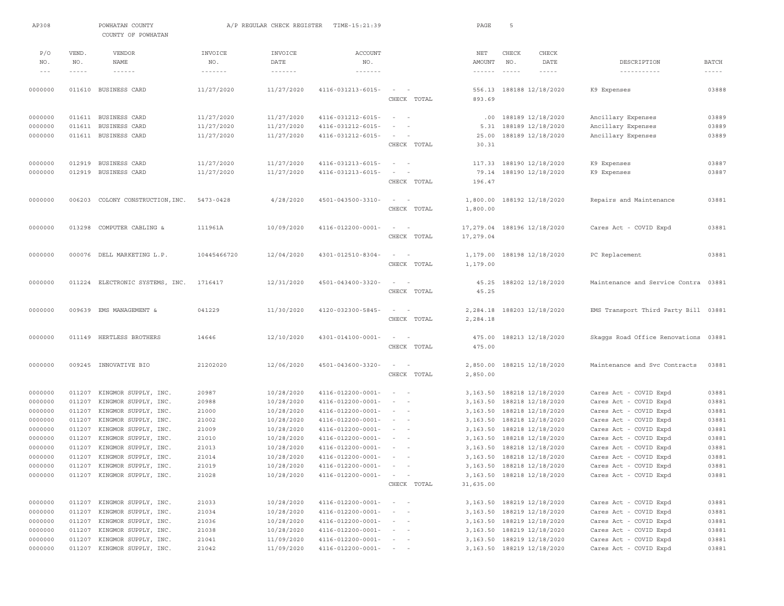| AP308              |                  | POWHATAN COUNTY<br>COUNTY OF POWHATAN        |                   | A/P REGULAR CHECK REGISTER    | TIME-15:21:39                                        |                                                                                                                        | PAGE            | -5                                                         |             |                                                  |                |
|--------------------|------------------|----------------------------------------------|-------------------|-------------------------------|------------------------------------------------------|------------------------------------------------------------------------------------------------------------------------|-----------------|------------------------------------------------------------|-------------|--------------------------------------------------|----------------|
| P/O                | VEND.            | <b>VENDOR</b>                                | INVOICE           | INVOICE                       | <b>ACCOUNT</b>                                       |                                                                                                                        | NET             | CHECK                                                      | CHECK       |                                                  |                |
| NO.                | NO.              | NAME                                         | NO.               | DATE                          | NO.                                                  |                                                                                                                        | AMOUNT          | NO.                                                        | DATE        | DESCRIPTION                                      | <b>BATCH</b>   |
| $\qquad \qquad -$  | $- - - - -$      | $- - - - - - -$                              | $- - - - - - - -$ | $\cdots \cdots \cdots \cdots$ | $\cdots\cdots\cdots\cdots\cdots$                     |                                                                                                                        | $- - - - - - -$ | $- - - - - -$                                              | $- - - - -$ | -----------                                      | $- - - - - -$  |
| 0000000            |                  | 011610 BUSINESS CARD                         |                   |                               | $4116 - 031213 - 6015 -$                             | $\sim$ 100 $\sim$ 100 $\sim$                                                                                           | 556.13          | 188188 12/18/2020                                          |             | K9 Expenses                                      | 03888          |
|                    |                  |                                              | 11/27/2020        | 11/27/2020                    |                                                      | CHECK TOTAL                                                                                                            | 893.69          |                                                            |             |                                                  |                |
|                    |                  |                                              |                   |                               |                                                      |                                                                                                                        |                 |                                                            |             |                                                  |                |
| 0000000            |                  | 011611 BUSINESS CARD                         | 11/27/2020        | 11/27/2020                    | 4116-031212-6015-                                    | $\sim$<br>$\sim$                                                                                                       | .00             | 188189 12/18/2020                                          |             | Ancillary Expenses                               | 03889          |
| 0000000            | 011611           | BUSINESS CARD                                | 11/27/2020        | 11/27/2020                    | 4116-031212-6015-                                    | $\sim$                                                                                                                 | 5.31            | 188189 12/18/2020                                          |             | Ancillary Expenses                               | 03889          |
| 0000000            |                  | 011611 BUSINESS CARD                         | 11/27/2020        | 11/27/2020                    | 4116-031212-6015-                                    | $\sim$                                                                                                                 | 25.00           | 188189 12/18/2020                                          |             | Ancillary Expenses                               | 03889          |
|                    |                  |                                              |                   |                               |                                                      | CHECK TOTAL                                                                                                            | 30.31           |                                                            |             |                                                  |                |
|                    |                  |                                              |                   |                               |                                                      |                                                                                                                        |                 |                                                            |             |                                                  |                |
| 0000000            |                  | 012919 BUSINESS CARD                         | 11/27/2020        | 11/27/2020                    | 4116-031213-6015-                                    | $\sim$ 100 $\sim$ 100 $\sim$                                                                                           |                 | 117.33 188190 12/18/2020                                   |             | K9 Expenses                                      | 03887          |
| 0000000            |                  | 012919 BUSINESS CARD                         | 11/27/2020        | 11/27/2020                    | 4116-031213-6015-                                    | $\sim$<br>$\sim$                                                                                                       | 79.14           | 188190 12/18/2020                                          |             | K9 Expenses                                      | 03887          |
|                    |                  |                                              |                   |                               |                                                      | CHECK TOTAL                                                                                                            | 196.47          |                                                            |             |                                                  |                |
| 0000000            | 006203           | COLONY CONSTRUCTION, INC.                    | $5473 - 0428$     | 4/28/2020                     | 4501-043500-3310-                                    | $\sim$<br>$\sim$                                                                                                       |                 | 1,800.00 188192 12/18/2020                                 |             | Repairs and Maintenance                          | 03881          |
|                    |                  |                                              |                   |                               |                                                      | CHECK TOTAL                                                                                                            | 1,800.00        |                                                            |             |                                                  |                |
|                    |                  |                                              |                   |                               |                                                      |                                                                                                                        |                 |                                                            |             |                                                  |                |
| 0000000            | 013298           | COMPUTER CABLING &                           | 111961A           | 10/09/2020                    | $4116 - 012200 - 0001 -$                             | $\sim$<br>$\sim$                                                                                                       | 17,279.04       | 188196 12/18/2020                                          |             | Cares Act - COVID Expd                           | 03881          |
|                    |                  |                                              |                   |                               |                                                      | CHECK TOTAL                                                                                                            | 17,279.04       |                                                            |             |                                                  |                |
|                    |                  |                                              |                   |                               |                                                      |                                                                                                                        |                 |                                                            |             |                                                  |                |
| 0000000            |                  | 000076 DELL MARKETING L.P.                   | 10445466720       | 12/04/2020                    | $4301 - 012510 - 8304 -$                             | $\sim$<br>$\sim$                                                                                                       |                 | 1,179.00 188198 12/18/2020                                 |             | PC Replacement                                   | 03881          |
|                    |                  |                                              |                   |                               |                                                      | CHECK TOTAL                                                                                                            | 1,179.00        |                                                            |             |                                                  |                |
| 0000000            |                  | 011224 ELECTRONIC SYSTEMS, INC.              | 1716417           | 12/31/2020                    | 4501-043400-3320-                                    | $\sim$<br>$\sim$                                                                                                       | 45.25           | 188202 12/18/2020                                          |             | Maintenance and Service Contra 03881             |                |
|                    |                  |                                              |                   |                               |                                                      | CHECK TOTAL                                                                                                            | 45.25           |                                                            |             |                                                  |                |
|                    |                  |                                              |                   |                               |                                                      |                                                                                                                        |                 |                                                            |             |                                                  |                |
| 0000000            |                  | 009639 EMS MANAGEMENT &                      | 041229            | 11/30/2020                    | 4120-032300-5845-                                    | $\sim$<br>$\sim$                                                                                                       | 2,284.18        | 188203 12/18/2020                                          |             | EMS Transport Third Party Bill 03881             |                |
|                    |                  |                                              |                   |                               |                                                      | CHECK TOTAL                                                                                                            | 2,284.18        |                                                            |             |                                                  |                |
|                    |                  |                                              |                   |                               |                                                      |                                                                                                                        |                 |                                                            |             |                                                  |                |
| 0000000            |                  | 011149 HERTLESS BROTHERS                     | 14646             | 12/10/2020                    | $4301 - 014100 - 0001 -$                             | $\sim$                                                                                                                 | 475.00          | 188213 12/18/2020                                          |             | Skaggs Road Office Renovations                   | 03881          |
|                    |                  |                                              |                   |                               |                                                      | CHECK TOTAL                                                                                                            | 475.00          |                                                            |             |                                                  |                |
| 0000000            |                  | 009245 INNOVATIVE BIO                        | 21202020          | 12/06/2020                    | 4501-043600-3320-                                    | $\sim$ 100 $\sim$ 100                                                                                                  |                 | 2,850.00 188215 12/18/2020                                 |             | Maintenance and Svc Contracts                    | 03881          |
|                    |                  |                                              |                   |                               |                                                      | CHECK TOTAL                                                                                                            | 2,850.00        |                                                            |             |                                                  |                |
|                    |                  |                                              |                   |                               |                                                      |                                                                                                                        |                 |                                                            |             |                                                  |                |
| 0000000            | 011207           | KINGMOR SUPPLY, INC.                         | 20987             | 10/28/2020                    | 4116-012200-0001-                                    | $\sim$<br>$\sim$                                                                                                       | 3,163.50        | 188218 12/18/2020                                          |             | Cares Act - COVID Expd                           | 03881          |
| 0000000            | 011207           | KINGMOR SUPPLY, INC.                         | 20988             | 10/28/2020                    | $4116 - 012200 - 0001 -$                             | $\sim$ 100 $\sim$ 100 $\sim$                                                                                           | 3,163.50        | 188218 12/18/2020                                          |             | Cares Act - COVID Expd                           | 03881          |
| 0000000            | 011207           | KINGMOR SUPPLY, INC.                         | 21000             | 10/28/2020                    | $4116 - 012200 - 0001 -$                             | $\sim$ $-$                                                                                                             | 3,163.50        | 188218 12/18/2020                                          |             | Cares Act - COVID Expd                           | 03881          |
| 0000000            | 011207           | KINGMOR SUPPLY, INC.                         | 21002             | 10/28/2020                    | $4116 - 012200 - 0001 -$                             | $\sim$ $-$                                                                                                             | 3,163.50        | 188218 12/18/2020                                          |             | Cares Act - COVID Expd                           | 03881          |
| 0000000            | 011207           | KINGMOR SUPPLY, INC.                         | 21009             | 10/28/2020                    | $4116 - 012200 - 0001 -$                             | $\frac{1}{2} \left( \frac{1}{2} \right) \left( \frac{1}{2} \right) = \frac{1}{2} \left( \frac{1}{2} \right)$           | 3,163.50        | 188218 12/18/2020                                          |             | Cares Act - COVID Expd                           | 03881          |
| 0000000<br>0000000 | 011207<br>011207 | KINGMOR SUPPLY, INC.<br>KINGMOR SUPPLY, INC. | 21010<br>21013    | 10/28/2020<br>10/28/2020      | $4116 - 012200 - 0001 -$<br>$4116 - 012200 - 0001 -$ | $\sim$<br>$\frac{1}{2} \left( \frac{1}{2} \right) \left( \frac{1}{2} \right) = \frac{1}{2} \left( \frac{1}{2} \right)$ | 3,163.50        | 188218 12/18/2020<br>3, 163.50 188218 12/18/2020           |             | Cares Act - COVID Expd<br>Cares Act - COVID Expd | 03881<br>03881 |
| 0000000            |                  | 011207 KINGMOR SUPPLY, INC.                  | 21014             | 10/28/2020                    | 4116-012200-0001-                                    | $\sim$                                                                                                                 |                 | 3, 163.50 188218 12/18/2020                                |             | Cares Act - COVID Expd                           | 03881          |
| 0000000            |                  | 011207 KINGMOR SUPPLY, INC.                  | 21019             | 10/28/2020                    | $4116 - 012200 - 0001 - - -$                         |                                                                                                                        |                 | 3, 163.50 188218 12/18/2020                                |             | Cares Act - COVID Expd                           | 03881          |
| 0000000            |                  | 011207 KINGMOR SUPPLY, INC.                  | 21028             | 10/28/2020                    | $4116 - 012200 - 0001 -$                             | $\sim$ $   -$                                                                                                          |                 | 3, 163.50 188218 12/18/2020                                |             | Cares Act - COVID Expd                           | 03881          |
|                    |                  |                                              |                   |                               |                                                      | CHECK TOTAL                                                                                                            | 31,635.00       |                                                            |             |                                                  |                |
|                    |                  |                                              |                   |                               |                                                      |                                                                                                                        |                 |                                                            |             |                                                  |                |
| 0000000            |                  | 011207 KINGMOR SUPPLY, INC.                  | 21033             | 10/28/2020                    | 4116-012200-0001-                                    | $\qquad \qquad -$                                                                                                      |                 | 3, 163.50 188219 12/18/2020                                |             | Cares Act - COVID Expd                           | 03881          |
| 0000000            |                  | 011207 KINGMOR SUPPLY, INC.                  | 21034             | 10/28/2020                    | 4116-012200-0001-                                    |                                                                                                                        |                 | 3, 163.50 188219 12/18/2020                                |             | Cares Act - COVID Expd                           | 03881          |
| 0000000            | 011207           | KINGMOR SUPPLY, INC.                         | 21036             | 10/28/2020                    | 4116-012200-0001-                                    |                                                                                                                        |                 | 3, 163.50 188219 12/18/2020                                |             | Cares Act - COVID Expd                           | 03881          |
| 0000000<br>0000000 | 011207<br>011207 | KINGMOR SUPPLY, INC.<br>KINGMOR SUPPLY, INC. | 21038<br>21041    | 10/28/2020<br>11/09/2020      | $4116 - 012200 - 0001 -$<br>$4116 - 012200 - 0001 -$ | $\sim$ $ -$<br>$\sim$ 100 $\sim$ 100 $\sim$                                                                            |                 | 3, 163.50 188219 12/18/2020<br>3, 163.50 188219 12/18/2020 |             | Cares Act - COVID Expd<br>Cares Act - COVID Expd | 03881<br>03881 |
| 0000000            |                  | 011207 KINGMOR SUPPLY, INC.                  | 21042             | 11/09/2020                    | $4116 - 012200 - 0001 - - -$                         |                                                                                                                        |                 | 3, 163.50 188219 12/18/2020                                |             | Cares Act - COVID Expd                           | 03881          |
|                    |                  |                                              |                   |                               |                                                      |                                                                                                                        |                 |                                                            |             |                                                  |                |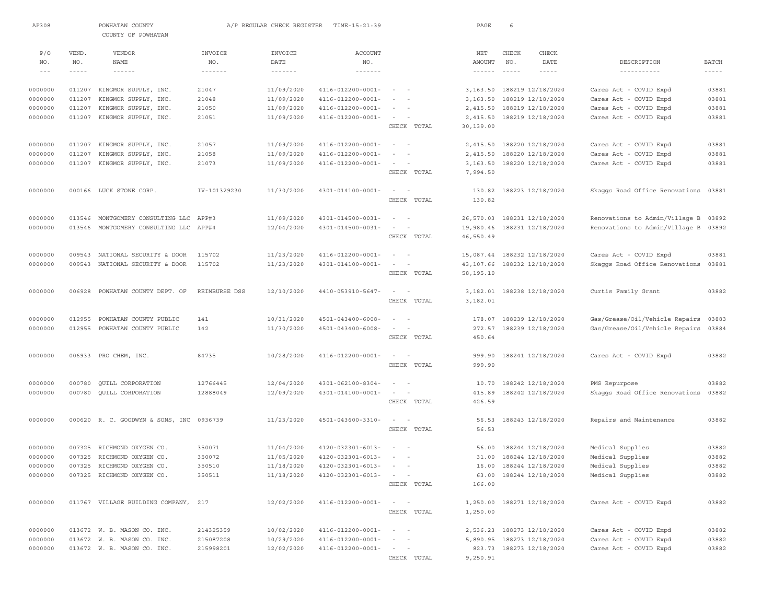| AP308   |               | POWHATAN COUNTY<br>COUNTY OF POWHATAN |               | A/P REGULAR CHECK REGISTER | TIME-15:21:39                |                           | PAGE            | 6             |                             |                                                 |              |
|---------|---------------|---------------------------------------|---------------|----------------------------|------------------------------|---------------------------|-----------------|---------------|-----------------------------|-------------------------------------------------|--------------|
| P/O     | VEND.         | VENDOR                                | INVOICE       | INVOICE                    | ACCOUNT                      |                           | $_{\rm NET}$    | CHECK         | CHECK                       |                                                 |              |
| NO.     | NO.           | NAME                                  | NO.           | DATE                       | NO.                          |                           | AMOUNT          | NO.           | DATE                        | DESCRIPTION                                     | <b>BATCH</b> |
| $  -$   | $- - - - - -$ | $- - - - - - -$                       | -------       | $\cdots\cdots\cdots\cdots$ | $\cdots\cdots\cdots\cdots$   |                           | $- - - - - - -$ | $- - - - - -$ | $- - - - - -$               |                                                 | -----        |
| 0000000 | 011207        | KINGMOR SUPPLY, INC.                  | 21047         | 11/09/2020                 | $4116 - 012200 - 0001 -$     |                           |                 |               | 3, 163.50 188219 12/18/2020 | Cares Act - COVID Expd                          | 03881        |
| 0000000 | 011207        | KINGMOR SUPPLY, INC.                  | 21048         | 11/09/2020                 | 4116-012200-0001-            |                           | 3,163.50        |               | 188219 12/18/2020           | Cares Act - COVID Expd                          | 03881        |
| 0000000 | 011207        | KINGMOR SUPPLY, INC.                  | 21050         | 11/09/2020                 | 4116-012200-0001-            |                           | 2,415.50        |               | 188219 12/18/2020           | Cares Act - COVID Expd                          | 03881        |
| 0000000 | 011207        | KINGMOR SUPPLY, INC.                  | 21051         | 11/09/2020                 | 4116-012200-0001-            |                           | 2,415.50        |               | 188219 12/18/2020           | Cares Act - COVID Expd                          | 03881        |
|         |               |                                       |               |                            |                              | CHECK TOTAL               | 30,139.00       |               |                             |                                                 |              |
| 0000000 | 011207        | KINGMOR SUPPLY, INC.                  | 21057         | 11/09/2020                 | 4116-012200-0001-            | $\sim$ $-$                | 2,415.50        |               | 188220 12/18/2020           | Cares Act - COVID Expd                          | 03881        |
| 0000000 | 011207        | KINGMOR SUPPLY, INC.                  | 21058         | 11/09/2020                 | $4116 - 012200 - 0001 -$     |                           | 2,415.50        |               | 188220 12/18/2020           | Cares Act - COVID Expd                          | 03881        |
| 0000000 | 011207        | KINGMOR SUPPLY, INC.                  | 21073         | 11/09/2020                 | 4116-012200-0001-            | $\sim$                    | 3,163.50        |               | 188220 12/18/2020           | Cares Act - COVID Expd                          | 03881        |
|         |               |                                       |               |                            |                              | CHECK TOTAL               | 7,994.50        |               |                             |                                                 |              |
|         |               |                                       |               |                            |                              |                           |                 |               |                             |                                                 |              |
| 0000000 |               | 000166 LUCK STONE CORP.               | IV-101329230  | 11/30/2020                 | $4301 - 014100 - 0001 -$     |                           | 130.82          |               | 188223 12/18/2020           | Skaggs Road Office Renovations                  | 03881        |
|         |               |                                       |               |                            |                              | CHECK TOTAL               | 130.82          |               |                             |                                                 |              |
| 0000000 | 013546        | MONTGOMERY CONSULTING LLC             | APP#3         | 11/09/2020                 | 4301-014500-0031-            | $\sim$                    | 26,570.03       |               | 188231 12/18/2020           | Renovations to Admin/Village B                  | 03892        |
| 0000000 | 013546        | MONTGOMERY CONSULTING LLC             | APP#4         | 12/04/2020                 | $4301 - 014500 - 0031 -$     |                           |                 |               | 19,980.46 188231 12/18/2020 | Renovations to Admin/Village B 03892            |              |
|         |               |                                       |               |                            |                              | CHECK TOTAL               | 46,550.49       |               |                             |                                                 |              |
|         |               |                                       |               |                            |                              |                           |                 |               |                             |                                                 |              |
| 0000000 | 009543        | NATIONAL SECURITY & DOOR              | 115702        | 11/23/2020                 | 4116-012200-0001-            |                           |                 |               | 15,087.44 188232 12/18/2020 | Cares Act - COVID Expd                          | 03881        |
| 0000000 | 009543        | NATIONAL SECURITY & DOOR              | 115702        | 11/23/2020                 | 4301-014100-0001-            |                           |                 |               | 43,107.66 188232 12/18/2020 | Skaqqs Road Office Renovations                  | 03881        |
|         |               |                                       |               |                            |                              | CHECK TOTAL               | 58,195.10       |               |                             |                                                 |              |
| 0000000 | 006928        | POWHATAN COUNTY DEPT. OF              | REIMBURSE DSS | 12/10/2020                 | 4410-053910-5647-            |                           |                 |               | 3, 182.01 188238 12/18/2020 | Curtis Family Grant                             | 03882        |
|         |               |                                       |               |                            |                              | CHECK TOTAL               | 3,182.01        |               |                             |                                                 |              |
|         |               |                                       |               |                            |                              |                           |                 |               |                             |                                                 |              |
| 0000000 | 012955        | POWHATAN COUNTY PUBLIC                | 141           | 10/31/2020                 | 4501-043400-6008-            |                           | 178.07          |               | 188239 12/18/2020           | Gas/Grease/Oil/Vehicle Repairs                  | 03883        |
| 0000000 | 012955        | POWHATAN COUNTY PUBLIC                | 142           | 11/30/2020                 | 4501-043400-6008-            | $\sim$                    | 272.57          |               | 188239 12/18/2020           | Gas/Grease/Oil/Vehicle Repairs                  | 03884        |
|         |               |                                       |               |                            |                              | CHECK TOTAL               | 450.64          |               |                             |                                                 |              |
| 0000000 |               | 006933 PRO CHEM, INC.                 | 84735         | 10/28/2020                 | 4116-012200-0001-            |                           | 999.90          |               | 188241 12/18/2020           | Cares Act - COVID Expd                          | 03882        |
|         |               |                                       |               |                            |                              | CHECK TOTAL               | 999.90          |               |                             |                                                 |              |
| 0000000 | 000780        | QUILL CORPORATION                     | 12766445      | 12/04/2020                 | $4301 - 062100 - 8304 -$     | $\sim$ $-$                | 10.70           |               | 188242 12/18/2020           |                                                 | 03882        |
| 0000000 |               | 000780 QUILL CORPORATION              | 12888049      | 12/09/2020                 | $4301 - 014100 - 0001 -$     |                           | 415.89          |               | 188242 12/18/2020           | PMS Repurpose<br>Skaggs Road Office Renovations | 03882        |
|         |               |                                       |               |                            |                              | CHECK TOTAL               | 426.59          |               |                             |                                                 |              |
|         |               |                                       |               |                            |                              |                           |                 |               |                             |                                                 |              |
| 0000000 |               | 000620 R. C. GOODWYN & SONS, INC      | 0936739       | 11/23/2020                 | 4501-043600-3310-            | $\sim$<br>$\sim$          | 56.53           |               | 188243 12/18/2020           | Repairs and Maintenance                         | 03882        |
|         |               |                                       |               |                            |                              | CHECK TOTAL               | 56.53           |               |                             |                                                 |              |
| 0000000 |               | 007325 RICHMOND OXYGEN CO.            | 350071        | 11/04/2020                 | $4120 - 032301 - 6013 -$     |                           |                 |               | 56.00 188244 12/18/2020     | Medical Supplies                                | 03882        |
| 0000000 |               | 007325 RICHMOND OXYGEN CO.            | 350072        | 11/05/2020                 | 4120-032301-6013-            | $\sim$                    |                 |               | 31.00 188244 12/18/2020     | Medical Supplies                                | 03882        |
| 0000000 |               | 007325 RICHMOND OXYGEN CO.            | 350510        | 11/18/2020                 | $4120 - 032301 - 6013 - - -$ |                           |                 |               | 16.00 188244 12/18/2020     | Medical Supplies                                | 03882        |
| 0000000 |               | 007325 RICHMOND OXYGEN CO.            | 350511        | 11/18/2020                 | $4120 - 032301 - 6013 - - -$ |                           |                 |               | 63.00 188244 12/18/2020     | Medical Supplies                                | 03882        |
|         |               |                                       |               |                            |                              | CHECK TOTAL               | 166.00          |               |                             |                                                 |              |
| 0000000 |               | 011767 VILLAGE BUILDING COMPANY, 217  |               | 12/02/2020                 | $4116 - 012200 - 0001 -$     | $\alpha = 1, \ldots, n-1$ |                 |               | 1,250.00 188271 12/18/2020  | Cares Act - COVID Expd                          | 03882        |
|         |               |                                       |               |                            |                              | CHECK TOTAL               | 1,250.00        |               |                             |                                                 |              |
|         |               |                                       |               |                            |                              |                           |                 |               |                             |                                                 |              |
| 0000000 |               | 013672 W. B. MASON CO. INC.           | 214325359     | 10/02/2020                 | $4116 - 012200 - 0001 -$     | $\sim$ $ \sim$ $ -$       |                 |               | 2,536.23 188273 12/18/2020  | Cares Act - COVID Expd                          | 03882        |
| 0000000 |               | 013672 W. B. MASON CO. INC.           | 215087208     | 10/29/2020                 | 4116-012200-0001-            | $\sim$ 100 $\sim$ 100     |                 |               | 5,890.95 188273 12/18/2020  | Cares Act - COVID Expd                          | 03882        |
| 0000000 |               | 013672 W. B. MASON CO. INC.           | 215998201     | 12/02/2020                 | $4116 - 012200 - 0001 -$     | $\sim$ $  -$              |                 |               | 823.73 188273 12/18/2020    | Cares Act - COVID Expd                          | 03882        |
|         |               |                                       |               |                            |                              | CHECK TOTAL               | 9,250.91        |               |                             |                                                 |              |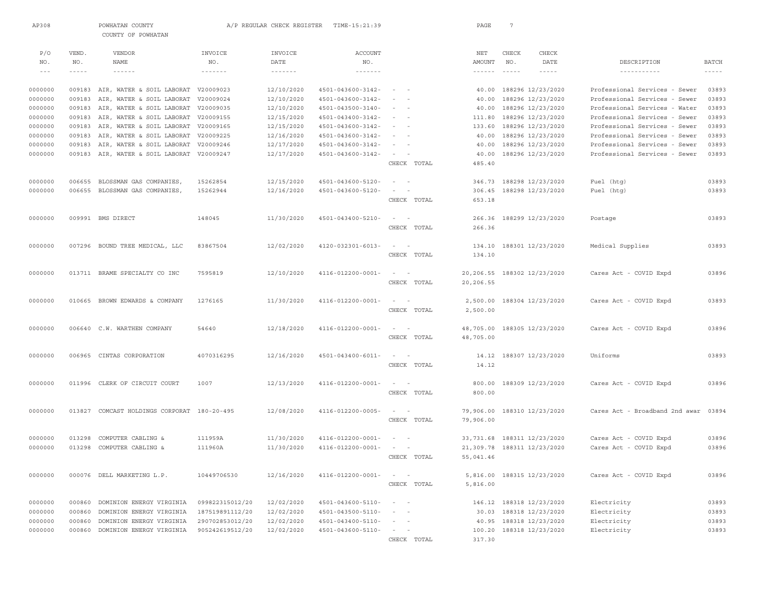| AP308   |        | POWHATAN COUNTY<br>COUNTY OF POWHATAN       |                   | A/P REGULAR CHECK REGISTER | TIME-15:21:39            |                                     | PAGE                       | 7             |                              |                                      |              |
|---------|--------|---------------------------------------------|-------------------|----------------------------|--------------------------|-------------------------------------|----------------------------|---------------|------------------------------|--------------------------------------|--------------|
|         |        |                                             |                   |                            |                          |                                     |                            |               |                              |                                      |              |
| P/O     | VEND.  | <b>VENDOR</b>                               | INVOICE           | INVOICE                    | <b>ACCOUNT</b>           |                                     | $\operatorname{NET}$       | CHECK         | CHECK                        |                                      |              |
| NO.     | NO.    | NAME                                        | NO.               | DATE                       | NO.                      |                                     | <b>AMOUNT</b>              | NO.           | DATE                         | DESCRIPTION                          | <b>BATCH</b> |
| $  -$   | -----  | ------                                      | $- - - - - - - -$ | $- - - - - - - - -$        | $- - - - - - - - -$      |                                     | $\cdots\cdots\cdots\cdots$ | $\frac{1}{2}$ | $\frac{1}{2}$                | -----------                          | $- - - - -$  |
| 0000000 |        | 009183 AIR, WATER & SOIL LABORAT V20009023  |                   | 12/10/2020                 | 4501-043600-3142-        | $\sim$ 100 $\sim$ 100 $\sim$        |                            |               | 40.00 188296 12/23/2020      | Professional Services - Sewer        | 03893        |
| 0000000 | 009183 | AIR, WATER & SOIL LABORAT                   | V20009024         | 12/10/2020                 | 4501-043600-3142-        |                                     | 40.00                      |               | 188296 12/23/2020            | Professional Services - Sewer        | 03893        |
| 0000000 |        | 009183 AIR, WATER & SOIL LABORAT            | V20009035         | 12/10/2020                 | $4501 - 043500 - 3140 -$ |                                     |                            |               | 40.00 188296 12/23/2020      | Professional Services - Water        | 03893        |
| 0000000 |        | 009183 AIR, WATER & SOIL LABORAT V20009155  |                   | 12/15/2020                 | 4501-043400-3142-        | $\sim$                              |                            |               | 111.80 188296 12/23/2020     | Professional Services - Sewer        | 03893        |
| 0000000 | 009183 | AIR, WATER & SOIL LABORAT                   | V20009165         | 12/15/2020                 | 4501-043600-3142-        |                                     | 133.60                     |               | 188296 12/23/2020            | Professional Services - Sewer        | 03893        |
| 0000000 | 009183 | AIR, WATER & SOIL LABORAT                   | V20009225         | 12/16/2020                 | 4501-043600-3142-        |                                     |                            |               | 40.00 188296 12/23/2020      | Professional Services - Sewer        | 03893        |
| 0000000 | 009183 | AIR, WATER & SOIL LABORAT V20009246         |                   | 12/17/2020                 | 4501-043600-3142-        | $\sim$                              |                            |               | 40.00 188296 12/23/2020      | Professional Services - Sewer        | 03893        |
| 0000000 | 009183 | AIR, WATER & SOIL LABORAT                   | V20009247         | 12/17/2020                 | 4501-043600-3142-        |                                     |                            |               | 40.00 188296 12/23/2020      | Professional Services - Sewer        | 03893        |
|         |        |                                             |                   |                            |                          | CHECK TOTAL                         | 485.40                     |               |                              |                                      |              |
| 0000000 | 006655 | BLOSSMAN GAS COMPANIES,                     | 15262854          | 12/15/2020                 | 4501-043600-5120-        | $\sim$                              | 346.73                     |               | 188298 12/23/2020            | Fuel (htg)                           | 03893        |
| 0000000 | 006655 | BLOSSMAN GAS COMPANIES,                     | 15262944          | 12/16/2020                 | 4501-043600-5120-        | $\sim$                              | 306.45                     |               | 188298 12/23/2020            | Fuel (htg)                           | 03893        |
|         |        |                                             |                   |                            |                          | CHECK TOTAL                         | 653.18                     |               |                              |                                      |              |
| 0000000 |        | 009991 BMS DIRECT                           | 148045            | 11/30/2020                 | 4501-043400-5210-        | $\sim$<br>$\sim$                    |                            |               | 266.36 188299 12/23/2020     | Postage                              | 03893        |
|         |        |                                             |                   |                            |                          | CHECK TOTAL                         | 266.36                     |               |                              |                                      |              |
| 0000000 |        | 007296 BOUND TREE MEDICAL, LLC              | 83867504          | 12/02/2020                 | 4120-032301-6013-        | $\sim$<br>$\sim$                    |                            |               | 134.10 188301 12/23/2020     | Medical Supplies                     | 03893        |
|         |        |                                             |                   |                            |                          | CHECK TOTAL                         | 134.10                     |               |                              |                                      |              |
| 0000000 |        | 013711 BRAME SPECIALTY CO INC               | 7595819           | 12/10/2020                 | $4116 - 012200 - 0001 -$ | $\sim$<br>$\sim$                    |                            |               |                              |                                      | 03896        |
|         |        |                                             |                   |                            |                          | CHECK TOTAL                         | 20,206.55                  |               | 20,206.55 188302 12/23/2020  | Cares Act - COVID Expd               |              |
|         |        |                                             |                   |                            |                          |                                     |                            |               |                              |                                      |              |
| 0000000 |        | 010665 BROWN EDWARDS & COMPANY              | 1276165           | 11/30/2020                 | 4116-012200-0001-        | $\sim$<br>$\sim$                    |                            |               | 2,500.00 188304 12/23/2020   | Cares Act - COVID Expd               | 03893        |
|         |        |                                             |                   |                            |                          | CHECK TOTAL                         | 2,500.00                   |               |                              |                                      |              |
| 0000000 |        | 006640 C.W. WARTHEN COMPANY                 | 54640             | 12/18/2020                 | 4116-012200-0001-        | $\sim$<br>$\sim$                    |                            |               | 48,705.00 188305 12/23/2020  | Cares Act - COVID Expd               | 03896        |
|         |        |                                             |                   |                            |                          | CHECK TOTAL                         | 48,705.00                  |               |                              |                                      |              |
| 0000000 |        | 006965 CINTAS CORPORATION                   | 4070316295        | 12/16/2020                 | $4501 - 043400 - 6011 -$ | $\sim$                              |                            |               | 14.12 188307 12/23/2020      | Uniforms                             | 03893        |
|         |        |                                             |                   |                            |                          | CHECK TOTAL                         | 14.12                      |               |                              |                                      |              |
| 0000000 |        | 011996 CLERK OF CIRCUIT COURT               | 1007              | 12/13/2020                 | 4116-012200-0001-        | $\sim$<br>$\sim$                    |                            |               | 800.00 188309 12/23/2020     | Cares Act - COVID Expd               | 03896        |
|         |        |                                             |                   |                            |                          | CHECK TOTAL                         | 800.00                     |               |                              |                                      |              |
| 0000000 |        | 013827 COMCAST HOLDINGS CORPORAT 180-20-495 |                   | 12/08/2020                 | 4116-012200-0005-        | $\sim$<br>$\sim$                    |                            |               | 79,906.00 188310 12/23/2020  | Cares Act - Broadband 2nd awar 03894 |              |
|         |        |                                             |                   |                            |                          | CHECK TOTAL                         | 79,906.00                  |               |                              |                                      |              |
|         |        |                                             |                   |                            |                          |                                     |                            |               |                              |                                      |              |
| 0000000 | 013298 | COMPUTER CABLING &                          | 111959A           | 11/30/2020                 | 4116-012200-0001-        | $\sim$                              |                            |               | 33, 731.68 188311 12/23/2020 | Cares Act - COVID Expd               | 03896        |
| 0000000 | 013298 | COMPUTER CABLING &                          | 111960A           | 11/30/2020                 | 4116-012200-0001-        | $\sim$<br>$\sim$ $-$<br>CHECK TOTAL | 55,041.46                  |               | 21,309.78 188311 12/23/2020  | Cares Act - COVID Expd               | 03896        |
|         |        |                                             |                   |                            |                          |                                     |                            |               |                              |                                      |              |
| 0000000 |        | 000076 DELL MARKETING L.P.                  | 10449706530       | 12/16/2020                 | 4116-012200-0001-        | $\sim$ $  -$                        |                            |               | 5,816.00 188315 12/23/2020   | Cares Act - COVID Expd               | 03896        |
|         |        |                                             |                   |                            |                          | CHECK TOTAL                         | 5,816.00                   |               |                              |                                      |              |
| 0000000 |        | 000860 DOMINION ENERGY VIRGINIA             | 099822315012/20   | 12/02/2020                 | 4501-043600-5110-        | $\sim$<br>$\sim$                    |                            |               | 146.12 188318 12/23/2020     | Electricity                          | 03893        |
| 0000000 | 000860 | DOMINION ENERGY VIRGINIA                    | 187519891112/20   | 12/02/2020                 | $4501 - 043500 - 5110 -$ | $\sim$                              |                            |               | 30.03 188318 12/23/2020      | Electricity                          | 03893        |
| 0000000 | 000860 | DOMINION ENERGY VIRGINIA                    | 290702853012/20   | 12/02/2020                 | $4501 - 043400 - 5110 -$ | $\sim$                              |                            |               | 40.95 188318 12/23/2020      | Electricity                          | 03893        |
| 0000000 |        | 000860 DOMINION ENERGY VIRGINIA             | 905242619512/20   | 12/02/2020                 | $4501 - 043600 - 5110 -$ | $\sim$                              |                            |               | 100.20 188318 12/23/2020     | Electricity                          | 03893        |
|         |        |                                             |                   |                            |                          | CHECK TOTAL                         | 317.30                     |               |                              |                                      |              |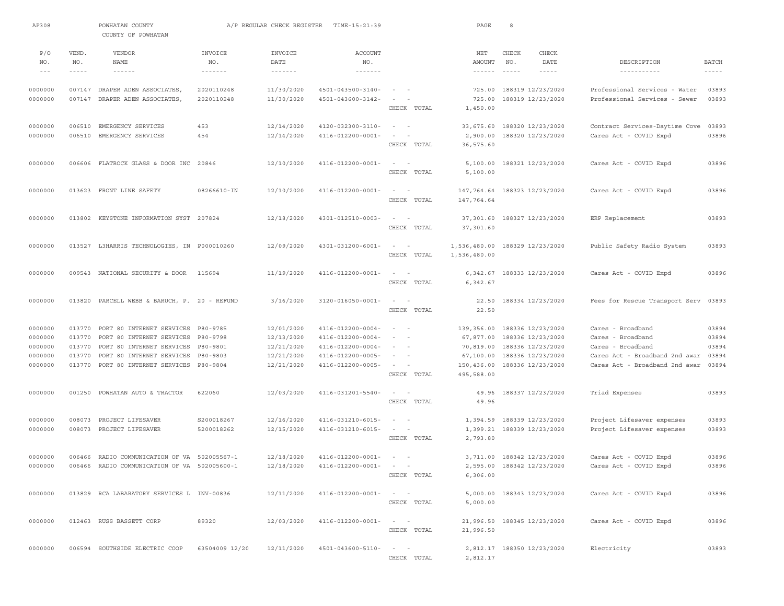| AP308             |               | POWHATAN COUNTY<br>COUNTY OF POWHATAN        |                            | A/P REGULAR CHECK REGISTER | TIME-15:21:39                |                                                                                                              | PAGE                                           | 8     |                             |                                      |               |
|-------------------|---------------|----------------------------------------------|----------------------------|----------------------------|------------------------------|--------------------------------------------------------------------------------------------------------------|------------------------------------------------|-------|-----------------------------|--------------------------------------|---------------|
| P/O               | VEND.         | VENDOR                                       | INVOICE                    | INVOICE                    | <b>ACCOUNT</b>               |                                                                                                              | NET                                            | CHECK | CHECK                       |                                      |               |
| NO.               | NO.           | NAME                                         | NO.                        | DATE                       | NO.                          |                                                                                                              | AMOUNT                                         | NO.   | DATE                        | DESCRIPTION                          | <b>BATCH</b>  |
| $\qquad \qquad -$ | $- - - - - -$ | $- - - - - - -$                              | $\cdots\cdots\cdots\cdots$ | $\cdots\cdots\cdots\cdots$ | $\cdots\cdots\cdots\cdots$   |                                                                                                              | $\cdots \cdots \cdots \cdots$                  |       | $- - - - - -$               | -----------                          | $- - - - - -$ |
| 0000000           |               | 007147 DRAPER ADEN ASSOCIATES,               | 2020110248                 | 11/30/2020                 | 4501-043500-3140-            | $\sim$ 100 $\sim$ 100 $\sim$                                                                                 |                                                |       | 725.00 188319 12/23/2020    | Professional Services - Water        | 03893         |
| 0000000           |               | 007147 DRAPER ADEN ASSOCIATES,               | 2020110248                 | 11/30/2020                 | 4501-043600-3142-            | $\sim$                                                                                                       | 725.00                                         |       | 188319 12/23/2020           | Professional Services - Sewer        | 03893         |
|                   |               |                                              |                            |                            |                              | CHECK TOTAL                                                                                                  | 1,450.00                                       |       |                             |                                      |               |
| 0000000           | 006510        | EMERGENCY SERVICES                           | 453                        | 12/14/2020                 | 4120-032300-3110-            | $\sim$ 100 $\sim$                                                                                            | 33,675.60                                      |       | 188320 12/23/2020           | Contract Services-Daytime Cove       | 03893         |
| 0000000           | 006510        | EMERGENCY SERVICES                           | 454                        | 12/14/2020                 | 4116-012200-0001-            | $\sim$<br>$\overline{\phantom{a}}$                                                                           | 2,900.00                                       |       | 188320 12/23/2020           | Cares Act - COVID Expd               | 03896         |
|                   |               |                                              |                            |                            |                              | CHECK TOTAL                                                                                                  | 36,575.60                                      |       |                             |                                      |               |
| 0000000           |               | 006606 FLATROCK GLASS & DOOR INC 20846       |                            | 12/10/2020                 | 4116-012200-0001-            | $\sim$ 100 $\sim$                                                                                            |                                                |       | 5,100.00 188321 12/23/2020  | Cares Act - COVID Expd               | 03896         |
|                   |               |                                              |                            |                            |                              | CHECK TOTAL                                                                                                  | 5,100.00                                       |       |                             |                                      |               |
| 0000000           |               |                                              | 08266610-IN                |                            |                              | $\sim$<br>$\sim$                                                                                             |                                                |       |                             |                                      | 03896         |
|                   |               | 013623 FRONT LINE SAFETY                     |                            | 12/10/2020                 | 4116-012200-0001-            | CHECK TOTAL                                                                                                  | 147,764.64                                     |       | 188323 12/23/2020           | Cares Act - COVID Expd               |               |
|                   |               |                                              |                            |                            |                              |                                                                                                              | 147,764.64                                     |       |                             |                                      |               |
| 0000000           | 013802        | KEYSTONE INFORMATION SYST 207824             |                            | 12/18/2020                 | 4301-012510-0003-            | $\sim$<br>$\overline{\phantom{a}}$                                                                           | 37,301.60                                      |       | 188327 12/23/2020           | ERP Replacement                      | 03893         |
|                   |               |                                              |                            |                            |                              | CHECK TOTAL                                                                                                  | 37,301.60                                      |       |                             |                                      |               |
|                   |               | 013527 L3HARRIS TECHNOLOGIES, IN P000010260  |                            | 12/09/2020                 |                              | $\sim$ 100 $\sim$ 100 $\sim$                                                                                 |                                                |       |                             |                                      | 03893         |
| 0000000           |               |                                              |                            |                            | 4301-031200-6001-            | CHECK TOTAL                                                                                                  | 1,536,480.00 188329 12/23/2020<br>1,536,480.00 |       |                             | Public Safety Radio System           |               |
|                   |               |                                              |                            |                            |                              |                                                                                                              |                                                |       |                             |                                      |               |
| 0000000           |               | 009543 NATIONAL SECURITY & DOOR              | 115694                     | 11/19/2020                 | 4116-012200-0001-            | $\sim$<br>$\sim$                                                                                             | 6,342.67                                       |       | 188333 12/23/2020           | Cares Act - COVID Expd               | 03896         |
|                   |               |                                              |                            |                            |                              | CHECK TOTAL                                                                                                  | 6,342.67                                       |       |                             |                                      |               |
| 0000000           |               | 013820 PARCELL WEBB & BARUCH, P. 20 - REFUND |                            | 3/16/2020                  | $3120 - 016050 - 0001 -$     | $\sim$ 100 $\sim$ 100 $\sim$                                                                                 | 22.50                                          |       | 188334 12/23/2020           | Fees for Rescue Transport Serv 03893 |               |
|                   |               |                                              |                            |                            |                              | CHECK TOTAL                                                                                                  | 22.50                                          |       |                             |                                      |               |
| 0000000           |               | 013770 PORT 80 INTERNET SERVICES P80-9785    |                            | 12/01/2020                 | 4116-012200-0004-            | $\frac{1}{2} \left( \frac{1}{2} \right) \left( \frac{1}{2} \right) = \frac{1}{2} \left( \frac{1}{2} \right)$ | 139,356.00                                     |       | 188336 12/23/2020           | Cares - Broadband                    | 03894         |
| 0000000           | 013770        | PORT 80 INTERNET SERVICES                    | P80-9798                   | 12/13/2020                 | 4116-012200-0004-            | $\frac{1}{2} \left( \frac{1}{2} \right) \left( \frac{1}{2} \right) = \frac{1}{2} \left( \frac{1}{2} \right)$ | 67,877.00                                      |       | 188336 12/23/2020           | Cares - Broadband                    | 03894         |
| 0000000           | 013770        | PORT 80 INTERNET SERVICES P80-9801           |                            | 12/21/2020                 | $4116 - 012200 - 0004 -$     | $\sim$ 100 $\sim$ 100                                                                                        | 70,819.00                                      |       | 188336 12/23/2020           | Cares - Broadband                    | 03894         |
| 0000000           | 013770        | PORT 80 INTERNET SERVICES                    | P80-9803                   | 12/21/2020                 | 4116-012200-0005-            | $\sim$                                                                                                       | 67,100.00                                      |       | 188336 12/23/2020           | Cares Act - Broadband 2nd awar       | 03894         |
| 0000000           | 013770        | PORT 80 INTERNET SERVICES                    | P80-9804                   | 12/21/2020                 | 4116-012200-0005-            | $\qquad \qquad -$                                                                                            | 150,436.00                                     |       | 188336 12/23/2020           | Cares Act - Broadband 2nd awar       | 03894         |
|                   |               |                                              |                            |                            |                              | CHECK TOTAL                                                                                                  | 495,588.00                                     |       |                             |                                      |               |
| 0000000           | 001250        | POWHATAN AUTO & TRACTOR                      | 622060                     | 12/03/2020                 | 4116-031201-5540-            | $\sim$<br>$\sim$                                                                                             | 49.96                                          |       | 188337 12/23/2020           | Triad Expenses                       | 03893         |
|                   |               |                                              |                            |                            |                              | CHECK TOTAL                                                                                                  | 49.96                                          |       |                             |                                      |               |
| 0000000           | 008073        | PROJECT LIFESAVER                            | S200018267                 | 12/16/2020                 | 4116-031210-6015-            | $\sim$<br>$\sim$                                                                                             | 1,394.59                                       |       | 188339 12/23/2020           | Project Lifesaver expenses           | 03893         |
| 0000000           |               | 008073 PROJECT LIFESAVER                     | 5200018262                 | 12/15/2020                 | 4116-031210-6015-            | $\sim$<br>$\overline{\phantom{a}}$                                                                           |                                                |       | 1,399.21 188339 12/23/2020  | Project Lifesaver expenses           | 03893         |
|                   |               |                                              |                            |                            |                              | CHECK TOTAL                                                                                                  | 2,793.80                                       |       |                             |                                      |               |
| 0000000           |               | 006466 RADIO COMMUNICATION OF VA 502005567-1 |                            | 12/18/2020                 | 4116-012200-0001-            | and the state of                                                                                             |                                                |       | 3,711.00 188342 12/23/2020  | Cares Act - COVID Expd               | 03896         |
| 0000000           |               | 006466 RADIO COMMUNICATION OF VA 502005600-1 |                            | 12/18/2020                 | $4116 - 012200 - 0001 - - -$ |                                                                                                              |                                                |       | 2,595.00 188342 12/23/2020  | Cares Act - COVID Expd               | 03896         |
|                   |               |                                              |                            |                            |                              | CHECK TOTAL                                                                                                  | 6,306.00                                       |       |                             |                                      |               |
| 0000000           |               | 013829 RCA LABARATORY SERVICES L INV-00836   |                            | 12/11/2020                 | 4116-012200-0001-            | $\alpha\rightarrow\alpha\gamma$ , and $\alpha\rightarrow\alpha\gamma$                                        |                                                |       | 5,000.00 188343 12/23/2020  | Cares Act - COVID Expd               | 03896         |
|                   |               |                                              |                            |                            |                              | CHECK TOTAL                                                                                                  | 5,000.00                                       |       |                             |                                      |               |
|                   |               |                                              |                            |                            |                              |                                                                                                              |                                                |       |                             |                                      |               |
| 0000000           |               | 012463 RUSS BASSETT CORP                     | 89320                      | 12/03/2020                 | $4116 - 012200 - 0001 - - -$ |                                                                                                              |                                                |       | 21,996.50 188345 12/23/2020 | Cares Act - COVID Expd               | 03896         |
|                   |               |                                              |                            |                            |                              | CHECK TOTAL                                                                                                  | 21,996.50                                      |       |                             |                                      |               |
| 0000000           |               | 006594 SOUTHSIDE ELECTRIC COOP               | 63504009 12/20             | 12/11/2020                 | $4501 - 043600 - 5110 - - -$ |                                                                                                              |                                                |       | 2,812.17 188350 12/23/2020  | Electricity                          | 03893         |
|                   |               |                                              |                            |                            |                              | CHECK TOTAL                                                                                                  | 2,812.17                                       |       |                             |                                      |               |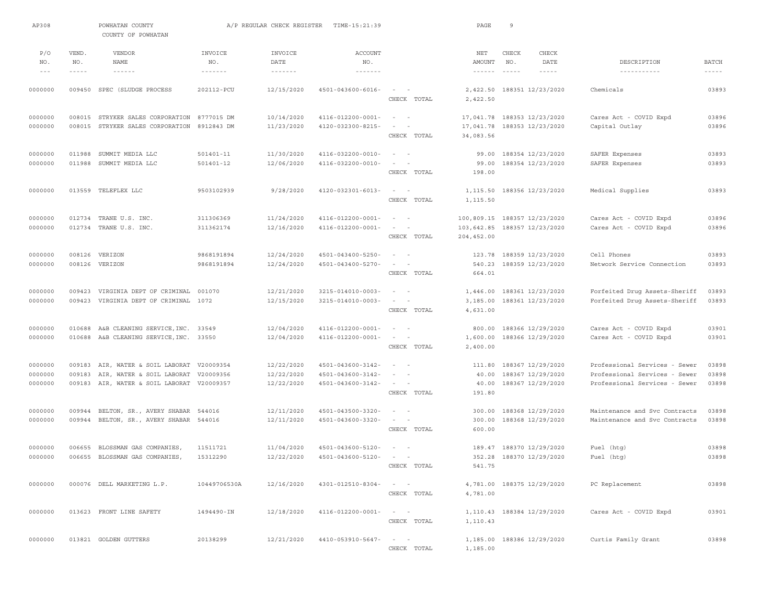| AP308                         |                             | POWHATAN COUNTY<br>COUNTY OF POWHATAN                                                         |                                                        | A/P REGULAR CHECK REGISTER                    | TIME-15:21:39                                               |                                                                                         | PAGE                                           | 9                        |                                                             |                                                                                                 |                               |
|-------------------------------|-----------------------------|-----------------------------------------------------------------------------------------------|--------------------------------------------------------|-----------------------------------------------|-------------------------------------------------------------|-----------------------------------------------------------------------------------------|------------------------------------------------|--------------------------|-------------------------------------------------------------|-------------------------------------------------------------------------------------------------|-------------------------------|
| P/O<br>NO.<br>$- - -$         | VEND.<br>NO.<br>$- - - - -$ | VENDOR<br><b>NAME</b><br>$\cdots\cdots\cdots\cdots$                                           | INVOICE<br>NO.<br>$\cdots \cdots \cdots \cdots \cdots$ | INVOICE<br>DATE<br>$\cdots\cdots\cdots\cdots$ | <b>ACCOUNT</b><br>NO.<br>$\cdots\cdots\cdots\cdots\cdots$   |                                                                                         | NET<br>AMOUNT<br>$\cdots \cdots \cdots \cdots$ | CHECK<br>NO.<br>$\cdots$ | CHECK<br>DATE<br>$- - - - - -$                              | DESCRIPTION<br>-----------                                                                      | <b>BATCH</b><br>$\frac{1}{2}$ |
| 0000000                       |                             | 009450 SPEC (SLUDGE PROCESS                                                                   | 202112-PCU                                             | 12/15/2020                                    | $4501 - 043600 - 6016 -$                                    | $\sim$<br>$\sim$<br>CHECK TOTAL                                                         | 2,422.50<br>2,422.50                           |                          | 188351 12/23/2020                                           | Chemicals                                                                                       | 03893                         |
| 0000000<br>0000000            | 008015                      | STRYKER SALES CORPORATION<br>008015 STRYKER SALES CORPORATION                                 | 8777015 DM<br>8912843 DM                               | 10/14/2020<br>11/23/2020                      | 4116-012200-0001-<br>4120-032300-8215-                      | $\sim$<br>$\overline{\phantom{a}}$<br>$\sim$<br>$\overline{\phantom{a}}$<br>CHECK TOTAL | 17,041.78<br>17,041.78<br>34,083.56            |                          | 188353 12/23/2020<br>188353 12/23/2020                      | Cares Act - COVID Expd<br>Capital Outlay                                                        | 03896<br>03896                |
| 0000000<br>0000000            | 011988<br>011988            | SUMMIT MEDIA LLC<br>SUMMIT MEDIA LLC                                                          | 501401-11<br>501401-12                                 | 11/30/2020<br>12/06/2020                      | 4116-032200-0010-<br>4116-032200-0010-                      | $\sim$<br>$\sim$<br>$\sim$<br>CHECK TOTAL                                               | 99.00<br>99.00<br>198.00                       |                          | 188354 12/23/2020<br>188354 12/23/2020                      | SAFER Expenses<br>SAFER Expenses                                                                | 03893<br>03893                |
| 0000000                       |                             | 013559 TELEFLEX LLC                                                                           | 9503102939                                             | 9/28/2020                                     | 4120-032301-6013-                                           | CHECK TOTAL                                                                             | 1,115.50<br>1,115.50                           |                          | 188356 12/23/2020                                           | Medical Supplies                                                                                | 03893                         |
| 0000000<br>0000000            |                             | 012734 TRANE U.S. INC.<br>012734 TRANE U.S. INC.                                              | 311306369<br>311362174                                 | 11/24/2020<br>12/16/2020                      | 4116-012200-0001-<br>4116-012200-0001-                      | $\sim$<br>$\overline{\phantom{a}}$<br>$\sim$<br>$\overline{\phantom{a}}$<br>CHECK TOTAL | 100,809.15<br>103,642.85<br>204,452.00         |                          | 188357 12/23/2020<br>188357 12/23/2020                      | Cares Act - COVID Expd<br>Cares Act - COVID Expd                                                | 03896<br>03896                |
| 0000000<br>0000000            | 008126<br>008126            | VERIZON<br>VERIZON                                                                            | 9868191894<br>9868191894                               | 12/24/2020<br>12/24/2020                      | 4501-043400-5250-<br>4501-043400-5270-                      | $\sim$<br>$\sim$<br>$\sim$<br>CHECK TOTAL                                               | 123.78<br>540.23<br>664.01                     |                          | 188359 12/23/2020<br>188359 12/23/2020                      | Cell Phones<br>Network Service Connection                                                       | 03893<br>03893                |
| 0000000<br>0000000            | 009423<br>009423            | VIRGINIA DEPT OF CRIMINAL<br>VIRGINIA DEPT OF CRIMINAL                                        | 001070<br>1072                                         | 12/21/2020<br>12/15/2020                      | 3215-014010-0003-<br>3215-014010-0003-                      | $\sim$<br>$\sim$<br>CHECK TOTAL                                                         | 1,446.00<br>3,185.00<br>4,631.00               |                          | 188361 12/23/2020<br>188361 12/23/2020                      | Forfeited Drug Assets-Sheriff<br>Forfeited Drug Assets-Sheriff                                  | 03893<br>03893                |
| 0000000<br>0000000            | 010688                      | A&B CLEANING SERVICE, INC. 33549<br>010688 A&B CLEANING SERVICE, INC. 33550                   |                                                        | 12/04/2020<br>12/04/2020                      | 4116-012200-0001-<br>4116-012200-0001-                      | $\sim$ 100 $\sim$<br>$\sim$<br>$\sim$<br>CHECK TOTAL                                    | 800.00<br>1,600.00<br>2,400.00                 |                          | 188366 12/29/2020<br>188366 12/29/2020                      | Cares Act - COVID Expd<br>Cares Act - COVID Expd                                                | 03901<br>03901                |
| 0000000<br>0000000<br>0000000 | 009183<br>009183<br>009183  | AIR, WATER & SOIL LABORAT<br>AIR, WATER & SOIL LABORAT V20009356<br>AIR, WATER & SOIL LABORAT | V20009354<br>V20009357                                 | 12/22/2020<br>12/22/2020<br>12/22/2020        | 4501-043600-3142-<br>4501-043600-3142-<br>4501-043600-3142- | $\sim$ $-$<br>$\sim$<br>$\sim$<br>$\sim$<br>CHECK TOTAL                                 | 111.80<br>40.00<br>40.00<br>191.80             |                          | 188367 12/29/2020<br>188367 12/29/2020<br>188367 12/29/2020 | Professional Services - Sewer<br>Professional Services - Sewer<br>Professional Services - Sewer | 03898<br>03898<br>03898       |
| 0000000<br>0000000            | 009944<br>009944            | BELTON, SR., AVERY SHABAR 544016<br>BELTON, SR., AVERY SHABAR                                 | 544016                                                 | 12/11/2020<br>12/11/2020                      | $4501 - 043500 - 3320 -$<br>4501-043600-3320-               | $\sim$<br>$\sim$<br>$\sim$<br>CHECK TOTAL                                               | 300.00<br>300.00<br>600.00                     |                          | 188368 12/29/2020<br>188368 12/29/2020                      | Maintenance and Svc Contracts<br>Maintenance and Svc Contracts                                  | 03898<br>03898                |
| 0000000<br>0000000            | 006655                      | BLOSSMAN GAS COMPANIES,<br>006655 BLOSSMAN GAS COMPANIES,                                     | 11511721<br>15312290                                   | 11/04/2020<br>12/22/2020                      | 4501-043600-5120-<br>4501-043600-5120-                      | $\sim$ $  -$<br>$ -$<br>CHECK TOTAL                                                     | 189.47<br>541.75                               |                          | 188370 12/29/2020<br>352.28 188370 12/29/2020               | Fuel (htg)<br>Fuel (htg)                                                                        | 03898<br>03898                |
| 0000000                       |                             | 000076 DELL MARKETING L.P.                                                                    | 10449706530A                                           | 12/16/2020                                    | 4301-012510-8304-                                           | $\sim$ $    -$<br>CHECK TOTAL                                                           | 4,781.00                                       |                          | 4,781.00 188375 12/29/2020                                  | PC Replacement                                                                                  | 03898                         |
| 0000000                       |                             | 013623 FRONT LINE SAFETY                                                                      | 1494490-IN                                             | 12/18/2020                                    | 4116-012200-0001-                                           | $\sim$ $    -$<br>CHECK TOTAL                                                           | 1,110.43                                       |                          | 1, 110.43 188384 12/29/2020                                 | Cares Act - COVID Expd                                                                          | 03901                         |
| 0000000                       |                             | 013821 GOLDEN GUTTERS                                                                         | 20138299                                               | 12/21/2020                                    | 4410-053910-5647-                                           | $\alpha = 1, \ldots, n-1$<br>CHECK TOTAL                                                | 1,185.00                                       |                          | 1,185.00 188386 12/29/2020                                  | Curtis Family Grant                                                                             | 03898                         |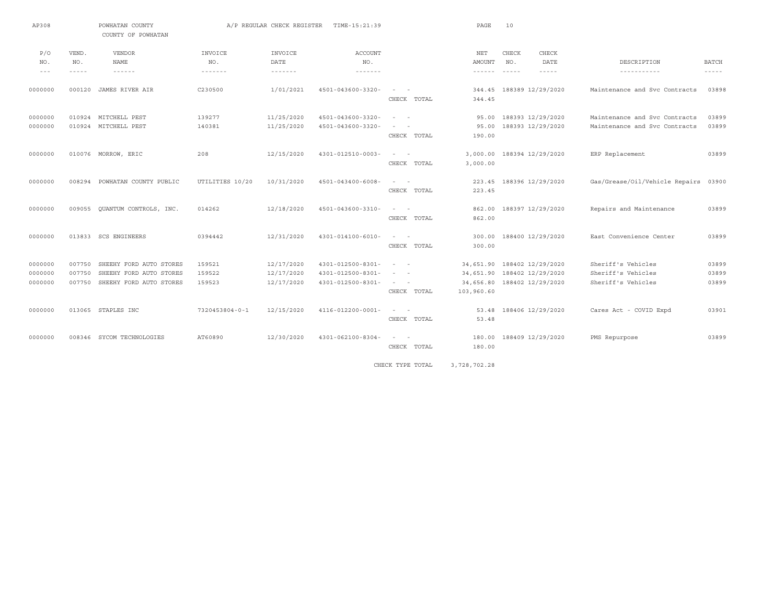| AP308                         |                            | POWHATAN COUNTY<br>COUNTY OF POWHATAN                                         |                            | A/P REGULAR CHECK REGISTER             | TIME-15:21:39                                                      |                                                                                                                                                                                                                      | PAGE                                              | 10                                                          |                                                                |                         |
|-------------------------------|----------------------------|-------------------------------------------------------------------------------|----------------------------|----------------------------------------|--------------------------------------------------------------------|----------------------------------------------------------------------------------------------------------------------------------------------------------------------------------------------------------------------|---------------------------------------------------|-------------------------------------------------------------|----------------------------------------------------------------|-------------------------|
| P/O<br>NO.                    | VEND.<br>NO.               | <b>VENDOR</b><br><b>NAME</b>                                                  | INVOICE<br>NO.             | INVOICE<br>DATE                        | <b>ACCOUNT</b><br>NO.                                              |                                                                                                                                                                                                                      | NET<br>AMOUNT                                     | CHECK<br>CHECK<br>NO.<br>DATE                               | DESCRIPTION                                                    | <b>BATCH</b>            |
| $\qquad \qquad -$             | $- - - - -$                | $- - - - - -$                                                                 | -------                    | $- - - - - - - -$                      | -------                                                            |                                                                                                                                                                                                                      | $- - - - - -$                                     | $\cdots$<br>$- - - - -$                                     | -----------                                                    | $- - - - - -$           |
| 0000000                       | 000120                     | JAMES RIVER AIR                                                               | C230500                    | 1/01/2021                              | 4501-043600-3320-                                                  | $\sim$<br>$\sim$<br>CHECK TOTAL                                                                                                                                                                                      | 344.45<br>344.45                                  | 188389 12/29/2020                                           | Maintenance and Svc Contracts                                  | 03898                   |
| 0000000<br>0000000            | 010924                     | MITCHELL PEST<br>010924 MITCHELL PEST                                         | 139277<br>140381           | 11/25/2020<br>11/25/2020               | 4501-043600-3320-<br>4501-043600-3320-                             | $\overline{\phantom{a}}$<br>$\sim$<br>$\frac{1}{2} \left( \frac{1}{2} \right) \left( \frac{1}{2} \right) \left( \frac{1}{2} \right) \left( \frac{1}{2} \right)$<br>CHECK TOTAL                                       | 95.00<br>95.00<br>190.00                          | 188393 12/29/2020<br>188393 12/29/2020                      | Maintenance and Svc Contracts<br>Maintenance and Svc Contracts | 03899<br>03899          |
| 0000000                       |                            | 010076 MORROW, ERIC                                                           | 208                        | 12/15/2020                             | $4301 - 012510 - 0003 -$                                           | $\sim$ 100 $\sim$ 100 $\sim$<br>CHECK TOTAL                                                                                                                                                                          | 3,000.00                                          | 3,000.00 188394 12/29/2020                                  | ERP Replacement                                                | 03899                   |
| 0000000                       | 008294                     | POWHATAN COUNTY PUBLIC                                                        | UTILITIES 10/20            | 10/31/2020                             | $4501 - 043400 - 6008 -$                                           | $\frac{1}{2} \left( \frac{1}{2} \right) \left( \frac{1}{2} \right) \left( \frac{1}{2} \right) \left( \frac{1}{2} \right) \left( \frac{1}{2} \right)$<br>CHECK TOTAL                                                  | 223.45                                            | 223.45 188396 12/29/2020                                    | Gas/Grease/Oil/Vehicle Repairs                                 | 03900                   |
| 0000000                       | 009055                     | QUANTUM CONTROLS, INC.                                                        | 014262                     | 12/18/2020                             | 4501-043600-3310-                                                  | $\sim$<br>$\sim$<br>CHECK TOTAL                                                                                                                                                                                      | 862.00<br>862.00                                  | 188397 12/29/2020                                           | Repairs and Maintenance                                        | 03899                   |
| 0000000                       |                            | 013833 SCS ENGINEERS                                                          | 0394442                    | 12/31/2020                             | $4301 - 014100 - 6010 -$                                           | $\sim$<br>$\sim$<br>CHECK TOTAL                                                                                                                                                                                      | 300.00<br>300.00                                  | 188400 12/29/2020                                           | East Convenience Center                                        | 03899                   |
| 0000000<br>0000000<br>0000000 | 007750<br>007750<br>007750 | SHEEHY FORD AUTO STORES<br>SHEEHY FORD AUTO STORES<br>SHEEHY FORD AUTO STORES | 159521<br>159522<br>159523 | 12/17/2020<br>12/17/2020<br>12/17/2020 | 4301-012500-8301-<br>$4301 - 012500 - 8301 -$<br>4301-012500-8301- | $\sim$ 100 $\sim$<br>$\frac{1}{2} \left( \frac{1}{2} \right) \left( \frac{1}{2} \right) \left( \frac{1}{2} \right) \left( \frac{1}{2} \right) \left( \frac{1}{2} \right)$<br>$\sim 10^{-1}$ m $^{-1}$<br>CHECK TOTAL | 34,651.90<br>34,651.90<br>34,656.80<br>103,960.60 | 188402 12/29/2020<br>188402 12/29/2020<br>188402 12/29/2020 | Sheriff's Vehicles<br>Sheriff's Vehicles<br>Sheriff's Vehicles | 03899<br>03899<br>03899 |
| 0000000                       |                            | 013065 STAPLES INC                                                            | $7320453804 - 0 - 1$       | 12/15/2020                             | $4116 - 012200 - 0001 -$                                           | $\sim 10^{-1}$ m $^{-1}$<br>CHECK TOTAL                                                                                                                                                                              | 53.48<br>53.48                                    | 188406 12/29/2020                                           | Cares Act - COVID Expd                                         | 03901                   |
| 0000000                       |                            | 008346 SYCOM TECHNOLOGIES                                                     | AT60890                    | 12/30/2020                             | $4301 - 062100 - 8304 -$                                           | $\sim$ 100 $\sim$ 100 $\sim$<br>CHECK TOTAL                                                                                                                                                                          | 180.00<br>180.00                                  | 188409 12/29/2020                                           | PMS Repurpose                                                  | 03899                   |

CHECK TYPE TOTAL 3,728,702.28